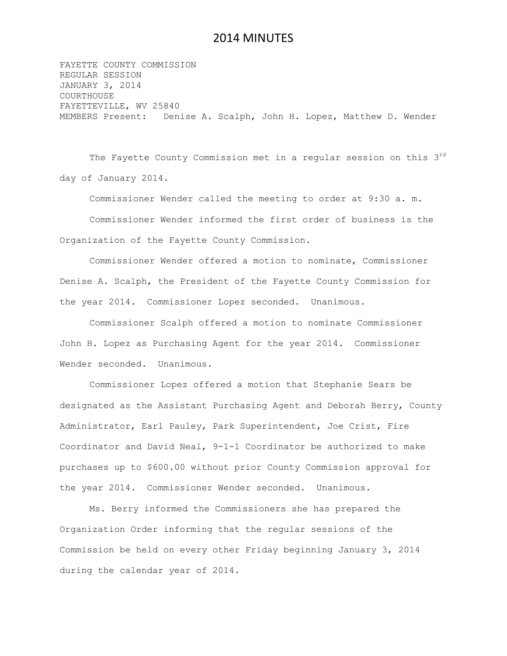FAYETTE COUNTY COMMISSION REGULAR SESSION JANUARY 3, 2014 COURTHOUSE FAYETTEVILLE, WV 25840 MEMBERS Present: Denise A. Scalph, John H. Lopez, Matthew D. Wender

The Fayette County Commission met in a regular session on this 3rd day of January 2014.

Commissioner Wender called the meeting to order at 9:30 a. m. Commissioner Wender informed the first order of business is the Organization of the Fayette County Commission.

Commissioner Wender offered a motion to nominate, Commissioner Denise A. Scalph, the President of the Fayette County Commission for the year 2014. Commissioner Lopez seconded. Unanimous.

Commissioner Scalph offered a motion to nominate Commissioner John H. Lopez as Purchasing Agent for the year 2014. Commissioner Wender seconded. Unanimous.

Commissioner Lopez offered a motion that Stephanie Sears be designated as the Assistant Purchasing Agent and Deborah Berry, County Administrator, Earl Pauley, Park Superintendent, Joe Crist, Fire Coordinator and David Neal, 9-1-1 Coordinator be authorized to make purchases up to \$600.00 without prior County Commission approval for the year 2014. Commissioner Wender seconded. Unanimous.

Ms. Berry informed the Commissioners she has prepared the Organization Order informing that the regular sessions of the Commission be held on every other Friday beginning January 3, 2014 during the calendar year of 2014.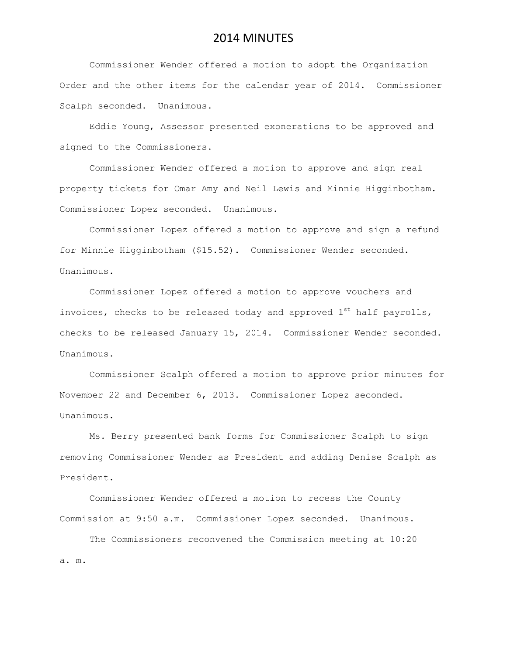Commissioner Wender offered a motion to adopt the Organization Order and the other items for the calendar year of 2014. Commissioner Scalph seconded. Unanimous.

Eddie Young, Assessor presented exonerations to be approved and signed to the Commissioners.

Commissioner Wender offered a motion to approve and sign real property tickets for Omar Amy and Neil Lewis and Minnie Higginbotham. Commissioner Lopez seconded. Unanimous.

Commissioner Lopez offered a motion to approve and sign a refund for Minnie Higginbotham (\$15.52). Commissioner Wender seconded. Unanimous.

Commissioner Lopez offered a motion to approve vouchers and invoices, checks to be released today and approved  $1<sup>st</sup>$  half payrolls, checks to be released January 15, 2014. Commissioner Wender seconded. Unanimous.

Commissioner Scalph offered a motion to approve prior minutes for November 22 and December 6, 2013. Commissioner Lopez seconded. Unanimous.

Ms. Berry presented bank forms for Commissioner Scalph to sign removing Commissioner Wender as President and adding Denise Scalph as President.

Commissioner Wender offered a motion to recess the County Commission at 9:50 a.m. Commissioner Lopez seconded. Unanimous.

The Commissioners reconvened the Commission meeting at 10:20 a. m.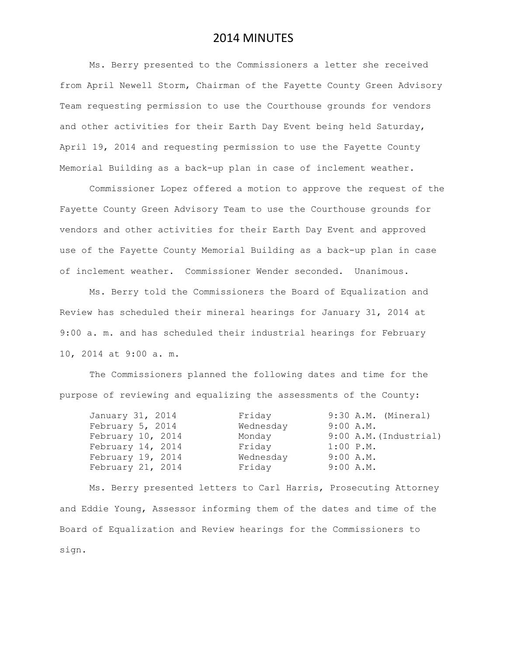Ms. Berry presented to the Commissioners a letter she received from April Newell Storm, Chairman of the Fayette County Green Advisory Team requesting permission to use the Courthouse grounds for vendors and other activities for their Earth Day Event being held Saturday, April 19, 2014 and requesting permission to use the Fayette County Memorial Building as a back-up plan in case of inclement weather.

Commissioner Lopez offered a motion to approve the request of the Fayette County Green Advisory Team to use the Courthouse grounds for vendors and other activities for their Earth Day Event and approved use of the Fayette County Memorial Building as a back-up plan in case of inclement weather. Commissioner Wender seconded. Unanimous.

Ms. Berry told the Commissioners the Board of Equalization and Review has scheduled their mineral hearings for January 31, 2014 at 9:00 a. m. and has scheduled their industrial hearings for February 10, 2014 at 9:00 a. m.

The Commissioners planned the following dates and time for the purpose of reviewing and equalizing the assessments of the County:

| January 31, 2014  | Friday    | $9:30 A.M.$ (Mineral)  |
|-------------------|-----------|------------------------|
| February 5, 2014  | Wednesday | 9:00 A.M.              |
| February 10, 2014 | Monday    | 9:00 A.M. (Industrial) |
| February 14, 2014 | Friday    | $1:00$ $P.M.$          |
| February 19, 2014 | Wednesday | 9:00 A.M.              |
| February 21, 2014 | Friday    | 9:00 A.M.              |

Ms. Berry presented letters to Carl Harris, Prosecuting Attorney and Eddie Young, Assessor informing them of the dates and time of the Board of Equalization and Review hearings for the Commissioners to sign.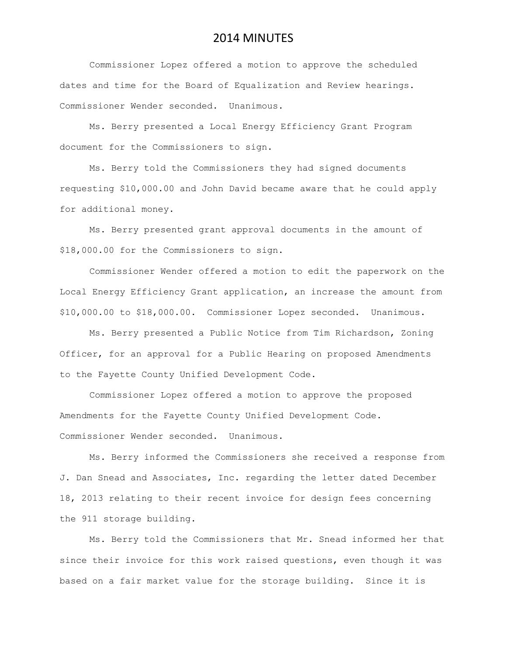Commissioner Lopez offered a motion to approve the scheduled dates and time for the Board of Equalization and Review hearings. Commissioner Wender seconded. Unanimous.

Ms. Berry presented a Local Energy Efficiency Grant Program document for the Commissioners to sign.

Ms. Berry told the Commissioners they had signed documents requesting \$10,000.00 and John David became aware that he could apply for additional money.

Ms. Berry presented grant approval documents in the amount of \$18,000.00 for the Commissioners to sign.

Commissioner Wender offered a motion to edit the paperwork on the Local Energy Efficiency Grant application, an increase the amount from \$10,000.00 to \$18,000.00. Commissioner Lopez seconded. Unanimous.

Ms. Berry presented a Public Notice from Tim Richardson, Zoning Officer, for an approval for a Public Hearing on proposed Amendments to the Fayette County Unified Development Code.

Commissioner Lopez offered a motion to approve the proposed Amendments for the Fayette County Unified Development Code. Commissioner Wender seconded. Unanimous.

Ms. Berry informed the Commissioners she received a response from J. Dan Snead and Associates, Inc. regarding the letter dated December 18, 2013 relating to their recent invoice for design fees concerning the 911 storage building.

Ms. Berry told the Commissioners that Mr. Snead informed her that since their invoice for this work raised questions, even though it was based on a fair market value for the storage building. Since it is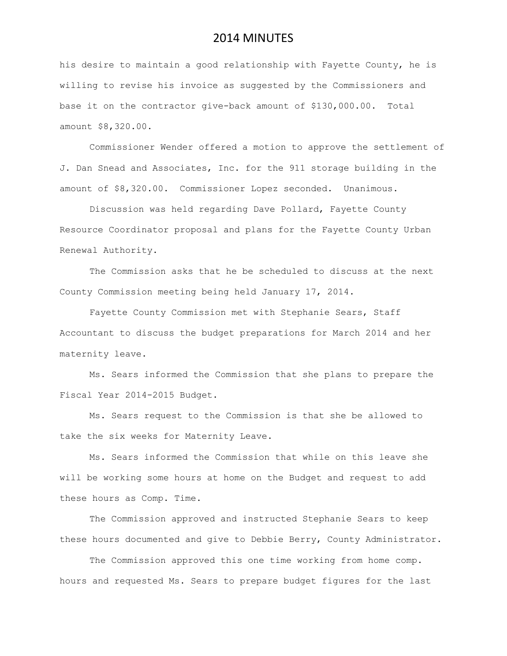his desire to maintain a good relationship with Fayette County, he is willing to revise his invoice as suggested by the Commissioners and base it on the contractor give-back amount of \$130,000.00. Total amount \$8,320.00.

Commissioner Wender offered a motion to approve the settlement of J. Dan Snead and Associates, Inc. for the 911 storage building in the amount of \$8,320.00. Commissioner Lopez seconded. Unanimous.

Discussion was held regarding Dave Pollard, Fayette County Resource Coordinator proposal and plans for the Fayette County Urban Renewal Authority.

The Commission asks that he be scheduled to discuss at the next County Commission meeting being held January 17, 2014.

Fayette County Commission met with Stephanie Sears, Staff Accountant to discuss the budget preparations for March 2014 and her maternity leave.

Ms. Sears informed the Commission that she plans to prepare the Fiscal Year 2014-2015 Budget.

Ms. Sears request to the Commission is that she be allowed to take the six weeks for Maternity Leave.

Ms. Sears informed the Commission that while on this leave she will be working some hours at home on the Budget and request to add these hours as Comp. Time.

The Commission approved and instructed Stephanie Sears to keep these hours documented and give to Debbie Berry, County Administrator.

The Commission approved this one time working from home comp. hours and requested Ms. Sears to prepare budget figures for the last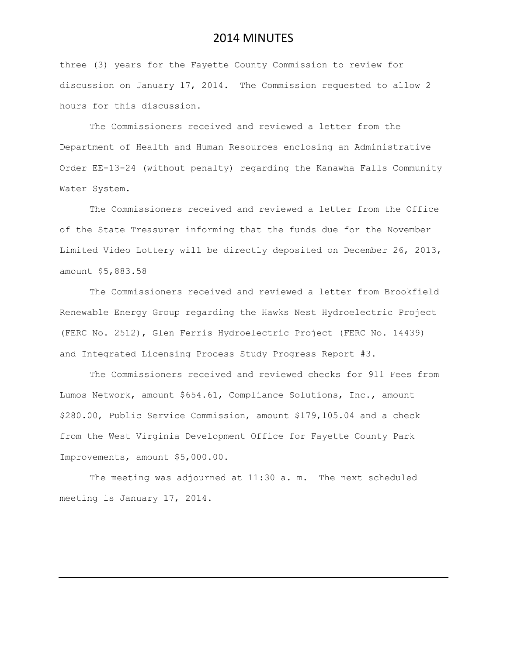three (3) years for the Fayette County Commission to review for discussion on January 17, 2014. The Commission requested to allow 2 hours for this discussion.

The Commissioners received and reviewed a letter from the Department of Health and Human Resources enclosing an Administrative Order EE-13-24 (without penalty) regarding the Kanawha Falls Community Water System.

The Commissioners received and reviewed a letter from the Office of the State Treasurer informing that the funds due for the November Limited Video Lottery will be directly deposited on December 26, 2013, amount \$5,883.58

The Commissioners received and reviewed a letter from Brookfield Renewable Energy Group regarding the Hawks Nest Hydroelectric Project (FERC No. 2512), Glen Ferris Hydroelectric Project (FERC No. 14439) and Integrated Licensing Process Study Progress Report #3.

The Commissioners received and reviewed checks for 911 Fees from Lumos Network, amount \$654.61, Compliance Solutions, Inc., amount \$280.00, Public Service Commission, amount \$179,105.04 and a check from the West Virginia Development Office for Fayette County Park Improvements, amount \$5,000.00.

The meeting was adjourned at 11:30 a. m. The next scheduled meeting is January 17, 2014.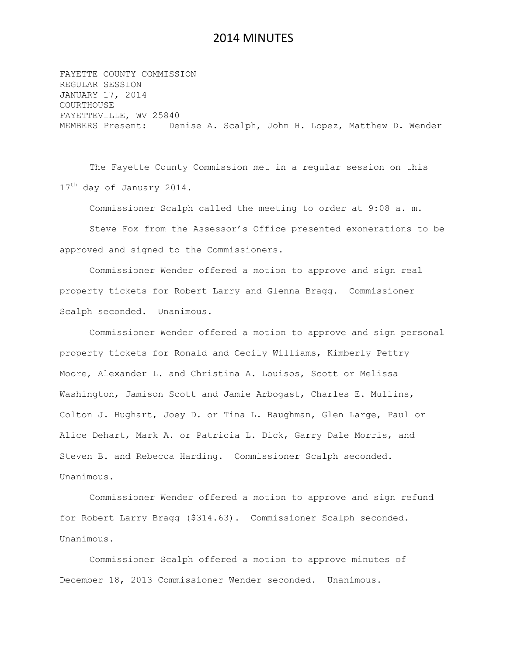FAYETTE COUNTY COMMISSION REGULAR SESSION JANUARY 17, 2014 COURTHOUSE FAYETTEVILLE, WV 25840 MEMBERS Present: Denise A. Scalph, John H. Lopez, Matthew D. Wender

The Fayette County Commission met in a regular session on this 17<sup>th</sup> day of January 2014.

Commissioner Scalph called the meeting to order at 9:08 a. m. Steve Fox from the Assessor's Office presented exonerations to be approved and signed to the Commissioners.

Commissioner Wender offered a motion to approve and sign real property tickets for Robert Larry and Glenna Bragg. Commissioner Scalph seconded. Unanimous.

Commissioner Wender offered a motion to approve and sign personal property tickets for Ronald and Cecily Williams, Kimberly Pettry Moore, Alexander L. and Christina A. Louisos, Scott or Melissa Washington, Jamison Scott and Jamie Arbogast, Charles E. Mullins, Colton J. Hughart, Joey D. or Tina L. Baughman, Glen Large, Paul or Alice Dehart, Mark A. or Patricia L. Dick, Garry Dale Morris, and Steven B. and Rebecca Harding. Commissioner Scalph seconded. Unanimous.

Commissioner Wender offered a motion to approve and sign refund for Robert Larry Bragg (\$314.63). Commissioner Scalph seconded. Unanimous.

Commissioner Scalph offered a motion to approve minutes of December 18, 2013 Commissioner Wender seconded. Unanimous.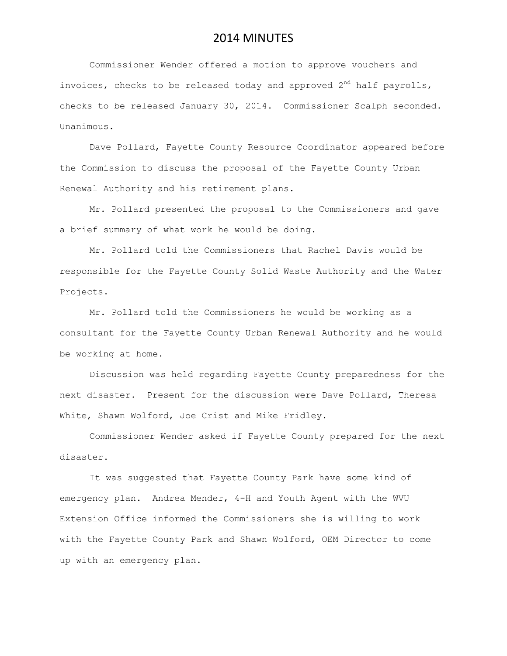Commissioner Wender offered a motion to approve vouchers and invoices, checks to be released today and approved  $2^{nd}$  half payrolls, checks to be released January 30, 2014. Commissioner Scalph seconded. Unanimous.

Dave Pollard, Fayette County Resource Coordinator appeared before the Commission to discuss the proposal of the Fayette County Urban Renewal Authority and his retirement plans.

Mr. Pollard presented the proposal to the Commissioners and gave a brief summary of what work he would be doing.

Mr. Pollard told the Commissioners that Rachel Davis would be responsible for the Fayette County Solid Waste Authority and the Water Projects.

Mr. Pollard told the Commissioners he would be working as a consultant for the Fayette County Urban Renewal Authority and he would be working at home.

Discussion was held regarding Fayette County preparedness for the next disaster. Present for the discussion were Dave Pollard, Theresa White, Shawn Wolford, Joe Crist and Mike Fridley.

Commissioner Wender asked if Fayette County prepared for the next disaster.

It was suggested that Fayette County Park have some kind of emergency plan. Andrea Mender, 4-H and Youth Agent with the WVU Extension Office informed the Commissioners she is willing to work with the Fayette County Park and Shawn Wolford, OEM Director to come up with an emergency plan.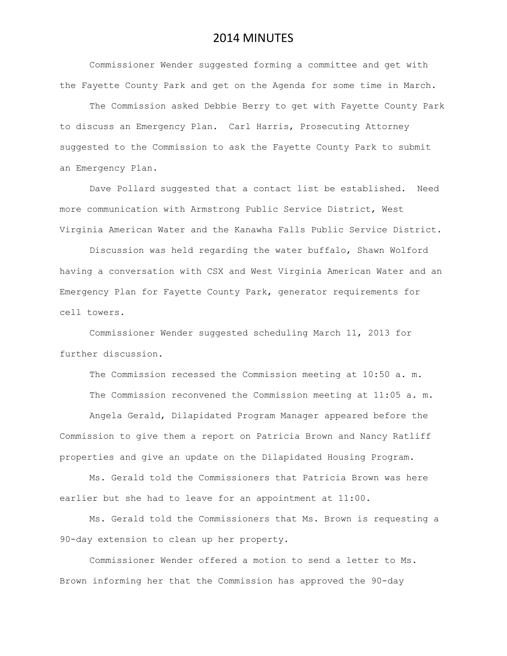Commissioner Wender suggested forming a committee and get with the Fayette County Park and get on the Agenda for some time in March.

The Commission asked Debbie Berry to get with Fayette County Park to discuss an Emergency Plan. Carl Harris, Prosecuting Attorney suggested to the Commission to ask the Fayette County Park to submit an Emergency Plan.

Dave Pollard suggested that a contact list be established. Need more communication with Armstrong Public Service District, West Virginia American Water and the Kanawha Falls Public Service District.

Discussion was held regarding the water buffalo, Shawn Wolford having a conversation with CSX and West Virginia American Water and an Emergency Plan for Fayette County Park, generator requirements for cell towers.

Commissioner Wender suggested scheduling March 11, 2013 for further discussion.

The Commission recessed the Commission meeting at 10:50 a. m.

The Commission reconvened the Commission meeting at 11:05 a. m. Angela Gerald, Dilapidated Program Manager appeared before the Commission to give them a report on Patricia Brown and Nancy Ratliff properties and give an update on the Dilapidated Housing Program.

Ms. Gerald told the Commissioners that Patricia Brown was here earlier but she had to leave for an appointment at 11:00.

Ms. Gerald told the Commissioners that Ms. Brown is requesting a 90-day extension to clean up her property.

Commissioner Wender offered a motion to send a letter to Ms. Brown informing her that the Commission has approved the 90-day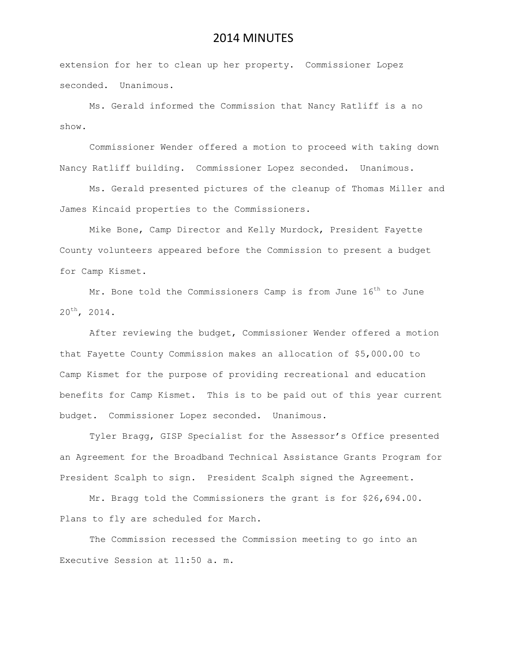extension for her to clean up her property. Commissioner Lopez seconded. Unanimous.

Ms. Gerald informed the Commission that Nancy Ratliff is a no show.

Commissioner Wender offered a motion to proceed with taking down Nancy Ratliff building. Commissioner Lopez seconded. Unanimous.

Ms. Gerald presented pictures of the cleanup of Thomas Miller and James Kincaid properties to the Commissioners.

Mike Bone, Camp Director and Kelly Murdock, President Fayette County volunteers appeared before the Commission to present a budget for Camp Kismet.

Mr. Bone told the Commissioners Camp is from June 16<sup>th</sup> to June  $20^{th}$ , 2014.

After reviewing the budget, Commissioner Wender offered a motion that Fayette County Commission makes an allocation of \$5,000.00 to Camp Kismet for the purpose of providing recreational and education benefits for Camp Kismet. This is to be paid out of this year current budget. Commissioner Lopez seconded. Unanimous.

Tyler Bragg, GISP Specialist for the Assessor's Office presented an Agreement for the Broadband Technical Assistance Grants Program for President Scalph to sign. President Scalph signed the Agreement.

Mr. Bragg told the Commissioners the grant is for \$26,694.00. Plans to fly are scheduled for March.

The Commission recessed the Commission meeting to go into an Executive Session at 11:50 a. m.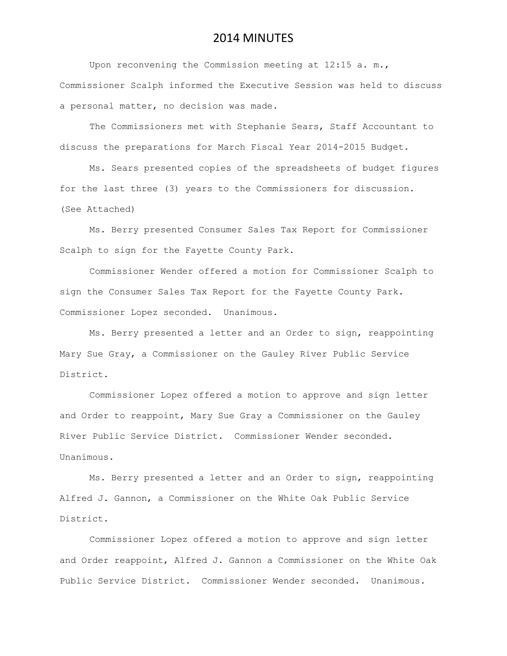Upon reconvening the Commission meeting at 12:15 a.m., Commissioner Scalph informed the Executive Session was held to discuss a personal matter, no decision was made.

The Commissioners met with Stephanie Sears, Staff Accountant to discuss the preparations for March Fiscal Year 2014-2015 Budget.

Ms. Sears presented copies of the spreadsheets of budget figures for the last three (3) years to the Commissioners for discussion. (See Attached)

 Ms. Berry presented Consumer Sales Tax Report for Commissioner Scalph to sign for the Fayette County Park.

Commissioner Wender offered a motion for Commissioner Scalph to sign the Consumer Sales Tax Report for the Fayette County Park. Commissioner Lopez seconded. Unanimous.

Ms. Berry presented a letter and an Order to sign, reappointing Mary Sue Gray, a Commissioner on the Gauley River Public Service District.

Commissioner Lopez offered a motion to approve and sign letter and Order to reappoint, Mary Sue Gray a Commissioner on the Gauley River Public Service District. Commissioner Wender seconded. Unanimous.

Ms. Berry presented a letter and an Order to sign, reappointing Alfred J. Gannon, a Commissioner on the White Oak Public Service District.

Commissioner Lopez offered a motion to approve and sign letter and Order reappoint, Alfred J. Gannon a Commissioner on the White Oak Public Service District. Commissioner Wender seconded. Unanimous.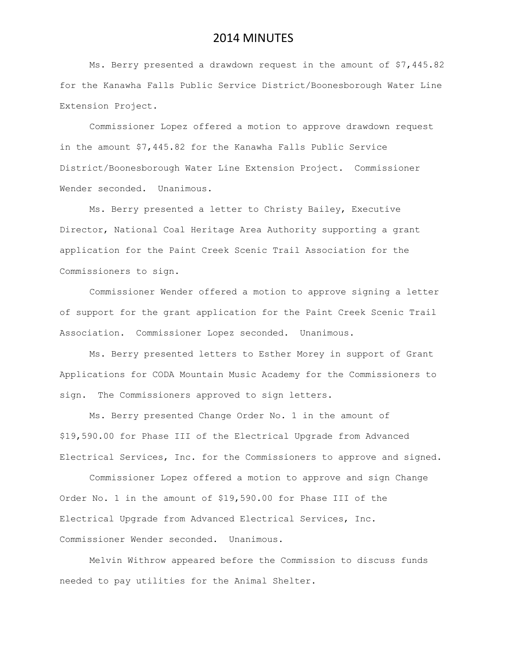Ms. Berry presented a drawdown request in the amount of \$7,445.82 for the Kanawha Falls Public Service District/Boonesborough Water Line Extension Project.

Commissioner Lopez offered a motion to approve drawdown request in the amount \$7,445.82 for the Kanawha Falls Public Service District/Boonesborough Water Line Extension Project. Commissioner Wender seconded. Unanimous.

Ms. Berry presented a letter to Christy Bailey, Executive Director, National Coal Heritage Area Authority supporting a grant application for the Paint Creek Scenic Trail Association for the Commissioners to sign.

Commissioner Wender offered a motion to approve signing a letter of support for the grant application for the Paint Creek Scenic Trail Association. Commissioner Lopez seconded. Unanimous.

Ms. Berry presented letters to Esther Morey in support of Grant Applications for CODA Mountain Music Academy for the Commissioners to sign. The Commissioners approved to sign letters.

Ms. Berry presented Change Order No. 1 in the amount of \$19,590.00 for Phase III of the Electrical Upgrade from Advanced Electrical Services, Inc. for the Commissioners to approve and signed.

Commissioner Lopez offered a motion to approve and sign Change Order No. 1 in the amount of \$19,590.00 for Phase III of the Electrical Upgrade from Advanced Electrical Services, Inc. Commissioner Wender seconded. Unanimous.

Melvin Withrow appeared before the Commission to discuss funds needed to pay utilities for the Animal Shelter.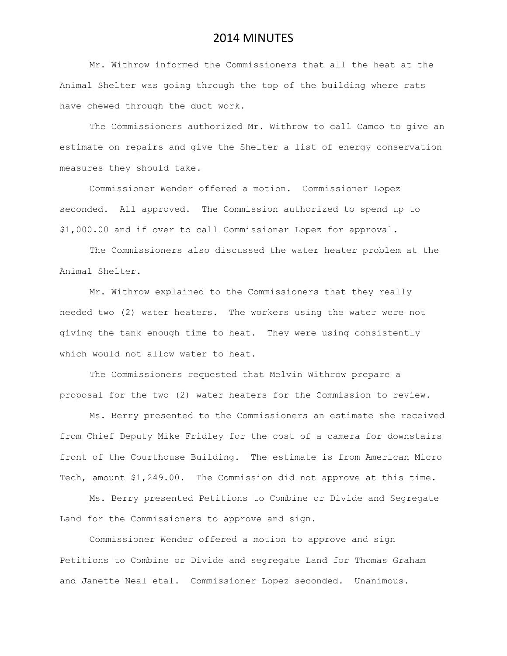Mr. Withrow informed the Commissioners that all the heat at the Animal Shelter was going through the top of the building where rats have chewed through the duct work.

The Commissioners authorized Mr. Withrow to call Camco to give an estimate on repairs and give the Shelter a list of energy conservation measures they should take.

Commissioner Wender offered a motion. Commissioner Lopez seconded. All approved. The Commission authorized to spend up to \$1,000.00 and if over to call Commissioner Lopez for approval.

The Commissioners also discussed the water heater problem at the Animal Shelter.

Mr. Withrow explained to the Commissioners that they really needed two (2) water heaters. The workers using the water were not giving the tank enough time to heat. They were using consistently which would not allow water to heat.

The Commissioners requested that Melvin Withrow prepare a proposal for the two (2) water heaters for the Commission to review.

Ms. Berry presented to the Commissioners an estimate she received from Chief Deputy Mike Fridley for the cost of a camera for downstairs front of the Courthouse Building. The estimate is from American Micro Tech, amount \$1,249.00. The Commission did not approve at this time.

Ms. Berry presented Petitions to Combine or Divide and Segregate Land for the Commissioners to approve and sign.

Commissioner Wender offered a motion to approve and sign Petitions to Combine or Divide and segregate Land for Thomas Graham and Janette Neal etal. Commissioner Lopez seconded. Unanimous.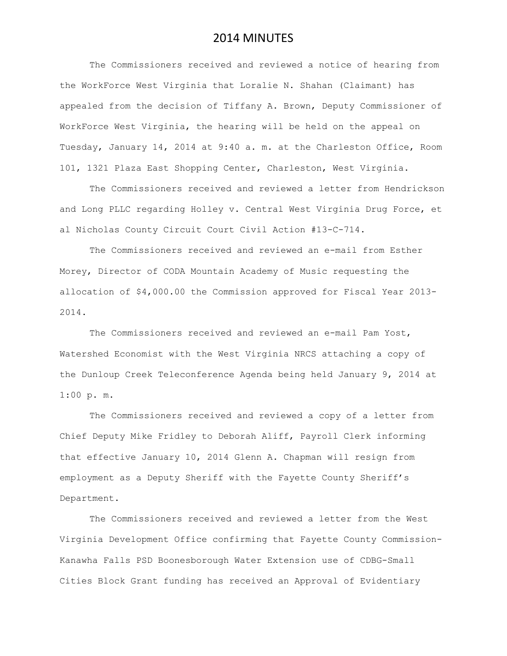The Commissioners received and reviewed a notice of hearing from the WorkForce West Virginia that Loralie N. Shahan (Claimant) has appealed from the decision of Tiffany A. Brown, Deputy Commissioner of WorkForce West Virginia, the hearing will be held on the appeal on Tuesday, January 14, 2014 at 9:40 a. m. at the Charleston Office, Room 101, 1321 Plaza East Shopping Center, Charleston, West Virginia.

The Commissioners received and reviewed a letter from Hendrickson and Long PLLC regarding Holley v. Central West Virginia Drug Force, et al Nicholas County Circuit Court Civil Action #13-C-714.

The Commissioners received and reviewed an e-mail from Esther Morey, Director of CODA Mountain Academy of Music requesting the allocation of \$4,000.00 the Commission approved for Fiscal Year 2013- 2014.

The Commissioners received and reviewed an e-mail Pam Yost, Watershed Economist with the West Virginia NRCS attaching a copy of the Dunloup Creek Teleconference Agenda being held January 9, 2014 at 1:00 p. m.

The Commissioners received and reviewed a copy of a letter from Chief Deputy Mike Fridley to Deborah Aliff, Payroll Clerk informing that effective January 10, 2014 Glenn A. Chapman will resign from employment as a Deputy Sheriff with the Fayette County Sheriff's Department.

The Commissioners received and reviewed a letter from the West Virginia Development Office confirming that Fayette County Commission-Kanawha Falls PSD Boonesborough Water Extension use of CDBG-Small Cities Block Grant funding has received an Approval of Evidentiary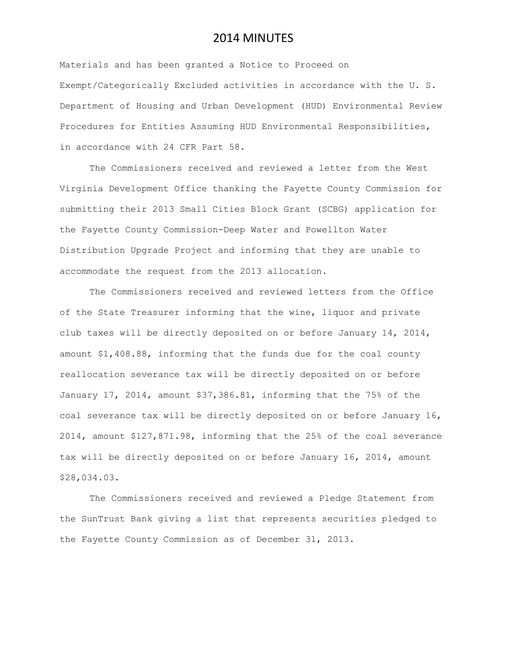Materials and has been granted a Notice to Proceed on Exempt/Categorically Excluded activities in accordance with the U. S. Department of Housing and Urban Development (HUD) Environmental Review Procedures for Entities Assuming HUD Environmental Responsibilities, in accordance with 24 CFR Part 58.

The Commissioners received and reviewed a letter from the West Virginia Development Office thanking the Fayette County Commission for submitting their 2013 Small Cities Block Grant (SCBG) application for the Fayette County Commission-Deep Water and Powellton Water Distribution Upgrade Project and informing that they are unable to accommodate the request from the 2013 allocation.

The Commissioners received and reviewed letters from the Office of the State Treasurer informing that the wine, liquor and private club taxes will be directly deposited on or before January 14, 2014, amount \$1,408.88, informing that the funds due for the coal county reallocation severance tax will be directly deposited on or before January 17, 2014, amount \$37,386.81, informing that the 75% of the coal severance tax will be directly deposited on or before January 16, 2014, amount \$127,871.98, informing that the 25% of the coal severance tax will be directly deposited on or before January 16, 2014, amount \$28,034.03.

The Commissioners received and reviewed a Pledge Statement from the SunTrust Bank giving a list that represents securities pledged to the Fayette County Commission as of December 31, 2013.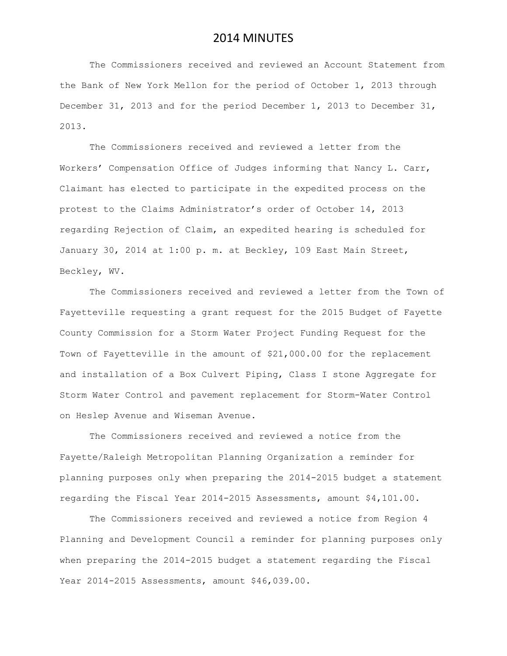The Commissioners received and reviewed an Account Statement from the Bank of New York Mellon for the period of October 1, 2013 through December 31, 2013 and for the period December 1, 2013 to December 31, 2013.

The Commissioners received and reviewed a letter from the Workers' Compensation Office of Judges informing that Nancy L. Carr, Claimant has elected to participate in the expedited process on the protest to the Claims Administrator's order of October 14, 2013 regarding Rejection of Claim, an expedited hearing is scheduled for January 30, 2014 at 1:00 p. m. at Beckley, 109 East Main Street, Beckley, WV.

The Commissioners received and reviewed a letter from the Town of Fayetteville requesting a grant request for the 2015 Budget of Fayette County Commission for a Storm Water Project Funding Request for the Town of Fayetteville in the amount of \$21,000.00 for the replacement and installation of a Box Culvert Piping, Class I stone Aggregate for Storm Water Control and pavement replacement for Storm-Water Control on Heslep Avenue and Wiseman Avenue.

The Commissioners received and reviewed a notice from the Fayette/Raleigh Metropolitan Planning Organization a reminder for planning purposes only when preparing the 2014-2015 budget a statement regarding the Fiscal Year 2014-2015 Assessments, amount \$4,101.00.

The Commissioners received and reviewed a notice from Region 4 Planning and Development Council a reminder for planning purposes only when preparing the 2014-2015 budget a statement regarding the Fiscal Year 2014-2015 Assessments, amount \$46,039.00.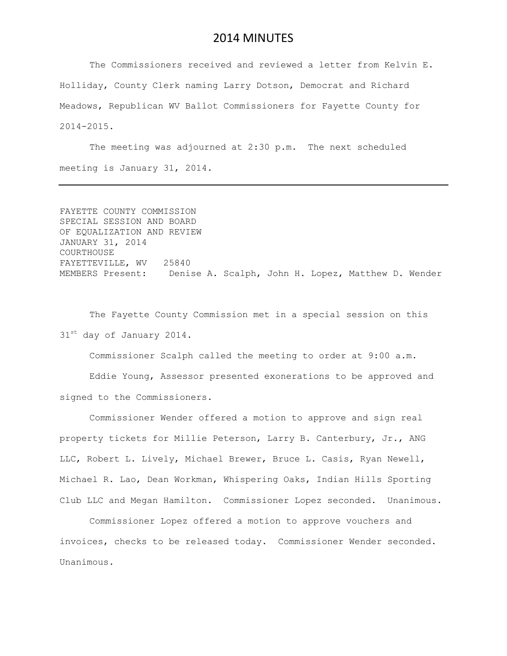The Commissioners received and reviewed a letter from Kelvin E. Holliday, County Clerk naming Larry Dotson, Democrat and Richard Meadows, Republican WV Ballot Commissioners for Fayette County for 2014-2015.

The meeting was adjourned at 2:30 p.m. The next scheduled meeting is January 31, 2014.

FAYETTE COUNTY COMMISSION SPECIAL SESSION AND BOARD OF EQUALIZATION AND REVIEW JANUARY 31, 2014 COURTHOUSE FAYETTEVILLE, WV 25840 MEMBERS Present: Denise A. Scalph, John H. Lopez, Matthew D. Wender

The Fayette County Commission met in a special session on this 31<sup>st</sup> day of January 2014.

Commissioner Scalph called the meeting to order at 9:00 a.m.

Eddie Young, Assessor presented exonerations to be approved and signed to the Commissioners.

Commissioner Wender offered a motion to approve and sign real property tickets for Millie Peterson, Larry B. Canterbury, Jr., ANG LLC, Robert L. Lively, Michael Brewer, Bruce L. Casis, Ryan Newell, Michael R. Lao, Dean Workman, Whispering Oaks, Indian Hills Sporting Club LLC and Megan Hamilton. Commissioner Lopez seconded. Unanimous.

Commissioner Lopez offered a motion to approve vouchers and invoices, checks to be released today. Commissioner Wender seconded. Unanimous.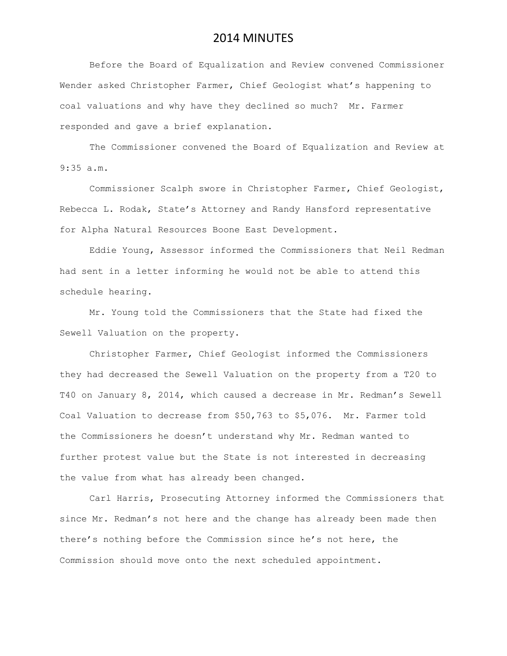Before the Board of Equalization and Review convened Commissioner Wender asked Christopher Farmer, Chief Geologist what's happening to coal valuations and why have they declined so much? Mr. Farmer responded and gave a brief explanation.

The Commissioner convened the Board of Equalization and Review at 9:35 a.m.

Commissioner Scalph swore in Christopher Farmer, Chief Geologist, Rebecca L. Rodak, State's Attorney and Randy Hansford representative for Alpha Natural Resources Boone East Development.

Eddie Young, Assessor informed the Commissioners that Neil Redman had sent in a letter informing he would not be able to attend this schedule hearing.

Mr. Young told the Commissioners that the State had fixed the Sewell Valuation on the property.

Christopher Farmer, Chief Geologist informed the Commissioners they had decreased the Sewell Valuation on the property from a T20 to T40 on January 8, 2014, which caused a decrease in Mr. Redman's Sewell Coal Valuation to decrease from \$50,763 to \$5,076. Mr. Farmer told the Commissioners he doesn't understand why Mr. Redman wanted to further protest value but the State is not interested in decreasing the value from what has already been changed.

Carl Harris, Prosecuting Attorney informed the Commissioners that since Mr. Redman's not here and the change has already been made then there's nothing before the Commission since he's not here, the Commission should move onto the next scheduled appointment.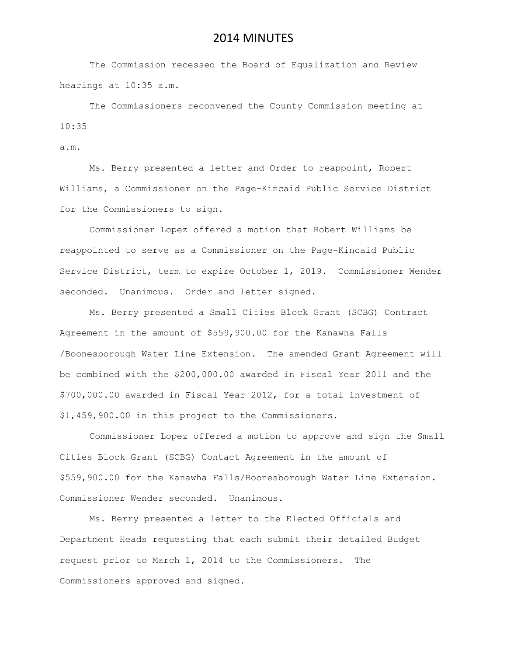The Commission recessed the Board of Equalization and Review hearings at 10:35 a.m.

The Commissioners reconvened the County Commission meeting at 10:35

#### a.m.

Ms. Berry presented a letter and Order to reappoint, Robert Williams, a Commissioner on the Page-Kincaid Public Service District for the Commissioners to sign.

Commissioner Lopez offered a motion that Robert Williams be reappointed to serve as a Commissioner on the Page-Kincaid Public Service District, term to expire October 1, 2019. Commissioner Wender seconded. Unanimous. Order and letter signed.

Ms. Berry presented a Small Cities Block Grant (SCBG) Contract Agreement in the amount of \$559,900.00 for the Kanawha Falls /Boonesborough Water Line Extension. The amended Grant Agreement will be combined with the \$200,000.00 awarded in Fiscal Year 2011 and the \$700,000.00 awarded in Fiscal Year 2012, for a total investment of \$1,459,900.00 in this project to the Commissioners.

Commissioner Lopez offered a motion to approve and sign the Small Cities Block Grant (SCBG) Contact Agreement in the amount of \$559,900.00 for the Kanawha Falls/Boonesborough Water Line Extension. Commissioner Wender seconded. Unanimous.

Ms. Berry presented a letter to the Elected Officials and Department Heads requesting that each submit their detailed Budget request prior to March 1, 2014 to the Commissioners. The Commissioners approved and signed.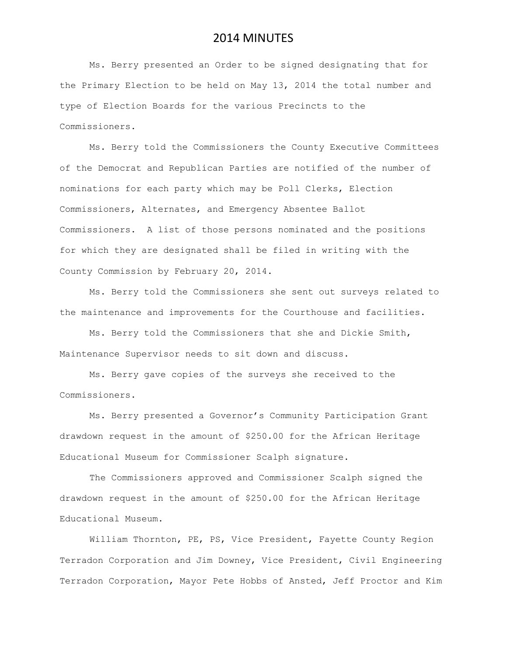Ms. Berry presented an Order to be signed designating that for the Primary Election to be held on May 13, 2014 the total number and type of Election Boards for the various Precincts to the Commissioners.

Ms. Berry told the Commissioners the County Executive Committees of the Democrat and Republican Parties are notified of the number of nominations for each party which may be Poll Clerks, Election Commissioners, Alternates, and Emergency Absentee Ballot Commissioners. A list of those persons nominated and the positions for which they are designated shall be filed in writing with the County Commission by February 20, 2014.

Ms. Berry told the Commissioners she sent out surveys related to the maintenance and improvements for the Courthouse and facilities.

Ms. Berry told the Commissioners that she and Dickie Smith, Maintenance Supervisor needs to sit down and discuss.

Ms. Berry gave copies of the surveys she received to the Commissioners.

Ms. Berry presented a Governor's Community Participation Grant drawdown request in the amount of \$250.00 for the African Heritage Educational Museum for Commissioner Scalph signature.

The Commissioners approved and Commissioner Scalph signed the drawdown request in the amount of \$250.00 for the African Heritage Educational Museum.

William Thornton, PE, PS, Vice President, Fayette County Region Terradon Corporation and Jim Downey, Vice President, Civil Engineering Terradon Corporation, Mayor Pete Hobbs of Ansted, Jeff Proctor and Kim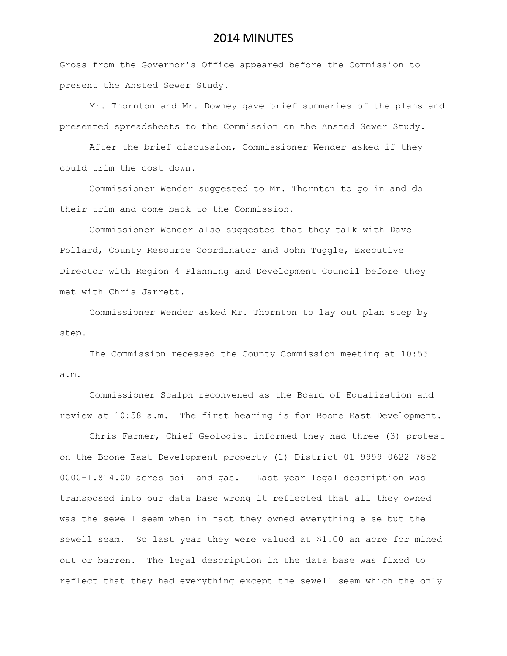Gross from the Governor's Office appeared before the Commission to present the Ansted Sewer Study.

Mr. Thornton and Mr. Downey gave brief summaries of the plans and presented spreadsheets to the Commission on the Ansted Sewer Study.

After the brief discussion, Commissioner Wender asked if they could trim the cost down.

Commissioner Wender suggested to Mr. Thornton to go in and do their trim and come back to the Commission.

Commissioner Wender also suggested that they talk with Dave Pollard, County Resource Coordinator and John Tuggle, Executive Director with Region 4 Planning and Development Council before they met with Chris Jarrett.

Commissioner Wender asked Mr. Thornton to lay out plan step by step.

The Commission recessed the County Commission meeting at 10:55 a.m.

Commissioner Scalph reconvened as the Board of Equalization and review at 10:58 a.m. The first hearing is for Boone East Development.

Chris Farmer, Chief Geologist informed they had three (3) protest on the Boone East Development property (1)-District 01-9999-0622-7852- 0000-1.814.00 acres soil and gas. Last year legal description was transposed into our data base wrong it reflected that all they owned was the sewell seam when in fact they owned everything else but the sewell seam. So last year they were valued at \$1.00 an acre for mined out or barren. The legal description in the data base was fixed to reflect that they had everything except the sewell seam which the only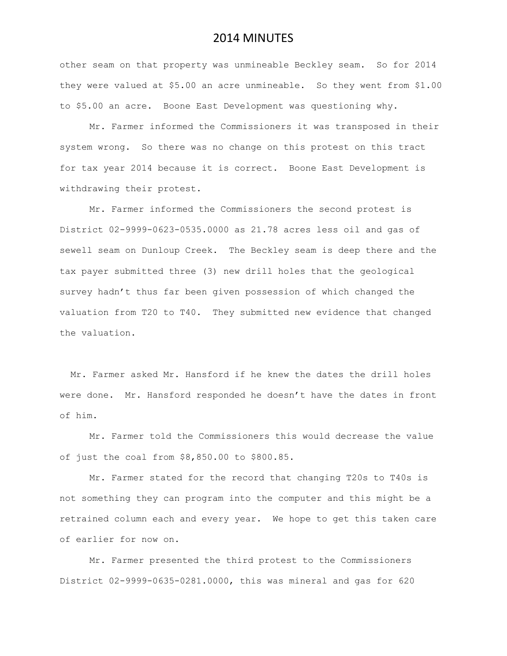other seam on that property was unmineable Beckley seam. So for 2014 they were valued at \$5.00 an acre unmineable. So they went from \$1.00 to \$5.00 an acre. Boone East Development was questioning why.

Mr. Farmer informed the Commissioners it was transposed in their system wrong. So there was no change on this protest on this tract for tax year 2014 because it is correct. Boone East Development is withdrawing their protest.

Mr. Farmer informed the Commissioners the second protest is District 02-9999-0623-0535.0000 as 21.78 acres less oil and gas of sewell seam on Dunloup Creek. The Beckley seam is deep there and the tax payer submitted three (3) new drill holes that the geological survey hadn't thus far been given possession of which changed the valuation from T20 to T40. They submitted new evidence that changed the valuation.

 Mr. Farmer asked Mr. Hansford if he knew the dates the drill holes were done. Mr. Hansford responded he doesn't have the dates in front of him.

Mr. Farmer told the Commissioners this would decrease the value of just the coal from \$8,850.00 to \$800.85.

Mr. Farmer stated for the record that changing T20s to T40s is not something they can program into the computer and this might be a retrained column each and every year. We hope to get this taken care of earlier for now on.

Mr. Farmer presented the third protest to the Commissioners District 02-9999-0635-0281.0000, this was mineral and gas for 620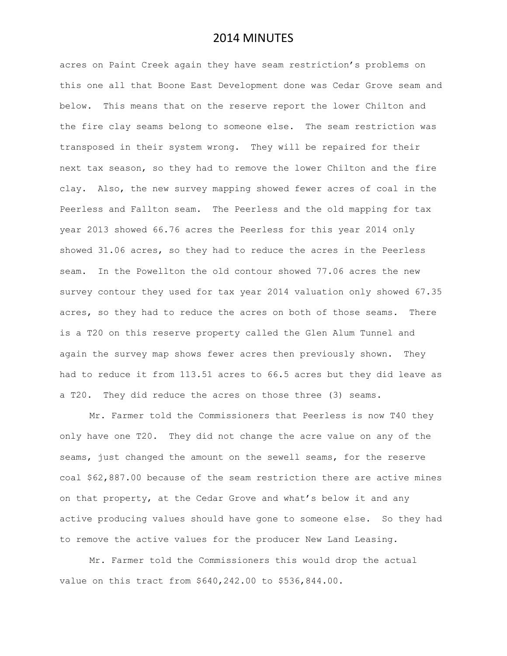acres on Paint Creek again they have seam restriction's problems on this one all that Boone East Development done was Cedar Grove seam and below. This means that on the reserve report the lower Chilton and the fire clay seams belong to someone else. The seam restriction was transposed in their system wrong. They will be repaired for their next tax season, so they had to remove the lower Chilton and the fire clay. Also, the new survey mapping showed fewer acres of coal in the Peerless and Fallton seam. The Peerless and the old mapping for tax year 2013 showed 66.76 acres the Peerless for this year 2014 only showed 31.06 acres, so they had to reduce the acres in the Peerless seam. In the Powellton the old contour showed 77.06 acres the new survey contour they used for tax year 2014 valuation only showed 67.35 acres, so they had to reduce the acres on both of those seams. There is a T20 on this reserve property called the Glen Alum Tunnel and again the survey map shows fewer acres then previously shown. They had to reduce it from 113.51 acres to 66.5 acres but they did leave as a T20. They did reduce the acres on those three (3) seams.

Mr. Farmer told the Commissioners that Peerless is now T40 they only have one T20. They did not change the acre value on any of the seams, just changed the amount on the sewell seams, for the reserve coal \$62,887.00 because of the seam restriction there are active mines on that property, at the Cedar Grove and what's below it and any active producing values should have gone to someone else. So they had to remove the active values for the producer New Land Leasing.

Mr. Farmer told the Commissioners this would drop the actual value on this tract from \$640,242.00 to \$536,844.00.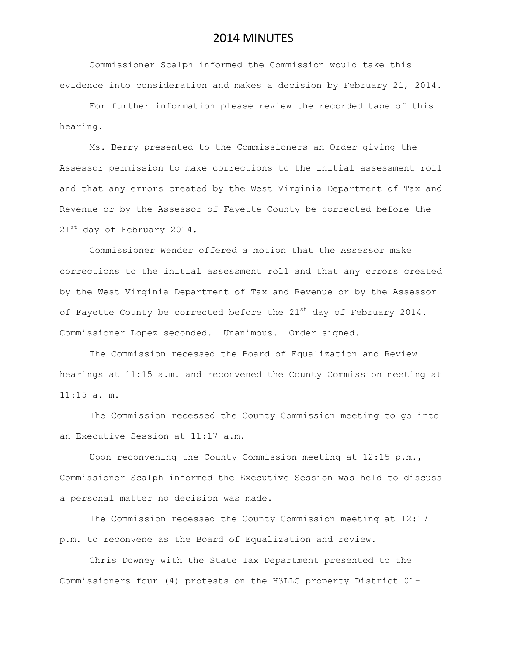Commissioner Scalph informed the Commission would take this evidence into consideration and makes a decision by February 21, 2014.

For further information please review the recorded tape of this hearing.

Ms. Berry presented to the Commissioners an Order giving the Assessor permission to make corrections to the initial assessment roll and that any errors created by the West Virginia Department of Tax and Revenue or by the Assessor of Fayette County be corrected before the 21<sup>st</sup> day of February 2014.

Commissioner Wender offered a motion that the Assessor make corrections to the initial assessment roll and that any errors created by the West Virginia Department of Tax and Revenue or by the Assessor of Fayette County be corrected before the  $21^{st}$  day of February 2014. Commissioner Lopez seconded. Unanimous. Order signed.

The Commission recessed the Board of Equalization and Review hearings at 11:15 a.m. and reconvened the County Commission meeting at 11:15 a. m.

The Commission recessed the County Commission meeting to go into an Executive Session at 11:17 a.m.

Upon reconvening the County Commission meeting at  $12:15$  p.m., Commissioner Scalph informed the Executive Session was held to discuss a personal matter no decision was made.

The Commission recessed the County Commission meeting at 12:17 p.m. to reconvene as the Board of Equalization and review.

Chris Downey with the State Tax Department presented to the Commissioners four (4) protests on the H3LLC property District 01-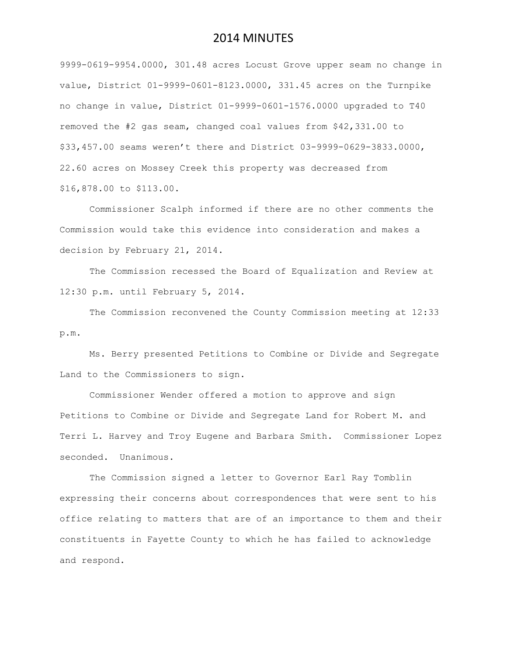9999-0619-9954.0000, 301.48 acres Locust Grove upper seam no change in value, District 01-9999-0601-8123.0000, 331.45 acres on the Turnpike no change in value, District 01-9999-0601-1576.0000 upgraded to T40 removed the #2 gas seam, changed coal values from \$42,331.00 to \$33,457.00 seams weren't there and District 03-9999-0629-3833.0000, 22.60 acres on Mossey Creek this property was decreased from \$16,878.00 to \$113.00.

Commissioner Scalph informed if there are no other comments the Commission would take this evidence into consideration and makes a decision by February 21, 2014.

The Commission recessed the Board of Equalization and Review at 12:30 p.m. until February 5, 2014.

The Commission reconvened the County Commission meeting at 12:33 p.m.

Ms. Berry presented Petitions to Combine or Divide and Segregate Land to the Commissioners to sign.

Commissioner Wender offered a motion to approve and sign Petitions to Combine or Divide and Segregate Land for Robert M. and Terri L. Harvey and Troy Eugene and Barbara Smith. Commissioner Lopez seconded. Unanimous.

The Commission signed a letter to Governor Earl Ray Tomblin expressing their concerns about correspondences that were sent to his office relating to matters that are of an importance to them and their constituents in Fayette County to which he has failed to acknowledge and respond.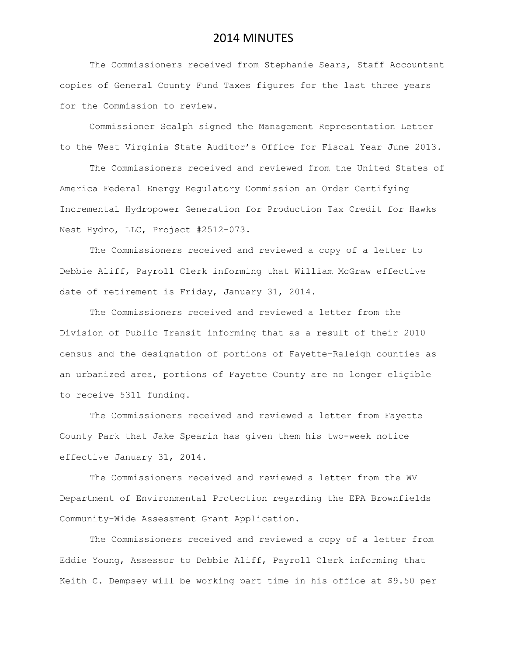The Commissioners received from Stephanie Sears, Staff Accountant copies of General County Fund Taxes figures for the last three years for the Commission to review.

Commissioner Scalph signed the Management Representation Letter to the West Virginia State Auditor's Office for Fiscal Year June 2013.

The Commissioners received and reviewed from the United States of America Federal Energy Regulatory Commission an Order Certifying Incremental Hydropower Generation for Production Tax Credit for Hawks Nest Hydro, LLC, Project #2512-073.

The Commissioners received and reviewed a copy of a letter to Debbie Aliff, Payroll Clerk informing that William McGraw effective date of retirement is Friday, January 31, 2014.

The Commissioners received and reviewed a letter from the Division of Public Transit informing that as a result of their 2010 census and the designation of portions of Fayette-Raleigh counties as an urbanized area, portions of Fayette County are no longer eligible to receive 5311 funding.

The Commissioners received and reviewed a letter from Fayette County Park that Jake Spearin has given them his two-week notice effective January 31, 2014.

The Commissioners received and reviewed a letter from the WV Department of Environmental Protection regarding the EPA Brownfields Community-Wide Assessment Grant Application.

The Commissioners received and reviewed a copy of a letter from Eddie Young, Assessor to Debbie Aliff, Payroll Clerk informing that Keith C. Dempsey will be working part time in his office at \$9.50 per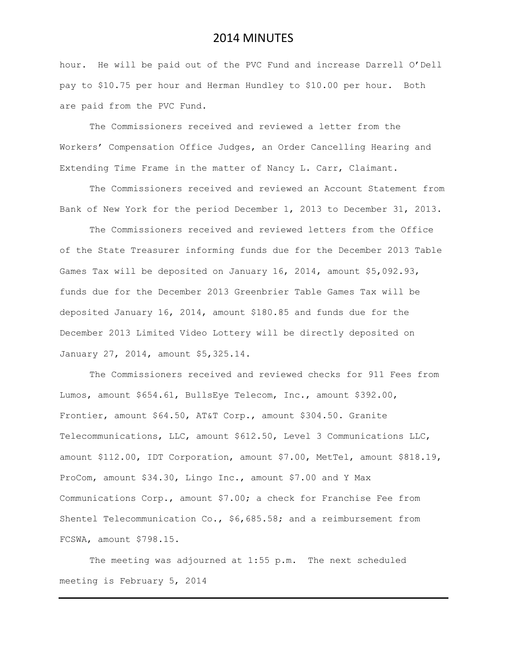hour. He will be paid out of the PVC Fund and increase Darrell O'Dell pay to \$10.75 per hour and Herman Hundley to \$10.00 per hour. Both are paid from the PVC Fund.

The Commissioners received and reviewed a letter from the Workers' Compensation Office Judges, an Order Cancelling Hearing and Extending Time Frame in the matter of Nancy L. Carr, Claimant.

The Commissioners received and reviewed an Account Statement from Bank of New York for the period December 1, 2013 to December 31, 2013.

The Commissioners received and reviewed letters from the Office of the State Treasurer informing funds due for the December 2013 Table Games Tax will be deposited on January 16, 2014, amount \$5,092.93, funds due for the December 2013 Greenbrier Table Games Tax will be deposited January 16, 2014, amount \$180.85 and funds due for the December 2013 Limited Video Lottery will be directly deposited on January 27, 2014, amount \$5,325.14.

The Commissioners received and reviewed checks for 911 Fees from Lumos, amount \$654.61, BullsEye Telecom, Inc., amount \$392.00, Frontier, amount \$64.50, AT&T Corp., amount \$304.50. Granite Telecommunications, LLC, amount \$612.50, Level 3 Communications LLC, amount \$112.00, IDT Corporation, amount \$7.00, MetTel, amount \$818.19, ProCom, amount \$34.30, Lingo Inc., amount \$7.00 and Y Max Communications Corp., amount \$7.00; a check for Franchise Fee from Shentel Telecommunication Co., \$6,685.58; and a reimbursement from FCSWA, amount \$798.15.

The meeting was adjourned at 1:55 p.m. The next scheduled meeting is February 5, 2014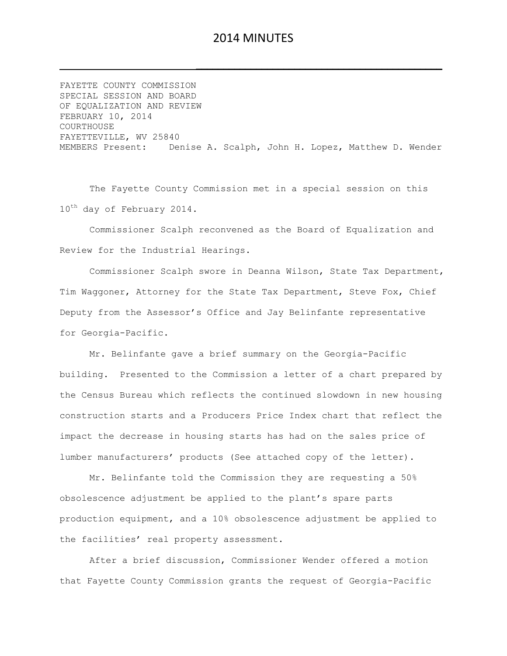FAYETTE COUNTY COMMISSION SPECIAL SESSION AND BOARD OF EQUALIZATION AND REVIEW FEBRUARY 10, 2014 COURTHOUSE FAYETTEVILLE, WV 25840 MEMBERS Present: Denise A. Scalph, John H. Lopez, Matthew D. Wender

The Fayette County Commission met in a special session on this 10<sup>th</sup> day of February 2014.

Commissioner Scalph reconvened as the Board of Equalization and Review for the Industrial Hearings.

Commissioner Scalph swore in Deanna Wilson, State Tax Department, Tim Waggoner, Attorney for the State Tax Department, Steve Fox, Chief Deputy from the Assessor's Office and Jay Belinfante representative for Georgia-Pacific.

Mr. Belinfante gave a brief summary on the Georgia-Pacific building. Presented to the Commission a letter of a chart prepared by the Census Bureau which reflects the continued slowdown in new housing construction starts and a Producers Price Index chart that reflect the impact the decrease in housing starts has had on the sales price of lumber manufacturers' products (See attached copy of the letter).

Mr. Belinfante told the Commission they are requesting a 50% obsolescence adjustment be applied to the plant's spare parts production equipment, and a 10% obsolescence adjustment be applied to the facilities' real property assessment.

After a brief discussion, Commissioner Wender offered a motion that Fayette County Commission grants the request of Georgia-Pacific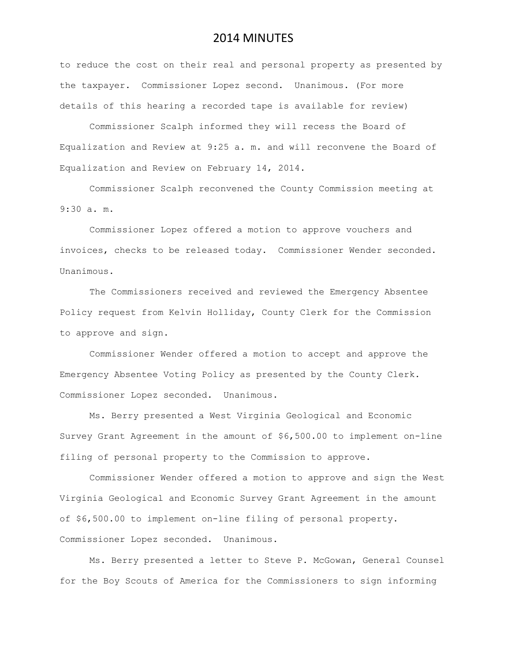to reduce the cost on their real and personal property as presented by the taxpayer. Commissioner Lopez second. Unanimous. (For more details of this hearing a recorded tape is available for review)

Commissioner Scalph informed they will recess the Board of Equalization and Review at 9:25 a. m. and will reconvene the Board of Equalization and Review on February 14, 2014.

Commissioner Scalph reconvened the County Commission meeting at 9:30 a. m.

Commissioner Lopez offered a motion to approve vouchers and invoices, checks to be released today. Commissioner Wender seconded. Unanimous.

The Commissioners received and reviewed the Emergency Absentee Policy request from Kelvin Holliday, County Clerk for the Commission to approve and sign.

Commissioner Wender offered a motion to accept and approve the Emergency Absentee Voting Policy as presented by the County Clerk. Commissioner Lopez seconded. Unanimous.

Ms. Berry presented a West Virginia Geological and Economic Survey Grant Agreement in the amount of \$6,500.00 to implement on-line filing of personal property to the Commission to approve.

Commissioner Wender offered a motion to approve and sign the West Virginia Geological and Economic Survey Grant Agreement in the amount of \$6,500.00 to implement on-line filing of personal property. Commissioner Lopez seconded. Unanimous.

Ms. Berry presented a letter to Steve P. McGowan, General Counsel for the Boy Scouts of America for the Commissioners to sign informing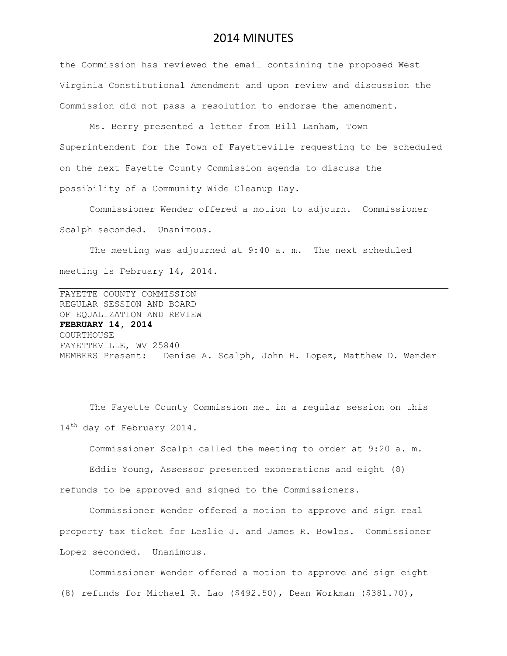the Commission has reviewed the email containing the proposed West Virginia Constitutional Amendment and upon review and discussion the Commission did not pass a resolution to endorse the amendment.

Ms. Berry presented a letter from Bill Lanham, Town Superintendent for the Town of Fayetteville requesting to be scheduled on the next Fayette County Commission agenda to discuss the possibility of a Community Wide Cleanup Day.

Commissioner Wender offered a motion to adjourn. Commissioner Scalph seconded. Unanimous.

The meeting was adjourned at 9:40 a. m. The next scheduled meeting is February 14, 2014.

FAYETTE COUNTY COMMISSION REGULAR SESSION AND BOARD OF EQUALIZATION AND REVIEW **FEBRUARY 14, 2014** COURTHOUSE FAYETTEVILLE, WV 25840 MEMBERS Present: Denise A. Scalph, John H. Lopez, Matthew D. Wender

The Fayette County Commission met in a regular session on this 14<sup>th</sup> day of February 2014.

Commissioner Scalph called the meeting to order at 9:20 a. m.

Eddie Young, Assessor presented exonerations and eight (8)

refunds to be approved and signed to the Commissioners.

Commissioner Wender offered a motion to approve and sign real property tax ticket for Leslie J. and James R. Bowles. Commissioner Lopez seconded. Unanimous.

Commissioner Wender offered a motion to approve and sign eight (8) refunds for Michael R. Lao (\$492.50), Dean Workman (\$381.70),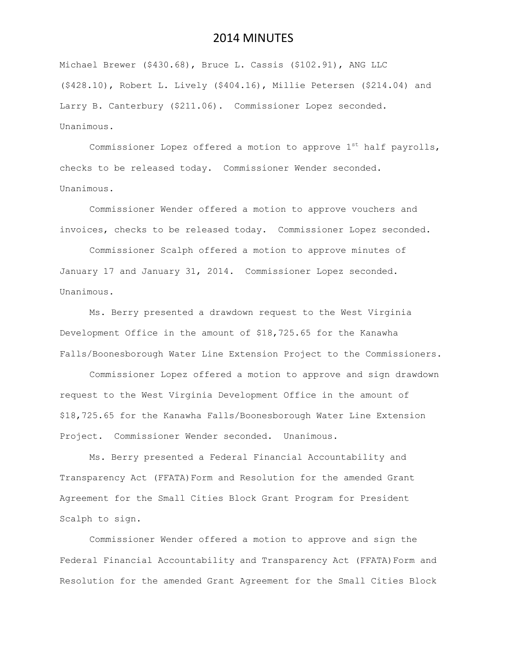Michael Brewer (\$430.68), Bruce L. Cassis (\$102.91), ANG LLC (\$428.10), Robert L. Lively (\$404.16), Millie Petersen (\$214.04) and Larry B. Canterbury (\$211.06). Commissioner Lopez seconded. Unanimous.

Commissioner Lopez offered a motion to approve  $1^{st}$  half payrolls, checks to be released today. Commissioner Wender seconded. Unanimous.

Commissioner Wender offered a motion to approve vouchers and invoices, checks to be released today. Commissioner Lopez seconded.

Commissioner Scalph offered a motion to approve minutes of January 17 and January 31, 2014. Commissioner Lopez seconded. Unanimous.

Ms. Berry presented a drawdown request to the West Virginia Development Office in the amount of \$18,725.65 for the Kanawha Falls/Boonesborough Water Line Extension Project to the Commissioners.

Commissioner Lopez offered a motion to approve and sign drawdown request to the West Virginia Development Office in the amount of \$18,725.65 for the Kanawha Falls/Boonesborough Water Line Extension Project. Commissioner Wender seconded. Unanimous.

Ms. Berry presented a Federal Financial Accountability and Transparency Act (FFATA) Form and Resolution for the amended Grant Agreement for the Small Cities Block Grant Program for President Scalph to sign.

Commissioner Wender offered a motion to approve and sign the Federal Financial Accountability and Transparency Act (FFATA) Form and Resolution for the amended Grant Agreement for the Small Cities Block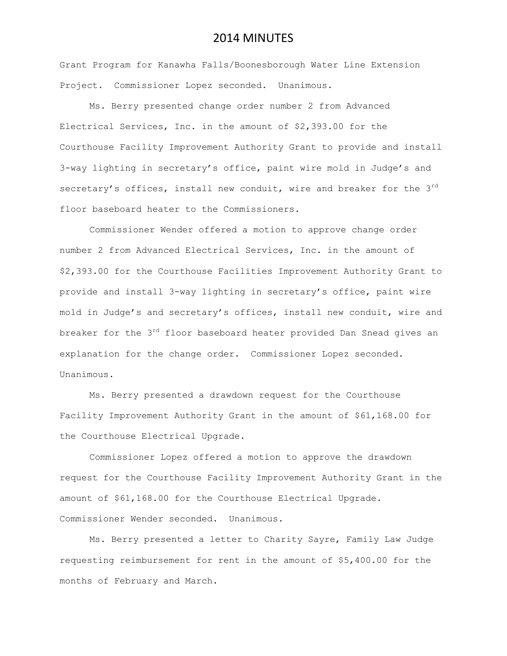Grant Program for Kanawha Falls/Boonesborough Water Line Extension Project. Commissioner Lopez seconded. Unanimous.

Ms. Berry presented change order number 2 from Advanced Electrical Services, Inc. in the amount of \$2,393.00 for the Courthouse Facility Improvement Authority Grant to provide and install 3-way lighting in secretary's office, paint wire mold in Judge's and secretary's offices, install new conduit, wire and breaker for the  $3<sup>rd</sup>$ floor baseboard heater to the Commissioners.

Commissioner Wender offered a motion to approve change order number 2 from Advanced Electrical Services, Inc. in the amount of \$2,393.00 for the Courthouse Facilities Improvement Authority Grant to provide and install 3-way lighting in secretary's office, paint wire mold in Judge's and secretary's offices, install new conduit, wire and breaker for the 3<sup>rd</sup> floor baseboard heater provided Dan Snead gives an explanation for the change order. Commissioner Lopez seconded. Unanimous.

Ms. Berry presented a drawdown request for the Courthouse Facility Improvement Authority Grant in the amount of \$61,168.00 for the Courthouse Electrical Upgrade.

Commissioner Lopez offered a motion to approve the drawdown request for the Courthouse Facility Improvement Authority Grant in the amount of \$61,168.00 for the Courthouse Electrical Upgrade. Commissioner Wender seconded. Unanimous.

Ms. Berry presented a letter to Charity Sayre, Family Law Judge requesting reimbursement for rent in the amount of \$5,400.00 for the months of February and March.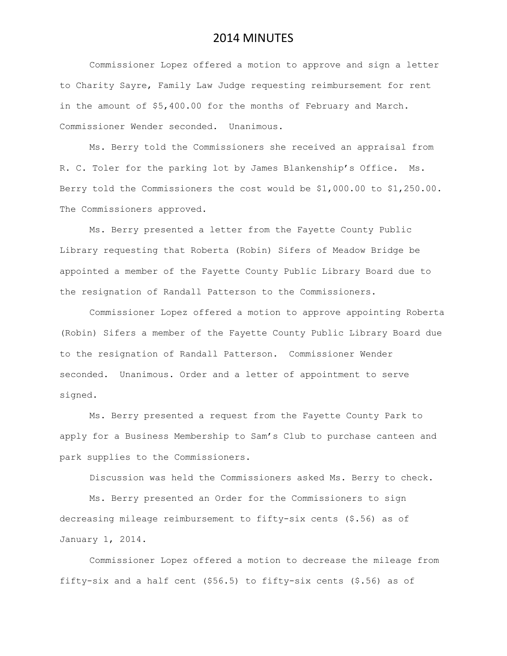Commissioner Lopez offered a motion to approve and sign a letter to Charity Sayre, Family Law Judge requesting reimbursement for rent in the amount of \$5,400.00 for the months of February and March. Commissioner Wender seconded. Unanimous.

Ms. Berry told the Commissioners she received an appraisal from R. C. Toler for the parking lot by James Blankenship's Office. Ms. Berry told the Commissioners the cost would be \$1,000.00 to \$1,250.00. The Commissioners approved.

Ms. Berry presented a letter from the Fayette County Public Library requesting that Roberta (Robin) Sifers of Meadow Bridge be appointed a member of the Fayette County Public Library Board due to the resignation of Randall Patterson to the Commissioners.

Commissioner Lopez offered a motion to approve appointing Roberta (Robin) Sifers a member of the Fayette County Public Library Board due to the resignation of Randall Patterson. Commissioner Wender seconded. Unanimous. Order and a letter of appointment to serve signed.

Ms. Berry presented a request from the Fayette County Park to apply for a Business Membership to Sam's Club to purchase canteen and park supplies to the Commissioners.

Discussion was held the Commissioners asked Ms. Berry to check.

Ms. Berry presented an Order for the Commissioners to sign decreasing mileage reimbursement to fifty-six cents (\$.56) as of January 1, 2014.

Commissioner Lopez offered a motion to decrease the mileage from fifty-six and a half cent (\$56.5) to fifty-six cents (\$.56) as of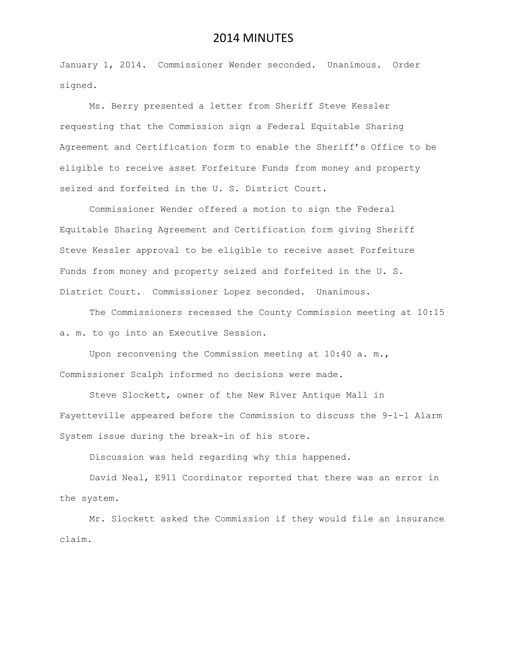January 1, 2014. Commissioner Wender seconded. Unanimous. Order signed.

Ms. Berry presented a letter from Sheriff Steve Kessler requesting that the Commission sign a Federal Equitable Sharing Agreement and Certification form to enable the Sheriff's Office to be eligible to receive asset Forfeiture Funds from money and property seized and forfeited in the U. S. District Court.

Commissioner Wender offered a motion to sign the Federal Equitable Sharing Agreement and Certification form giving Sheriff Steve Kessler approval to be eligible to receive asset Forfeiture Funds from money and property seized and forfeited in the U. S. District Court. Commissioner Lopez seconded. Unanimous.

The Commissioners recessed the County Commission meeting at 10:15 a. m. to go into an Executive Session.

Upon reconvening the Commission meeting at 10:40 a.m., Commissioner Scalph informed no decisions were made.

Steve Slockett, owner of the New River Antique Mall in Fayetteville appeared before the Commission to discuss the 9-1-1 Alarm System issue during the break-in of his store.

Discussion was held regarding why this happened.

David Neal, E911 Coordinator reported that there was an error in the system.

Mr. Slockett asked the Commission if they would file an insurance claim.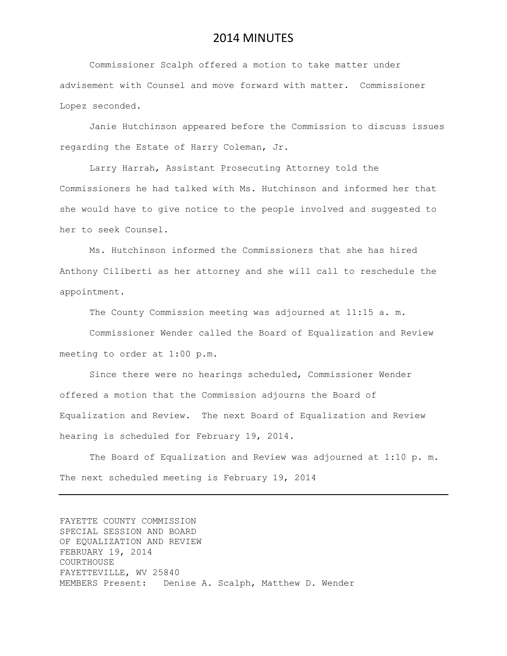Commissioner Scalph offered a motion to take matter under advisement with Counsel and move forward with matter. Commissioner Lopez seconded.

Janie Hutchinson appeared before the Commission to discuss issues regarding the Estate of Harry Coleman, Jr.

Larry Harrah, Assistant Prosecuting Attorney told the Commissioners he had talked with Ms. Hutchinson and informed her that she would have to give notice to the people involved and suggested to her to seek Counsel.

Ms. Hutchinson informed the Commissioners that she has hired Anthony Ciliberti as her attorney and she will call to reschedule the appointment.

The County Commission meeting was adjourned at 11:15 a. m.

Commissioner Wender called the Board of Equalization and Review meeting to order at 1:00 p.m.

Since there were no hearings scheduled, Commissioner Wender offered a motion that the Commission adjourns the Board of Equalization and Review. The next Board of Equalization and Review hearing is scheduled for February 19, 2014.

The Board of Equalization and Review was adjourned at 1:10 p. m. The next scheduled meeting is February 19, 2014

FAYETTE COUNTY COMMISSION SPECIAL SESSION AND BOARD OF EQUALIZATION AND REVIEW FEBRUARY 19, 2014 COURTHOUSE FAYETTEVILLE, WV 25840 MEMBERS Present: Denise A. Scalph, Matthew D. Wender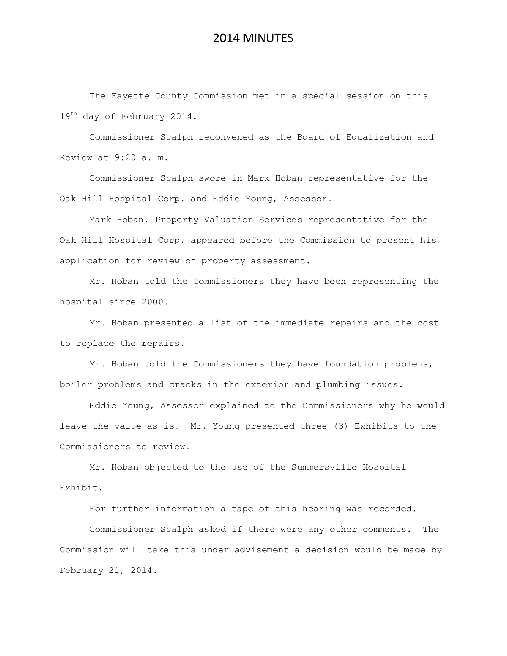The Fayette County Commission met in a special session on this 19<sup>th</sup> day of February 2014.

Commissioner Scalph reconvened as the Board of Equalization and Review at 9:20 a. m.

Commissioner Scalph swore in Mark Hoban representative for the Oak Hill Hospital Corp. and Eddie Young, Assessor.

Mark Hoban, Property Valuation Services representative for the Oak Hill Hospital Corp. appeared before the Commission to present his application for review of property assessment.

Mr. Hoban told the Commissioners they have been representing the hospital since 2000.

Mr. Hoban presented a list of the immediate repairs and the cost to replace the repairs.

Mr. Hoban told the Commissioners they have foundation problems, boiler problems and cracks in the exterior and plumbing issues.

Eddie Young, Assessor explained to the Commissioners why he would leave the value as is. Mr. Young presented three (3) Exhibits to the Commissioners to review.

Mr. Hoban objected to the use of the Summersville Hospital Exhibit.

For further information a tape of this hearing was recorded.

Commissioner Scalph asked if there were any other comments. The Commission will take this under advisement a decision would be made by February 21, 2014.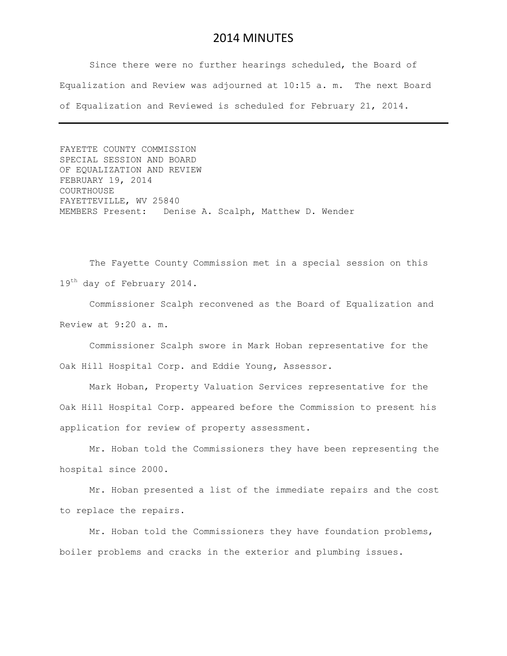Since there were no further hearings scheduled, the Board of Equalization and Review was adjourned at 10:15 a. m. The next Board of Equalization and Reviewed is scheduled for February 21, 2014.

FAYETTE COUNTY COMMISSION SPECIAL SESSION AND BOARD OF EQUALIZATION AND REVIEW FEBRUARY 19, 2014 COURTHOUSE FAYETTEVILLE, WV 25840 MEMBERS Present: Denise A. Scalph, Matthew D. Wender

The Fayette County Commission met in a special session on this 19<sup>th</sup> day of February 2014.

Commissioner Scalph reconvened as the Board of Equalization and Review at 9:20 a. m.

Commissioner Scalph swore in Mark Hoban representative for the Oak Hill Hospital Corp. and Eddie Young, Assessor.

Mark Hoban, Property Valuation Services representative for the Oak Hill Hospital Corp. appeared before the Commission to present his application for review of property assessment.

Mr. Hoban told the Commissioners they have been representing the hospital since 2000.

Mr. Hoban presented a list of the immediate repairs and the cost to replace the repairs.

Mr. Hoban told the Commissioners they have foundation problems, boiler problems and cracks in the exterior and plumbing issues.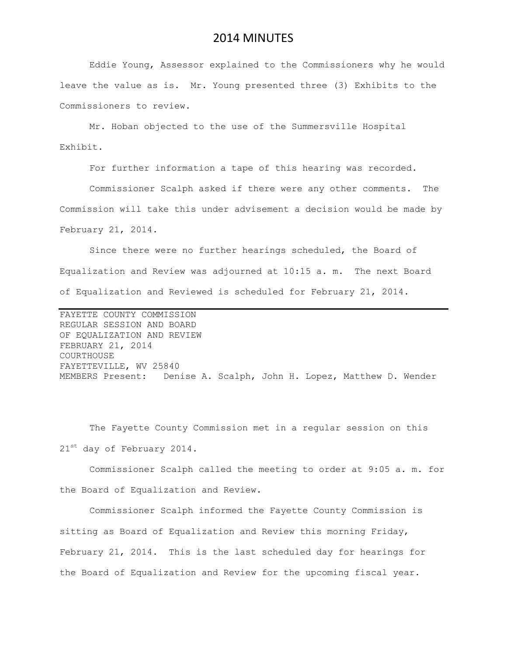Eddie Young, Assessor explained to the Commissioners why he would leave the value as is. Mr. Young presented three (3) Exhibits to the Commissioners to review.

Mr. Hoban objected to the use of the Summersville Hospital Exhibit.

For further information a tape of this hearing was recorded.

Commissioner Scalph asked if there were any other comments. The Commission will take this under advisement a decision would be made by February 21, 2014.

Since there were no further hearings scheduled, the Board of Equalization and Review was adjourned at 10:15 a. m. The next Board of Equalization and Reviewed is scheduled for February 21, 2014.

FAYETTE COUNTY COMMISSION REGULAR SESSION AND BOARD OF EQUALIZATION AND REVIEW FEBRUARY 21, 2014 COURTHOUSE FAYETTEVILLE, WV 25840 MEMBERS Present: Denise A. Scalph, John H. Lopez, Matthew D. Wender

The Fayette County Commission met in a regular session on this 21<sup>st</sup> day of February 2014.

Commissioner Scalph called the meeting to order at 9:05 a. m. for the Board of Equalization and Review.

Commissioner Scalph informed the Fayette County Commission is sitting as Board of Equalization and Review this morning Friday, February 21, 2014. This is the last scheduled day for hearings for the Board of Equalization and Review for the upcoming fiscal year.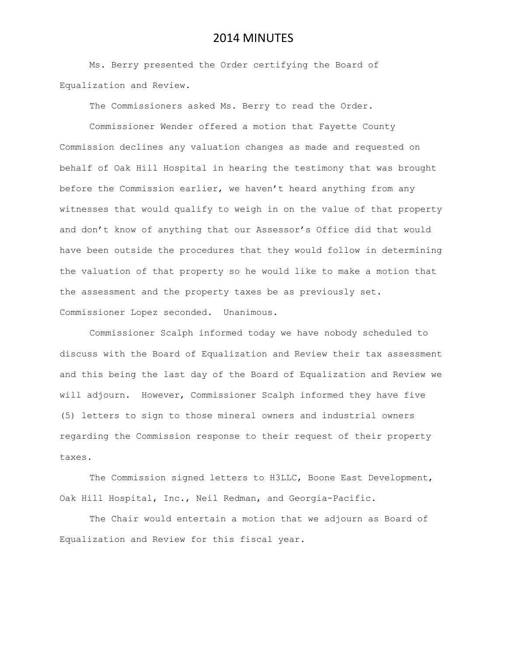Ms. Berry presented the Order certifying the Board of Equalization and Review.

The Commissioners asked Ms. Berry to read the Order.

Commissioner Wender offered a motion that Fayette County Commission declines any valuation changes as made and requested on behalf of Oak Hill Hospital in hearing the testimony that was brought before the Commission earlier, we haven't heard anything from any witnesses that would qualify to weigh in on the value of that property and don't know of anything that our Assessor's Office did that would have been outside the procedures that they would follow in determining the valuation of that property so he would like to make a motion that the assessment and the property taxes be as previously set. Commissioner Lopez seconded. Unanimous.

Commissioner Scalph informed today we have nobody scheduled to discuss with the Board of Equalization and Review their tax assessment and this being the last day of the Board of Equalization and Review we will adjourn. However, Commissioner Scalph informed they have five (5) letters to sign to those mineral owners and industrial owners regarding the Commission response to their request of their property taxes.

The Commission signed letters to H3LLC, Boone East Development, Oak Hill Hospital, Inc., Neil Redman, and Georgia-Pacific.

The Chair would entertain a motion that we adjourn as Board of Equalization and Review for this fiscal year.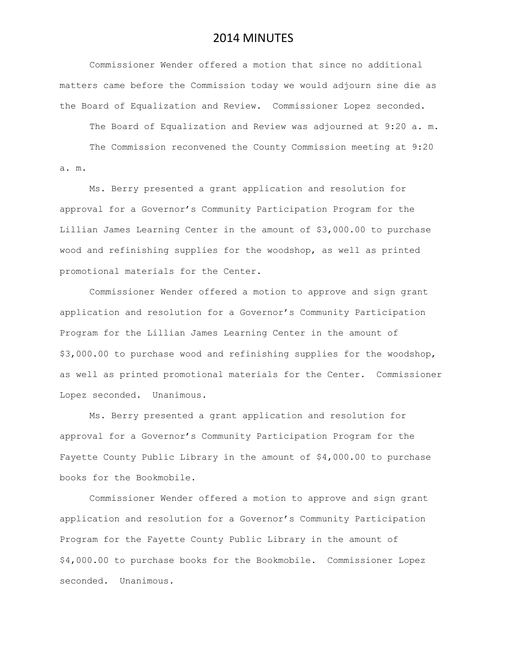Commissioner Wender offered a motion that since no additional matters came before the Commission today we would adjourn sine die as the Board of Equalization and Review. Commissioner Lopez seconded.

The Board of Equalization and Review was adjourned at 9:20 a. m.

The Commission reconvened the County Commission meeting at 9:20 a. m.

Ms. Berry presented a grant application and resolution for approval for a Governor's Community Participation Program for the Lillian James Learning Center in the amount of \$3,000.00 to purchase wood and refinishing supplies for the woodshop, as well as printed promotional materials for the Center.

Commissioner Wender offered a motion to approve and sign grant application and resolution for a Governor's Community Participation Program for the Lillian James Learning Center in the amount of \$3,000.00 to purchase wood and refinishing supplies for the woodshop, as well as printed promotional materials for the Center. Commissioner Lopez seconded. Unanimous.

Ms. Berry presented a grant application and resolution for approval for a Governor's Community Participation Program for the Fayette County Public Library in the amount of \$4,000.00 to purchase books for the Bookmobile.

Commissioner Wender offered a motion to approve and sign grant application and resolution for a Governor's Community Participation Program for the Fayette County Public Library in the amount of \$4,000.00 to purchase books for the Bookmobile. Commissioner Lopez seconded. Unanimous.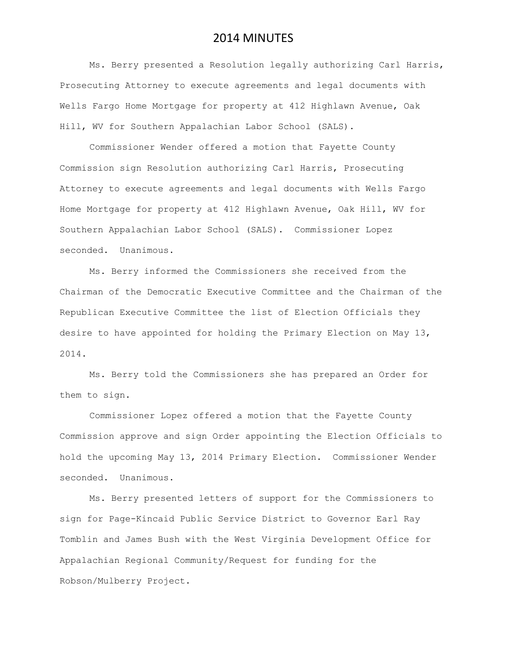Ms. Berry presented a Resolution legally authorizing Carl Harris, Prosecuting Attorney to execute agreements and legal documents with Wells Fargo Home Mortgage for property at 412 Highlawn Avenue, Oak Hill, WV for Southern Appalachian Labor School (SALS).

Commissioner Wender offered a motion that Fayette County Commission sign Resolution authorizing Carl Harris, Prosecuting Attorney to execute agreements and legal documents with Wells Fargo Home Mortgage for property at 412 Highlawn Avenue, Oak Hill, WV for Southern Appalachian Labor School (SALS). Commissioner Lopez seconded. Unanimous.

Ms. Berry informed the Commissioners she received from the Chairman of the Democratic Executive Committee and the Chairman of the Republican Executive Committee the list of Election Officials they desire to have appointed for holding the Primary Election on May 13, 2014.

Ms. Berry told the Commissioners she has prepared an Order for them to sign.

Commissioner Lopez offered a motion that the Fayette County Commission approve and sign Order appointing the Election Officials to hold the upcoming May 13, 2014 Primary Election. Commissioner Wender seconded. Unanimous.

Ms. Berry presented letters of support for the Commissioners to sign for Page-Kincaid Public Service District to Governor Earl Ray Tomblin and James Bush with the West Virginia Development Office for Appalachian Regional Community/Request for funding for the Robson/Mulberry Project.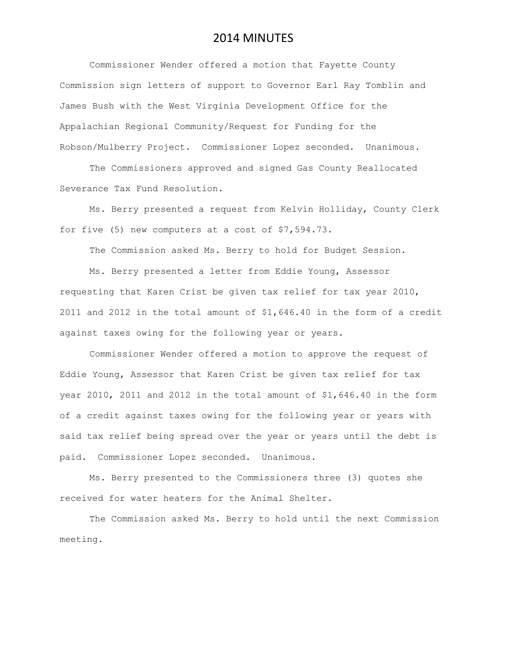Commissioner Wender offered a motion that Fayette County Commission sign letters of support to Governor Earl Ray Tomblin and James Bush with the West Virginia Development Office for the Appalachian Regional Community/Request for Funding for the Robson/Mulberry Project. Commissioner Lopez seconded. Unanimous.

The Commissioners approved and signed Gas County Reallocated Severance Tax Fund Resolution.

Ms. Berry presented a request from Kelvin Holliday, County Clerk for five (5) new computers at a cost of \$7,594.73.

The Commission asked Ms. Berry to hold for Budget Session.

Ms. Berry presented a letter from Eddie Young, Assessor requesting that Karen Crist be given tax relief for tax year 2010, 2011 and 2012 in the total amount of \$1,646.40 in the form of a credit against taxes owing for the following year or years.

Commissioner Wender offered a motion to approve the request of Eddie Young, Assessor that Karen Crist be given tax relief for tax year 2010, 2011 and 2012 in the total amount of \$1,646.40 in the form of a credit against taxes owing for the following year or years with said tax relief being spread over the year or years until the debt is paid. Commissioner Lopez seconded. Unanimous.

Ms. Berry presented to the Commissioners three (3) quotes she received for water heaters for the Animal Shelter.

The Commission asked Ms. Berry to hold until the next Commission meeting.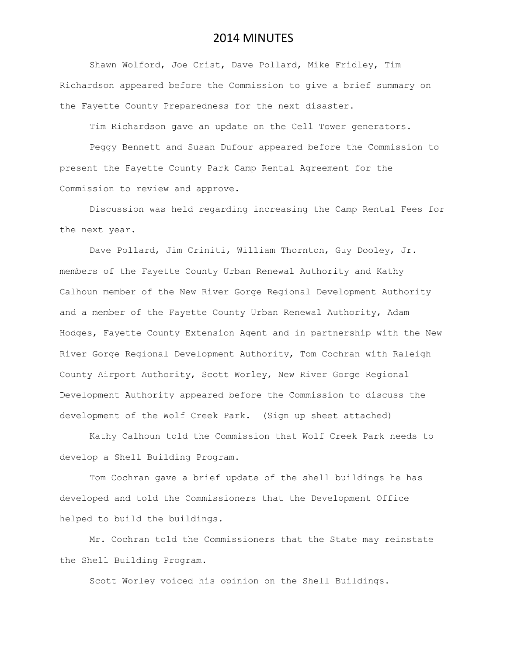Shawn Wolford, Joe Crist, Dave Pollard, Mike Fridley, Tim Richardson appeared before the Commission to give a brief summary on the Fayette County Preparedness for the next disaster.

Tim Richardson gave an update on the Cell Tower generators.

Peggy Bennett and Susan Dufour appeared before the Commission to present the Fayette County Park Camp Rental Agreement for the Commission to review and approve.

Discussion was held regarding increasing the Camp Rental Fees for the next year.

Dave Pollard, Jim Criniti, William Thornton, Guy Dooley, Jr. members of the Fayette County Urban Renewal Authority and Kathy Calhoun member of the New River Gorge Regional Development Authority and a member of the Fayette County Urban Renewal Authority, Adam Hodges, Fayette County Extension Agent and in partnership with the New River Gorge Regional Development Authority, Tom Cochran with Raleigh County Airport Authority, Scott Worley, New River Gorge Regional Development Authority appeared before the Commission to discuss the development of the Wolf Creek Park. (Sign up sheet attached)

Kathy Calhoun told the Commission that Wolf Creek Park needs to develop a Shell Building Program.

Tom Cochran gave a brief update of the shell buildings he has developed and told the Commissioners that the Development Office helped to build the buildings.

Mr. Cochran told the Commissioners that the State may reinstate the Shell Building Program.

Scott Worley voiced his opinion on the Shell Buildings.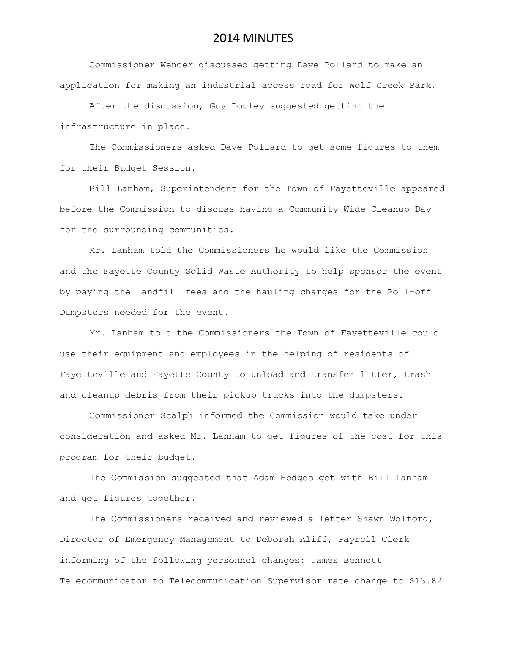Commissioner Wender discussed getting Dave Pollard to make an application for making an industrial access road for Wolf Creek Park.

After the discussion, Guy Dooley suggested getting the infrastructure in place.

 The Commissioners asked Dave Pollard to get some figures to them for their Budget Session.

Bill Lanham, Superintendent for the Town of Fayetteville appeared before the Commission to discuss having a Community Wide Cleanup Day for the surrounding communities.

Mr. Lanham told the Commissioners he would like the Commission and the Fayette County Solid Waste Authority to help sponsor the event by paying the landfill fees and the hauling charges for the Roll-off Dumpsters needed for the event.

Mr. Lanham told the Commissioners the Town of Fayetteville could use their equipment and employees in the helping of residents of Fayetteville and Fayette County to unload and transfer litter, trash and cleanup debris from their pickup trucks into the dumpsters.

Commissioner Scalph informed the Commission would take under consideration and asked Mr. Lanham to get figures of the cost for this program for their budget.

The Commission suggested that Adam Hodges get with Bill Lanham and get figures together.

The Commissioners received and reviewed a letter Shawn Wolford, Director of Emergency Management to Deborah Aliff, Payroll Clerk informing of the following personnel changes: James Bennett Telecommunicator to Telecommunication Supervisor rate change to \$13.82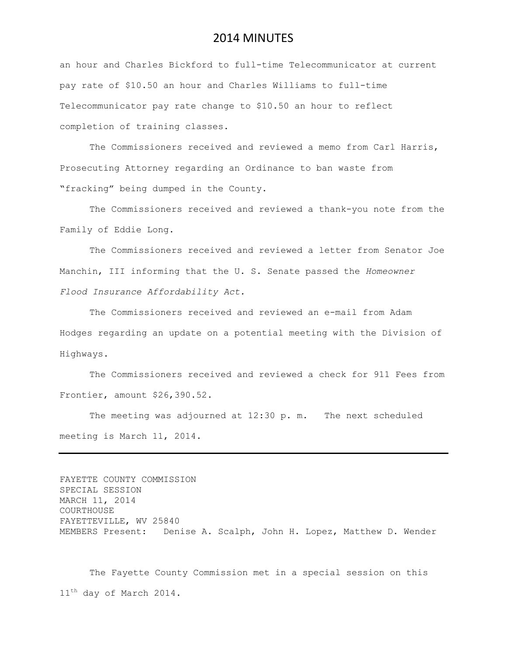an hour and Charles Bickford to full-time Telecommunicator at current pay rate of \$10.50 an hour and Charles Williams to full-time Telecommunicator pay rate change to \$10.50 an hour to reflect completion of training classes.

The Commissioners received and reviewed a memo from Carl Harris, Prosecuting Attorney regarding an Ordinance to ban waste from "fracking" being dumped in the County.

The Commissioners received and reviewed a thank-you note from the Family of Eddie Long.

The Commissioners received and reviewed a letter from Senator Joe Manchin, III informing that the U. S. Senate passed the *Homeowner Flood Insurance Affordability Act.*

The Commissioners received and reviewed an e-mail from Adam Hodges regarding an update on a potential meeting with the Division of Highways.

The Commissioners received and reviewed a check for 911 Fees from Frontier, amount \$26,390.52.

The meeting was adjourned at 12:30 p. m. The next scheduled meeting is March 11, 2014.

FAYETTE COUNTY COMMISSION SPECIAL SESSION MARCH 11, 2014 COURTHOUSE FAYETTEVILLE, WV 25840 MEMBERS Present: Denise A. Scalph, John H. Lopez, Matthew D. Wender

The Fayette County Commission met in a special session on this 11<sup>th</sup> day of March 2014.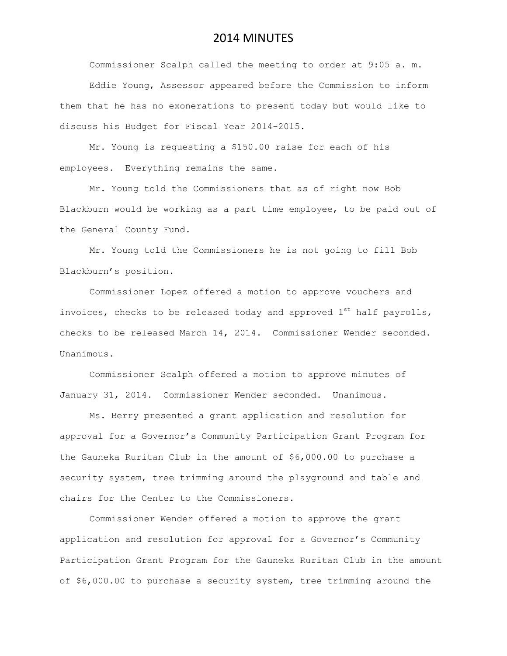Commissioner Scalph called the meeting to order at 9:05 a. m. Eddie Young, Assessor appeared before the Commission to inform them that he has no exonerations to present today but would like to discuss his Budget for Fiscal Year 2014-2015.

Mr. Young is requesting a \$150.00 raise for each of his employees. Everything remains the same.

Mr. Young told the Commissioners that as of right now Bob Blackburn would be working as a part time employee, to be paid out of the General County Fund.

Mr. Young told the Commissioners he is not going to fill Bob Blackburn's position.

Commissioner Lopez offered a motion to approve vouchers and invoices, checks to be released today and approved  $1^{st}$  half payrolls, checks to be released March 14, 2014. Commissioner Wender seconded. Unanimous.

Commissioner Scalph offered a motion to approve minutes of January 31, 2014. Commissioner Wender seconded. Unanimous.

Ms. Berry presented a grant application and resolution for approval for a Governor's Community Participation Grant Program for the Gauneka Ruritan Club in the amount of \$6,000.00 to purchase a security system, tree trimming around the playground and table and chairs for the Center to the Commissioners.

Commissioner Wender offered a motion to approve the grant application and resolution for approval for a Governor's Community Participation Grant Program for the Gauneka Ruritan Club in the amount of \$6,000.00 to purchase a security system, tree trimming around the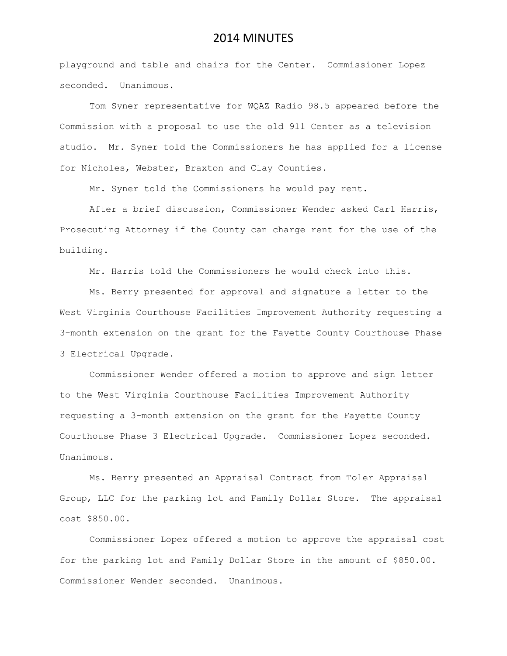playground and table and chairs for the Center. Commissioner Lopez seconded. Unanimous.

Tom Syner representative for WQAZ Radio 98.5 appeared before the Commission with a proposal to use the old 911 Center as a television studio. Mr. Syner told the Commissioners he has applied for a license for Nicholes, Webster, Braxton and Clay Counties.

Mr. Syner told the Commissioners he would pay rent.

After a brief discussion, Commissioner Wender asked Carl Harris, Prosecuting Attorney if the County can charge rent for the use of the building.

Mr. Harris told the Commissioners he would check into this.

Ms. Berry presented for approval and signature a letter to the West Virginia Courthouse Facilities Improvement Authority requesting a 3-month extension on the grant for the Fayette County Courthouse Phase 3 Electrical Upgrade.

Commissioner Wender offered a motion to approve and sign letter to the West Virginia Courthouse Facilities Improvement Authority requesting a 3-month extension on the grant for the Fayette County Courthouse Phase 3 Electrical Upgrade. Commissioner Lopez seconded. Unanimous.

Ms. Berry presented an Appraisal Contract from Toler Appraisal Group, LLC for the parking lot and Family Dollar Store. The appraisal cost \$850.00.

Commissioner Lopez offered a motion to approve the appraisal cost for the parking lot and Family Dollar Store in the amount of \$850.00. Commissioner Wender seconded. Unanimous.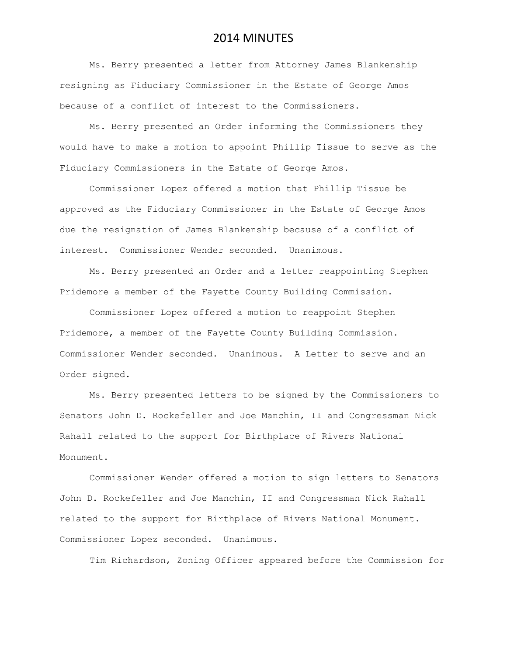Ms. Berry presented a letter from Attorney James Blankenship resigning as Fiduciary Commissioner in the Estate of George Amos because of a conflict of interest to the Commissioners.

Ms. Berry presented an Order informing the Commissioners they would have to make a motion to appoint Phillip Tissue to serve as the Fiduciary Commissioners in the Estate of George Amos.

Commissioner Lopez offered a motion that Phillip Tissue be approved as the Fiduciary Commissioner in the Estate of George Amos due the resignation of James Blankenship because of a conflict of interest. Commissioner Wender seconded. Unanimous.

Ms. Berry presented an Order and a letter reappointing Stephen Pridemore a member of the Fayette County Building Commission.

Commissioner Lopez offered a motion to reappoint Stephen Pridemore, a member of the Fayette County Building Commission. Commissioner Wender seconded. Unanimous. A Letter to serve and an Order signed.

Ms. Berry presented letters to be signed by the Commissioners to Senators John D. Rockefeller and Joe Manchin, II and Congressman Nick Rahall related to the support for Birthplace of Rivers National Monument.

Commissioner Wender offered a motion to sign letters to Senators John D. Rockefeller and Joe Manchin, II and Congressman Nick Rahall related to the support for Birthplace of Rivers National Monument. Commissioner Lopez seconded. Unanimous.

Tim Richardson, Zoning Officer appeared before the Commission for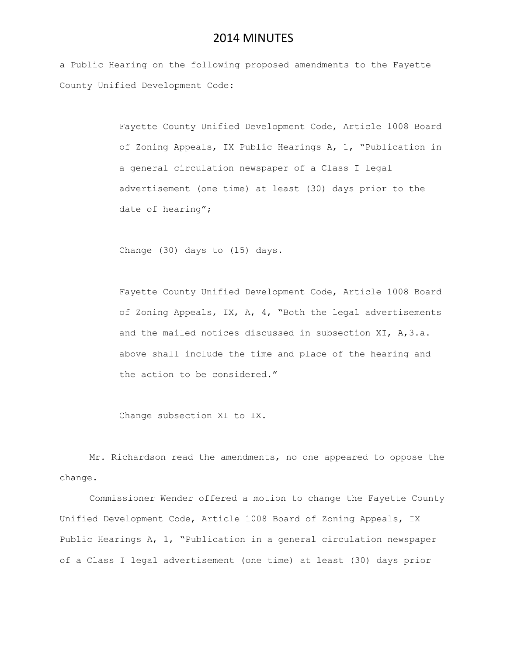a Public Hearing on the following proposed amendments to the Fayette County Unified Development Code:

> Fayette County Unified Development Code, Article 1008 Board of Zoning Appeals, IX Public Hearings A, 1, "Publication in a general circulation newspaper of a Class I legal advertisement (one time) at least (30) days prior to the date of hearing";

Change (30) days to (15) days.

Fayette County Unified Development Code, Article 1008 Board of Zoning Appeals, IX, A, 4, "Both the legal advertisements and the mailed notices discussed in subsection XI, A,3.a. above shall include the time and place of the hearing and the action to be considered."

Change subsection XI to IX.

Mr. Richardson read the amendments, no one appeared to oppose the change.

Commissioner Wender offered a motion to change the Fayette County Unified Development Code, Article 1008 Board of Zoning Appeals, IX Public Hearings A, 1, "Publication in a general circulation newspaper of a Class I legal advertisement (one time) at least (30) days prior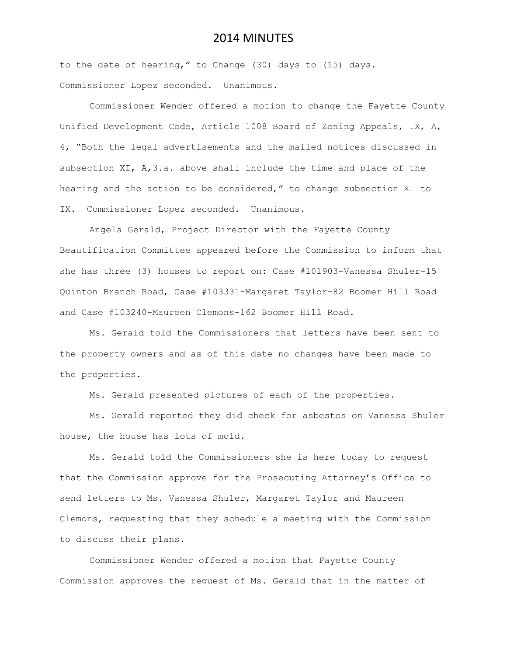to the date of hearing," to Change (30) days to (15) days. Commissioner Lopez seconded. Unanimous.

Commissioner Wender offered a motion to change the Fayette County Unified Development Code, Article 1008 Board of Zoning Appeals, IX, A, 4, "Both the legal advertisements and the mailed notices discussed in subsection XI, A,3.a. above shall include the time and place of the hearing and the action to be considered," to change subsection XI to IX. Commissioner Lopez seconded. Unanimous.

Angela Gerald, Project Director with the Fayette County Beautification Committee appeared before the Commission to inform that she has three (3) houses to report on: Case #101903-Vanessa Shuler-15 Quinton Branch Road, Case #103331-Margaret Taylor-82 Boomer Hill Road and Case #103240-Maureen Clemons-162 Boomer Hill Road.

Ms. Gerald told the Commissioners that letters have been sent to the property owners and as of this date no changes have been made to the properties.

Ms. Gerald presented pictures of each of the properties.

Ms. Gerald reported they did check for asbestos on Vanessa Shuler house, the house has lots of mold.

Ms. Gerald told the Commissioners she is here today to request that the Commission approve for the Prosecuting Attorney's Office to send letters to Ms. Vanessa Shuler, Margaret Taylor and Maureen Clemons, requesting that they schedule a meeting with the Commission to discuss their plans.

Commissioner Wender offered a motion that Fayette County Commission approves the request of Ms. Gerald that in the matter of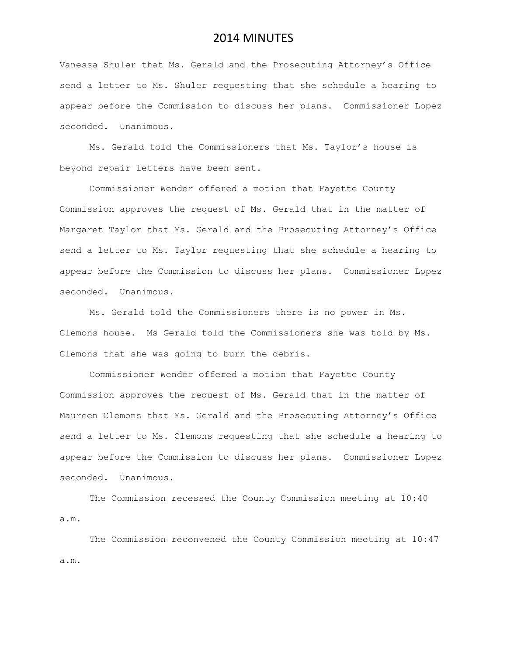Vanessa Shuler that Ms. Gerald and the Prosecuting Attorney's Office send a letter to Ms. Shuler requesting that she schedule a hearing to appear before the Commission to discuss her plans. Commissioner Lopez seconded. Unanimous.

Ms. Gerald told the Commissioners that Ms. Taylor's house is beyond repair letters have been sent.

Commissioner Wender offered a motion that Fayette County Commission approves the request of Ms. Gerald that in the matter of Margaret Taylor that Ms. Gerald and the Prosecuting Attorney's Office send a letter to Ms. Taylor requesting that she schedule a hearing to appear before the Commission to discuss her plans. Commissioner Lopez seconded. Unanimous.

Ms. Gerald told the Commissioners there is no power in Ms. Clemons house. Ms Gerald told the Commissioners she was told by Ms. Clemons that she was going to burn the debris.

Commissioner Wender offered a motion that Fayette County Commission approves the request of Ms. Gerald that in the matter of Maureen Clemons that Ms. Gerald and the Prosecuting Attorney's Office send a letter to Ms. Clemons requesting that she schedule a hearing to appear before the Commission to discuss her plans. Commissioner Lopez seconded. Unanimous.

The Commission recessed the County Commission meeting at 10:40 a.m.

The Commission reconvened the County Commission meeting at 10:47 a.m.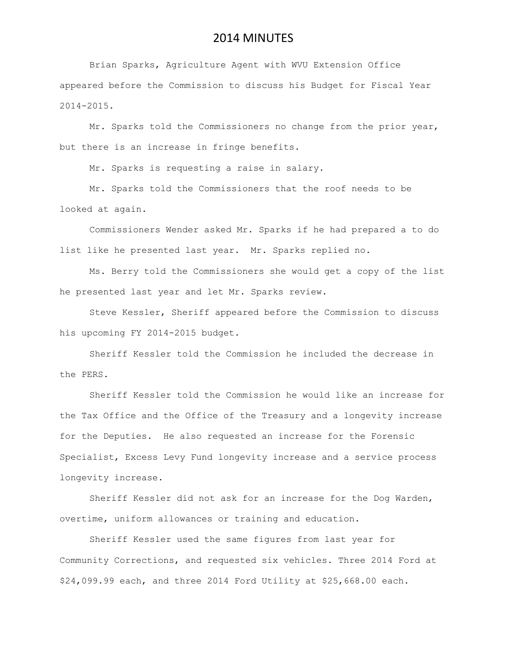Brian Sparks, Agriculture Agent with WVU Extension Office appeared before the Commission to discuss his Budget for Fiscal Year 2014-2015.

Mr. Sparks told the Commissioners no change from the prior year, but there is an increase in fringe benefits.

Mr. Sparks is requesting a raise in salary.

Mr. Sparks told the Commissioners that the roof needs to be looked at again.

Commissioners Wender asked Mr. Sparks if he had prepared a to do list like he presented last year. Mr. Sparks replied no.

Ms. Berry told the Commissioners she would get a copy of the list he presented last year and let Mr. Sparks review.

Steve Kessler, Sheriff appeared before the Commission to discuss his upcoming FY 2014-2015 budget.

Sheriff Kessler told the Commission he included the decrease in the PERS.

Sheriff Kessler told the Commission he would like an increase for the Tax Office and the Office of the Treasury and a longevity increase for the Deputies. He also requested an increase for the Forensic Specialist, Excess Levy Fund longevity increase and a service process longevity increase.

Sheriff Kessler did not ask for an increase for the Dog Warden, overtime, uniform allowances or training and education.

Sheriff Kessler used the same figures from last year for Community Corrections, and requested six vehicles. Three 2014 Ford at \$24,099.99 each, and three 2014 Ford Utility at \$25,668.00 each.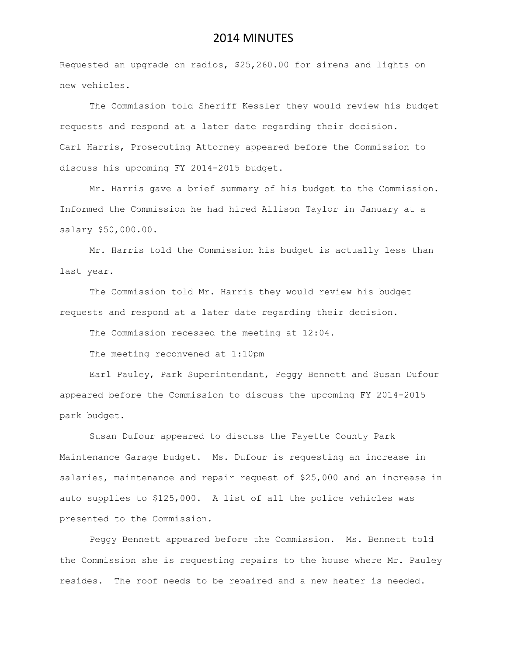Requested an upgrade on radios, \$25,260.00 for sirens and lights on new vehicles.

The Commission told Sheriff Kessler they would review his budget requests and respond at a later date regarding their decision. Carl Harris, Prosecuting Attorney appeared before the Commission to discuss his upcoming FY 2014-2015 budget.

Mr. Harris gave a brief summary of his budget to the Commission. Informed the Commission he had hired Allison Taylor in January at a salary \$50,000.00.

Mr. Harris told the Commission his budget is actually less than last year.

The Commission told Mr. Harris they would review his budget requests and respond at a later date regarding their decision.

The Commission recessed the meeting at 12:04.

The meeting reconvened at 1:10pm

Earl Pauley, Park Superintendant, Peggy Bennett and Susan Dufour appeared before the Commission to discuss the upcoming FY 2014-2015 park budget.

Susan Dufour appeared to discuss the Fayette County Park Maintenance Garage budget. Ms. Dufour is requesting an increase in salaries, maintenance and repair request of \$25,000 and an increase in auto supplies to \$125,000. A list of all the police vehicles was presented to the Commission.

Peggy Bennett appeared before the Commission. Ms. Bennett told the Commission she is requesting repairs to the house where Mr. Pauley resides. The roof needs to be repaired and a new heater is needed.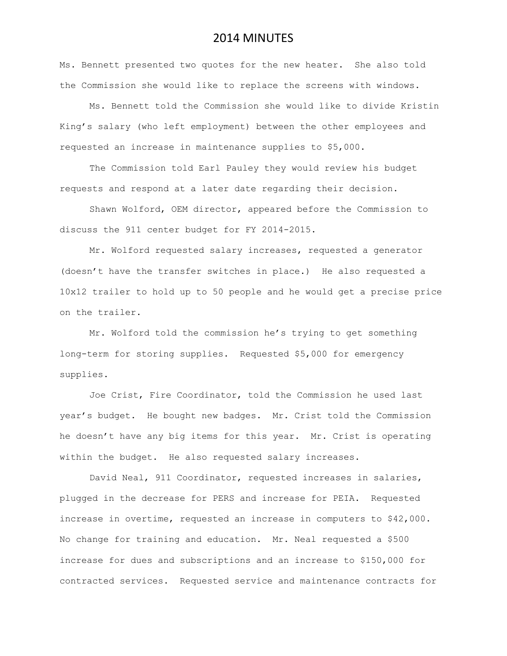Ms. Bennett presented two quotes for the new heater. She also told the Commission she would like to replace the screens with windows.

Ms. Bennett told the Commission she would like to divide Kristin King's salary (who left employment) between the other employees and requested an increase in maintenance supplies to \$5,000.

The Commission told Earl Pauley they would review his budget requests and respond at a later date regarding their decision.

Shawn Wolford, OEM director, appeared before the Commission to discuss the 911 center budget for FY 2014-2015.

Mr. Wolford requested salary increases, requested a generator (doesn't have the transfer switches in place.) He also requested a 10x12 trailer to hold up to 50 people and he would get a precise price on the trailer.

Mr. Wolford told the commission he's trying to get something long-term for storing supplies. Requested \$5,000 for emergency supplies.

Joe Crist, Fire Coordinator, told the Commission he used last year's budget. He bought new badges. Mr. Crist told the Commission he doesn't have any big items for this year. Mr. Crist is operating within the budget. He also requested salary increases.

David Neal, 911 Coordinator, requested increases in salaries, plugged in the decrease for PERS and increase for PEIA. Requested increase in overtime, requested an increase in computers to \$42,000. No change for training and education. Mr. Neal requested a \$500 increase for dues and subscriptions and an increase to \$150,000 for contracted services. Requested service and maintenance contracts for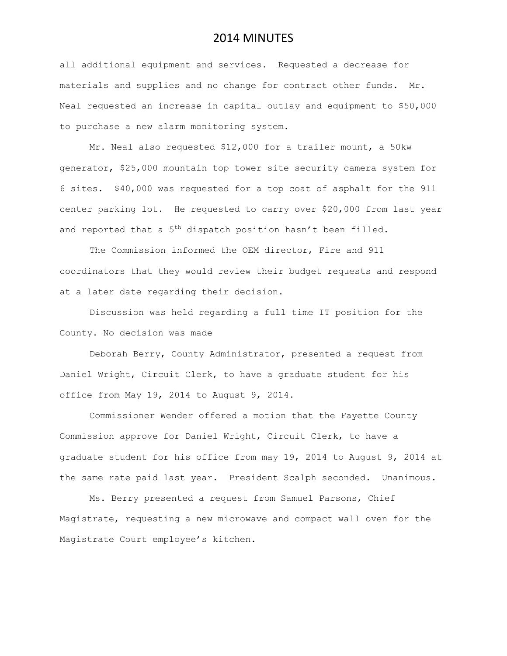all additional equipment and services. Requested a decrease for materials and supplies and no change for contract other funds. Mr. Neal requested an increase in capital outlay and equipment to \$50,000 to purchase a new alarm monitoring system.

Mr. Neal also requested \$12,000 for a trailer mount, a 50kw generator, \$25,000 mountain top tower site security camera system for 6 sites. \$40,000 was requested for a top coat of asphalt for the 911 center parking lot. He requested to carry over \$20,000 from last year and reported that a  $5<sup>th</sup>$  dispatch position hasn't been filled.

The Commission informed the OEM director, Fire and 911 coordinators that they would review their budget requests and respond at a later date regarding their decision.

Discussion was held regarding a full time IT position for the County. No decision was made

Deborah Berry, County Administrator, presented a request from Daniel Wright, Circuit Clerk, to have a graduate student for his office from May 19, 2014 to August 9, 2014.

Commissioner Wender offered a motion that the Fayette County Commission approve for Daniel Wright, Circuit Clerk, to have a graduate student for his office from may 19, 2014 to August 9, 2014 at the same rate paid last year. President Scalph seconded. Unanimous.

Ms. Berry presented a request from Samuel Parsons, Chief Magistrate, requesting a new microwave and compact wall oven for the Magistrate Court employee's kitchen.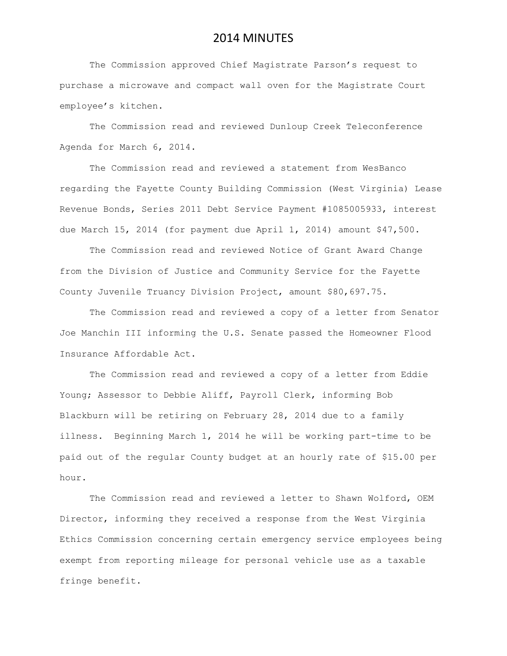The Commission approved Chief Magistrate Parson's request to purchase a microwave and compact wall oven for the Magistrate Court employee's kitchen.

The Commission read and reviewed Dunloup Creek Teleconference Agenda for March 6, 2014.

The Commission read and reviewed a statement from WesBanco regarding the Fayette County Building Commission (West Virginia) Lease Revenue Bonds, Series 2011 Debt Service Payment #1085005933, interest due March 15, 2014 (for payment due April 1, 2014) amount \$47,500.

The Commission read and reviewed Notice of Grant Award Change from the Division of Justice and Community Service for the Fayette County Juvenile Truancy Division Project, amount \$80,697.75.

The Commission read and reviewed a copy of a letter from Senator Joe Manchin III informing the U.S. Senate passed the Homeowner Flood Insurance Affordable Act.

The Commission read and reviewed a copy of a letter from Eddie Young; Assessor to Debbie Aliff, Payroll Clerk, informing Bob Blackburn will be retiring on February 28, 2014 due to a family illness. Beginning March 1, 2014 he will be working part-time to be paid out of the regular County budget at an hourly rate of \$15.00 per hour.

The Commission read and reviewed a letter to Shawn Wolford, OEM Director, informing they received a response from the West Virginia Ethics Commission concerning certain emergency service employees being exempt from reporting mileage for personal vehicle use as a taxable fringe benefit.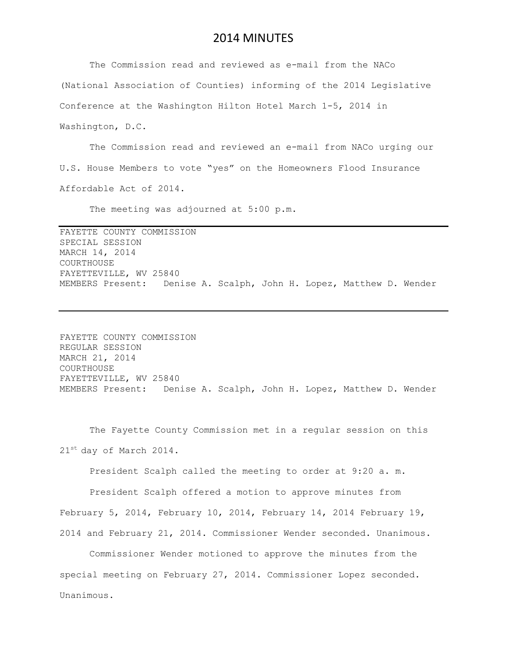The Commission read and reviewed as e-mail from the NACo (National Association of Counties) informing of the 2014 Legislative Conference at the Washington Hilton Hotel March 1-5, 2014 in Washington, D.C.

The Commission read and reviewed an e-mail from NACo urging our U.S. House Members to vote "yes" on the Homeowners Flood Insurance Affordable Act of 2014.

The meeting was adjourned at 5:00 p.m.

FAYETTE COUNTY COMMISSION SPECIAL SESSION MARCH 14, 2014 COURTHOUSE FAYETTEVILLE, WV 25840 MEMBERS Present: Denise A. Scalph, John H. Lopez, Matthew D. Wender

FAYETTE COUNTY COMMISSION REGULAR SESSION MARCH 21, 2014 COURTHOUSE FAYETTEVILLE, WV 25840 MEMBERS Present: Denise A. Scalph, John H. Lopez, Matthew D. Wender

The Fayette County Commission met in a regular session on this 21<sup>st</sup> day of March 2014.

President Scalph called the meeting to order at 9:20 a. m.

President Scalph offered a motion to approve minutes from February 5, 2014, February 10, 2014, February 14, 2014 February 19, 2014 and February 21, 2014. Commissioner Wender seconded. Unanimous.

Commissioner Wender motioned to approve the minutes from the special meeting on February 27, 2014. Commissioner Lopez seconded. Unanimous.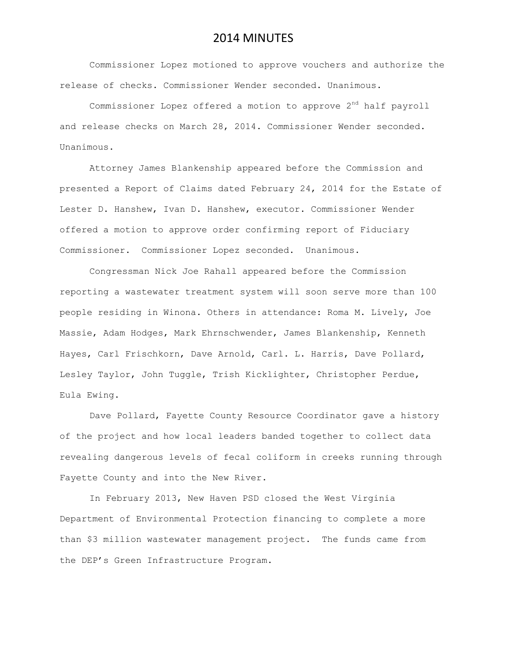Commissioner Lopez motioned to approve vouchers and authorize the release of checks. Commissioner Wender seconded. Unanimous.

Commissioner Lopez offered a motion to approve  $2<sup>nd</sup>$  half payroll and release checks on March 28, 2014. Commissioner Wender seconded. Unanimous.

Attorney James Blankenship appeared before the Commission and presented a Report of Claims dated February 24, 2014 for the Estate of Lester D. Hanshew, Ivan D. Hanshew, executor. Commissioner Wender offered a motion to approve order confirming report of Fiduciary Commissioner. Commissioner Lopez seconded. Unanimous.

Congressman Nick Joe Rahall appeared before the Commission reporting a wastewater treatment system will soon serve more than 100 people residing in Winona. Others in attendance: Roma M. Lively, Joe Massie, Adam Hodges, Mark Ehrnschwender, James Blankenship, Kenneth Hayes, Carl Frischkorn, Dave Arnold, Carl. L. Harris, Dave Pollard, Lesley Taylor, John Tuggle, Trish Kicklighter, Christopher Perdue, Eula Ewing.

Dave Pollard, Fayette County Resource Coordinator gave a history of the project and how local leaders banded together to collect data revealing dangerous levels of fecal coliform in creeks running through Fayette County and into the New River.

In February 2013, New Haven PSD closed the West Virginia Department of Environmental Protection financing to complete a more than \$3 million wastewater management project. The funds came from the DEP's Green Infrastructure Program.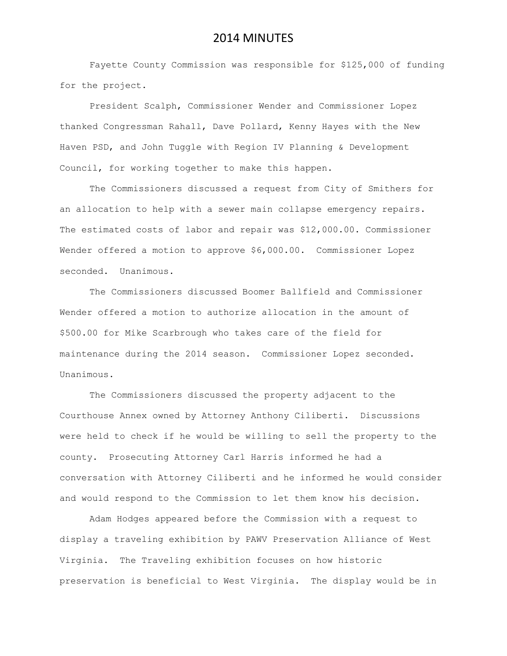Fayette County Commission was responsible for \$125,000 of funding for the project.

President Scalph, Commissioner Wender and Commissioner Lopez thanked Congressman Rahall, Dave Pollard, Kenny Hayes with the New Haven PSD, and John Tuggle with Region IV Planning & Development Council, for working together to make this happen.

The Commissioners discussed a request from City of Smithers for an allocation to help with a sewer main collapse emergency repairs. The estimated costs of labor and repair was \$12,000.00. Commissioner Wender offered a motion to approve \$6,000.00. Commissioner Lopez seconded. Unanimous.

The Commissioners discussed Boomer Ballfield and Commissioner Wender offered a motion to authorize allocation in the amount of \$500.00 for Mike Scarbrough who takes care of the field for maintenance during the 2014 season. Commissioner Lopez seconded. Unanimous.

The Commissioners discussed the property adjacent to the Courthouse Annex owned by Attorney Anthony Ciliberti. Discussions were held to check if he would be willing to sell the property to the county. Prosecuting Attorney Carl Harris informed he had a conversation with Attorney Ciliberti and he informed he would consider and would respond to the Commission to let them know his decision.

Adam Hodges appeared before the Commission with a request to display a traveling exhibition by PAWV Preservation Alliance of West Virginia. The Traveling exhibition focuses on how historic preservation is beneficial to West Virginia. The display would be in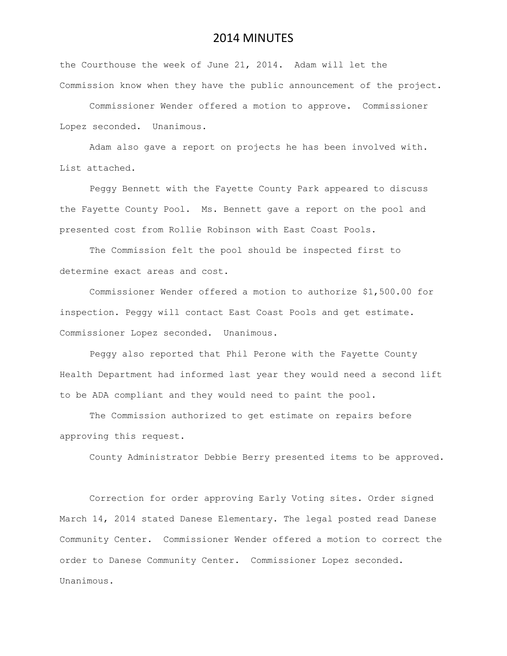the Courthouse the week of June 21, 2014. Adam will let the Commission know when they have the public announcement of the project.

Commissioner Wender offered a motion to approve. Commissioner Lopez seconded. Unanimous.

Adam also gave a report on projects he has been involved with. List attached.

Peggy Bennett with the Fayette County Park appeared to discuss the Fayette County Pool. Ms. Bennett gave a report on the pool and presented cost from Rollie Robinson with East Coast Pools.

The Commission felt the pool should be inspected first to determine exact areas and cost.

Commissioner Wender offered a motion to authorize \$1,500.00 for inspection. Peggy will contact East Coast Pools and get estimate. Commissioner Lopez seconded. Unanimous.

Peggy also reported that Phil Perone with the Fayette County Health Department had informed last year they would need a second lift to be ADA compliant and they would need to paint the pool.

The Commission authorized to get estimate on repairs before approving this request.

County Administrator Debbie Berry presented items to be approved.

Correction for order approving Early Voting sites. Order signed March 14, 2014 stated Danese Elementary. The legal posted read Danese Community Center. Commissioner Wender offered a motion to correct the order to Danese Community Center. Commissioner Lopez seconded. Unanimous.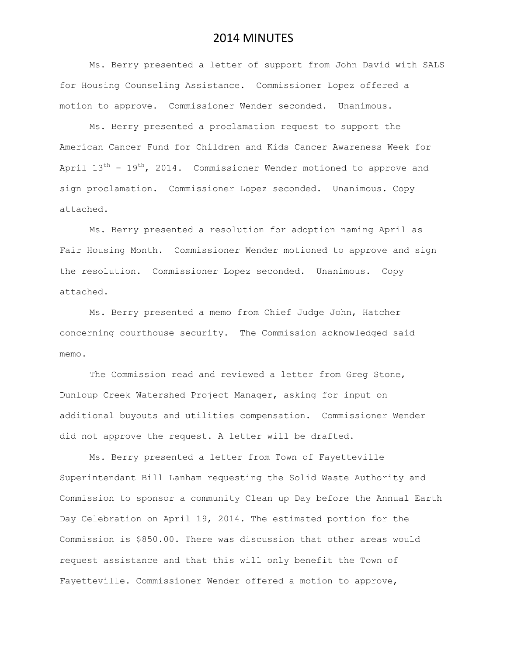Ms. Berry presented a letter of support from John David with SALS for Housing Counseling Assistance. Commissioner Lopez offered a motion to approve. Commissioner Wender seconded. Unanimous.

Ms. Berry presented a proclamation request to support the American Cancer Fund for Children and Kids Cancer Awareness Week for April  $13<sup>th</sup> - 19<sup>th</sup>$ , 2014. Commissioner Wender motioned to approve and sign proclamation. Commissioner Lopez seconded. Unanimous. Copy attached.

Ms. Berry presented a resolution for adoption naming April as Fair Housing Month. Commissioner Wender motioned to approve and sign the resolution. Commissioner Lopez seconded. Unanimous. Copy attached.

Ms. Berry presented a memo from Chief Judge John, Hatcher concerning courthouse security. The Commission acknowledged said memo.

The Commission read and reviewed a letter from Greg Stone, Dunloup Creek Watershed Project Manager, asking for input on additional buyouts and utilities compensation. Commissioner Wender did not approve the request. A letter will be drafted.

Ms. Berry presented a letter from Town of Fayetteville Superintendant Bill Lanham requesting the Solid Waste Authority and Commission to sponsor a community Clean up Day before the Annual Earth Day Celebration on April 19, 2014. The estimated portion for the Commission is \$850.00. There was discussion that other areas would request assistance and that this will only benefit the Town of Fayetteville. Commissioner Wender offered a motion to approve,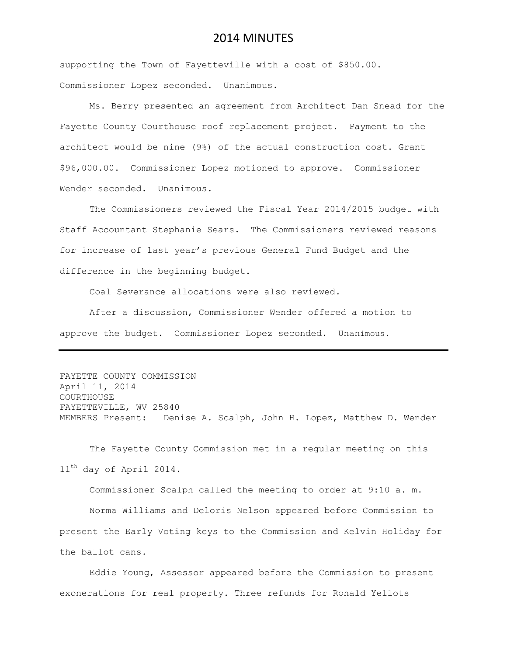supporting the Town of Fayetteville with a cost of \$850.00. Commissioner Lopez seconded. Unanimous.

Ms. Berry presented an agreement from Architect Dan Snead for the Fayette County Courthouse roof replacement project. Payment to the architect would be nine (9%) of the actual construction cost. Grant \$96,000.00. Commissioner Lopez motioned to approve. Commissioner Wender seconded. Unanimous.

The Commissioners reviewed the Fiscal Year 2014/2015 budget with Staff Accountant Stephanie Sears. The Commissioners reviewed reasons for increase of last year's previous General Fund Budget and the difference in the beginning budget.

Coal Severance allocations were also reviewed.

After a discussion, Commissioner Wender offered a motion to approve the budget. Commissioner Lopez seconded. Unanimous.

FAYETTE COUNTY COMMISSION April 11, 2014 COURTHOUSE FAYETTEVILLE, WV 25840 MEMBERS Present: Denise A. Scalph, John H. Lopez, Matthew D. Wender

The Fayette County Commission met in a regular meeting on this 11<sup>th</sup> day of April 2014.

Commissioner Scalph called the meeting to order at 9:10 a. m.

Norma Williams and Deloris Nelson appeared before Commission to present the Early Voting keys to the Commission and Kelvin Holiday for the ballot cans.

Eddie Young, Assessor appeared before the Commission to present exonerations for real property. Three refunds for Ronald Yellots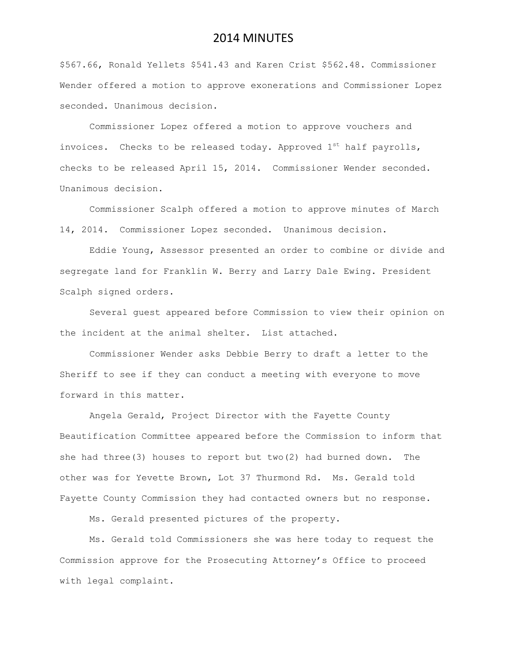\$567.66, Ronald Yellets \$541.43 and Karen Crist \$562.48. Commissioner Wender offered a motion to approve exonerations and Commissioner Lopez seconded. Unanimous decision.

Commissioner Lopez offered a motion to approve vouchers and invoices. Checks to be released today. Approved  $1^{st}$  half payrolls, checks to be released April 15, 2014. Commissioner Wender seconded. Unanimous decision.

Commissioner Scalph offered a motion to approve minutes of March 14, 2014. Commissioner Lopez seconded. Unanimous decision.

Eddie Young, Assessor presented an order to combine or divide and segregate land for Franklin W. Berry and Larry Dale Ewing. President Scalph signed orders.

Several guest appeared before Commission to view their opinion on the incident at the animal shelter. List attached.

Commissioner Wender asks Debbie Berry to draft a letter to the Sheriff to see if they can conduct a meeting with everyone to move forward in this matter.

Angela Gerald, Project Director with the Fayette County Beautification Committee appeared before the Commission to inform that she had three(3) houses to report but two(2) had burned down. The other was for Yevette Brown, Lot 37 Thurmond Rd. Ms. Gerald told Fayette County Commission they had contacted owners but no response.

Ms. Gerald presented pictures of the property.

Ms. Gerald told Commissioners she was here today to request the Commission approve for the Prosecuting Attorney's Office to proceed with legal complaint.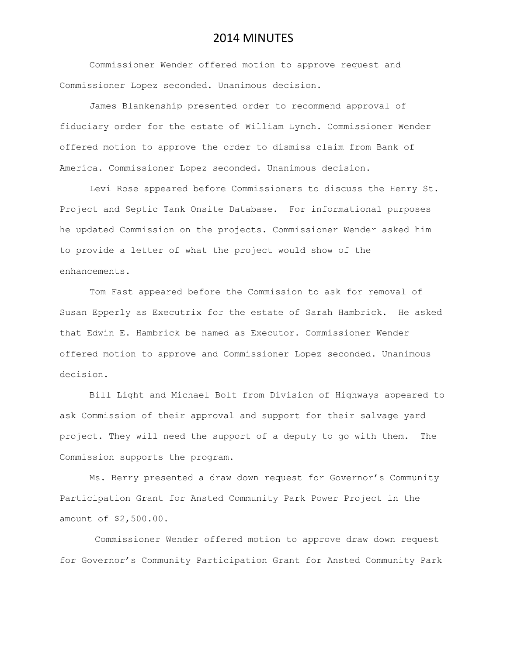Commissioner Wender offered motion to approve request and Commissioner Lopez seconded. Unanimous decision.

James Blankenship presented order to recommend approval of fiduciary order for the estate of William Lynch. Commissioner Wender offered motion to approve the order to dismiss claim from Bank of America. Commissioner Lopez seconded. Unanimous decision.

Levi Rose appeared before Commissioners to discuss the Henry St. Project and Septic Tank Onsite Database. For informational purposes he updated Commission on the projects. Commissioner Wender asked him to provide a letter of what the project would show of the enhancements.

Tom Fast appeared before the Commission to ask for removal of Susan Epperly as Executrix for the estate of Sarah Hambrick. He asked that Edwin E. Hambrick be named as Executor. Commissioner Wender offered motion to approve and Commissioner Lopez seconded. Unanimous decision.

Bill Light and Michael Bolt from Division of Highways appeared to ask Commission of their approval and support for their salvage yard project. They will need the support of a deputy to go with them. The Commission supports the program.

Ms. Berry presented a draw down request for Governor's Community Participation Grant for Ansted Community Park Power Project in the amount of \$2,500.00.

Commissioner Wender offered motion to approve draw down request for Governor's Community Participation Grant for Ansted Community Park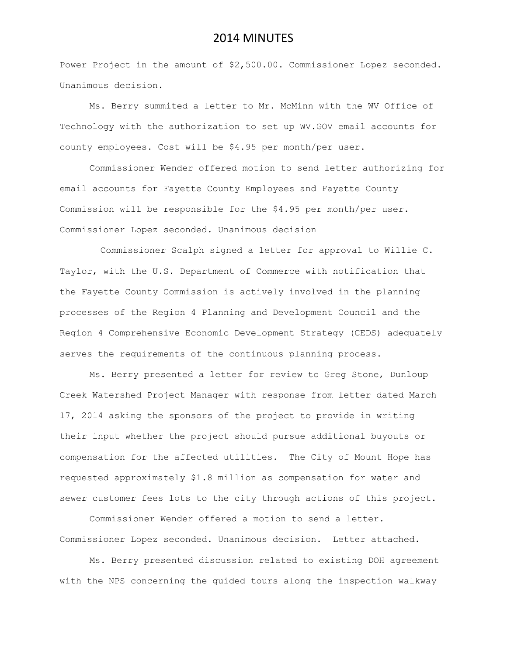Power Project in the amount of \$2,500.00. Commissioner Lopez seconded. Unanimous decision.

Ms. Berry summited a letter to Mr. McMinn with the WV Office of Technology with the authorization to set up WV.GOV email accounts for county employees. Cost will be \$4.95 per month/per user.

Commissioner Wender offered motion to send letter authorizing for email accounts for Fayette County Employees and Fayette County Commission will be responsible for the \$4.95 per month/per user. Commissioner Lopez seconded. Unanimous decision

 Commissioner Scalph signed a letter for approval to Willie C. Taylor, with the U.S. Department of Commerce with notification that the Fayette County Commission is actively involved in the planning processes of the Region 4 Planning and Development Council and the Region 4 Comprehensive Economic Development Strategy (CEDS) adequately serves the requirements of the continuous planning process.

Ms. Berry presented a letter for review to Greg Stone, Dunloup Creek Watershed Project Manager with response from letter dated March 17, 2014 asking the sponsors of the project to provide in writing their input whether the project should pursue additional buyouts or compensation for the affected utilities. The City of Mount Hope has requested approximately \$1.8 million as compensation for water and sewer customer fees lots to the city through actions of this project.

Commissioner Wender offered a motion to send a letter. Commissioner Lopez seconded. Unanimous decision. Letter attached.

Ms. Berry presented discussion related to existing DOH agreement with the NPS concerning the guided tours along the inspection walkway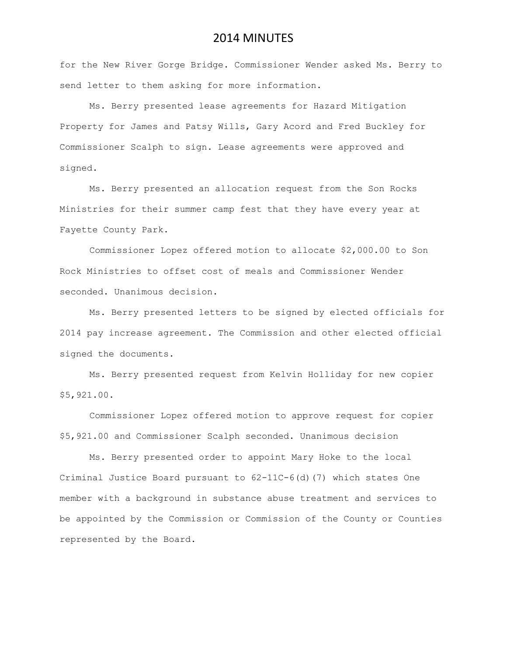for the New River Gorge Bridge. Commissioner Wender asked Ms. Berry to send letter to them asking for more information.

Ms. Berry presented lease agreements for Hazard Mitigation Property for James and Patsy Wills, Gary Acord and Fred Buckley for Commissioner Scalph to sign. Lease agreements were approved and signed.

Ms. Berry presented an allocation request from the Son Rocks Ministries for their summer camp fest that they have every year at Fayette County Park.

Commissioner Lopez offered motion to allocate \$2,000.00 to Son Rock Ministries to offset cost of meals and Commissioner Wender seconded. Unanimous decision.

Ms. Berry presented letters to be signed by elected officials for 2014 pay increase agreement. The Commission and other elected official signed the documents.

Ms. Berry presented request from Kelvin Holliday for new copier \$5,921.00.

Commissioner Lopez offered motion to approve request for copier \$5,921.00 and Commissioner Scalph seconded. Unanimous decision

Ms. Berry presented order to appoint Mary Hoke to the local Criminal Justice Board pursuant to 62-11C-6(d)(7) which states One member with a background in substance abuse treatment and services to be appointed by the Commission or Commission of the County or Counties represented by the Board.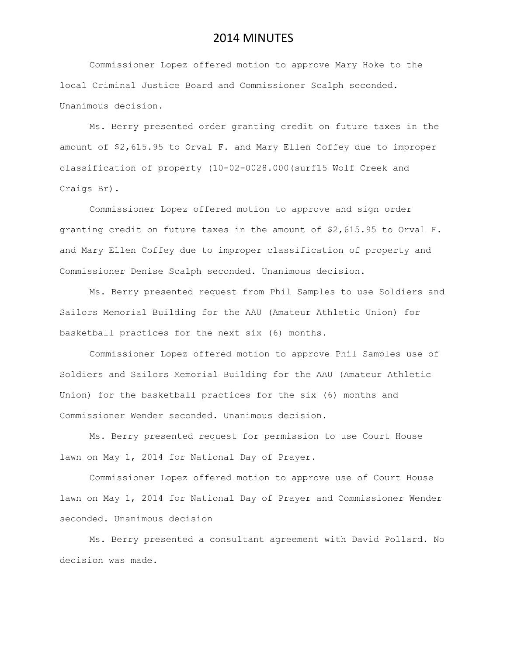Commissioner Lopez offered motion to approve Mary Hoke to the local Criminal Justice Board and Commissioner Scalph seconded. Unanimous decision.

Ms. Berry presented order granting credit on future taxes in the amount of \$2,615.95 to Orval F. and Mary Ellen Coffey due to improper classification of property (10-02-0028.000(surf15 Wolf Creek and Craigs Br).

Commissioner Lopez offered motion to approve and sign order granting credit on future taxes in the amount of \$2,615.95 to Orval F. and Mary Ellen Coffey due to improper classification of property and Commissioner Denise Scalph seconded. Unanimous decision.

Ms. Berry presented request from Phil Samples to use Soldiers and Sailors Memorial Building for the AAU (Amateur Athletic Union) for basketball practices for the next six (6) months.

Commissioner Lopez offered motion to approve Phil Samples use of Soldiers and Sailors Memorial Building for the AAU (Amateur Athletic Union) for the basketball practices for the six (6) months and Commissioner Wender seconded. Unanimous decision.

Ms. Berry presented request for permission to use Court House lawn on May 1, 2014 for National Day of Prayer.

Commissioner Lopez offered motion to approve use of Court House lawn on May 1, 2014 for National Day of Prayer and Commissioner Wender seconded. Unanimous decision

Ms. Berry presented a consultant agreement with David Pollard. No decision was made.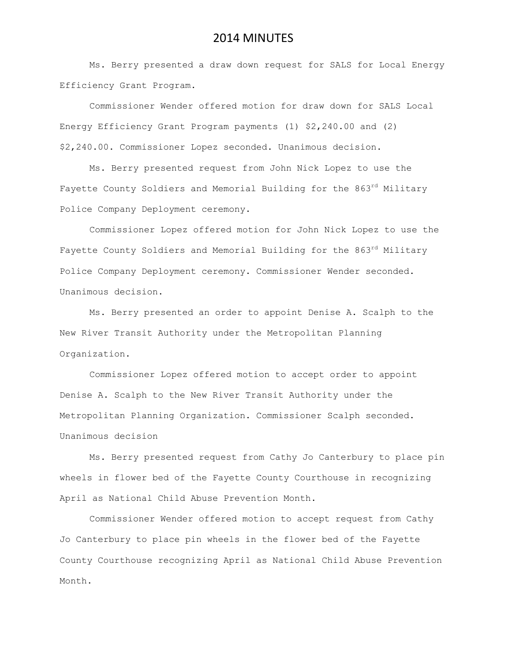Ms. Berry presented a draw down request for SALS for Local Energy Efficiency Grant Program.

Commissioner Wender offered motion for draw down for SALS Local Energy Efficiency Grant Program payments (1) \$2,240.00 and (2) \$2,240.00. Commissioner Lopez seconded. Unanimous decision.

Ms. Berry presented request from John Nick Lopez to use the Fayette County Soldiers and Memorial Building for the 863<sup>rd</sup> Military Police Company Deployment ceremony.

Commissioner Lopez offered motion for John Nick Lopez to use the Fayette County Soldiers and Memorial Building for the 863<sup>rd</sup> Military Police Company Deployment ceremony. Commissioner Wender seconded. Unanimous decision.

Ms. Berry presented an order to appoint Denise A. Scalph to the New River Transit Authority under the Metropolitan Planning Organization.

Commissioner Lopez offered motion to accept order to appoint Denise A. Scalph to the New River Transit Authority under the Metropolitan Planning Organization. Commissioner Scalph seconded. Unanimous decision

Ms. Berry presented request from Cathy Jo Canterbury to place pin wheels in flower bed of the Fayette County Courthouse in recognizing April as National Child Abuse Prevention Month.

Commissioner Wender offered motion to accept request from Cathy Jo Canterbury to place pin wheels in the flower bed of the Fayette County Courthouse recognizing April as National Child Abuse Prevention Month.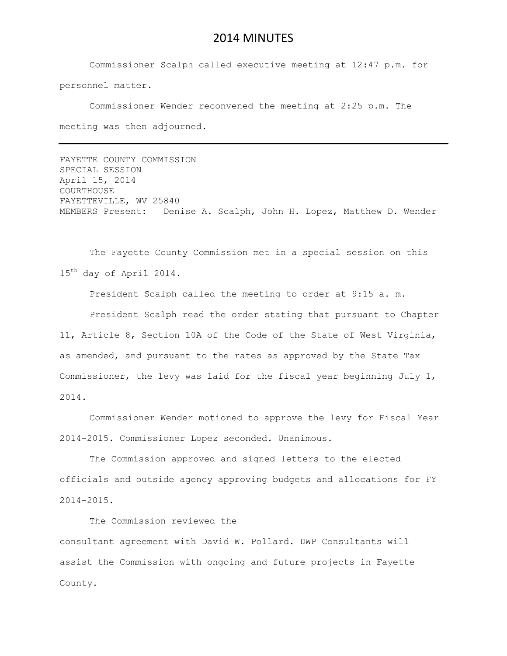Commissioner Scalph called executive meeting at 12:47 p.m. for personnel matter.

Commissioner Wender reconvened the meeting at 2:25 p.m. The meeting was then adjourned.

FAYETTE COUNTY COMMISSION SPECIAL SESSION April 15, 2014 COURTHOUSE FAYETTEVILLE, WV 25840 MEMBERS Present: Denise A. Scalph, John H. Lopez, Matthew D. Wender

The Fayette County Commission met in a special session on this 15<sup>th</sup> day of April 2014.

President Scalph called the meeting to order at 9:15 a. m.

President Scalph read the order stating that pursuant to Chapter 11, Article 8, Section 10A of the Code of the State of West Virginia, as amended, and pursuant to the rates as approved by the State Tax Commissioner, the levy was laid for the fiscal year beginning July 1, 2014.

Commissioner Wender motioned to approve the levy for Fiscal Year 2014-2015. Commissioner Lopez seconded. Unanimous.

The Commission approved and signed letters to the elected officials and outside agency approving budgets and allocations for FY 2014-2015.

The Commission reviewed the consultant agreement with David W. Pollard. DWP Consultants will assist the Commission with ongoing and future projects in Fayette County.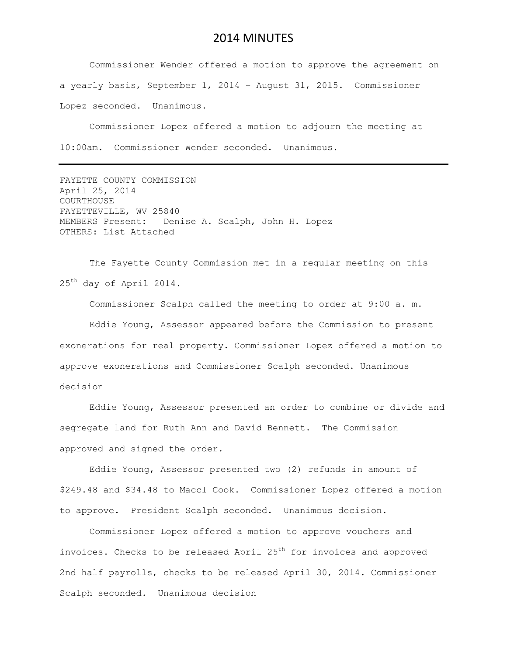Commissioner Wender offered a motion to approve the agreement on a yearly basis, September 1, 2014 – August 31, 2015. Commissioner Lopez seconded. Unanimous.

Commissioner Lopez offered a motion to adjourn the meeting at 10:00am. Commissioner Wender seconded. Unanimous.

FAYETTE COUNTY COMMISSION April 25, 2014 COURTHOUSE FAYETTEVILLE, WV 25840 MEMBERS Present: Denise A. Scalph, John H. Lopez OTHERS: List Attached

The Fayette County Commission met in a regular meeting on this 25<sup>th</sup> day of April 2014.

Commissioner Scalph called the meeting to order at 9:00 a. m. Eddie Young, Assessor appeared before the Commission to present exonerations for real property. Commissioner Lopez offered a motion to approve exonerations and Commissioner Scalph seconded. Unanimous decision

Eddie Young, Assessor presented an order to combine or divide and segregate land for Ruth Ann and David Bennett. The Commission approved and signed the order.

Eddie Young, Assessor presented two (2) refunds in amount of \$249.48 and \$34.48 to Maccl Cook. Commissioner Lopez offered a motion to approve. President Scalph seconded. Unanimous decision.

Commissioner Lopez offered a motion to approve vouchers and invoices. Checks to be released April 25<sup>th</sup> for invoices and approved 2nd half payrolls, checks to be released April 30, 2014. Commissioner Scalph seconded. Unanimous decision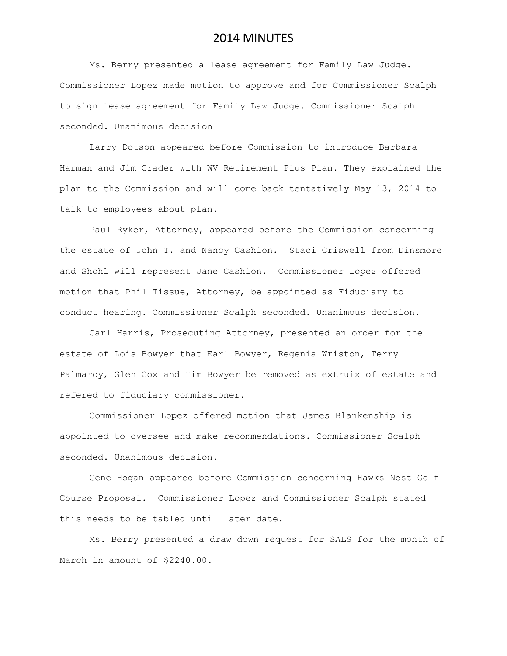Ms. Berry presented a lease agreement for Family Law Judge. Commissioner Lopez made motion to approve and for Commissioner Scalph to sign lease agreement for Family Law Judge. Commissioner Scalph seconded. Unanimous decision

Larry Dotson appeared before Commission to introduce Barbara Harman and Jim Crader with WV Retirement Plus Plan. They explained the plan to the Commission and will come back tentatively May 13, 2014 to talk to employees about plan.

Paul Ryker, Attorney, appeared before the Commission concerning the estate of John T. and Nancy Cashion. Staci Criswell from Dinsmore and Shohl will represent Jane Cashion. Commissioner Lopez offered motion that Phil Tissue, Attorney, be appointed as Fiduciary to conduct hearing. Commissioner Scalph seconded. Unanimous decision.

Carl Harris, Prosecuting Attorney, presented an order for the estate of Lois Bowyer that Earl Bowyer, Regenia Wriston, Terry Palmaroy, Glen Cox and Tim Bowyer be removed as extruix of estate and refered to fiduciary commissioner.

Commissioner Lopez offered motion that James Blankenship is appointed to oversee and make recommendations. Commissioner Scalph seconded. Unanimous decision.

Gene Hogan appeared before Commission concerning Hawks Nest Golf Course Proposal. Commissioner Lopez and Commissioner Scalph stated this needs to be tabled until later date.

Ms. Berry presented a draw down request for SALS for the month of March in amount of \$2240.00.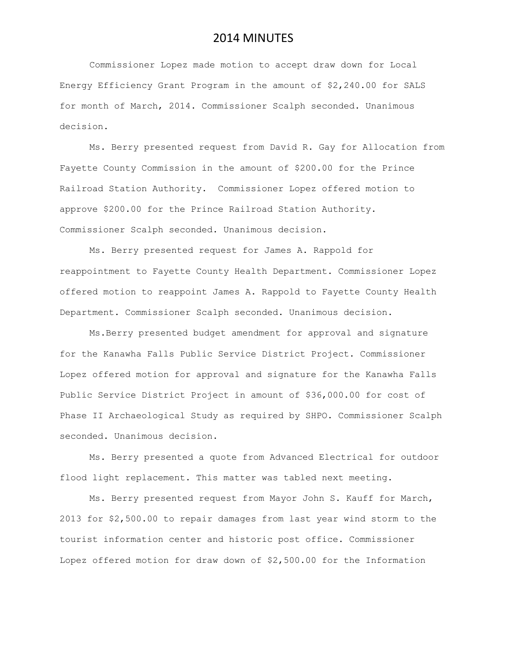Commissioner Lopez made motion to accept draw down for Local Energy Efficiency Grant Program in the amount of \$2,240.00 for SALS for month of March, 2014. Commissioner Scalph seconded. Unanimous decision.

Ms. Berry presented request from David R. Gay for Allocation from Fayette County Commission in the amount of \$200.00 for the Prince Railroad Station Authority. Commissioner Lopez offered motion to approve \$200.00 for the Prince Railroad Station Authority. Commissioner Scalph seconded. Unanimous decision.

Ms. Berry presented request for James A. Rappold for reappointment to Fayette County Health Department. Commissioner Lopez offered motion to reappoint James A. Rappold to Fayette County Health Department. Commissioner Scalph seconded. Unanimous decision.

Ms.Berry presented budget amendment for approval and signature for the Kanawha Falls Public Service District Project. Commissioner Lopez offered motion for approval and signature for the Kanawha Falls Public Service District Project in amount of \$36,000.00 for cost of Phase II Archaeological Study as required by SHPO. Commissioner Scalph seconded. Unanimous decision.

Ms. Berry presented a quote from Advanced Electrical for outdoor flood light replacement. This matter was tabled next meeting.

Ms. Berry presented request from Mayor John S. Kauff for March, 2013 for \$2,500.00 to repair damages from last year wind storm to the tourist information center and historic post office. Commissioner Lopez offered motion for draw down of \$2,500.00 for the Information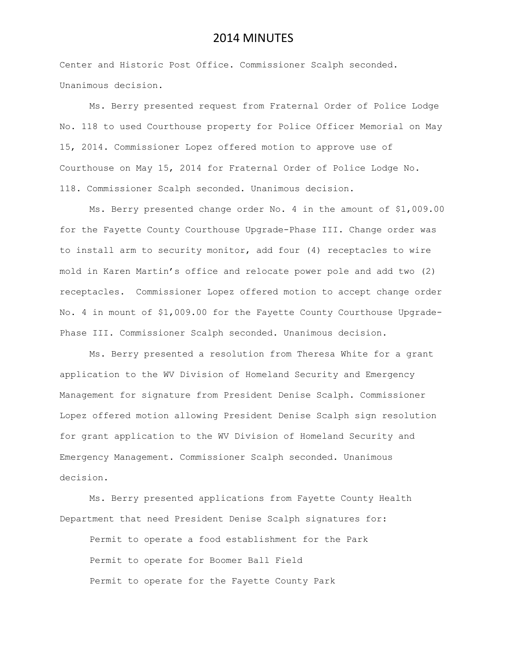Center and Historic Post Office. Commissioner Scalph seconded. Unanimous decision.

Ms. Berry presented request from Fraternal Order of Police Lodge No. 118 to used Courthouse property for Police Officer Memorial on May 15, 2014. Commissioner Lopez offered motion to approve use of Courthouse on May 15, 2014 for Fraternal Order of Police Lodge No. 118. Commissioner Scalph seconded. Unanimous decision.

Ms. Berry presented change order No. 4 in the amount of \$1,009.00 for the Fayette County Courthouse Upgrade-Phase III. Change order was to install arm to security monitor, add four (4) receptacles to wire mold in Karen Martin's office and relocate power pole and add two (2) receptacles. Commissioner Lopez offered motion to accept change order No. 4 in mount of \$1,009.00 for the Fayette County Courthouse Upgrade-Phase III. Commissioner Scalph seconded. Unanimous decision.

Ms. Berry presented a resolution from Theresa White for a grant application to the WV Division of Homeland Security and Emergency Management for signature from President Denise Scalph. Commissioner Lopez offered motion allowing President Denise Scalph sign resolution for grant application to the WV Division of Homeland Security and Emergency Management. Commissioner Scalph seconded. Unanimous decision.

Ms. Berry presented applications from Fayette County Health Department that need President Denise Scalph signatures for:

Permit to operate a food establishment for the Park Permit to operate for Boomer Ball Field Permit to operate for the Fayette County Park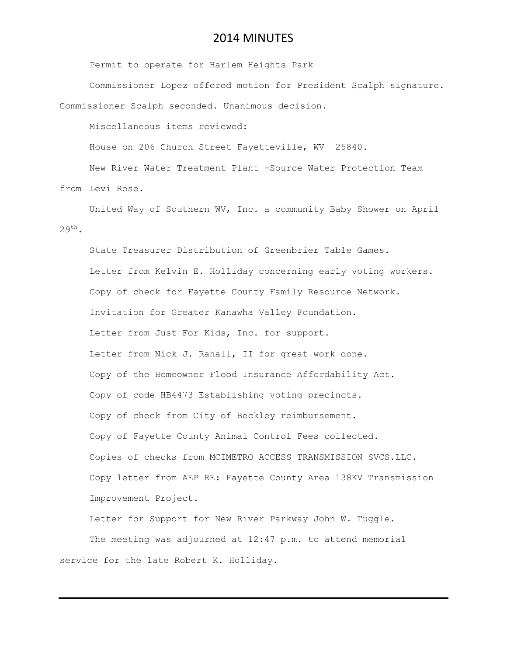Permit to operate for Harlem Heights Park

Commissioner Lopez offered motion for President Scalph signature. Commissioner Scalph seconded. Unanimous decision.

Miscellaneous items reviewed:

House on 206 Church Street Fayetteville, WV 25840.

New River Water Treatment Plant –Source Water Protection Team from Levi Rose.

United Way of Southern WV, Inc. a community Baby Shower on April  $29^{th}$ .

State Treasurer Distribution of Greenbrier Table Games. Letter from Kelvin E. Holliday concerning early voting workers. Copy of check for Fayette County Family Resource Network. Invitation for Greater Kanawha Valley Foundation. Letter from Just For Kids, Inc. for support. Letter from Nick J. Rahall, II for great work done. Copy of the Homeowner Flood Insurance Affordability Act. Copy of code HB4473 Establishing voting precincts. Copy of check from City of Beckley reimbursement. Copy of Fayette County Animal Control Fees collected. Copies of checks from MCIMETRO ACCESS TRANSMISSION SVCS.LLC. Copy letter from AEP RE: Fayette County Area 138KV Transmission Improvement Project.

Letter for Support for New River Parkway John W. Tuggle. The meeting was adjourned at 12:47 p.m. to attend memorial service for the late Robert K. Holliday.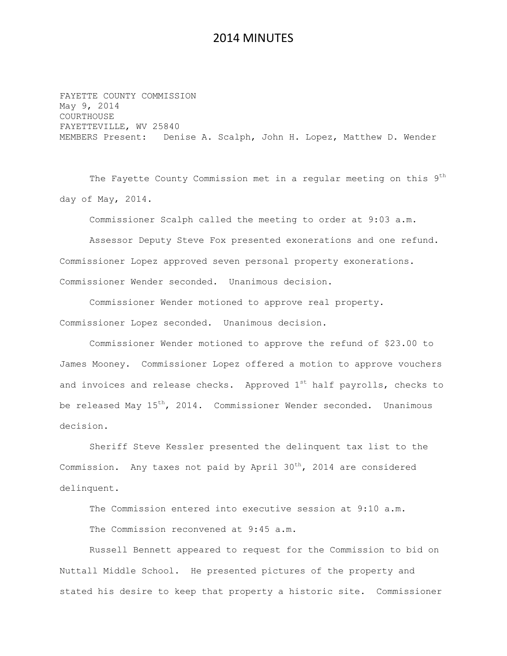FAYETTE COUNTY COMMISSION May 9, 2014 COURTHOUSE FAYETTEVILLE, WV 25840 MEMBERS Present: Denise A. Scalph, John H. Lopez, Matthew D. Wender

The Fayette County Commission met in a regular meeting on this 9<sup>th</sup> day of May, 2014.

Commissioner Scalph called the meeting to order at 9:03 a.m.

Assessor Deputy Steve Fox presented exonerations and one refund. Commissioner Lopez approved seven personal property exonerations. Commissioner Wender seconded. Unanimous decision.

Commissioner Wender motioned to approve real property.

Commissioner Lopez seconded. Unanimous decision.

Commissioner Wender motioned to approve the refund of \$23.00 to James Mooney. Commissioner Lopez offered a motion to approve vouchers and invoices and release checks. Approved  $1<sup>st</sup>$  half payrolls, checks to be released May  $15^{th}$ , 2014. Commissioner Wender seconded. Unanimous decision.

Sheriff Steve Kessler presented the delinquent tax list to the Commission. Any taxes not paid by April 30<sup>th</sup>, 2014 are considered delinquent.

The Commission entered into executive session at 9:10 a.m. The Commission reconvened at 9:45 a.m.

Russell Bennett appeared to request for the Commission to bid on Nuttall Middle School. He presented pictures of the property and stated his desire to keep that property a historic site. Commissioner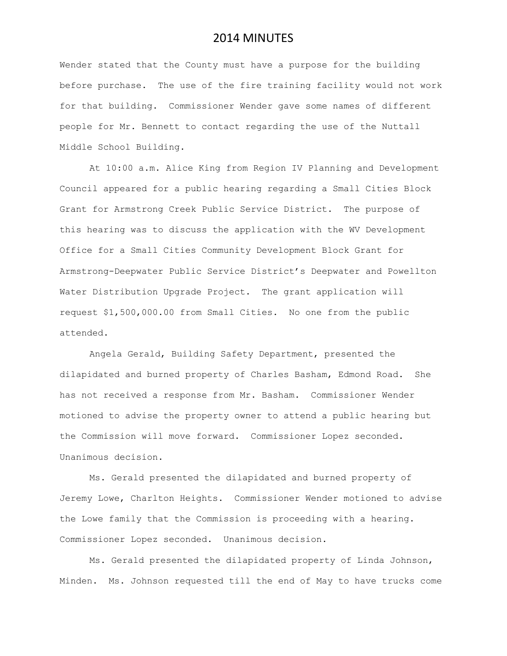Wender stated that the County must have a purpose for the building before purchase. The use of the fire training facility would not work for that building. Commissioner Wender gave some names of different people for Mr. Bennett to contact regarding the use of the Nuttall Middle School Building.

At 10:00 a.m. Alice King from Region IV Planning and Development Council appeared for a public hearing regarding a Small Cities Block Grant for Armstrong Creek Public Service District. The purpose of this hearing was to discuss the application with the WV Development Office for a Small Cities Community Development Block Grant for Armstrong-Deepwater Public Service District's Deepwater and Powellton Water Distribution Upgrade Project. The grant application will request \$1,500,000.00 from Small Cities. No one from the public attended.

Angela Gerald, Building Safety Department, presented the dilapidated and burned property of Charles Basham, Edmond Road. She has not received a response from Mr. Basham. Commissioner Wender motioned to advise the property owner to attend a public hearing but the Commission will move forward. Commissioner Lopez seconded. Unanimous decision.

Ms. Gerald presented the dilapidated and burned property of Jeremy Lowe, Charlton Heights. Commissioner Wender motioned to advise the Lowe family that the Commission is proceeding with a hearing. Commissioner Lopez seconded. Unanimous decision.

Ms. Gerald presented the dilapidated property of Linda Johnson, Minden. Ms. Johnson requested till the end of May to have trucks come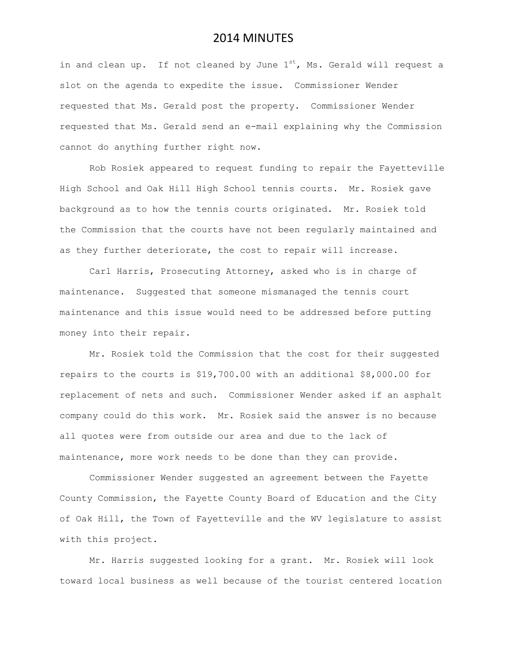in and clean up. If not cleaned by June  $1^{st}$ , Ms. Gerald will request a slot on the agenda to expedite the issue. Commissioner Wender requested that Ms. Gerald post the property. Commissioner Wender requested that Ms. Gerald send an e-mail explaining why the Commission cannot do anything further right now.

Rob Rosiek appeared to request funding to repair the Fayetteville High School and Oak Hill High School tennis courts. Mr. Rosiek gave background as to how the tennis courts originated. Mr. Rosiek told the Commission that the courts have not been regularly maintained and as they further deteriorate, the cost to repair will increase.

Carl Harris, Prosecuting Attorney, asked who is in charge of maintenance. Suggested that someone mismanaged the tennis court maintenance and this issue would need to be addressed before putting money into their repair.

Mr. Rosiek told the Commission that the cost for their suggested repairs to the courts is \$19,700.00 with an additional \$8,000.00 for replacement of nets and such. Commissioner Wender asked if an asphalt company could do this work. Mr. Rosiek said the answer is no because all quotes were from outside our area and due to the lack of maintenance, more work needs to be done than they can provide.

Commissioner Wender suggested an agreement between the Fayette County Commission, the Fayette County Board of Education and the City of Oak Hill, the Town of Fayetteville and the WV legislature to assist with this project.

Mr. Harris suggested looking for a grant. Mr. Rosiek will look toward local business as well because of the tourist centered location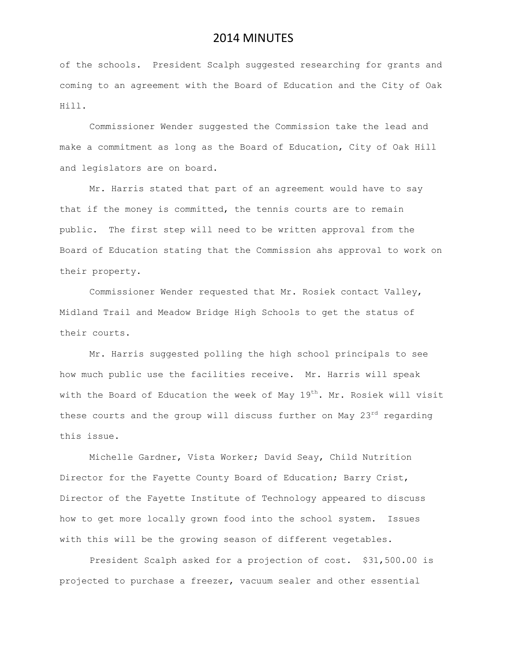of the schools. President Scalph suggested researching for grants and coming to an agreement with the Board of Education and the City of Oak Hill.

Commissioner Wender suggested the Commission take the lead and make a commitment as long as the Board of Education, City of Oak Hill and legislators are on board.

Mr. Harris stated that part of an agreement would have to say that if the money is committed, the tennis courts are to remain public. The first step will need to be written approval from the Board of Education stating that the Commission ahs approval to work on their property.

Commissioner Wender requested that Mr. Rosiek contact Valley, Midland Trail and Meadow Bridge High Schools to get the status of their courts.

Mr. Harris suggested polling the high school principals to see how much public use the facilities receive. Mr. Harris will speak with the Board of Education the week of May  $19^{th}$ . Mr. Rosiek will visit these courts and the group will discuss further on May 23rd regarding this issue.

Michelle Gardner, Vista Worker; David Seay, Child Nutrition Director for the Fayette County Board of Education; Barry Crist, Director of the Fayette Institute of Technology appeared to discuss how to get more locally grown food into the school system. Issues with this will be the growing season of different vegetables.

President Scalph asked for a projection of cost. \$31,500.00 is projected to purchase a freezer, vacuum sealer and other essential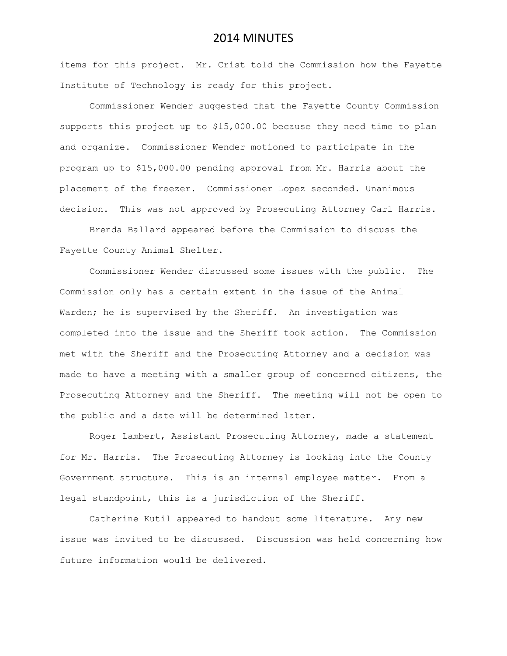items for this project. Mr. Crist told the Commission how the Fayette Institute of Technology is ready for this project.

Commissioner Wender suggested that the Fayette County Commission supports this project up to \$15,000.00 because they need time to plan and organize. Commissioner Wender motioned to participate in the program up to \$15,000.00 pending approval from Mr. Harris about the placement of the freezer. Commissioner Lopez seconded. Unanimous decision. This was not approved by Prosecuting Attorney Carl Harris.

Brenda Ballard appeared before the Commission to discuss the Fayette County Animal Shelter.

Commissioner Wender discussed some issues with the public. The Commission only has a certain extent in the issue of the Animal Warden; he is supervised by the Sheriff. An investigation was completed into the issue and the Sheriff took action. The Commission met with the Sheriff and the Prosecuting Attorney and a decision was made to have a meeting with a smaller group of concerned citizens, the Prosecuting Attorney and the Sheriff. The meeting will not be open to the public and a date will be determined later.

Roger Lambert, Assistant Prosecuting Attorney, made a statement for Mr. Harris. The Prosecuting Attorney is looking into the County Government structure. This is an internal employee matter. From a legal standpoint, this is a jurisdiction of the Sheriff.

Catherine Kutil appeared to handout some literature. Any new issue was invited to be discussed. Discussion was held concerning how future information would be delivered.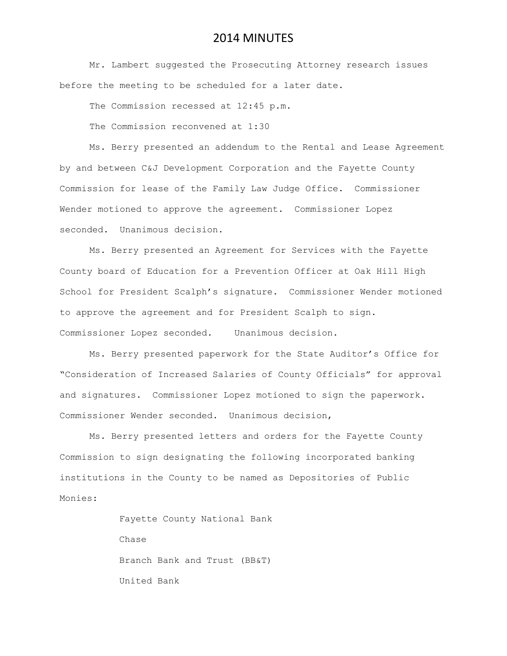Mr. Lambert suggested the Prosecuting Attorney research issues before the meeting to be scheduled for a later date.

The Commission recessed at 12:45 p.m.

The Commission reconvened at 1:30

Ms. Berry presented an addendum to the Rental and Lease Agreement by and between C&J Development Corporation and the Fayette County Commission for lease of the Family Law Judge Office. Commissioner Wender motioned to approve the agreement. Commissioner Lopez seconded. Unanimous decision.

Ms. Berry presented an Agreement for Services with the Fayette County board of Education for a Prevention Officer at Oak Hill High School for President Scalph's signature. Commissioner Wender motioned to approve the agreement and for President Scalph to sign. Commissioner Lopez seconded. Unanimous decision.

Ms. Berry presented paperwork for the State Auditor's Office for "Consideration of Increased Salaries of County Officials" for approval and signatures. Commissioner Lopez motioned to sign the paperwork. Commissioner Wender seconded. Unanimous decision,

Ms. Berry presented letters and orders for the Fayette County Commission to sign designating the following incorporated banking institutions in the County to be named as Depositories of Public Monies:

> Fayette County National Bank Chase Branch Bank and Trust (BB&T) United Bank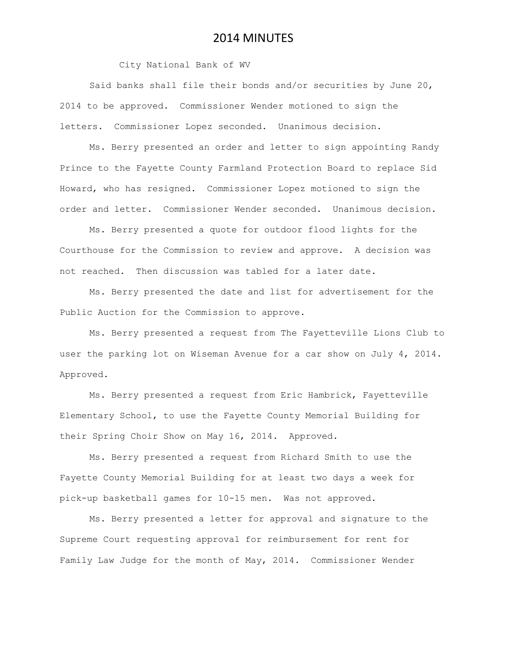City National Bank of WV

Said banks shall file their bonds and/or securities by June 20, 2014 to be approved. Commissioner Wender motioned to sign the letters. Commissioner Lopez seconded. Unanimous decision.

Ms. Berry presented an order and letter to sign appointing Randy Prince to the Fayette County Farmland Protection Board to replace Sid Howard, who has resigned. Commissioner Lopez motioned to sign the order and letter. Commissioner Wender seconded. Unanimous decision.

Ms. Berry presented a quote for outdoor flood lights for the Courthouse for the Commission to review and approve. A decision was not reached. Then discussion was tabled for a later date.

Ms. Berry presented the date and list for advertisement for the Public Auction for the Commission to approve.

Ms. Berry presented a request from The Fayetteville Lions Club to user the parking lot on Wiseman Avenue for a car show on July 4, 2014. Approved.

Ms. Berry presented a request from Eric Hambrick, Fayetteville Elementary School, to use the Fayette County Memorial Building for their Spring Choir Show on May 16, 2014. Approved.

Ms. Berry presented a request from Richard Smith to use the Fayette County Memorial Building for at least two days a week for pick-up basketball games for 10-15 men. Was not approved.

Ms. Berry presented a letter for approval and signature to the Supreme Court requesting approval for reimbursement for rent for Family Law Judge for the month of May, 2014. Commissioner Wender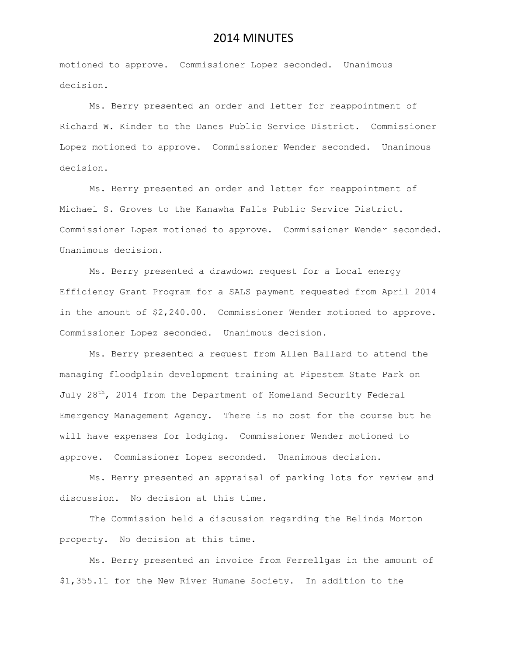motioned to approve. Commissioner Lopez seconded. Unanimous decision.

Ms. Berry presented an order and letter for reappointment of Richard W. Kinder to the Danes Public Service District. Commissioner Lopez motioned to approve. Commissioner Wender seconded. Unanimous decision.

Ms. Berry presented an order and letter for reappointment of Michael S. Groves to the Kanawha Falls Public Service District. Commissioner Lopez motioned to approve. Commissioner Wender seconded. Unanimous decision.

Ms. Berry presented a drawdown request for a Local energy Efficiency Grant Program for a SALS payment requested from April 2014 in the amount of \$2,240.00. Commissioner Wender motioned to approve. Commissioner Lopez seconded. Unanimous decision.

Ms. Berry presented a request from Allen Ballard to attend the managing floodplain development training at Pipestem State Park on July  $28^{th}$ , 2014 from the Department of Homeland Security Federal Emergency Management Agency. There is no cost for the course but he will have expenses for lodging. Commissioner Wender motioned to approve. Commissioner Lopez seconded. Unanimous decision.

Ms. Berry presented an appraisal of parking lots for review and discussion. No decision at this time.

The Commission held a discussion regarding the Belinda Morton property. No decision at this time.

Ms. Berry presented an invoice from Ferrellgas in the amount of \$1,355.11 for the New River Humane Society. In addition to the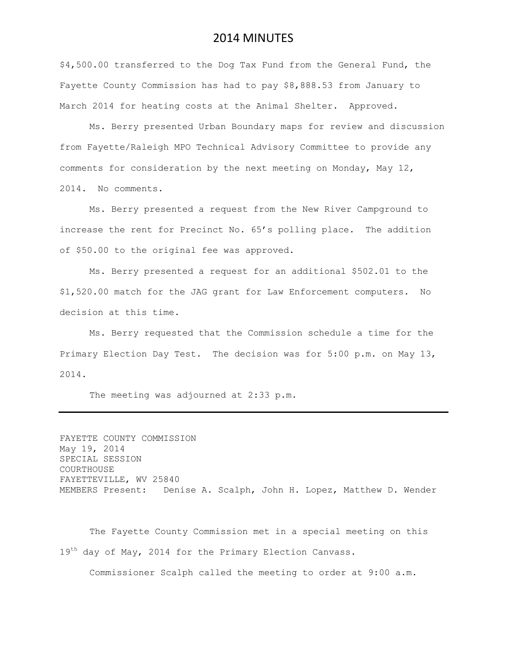\$4,500.00 transferred to the Dog Tax Fund from the General Fund, the Fayette County Commission has had to pay \$8,888.53 from January to March 2014 for heating costs at the Animal Shelter. Approved.

Ms. Berry presented Urban Boundary maps for review and discussion from Fayette/Raleigh MPO Technical Advisory Committee to provide any comments for consideration by the next meeting on Monday, May 12, 2014. No comments.

Ms. Berry presented a request from the New River Campground to increase the rent for Precinct No. 65's polling place. The addition of \$50.00 to the original fee was approved.

Ms. Berry presented a request for an additional \$502.01 to the \$1,520.00 match for the JAG grant for Law Enforcement computers. No decision at this time.

Ms. Berry requested that the Commission schedule a time for the Primary Election Day Test. The decision was for 5:00 p.m. on May 13, 2014.

The meeting was adjourned at 2:33 p.m.

FAYETTE COUNTY COMMISSION May 19, 2014 SPECIAL SESSION COURTHOUSE FAYETTEVILLE, WV 25840 MEMBERS Present: Denise A. Scalph, John H. Lopez, Matthew D. Wender

The Fayette County Commission met in a special meeting on this 19<sup>th</sup> day of May, 2014 for the Primary Election Canvass.

Commissioner Scalph called the meeting to order at 9:00 a.m.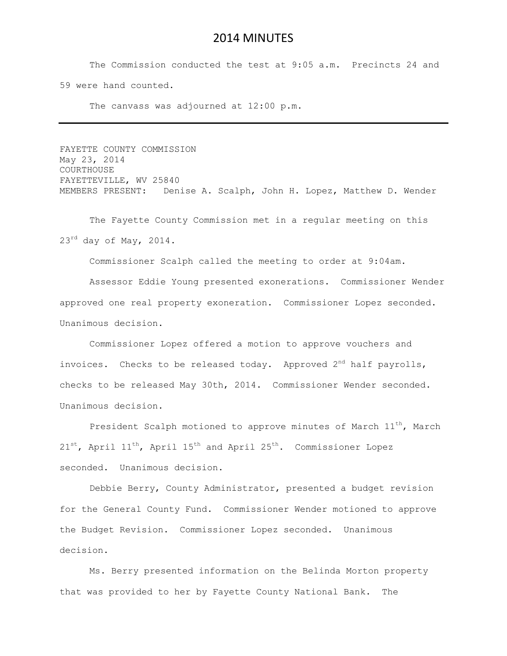The Commission conducted the test at 9:05 a.m. Precincts 24 and 59 were hand counted.

The canvass was adjourned at 12:00 p.m.

FAYETTE COUNTY COMMISSION May 23, 2014 COURTHOUSE FAYETTEVILLE, WV 25840 MEMBERS PRESENT: Denise A. Scalph, John H. Lopez, Matthew D. Wender

The Fayette County Commission met in a regular meeting on this  $23^{rd}$  day of May, 2014.

Commissioner Scalph called the meeting to order at 9:04am.

Assessor Eddie Young presented exonerations. Commissioner Wender approved one real property exoneration. Commissioner Lopez seconded. Unanimous decision.

Commissioner Lopez offered a motion to approve vouchers and invoices. Checks to be released today. Approved 2<sup>nd</sup> half payrolls, checks to be released May 30th, 2014. Commissioner Wender seconded. Unanimous decision.

President Scalph motioned to approve minutes of March 11<sup>th</sup>, March  $21^{st}$ , April  $11^{th}$ , April  $15^{th}$  and April  $25^{th}$ . Commissioner Lopez seconded. Unanimous decision.

Debbie Berry, County Administrator, presented a budget revision for the General County Fund. Commissioner Wender motioned to approve the Budget Revision. Commissioner Lopez seconded. Unanimous decision.

Ms. Berry presented information on the Belinda Morton property that was provided to her by Fayette County National Bank. The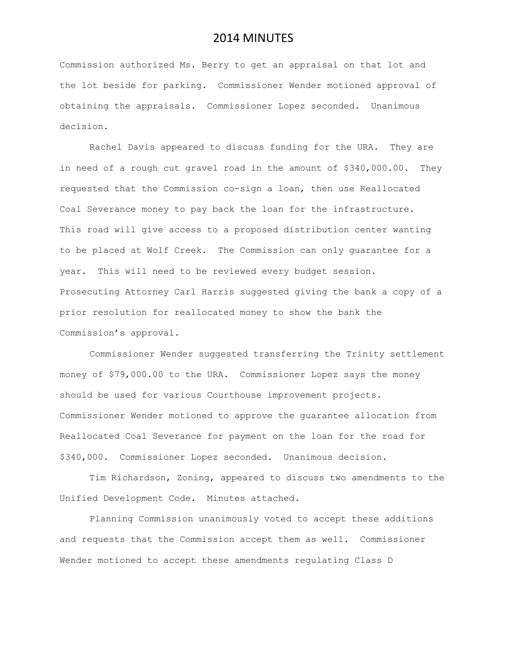Commission authorized Ms. Berry to get an appraisal on that lot and the lot beside for parking. Commissioner Wender motioned approval of obtaining the appraisals. Commissioner Lopez seconded. Unanimous decision.

Rachel Davis appeared to discuss funding for the URA. They are in need of a rough cut gravel road in the amount of \$340,000.00. They requested that the Commission co-sign a loan, then use Reallocated Coal Severance money to pay back the loan for the infrastructure. This road will give access to a proposed distribution center wanting to be placed at Wolf Creek. The Commission can only guarantee for a year. This will need to be reviewed every budget session. Prosecuting Attorney Carl Harris suggested giving the bank a copy of a prior resolution for reallocated money to show the bank the Commission's approval.

Commissioner Wender suggested transferring the Trinity settlement money of \$79,000.00 to the URA. Commissioner Lopez says the money should be used for various Courthouse improvement projects. Commissioner Wender motioned to approve the guarantee allocation from Reallocated Coal Severance for payment on the loan for the road for \$340,000. Commissioner Lopez seconded. Unanimous decision.

Tim Richardson, Zoning, appeared to discuss two amendments to the Unified Development Code. Minutes attached.

Planning Commission unanimously voted to accept these additions and requests that the Commission accept them as well. Commissioner Wender motioned to accept these amendments regulating Class D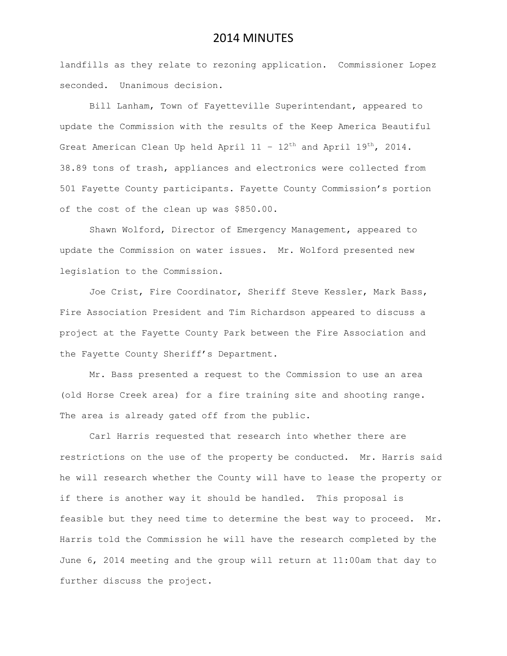landfills as they relate to rezoning application. Commissioner Lopez seconded. Unanimous decision.

Bill Lanham, Town of Fayetteville Superintendant, appeared to update the Commission with the results of the Keep America Beautiful Great American Clean Up held April  $11 - 12^{th}$  and April  $19^{th}$ , 2014. 38.89 tons of trash, appliances and electronics were collected from 501 Fayette County participants. Fayette County Commission's portion of the cost of the clean up was \$850.00.

Shawn Wolford, Director of Emergency Management, appeared to update the Commission on water issues. Mr. Wolford presented new legislation to the Commission.

Joe Crist, Fire Coordinator, Sheriff Steve Kessler, Mark Bass, Fire Association President and Tim Richardson appeared to discuss a project at the Fayette County Park between the Fire Association and the Fayette County Sheriff's Department.

Mr. Bass presented a request to the Commission to use an area (old Horse Creek area) for a fire training site and shooting range. The area is already gated off from the public.

Carl Harris requested that research into whether there are restrictions on the use of the property be conducted. Mr. Harris said he will research whether the County will have to lease the property or if there is another way it should be handled. This proposal is feasible but they need time to determine the best way to proceed. Mr. Harris told the Commission he will have the research completed by the June 6, 2014 meeting and the group will return at 11:00am that day to further discuss the project.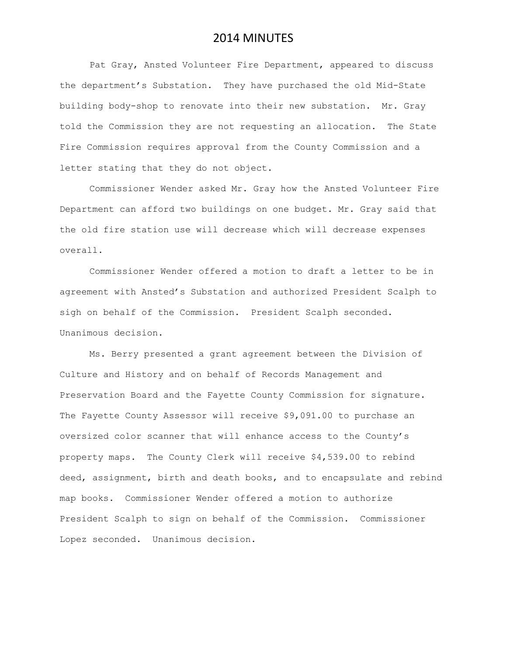Pat Gray, Ansted Volunteer Fire Department, appeared to discuss the department's Substation. They have purchased the old Mid-State building body-shop to renovate into their new substation. Mr. Gray told the Commission they are not requesting an allocation. The State Fire Commission requires approval from the County Commission and a letter stating that they do not object.

Commissioner Wender asked Mr. Gray how the Ansted Volunteer Fire Department can afford two buildings on one budget. Mr. Gray said that the old fire station use will decrease which will decrease expenses overall.

Commissioner Wender offered a motion to draft a letter to be in agreement with Ansted's Substation and authorized President Scalph to sigh on behalf of the Commission. President Scalph seconded. Unanimous decision.

Ms. Berry presented a grant agreement between the Division of Culture and History and on behalf of Records Management and Preservation Board and the Fayette County Commission for signature. The Fayette County Assessor will receive \$9,091.00 to purchase an oversized color scanner that will enhance access to the County's property maps. The County Clerk will receive \$4,539.00 to rebind deed, assignment, birth and death books, and to encapsulate and rebind map books. Commissioner Wender offered a motion to authorize President Scalph to sign on behalf of the Commission. Commissioner Lopez seconded. Unanimous decision.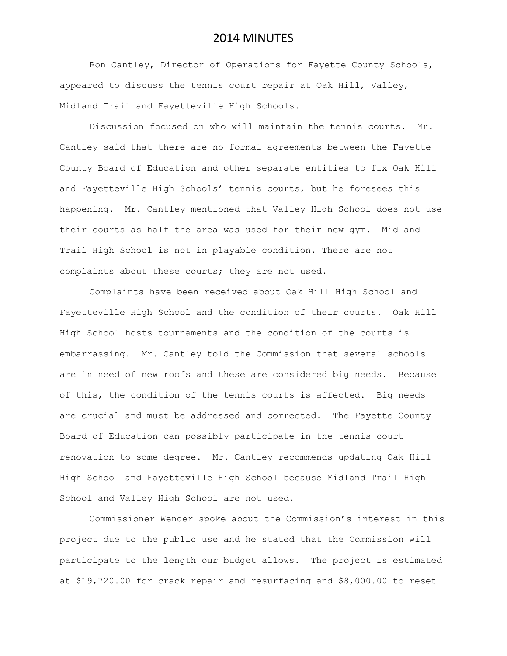Ron Cantley, Director of Operations for Fayette County Schools, appeared to discuss the tennis court repair at Oak Hill, Valley, Midland Trail and Fayetteville High Schools.

Discussion focused on who will maintain the tennis courts. Mr. Cantley said that there are no formal agreements between the Fayette County Board of Education and other separate entities to fix Oak Hill and Fayetteville High Schools' tennis courts, but he foresees this happening. Mr. Cantley mentioned that Valley High School does not use their courts as half the area was used for their new gym. Midland Trail High School is not in playable condition. There are not complaints about these courts; they are not used.

Complaints have been received about Oak Hill High School and Fayetteville High School and the condition of their courts. Oak Hill High School hosts tournaments and the condition of the courts is embarrassing. Mr. Cantley told the Commission that several schools are in need of new roofs and these are considered big needs. Because of this, the condition of the tennis courts is affected. Big needs are crucial and must be addressed and corrected. The Fayette County Board of Education can possibly participate in the tennis court renovation to some degree. Mr. Cantley recommends updating Oak Hill High School and Fayetteville High School because Midland Trail High School and Valley High School are not used.

Commissioner Wender spoke about the Commission's interest in this project due to the public use and he stated that the Commission will participate to the length our budget allows. The project is estimated at \$19,720.00 for crack repair and resurfacing and \$8,000.00 to reset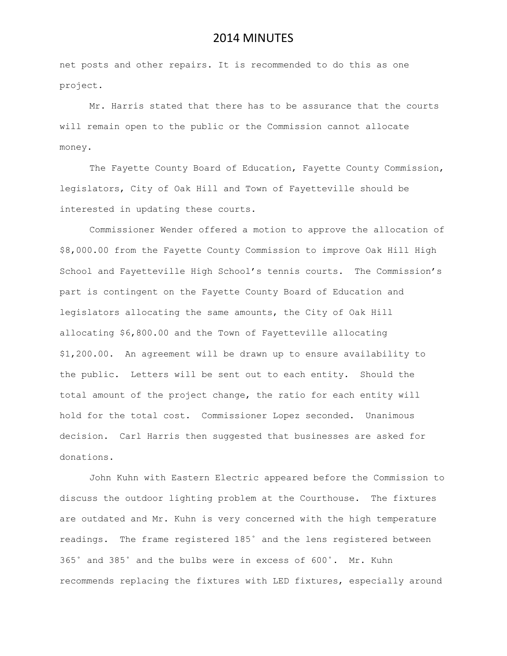net posts and other repairs. It is recommended to do this as one project.

Mr. Harris stated that there has to be assurance that the courts will remain open to the public or the Commission cannot allocate money.

The Fayette County Board of Education, Fayette County Commission, legislators, City of Oak Hill and Town of Fayetteville should be interested in updating these courts.

Commissioner Wender offered a motion to approve the allocation of \$8,000.00 from the Fayette County Commission to improve Oak Hill High School and Fayetteville High School's tennis courts. The Commission's part is contingent on the Fayette County Board of Education and legislators allocating the same amounts, the City of Oak Hill allocating \$6,800.00 and the Town of Fayetteville allocating \$1,200.00. An agreement will be drawn up to ensure availability to the public. Letters will be sent out to each entity. Should the total amount of the project change, the ratio for each entity will hold for the total cost. Commissioner Lopez seconded. Unanimous decision. Carl Harris then suggested that businesses are asked for donations.

John Kuhn with Eastern Electric appeared before the Commission to discuss the outdoor lighting problem at the Courthouse. The fixtures are outdated and Mr. Kuhn is very concerned with the high temperature readings. The frame registered 185˚ and the lens registered between 365˚ and 385˚ and the bulbs were in excess of 600˚. Mr. Kuhn recommends replacing the fixtures with LED fixtures, especially around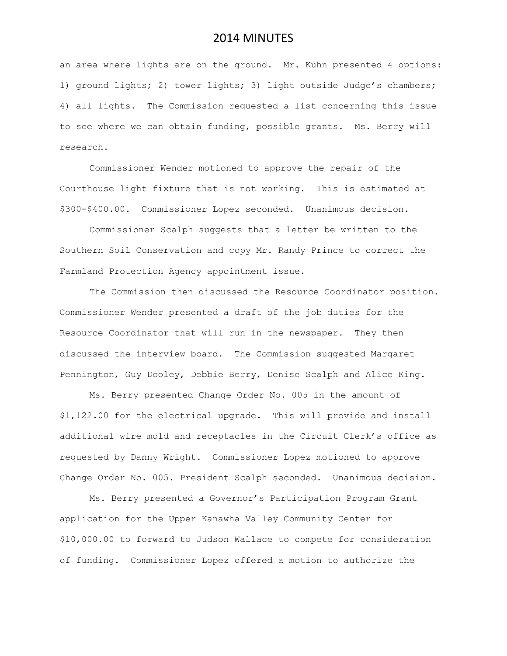an area where lights are on the ground. Mr. Kuhn presented 4 options: 1) ground lights; 2) tower lights; 3) light outside Judge's chambers; 4) all lights. The Commission requested a list concerning this issue to see where we can obtain funding, possible grants. Ms. Berry will research.

Commissioner Wender motioned to approve the repair of the Courthouse light fixture that is not working. This is estimated at \$300-\$400.00. Commissioner Lopez seconded. Unanimous decision.

Commissioner Scalph suggests that a letter be written to the Southern Soil Conservation and copy Mr. Randy Prince to correct the Farmland Protection Agency appointment issue.

The Commission then discussed the Resource Coordinator position. Commissioner Wender presented a draft of the job duties for the Resource Coordinator that will run in the newspaper. They then discussed the interview board. The Commission suggested Margaret Pennington, Guy Dooley, Debbie Berry, Denise Scalph and Alice King.

Ms. Berry presented Change Order No. 005 in the amount of \$1,122.00 for the electrical upgrade. This will provide and install additional wire mold and receptacles in the Circuit Clerk's office as requested by Danny Wright. Commissioner Lopez motioned to approve Change Order No. 005. President Scalph seconded. Unanimous decision.

Ms. Berry presented a Governor's Participation Program Grant application for the Upper Kanawha Valley Community Center for \$10,000.00 to forward to Judson Wallace to compete for consideration of funding. Commissioner Lopez offered a motion to authorize the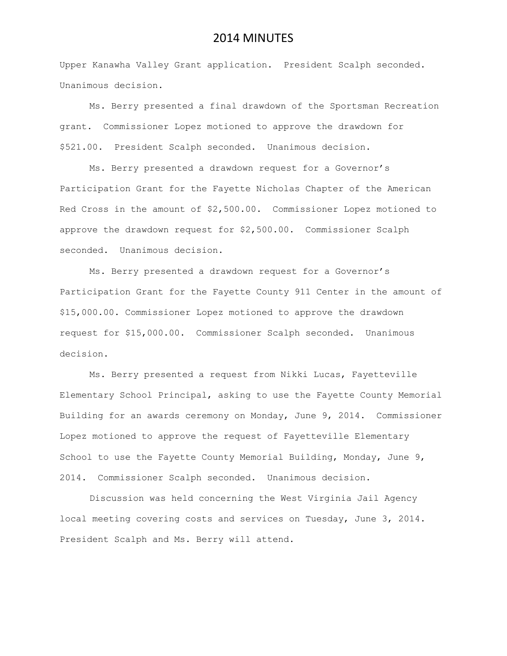Upper Kanawha Valley Grant application. President Scalph seconded. Unanimous decision.

Ms. Berry presented a final drawdown of the Sportsman Recreation grant. Commissioner Lopez motioned to approve the drawdown for \$521.00. President Scalph seconded. Unanimous decision.

Ms. Berry presented a drawdown request for a Governor's Participation Grant for the Fayette Nicholas Chapter of the American Red Cross in the amount of \$2,500.00. Commissioner Lopez motioned to approve the drawdown request for \$2,500.00. Commissioner Scalph seconded. Unanimous decision.

Ms. Berry presented a drawdown request for a Governor's Participation Grant for the Fayette County 911 Center in the amount of \$15,000.00. Commissioner Lopez motioned to approve the drawdown request for \$15,000.00. Commissioner Scalph seconded. Unanimous decision.

Ms. Berry presented a request from Nikki Lucas, Fayetteville Elementary School Principal, asking to use the Fayette County Memorial Building for an awards ceremony on Monday, June 9, 2014. Commissioner Lopez motioned to approve the request of Fayetteville Elementary School to use the Fayette County Memorial Building, Monday, June 9, 2014. Commissioner Scalph seconded. Unanimous decision.

Discussion was held concerning the West Virginia Jail Agency local meeting covering costs and services on Tuesday, June 3, 2014. President Scalph and Ms. Berry will attend.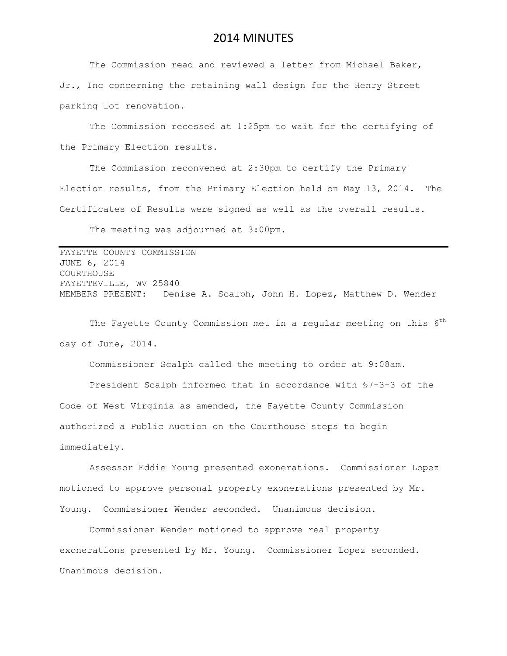The Commission read and reviewed a letter from Michael Baker, Jr., Inc concerning the retaining wall design for the Henry Street parking lot renovation.

The Commission recessed at 1:25pm to wait for the certifying of the Primary Election results.

The Commission reconvened at 2:30pm to certify the Primary Election results, from the Primary Election held on May 13, 2014. The Certificates of Results were signed as well as the overall results.

The meeting was adjourned at 3:00pm.

FAYETTE COUNTY COMMISSION JUNE 6, 2014 COURTHOUSE FAYETTEVILLE, WV 25840 MEMBERS PRESENT: Denise A. Scalph, John H. Lopez, Matthew D. Wender

The Fayette County Commission met in a regular meeting on this  $6^{\text{th}}$ day of June, 2014.

Commissioner Scalph called the meeting to order at 9:08am.

President Scalph informed that in accordance with §7-3-3 of the Code of West Virginia as amended, the Fayette County Commission authorized a Public Auction on the Courthouse steps to begin immediately.

Assessor Eddie Young presented exonerations. Commissioner Lopez motioned to approve personal property exonerations presented by Mr. Young. Commissioner Wender seconded. Unanimous decision.

Commissioner Wender motioned to approve real property exonerations presented by Mr. Young. Commissioner Lopez seconded. Unanimous decision.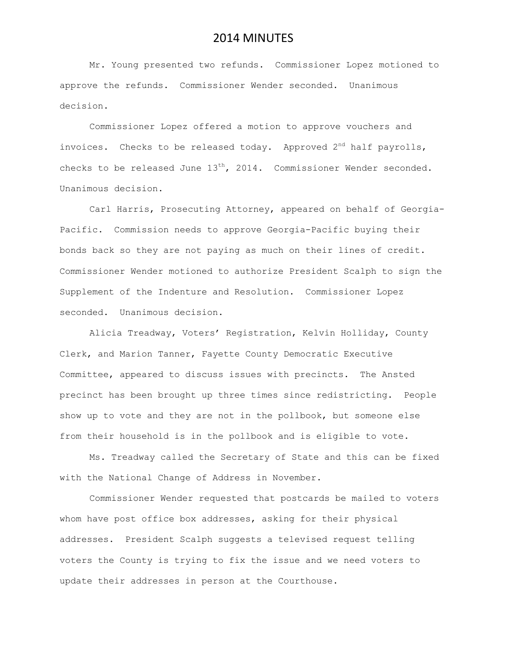Mr. Young presented two refunds. Commissioner Lopez motioned to approve the refunds. Commissioner Wender seconded. Unanimous decision.

Commissioner Lopez offered a motion to approve vouchers and invoices. Checks to be released today. Approved 2<sup>nd</sup> half payrolls, checks to be released June  $13<sup>th</sup>$ , 2014. Commissioner Wender seconded. Unanimous decision.

Carl Harris, Prosecuting Attorney, appeared on behalf of Georgia-Pacific. Commission needs to approve Georgia-Pacific buying their bonds back so they are not paying as much on their lines of credit. Commissioner Wender motioned to authorize President Scalph to sign the Supplement of the Indenture and Resolution. Commissioner Lopez seconded. Unanimous decision.

Alicia Treadway, Voters' Registration, Kelvin Holliday, County Clerk, and Marion Tanner, Fayette County Democratic Executive Committee, appeared to discuss issues with precincts. The Ansted precinct has been brought up three times since redistricting. People show up to vote and they are not in the pollbook, but someone else from their household is in the pollbook and is eligible to vote.

Ms. Treadway called the Secretary of State and this can be fixed with the National Change of Address in November.

Commissioner Wender requested that postcards be mailed to voters whom have post office box addresses, asking for their physical addresses. President Scalph suggests a televised request telling voters the County is trying to fix the issue and we need voters to update their addresses in person at the Courthouse.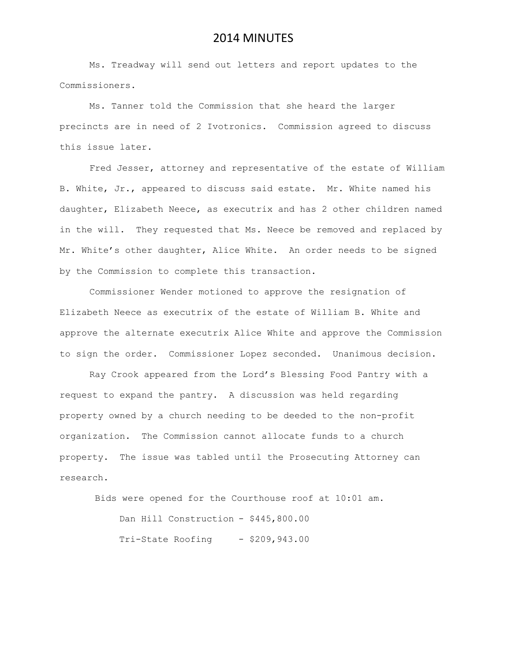Ms. Treadway will send out letters and report updates to the Commissioners.

Ms. Tanner told the Commission that she heard the larger precincts are in need of 2 Ivotronics. Commission agreed to discuss this issue later.

Fred Jesser, attorney and representative of the estate of William B. White, Jr., appeared to discuss said estate. Mr. White named his daughter, Elizabeth Neece, as executrix and has 2 other children named in the will. They requested that Ms. Neece be removed and replaced by Mr. White's other daughter, Alice White. An order needs to be signed by the Commission to complete this transaction.

Commissioner Wender motioned to approve the resignation of Elizabeth Neece as executrix of the estate of William B. White and approve the alternate executrix Alice White and approve the Commission to sign the order. Commissioner Lopez seconded. Unanimous decision.

Ray Crook appeared from the Lord's Blessing Food Pantry with a request to expand the pantry. A discussion was held regarding property owned by a church needing to be deeded to the non-profit organization. The Commission cannot allocate funds to a church property. The issue was tabled until the Prosecuting Attorney can research.

Bids were opened for the Courthouse roof at 10:01 am.

Dan Hill Construction - \$445,800.00 Tri-State Roofing - \$209,943.00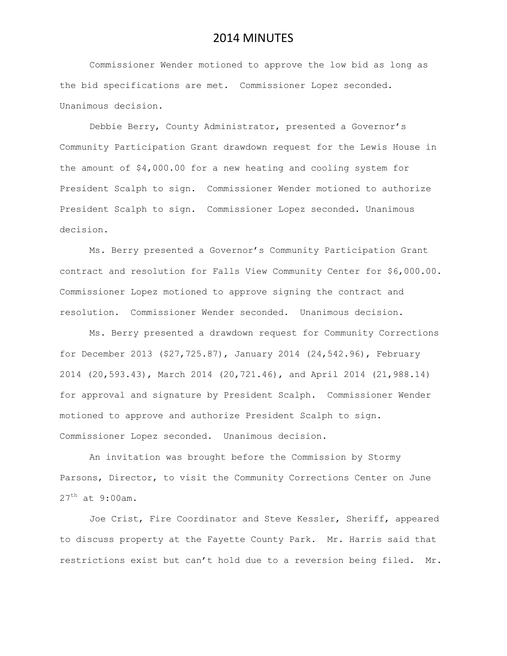Commissioner Wender motioned to approve the low bid as long as the bid specifications are met. Commissioner Lopez seconded. Unanimous decision.

Debbie Berry, County Administrator, presented a Governor's Community Participation Grant drawdown request for the Lewis House in the amount of \$4,000.00 for a new heating and cooling system for President Scalph to sign. Commissioner Wender motioned to authorize President Scalph to sign. Commissioner Lopez seconded. Unanimous decision.

Ms. Berry presented a Governor's Community Participation Grant contract and resolution for Falls View Community Center for \$6,000.00. Commissioner Lopez motioned to approve signing the contract and resolution. Commissioner Wender seconded. Unanimous decision.

Ms. Berry presented a drawdown request for Community Corrections for December 2013 (\$27,725.87), January 2014 (24,542.96), February 2014 (20,593.43), March 2014 (20,721.46), and April 2014 (21,988.14) for approval and signature by President Scalph. Commissioner Wender motioned to approve and authorize President Scalph to sign. Commissioner Lopez seconded. Unanimous decision.

An invitation was brought before the Commission by Stormy Parsons, Director, to visit the Community Corrections Center on June  $27^{th}$  at 9:00am.

Joe Crist, Fire Coordinator and Steve Kessler, Sheriff, appeared to discuss property at the Fayette County Park. Mr. Harris said that restrictions exist but can't hold due to a reversion being filed. Mr.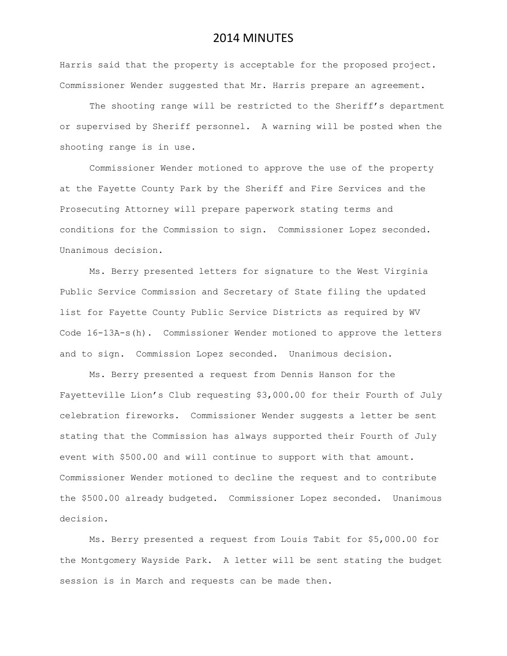Harris said that the property is acceptable for the proposed project. Commissioner Wender suggested that Mr. Harris prepare an agreement.

The shooting range will be restricted to the Sheriff's department or supervised by Sheriff personnel. A warning will be posted when the shooting range is in use.

Commissioner Wender motioned to approve the use of the property at the Fayette County Park by the Sheriff and Fire Services and the Prosecuting Attorney will prepare paperwork stating terms and conditions for the Commission to sign. Commissioner Lopez seconded. Unanimous decision.

Ms. Berry presented letters for signature to the West Virginia Public Service Commission and Secretary of State filing the updated list for Fayette County Public Service Districts as required by WV Code 16-13A-s(h). Commissioner Wender motioned to approve the letters and to sign. Commission Lopez seconded. Unanimous decision.

Ms. Berry presented a request from Dennis Hanson for the Fayetteville Lion's Club requesting \$3,000.00 for their Fourth of July celebration fireworks. Commissioner Wender suggests a letter be sent stating that the Commission has always supported their Fourth of July event with \$500.00 and will continue to support with that amount. Commissioner Wender motioned to decline the request and to contribute the \$500.00 already budgeted. Commissioner Lopez seconded. Unanimous decision.

Ms. Berry presented a request from Louis Tabit for \$5,000.00 for the Montgomery Wayside Park. A letter will be sent stating the budget session is in March and requests can be made then.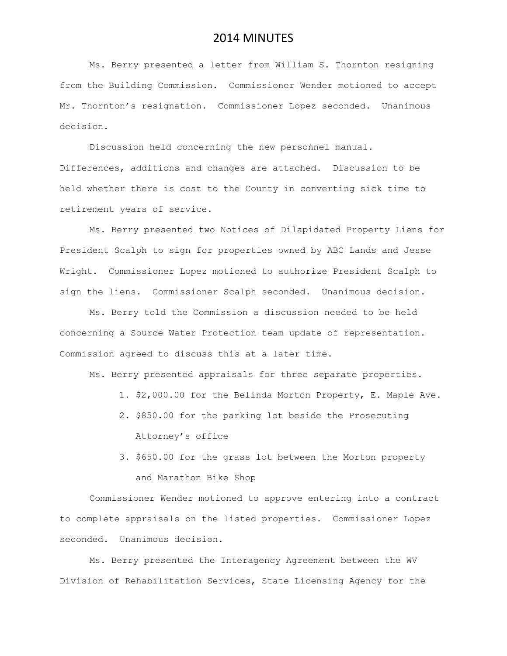Ms. Berry presented a letter from William S. Thornton resigning from the Building Commission. Commissioner Wender motioned to accept Mr. Thornton's resignation. Commissioner Lopez seconded. Unanimous decision.

Discussion held concerning the new personnel manual. Differences, additions and changes are attached. Discussion to be held whether there is cost to the County in converting sick time to retirement years of service.

Ms. Berry presented two Notices of Dilapidated Property Liens for President Scalph to sign for properties owned by ABC Lands and Jesse Wright. Commissioner Lopez motioned to authorize President Scalph to sign the liens. Commissioner Scalph seconded. Unanimous decision.

Ms. Berry told the Commission a discussion needed to be held concerning a Source Water Protection team update of representation. Commission agreed to discuss this at a later time.

Ms. Berry presented appraisals for three separate properties.

- 1. \$2,000.00 for the Belinda Morton Property, E. Maple Ave.
- 2. \$850.00 for the parking lot beside the Prosecuting Attorney's office
- 3. \$650.00 for the grass lot between the Morton property and Marathon Bike Shop

Commissioner Wender motioned to approve entering into a contract to complete appraisals on the listed properties. Commissioner Lopez seconded. Unanimous decision.

Ms. Berry presented the Interagency Agreement between the WV Division of Rehabilitation Services, State Licensing Agency for the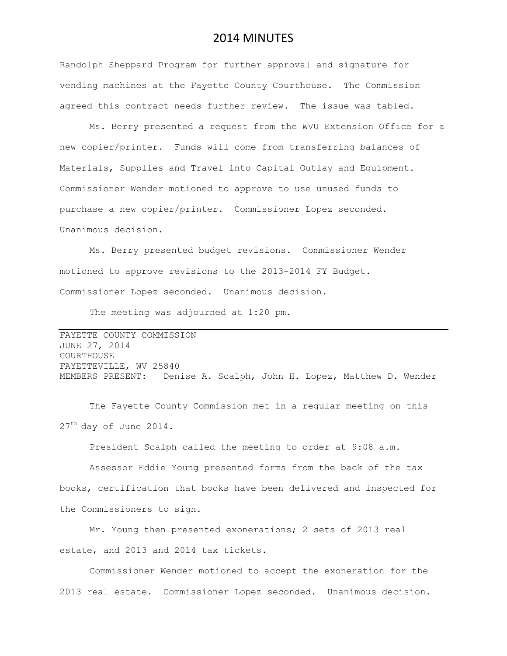Randolph Sheppard Program for further approval and signature for vending machines at the Fayette County Courthouse. The Commission agreed this contract needs further review. The issue was tabled.

Ms. Berry presented a request from the WVU Extension Office for a new copier/printer. Funds will come from transferring balances of Materials, Supplies and Travel into Capital Outlay and Equipment. Commissioner Wender motioned to approve to use unused funds to purchase a new copier/printer. Commissioner Lopez seconded. Unanimous decision.

Ms. Berry presented budget revisions. Commissioner Wender motioned to approve revisions to the 2013-2014 FY Budget. Commissioner Lopez seconded. Unanimous decision.

The meeting was adjourned at 1:20 pm.

FAYETTE COUNTY COMMISSION JUNE 27, 2014 COURTHOUSE FAYETTEVILLE, WV 25840 MEMBERS PRESENT: Denise A. Scalph, John H. Lopez, Matthew D. Wender

The Fayette County Commission met in a regular meeting on this  $27<sup>th</sup>$  day of June 2014.

President Scalph called the meeting to order at 9:08 a.m.

Assessor Eddie Young presented forms from the back of the tax books, certification that books have been delivered and inspected for the Commissioners to sign.

Mr. Young then presented exonerations; 2 sets of 2013 real estate, and 2013 and 2014 tax tickets.

Commissioner Wender motioned to accept the exoneration for the 2013 real estate. Commissioner Lopez seconded. Unanimous decision.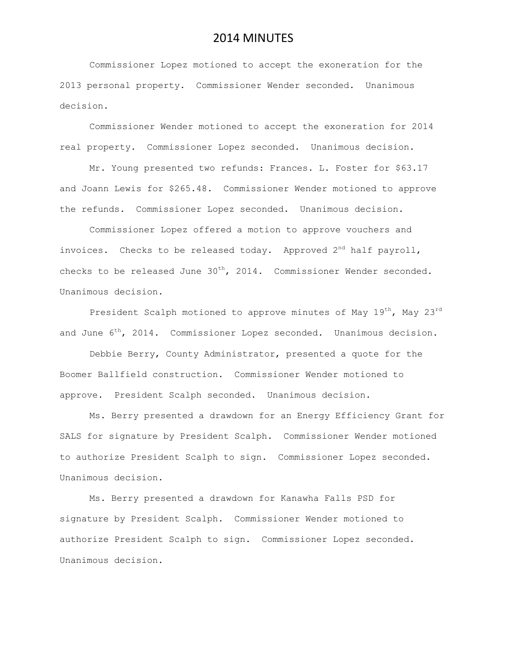Commissioner Lopez motioned to accept the exoneration for the 2013 personal property. Commissioner Wender seconded. Unanimous decision.

Commissioner Wender motioned to accept the exoneration for 2014 real property. Commissioner Lopez seconded. Unanimous decision.

Mr. Young presented two refunds: Frances. L. Foster for \$63.17 and Joann Lewis for \$265.48. Commissioner Wender motioned to approve the refunds. Commissioner Lopez seconded. Unanimous decision.

Commissioner Lopez offered a motion to approve vouchers and invoices. Checks to be released today. Approved 2<sup>nd</sup> half payroll, checks to be released June  $30<sup>th</sup>$ , 2014. Commissioner Wender seconded. Unanimous decision.

President Scalph motioned to approve minutes of May  $19<sup>th</sup>$ , May  $23<sup>rd</sup>$ and June  $6^{th}$ , 2014. Commissioner Lopez seconded. Unanimous decision.

Debbie Berry, County Administrator, presented a quote for the Boomer Ballfield construction. Commissioner Wender motioned to approve. President Scalph seconded. Unanimous decision.

Ms. Berry presented a drawdown for an Energy Efficiency Grant for SALS for signature by President Scalph. Commissioner Wender motioned to authorize President Scalph to sign. Commissioner Lopez seconded. Unanimous decision.

Ms. Berry presented a drawdown for Kanawha Falls PSD for signature by President Scalph. Commissioner Wender motioned to authorize President Scalph to sign. Commissioner Lopez seconded. Unanimous decision.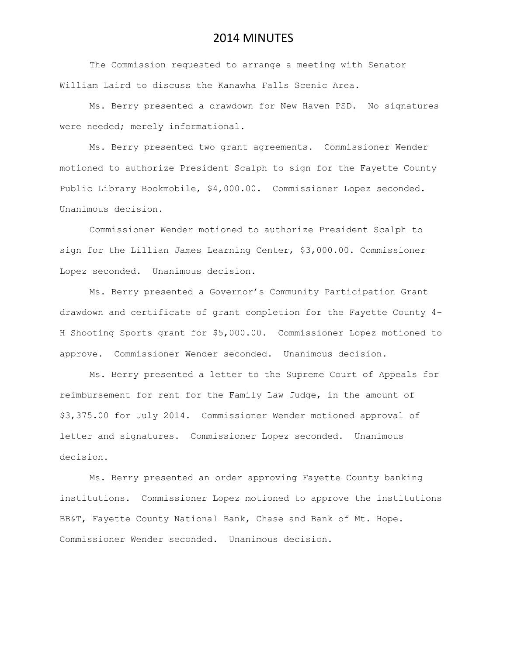The Commission requested to arrange a meeting with Senator William Laird to discuss the Kanawha Falls Scenic Area.

Ms. Berry presented a drawdown for New Haven PSD. No signatures were needed; merely informational.

Ms. Berry presented two grant agreements. Commissioner Wender motioned to authorize President Scalph to sign for the Fayette County Public Library Bookmobile, \$4,000.00. Commissioner Lopez seconded. Unanimous decision.

Commissioner Wender motioned to authorize President Scalph to sign for the Lillian James Learning Center, \$3,000.00. Commissioner Lopez seconded. Unanimous decision.

Ms. Berry presented a Governor's Community Participation Grant drawdown and certificate of grant completion for the Fayette County 4- H Shooting Sports grant for \$5,000.00. Commissioner Lopez motioned to approve. Commissioner Wender seconded. Unanimous decision.

Ms. Berry presented a letter to the Supreme Court of Appeals for reimbursement for rent for the Family Law Judge, in the amount of \$3,375.00 for July 2014. Commissioner Wender motioned approval of letter and signatures. Commissioner Lopez seconded. Unanimous decision.

Ms. Berry presented an order approving Fayette County banking institutions. Commissioner Lopez motioned to approve the institutions BB&T, Fayette County National Bank, Chase and Bank of Mt. Hope. Commissioner Wender seconded. Unanimous decision.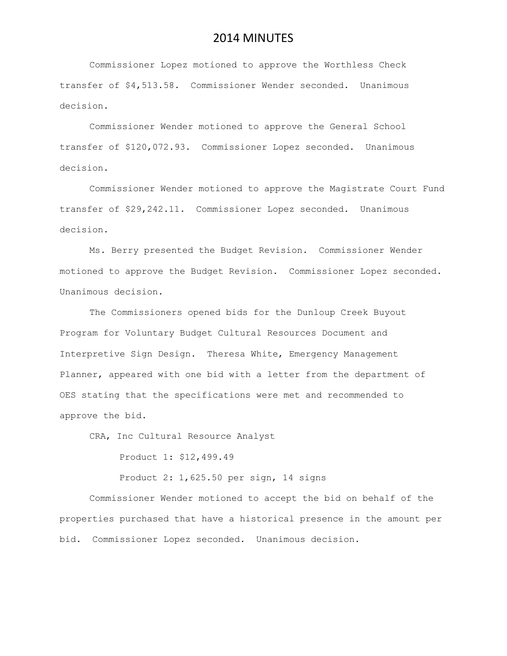Commissioner Lopez motioned to approve the Worthless Check transfer of \$4,513.58. Commissioner Wender seconded. Unanimous decision.

Commissioner Wender motioned to approve the General School transfer of \$120,072.93. Commissioner Lopez seconded. Unanimous decision.

Commissioner Wender motioned to approve the Magistrate Court Fund transfer of \$29,242.11. Commissioner Lopez seconded. Unanimous decision.

Ms. Berry presented the Budget Revision. Commissioner Wender motioned to approve the Budget Revision. Commissioner Lopez seconded. Unanimous decision.

The Commissioners opened bids for the Dunloup Creek Buyout Program for Voluntary Budget Cultural Resources Document and Interpretive Sign Design. Theresa White, Emergency Management Planner, appeared with one bid with a letter from the department of OES stating that the specifications were met and recommended to approve the bid.

CRA, Inc Cultural Resource Analyst

Product 1: \$12,499.49

Product 2: 1,625.50 per sign, 14 signs

Commissioner Wender motioned to accept the bid on behalf of the properties purchased that have a historical presence in the amount per bid. Commissioner Lopez seconded. Unanimous decision.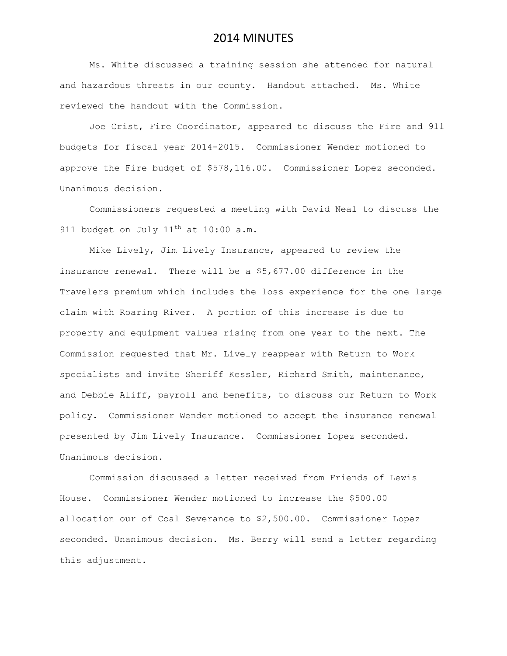Ms. White discussed a training session she attended for natural and hazardous threats in our county. Handout attached. Ms. White reviewed the handout with the Commission.

Joe Crist, Fire Coordinator, appeared to discuss the Fire and 911 budgets for fiscal year 2014-2015. Commissioner Wender motioned to approve the Fire budget of \$578,116.00. Commissioner Lopez seconded. Unanimous decision.

Commissioners requested a meeting with David Neal to discuss the 911 budget on July  $11^{\text{th}}$  at  $10:00$  a.m.

Mike Lively, Jim Lively Insurance, appeared to review the insurance renewal. There will be a \$5,677.00 difference in the Travelers premium which includes the loss experience for the one large claim with Roaring River. A portion of this increase is due to property and equipment values rising from one year to the next. The Commission requested that Mr. Lively reappear with Return to Work specialists and invite Sheriff Kessler, Richard Smith, maintenance, and Debbie Aliff, payroll and benefits, to discuss our Return to Work policy. Commissioner Wender motioned to accept the insurance renewal presented by Jim Lively Insurance. Commissioner Lopez seconded. Unanimous decision.

Commission discussed a letter received from Friends of Lewis House. Commissioner Wender motioned to increase the \$500.00 allocation our of Coal Severance to \$2,500.00. Commissioner Lopez seconded. Unanimous decision. Ms. Berry will send a letter regarding this adjustment.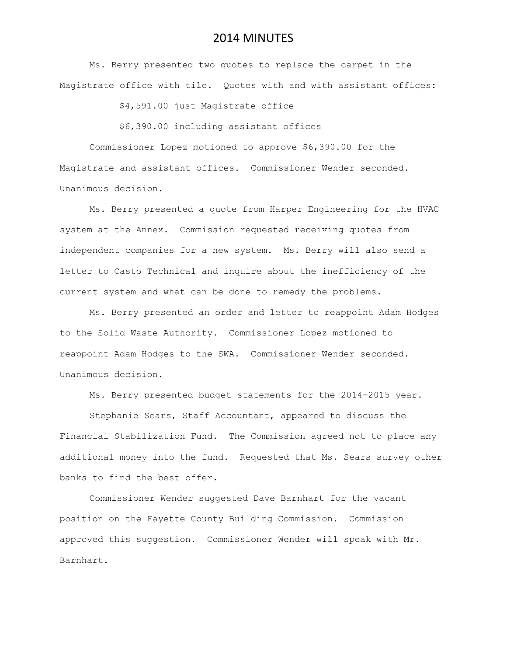Ms. Berry presented two quotes to replace the carpet in the Magistrate office with tile. Quotes with and with assistant offices:

\$4,591.00 just Magistrate office

\$6,390.00 including assistant offices

Commissioner Lopez motioned to approve \$6,390.00 for the Magistrate and assistant offices. Commissioner Wender seconded. Unanimous decision.

Ms. Berry presented a quote from Harper Engineering for the HVAC system at the Annex. Commission requested receiving quotes from independent companies for a new system. Ms. Berry will also send a letter to Casto Technical and inquire about the inefficiency of the current system and what can be done to remedy the problems.

Ms. Berry presented an order and letter to reappoint Adam Hodges to the Solid Waste Authority. Commissioner Lopez motioned to reappoint Adam Hodges to the SWA. Commissioner Wender seconded. Unanimous decision.

Ms. Berry presented budget statements for the 2014-2015 year.

Stephanie Sears, Staff Accountant, appeared to discuss the Financial Stabilization Fund. The Commission agreed not to place any additional money into the fund. Requested that Ms. Sears survey other banks to find the best offer.

Commissioner Wender suggested Dave Barnhart for the vacant position on the Fayette County Building Commission. Commission approved this suggestion. Commissioner Wender will speak with Mr. Barnhart.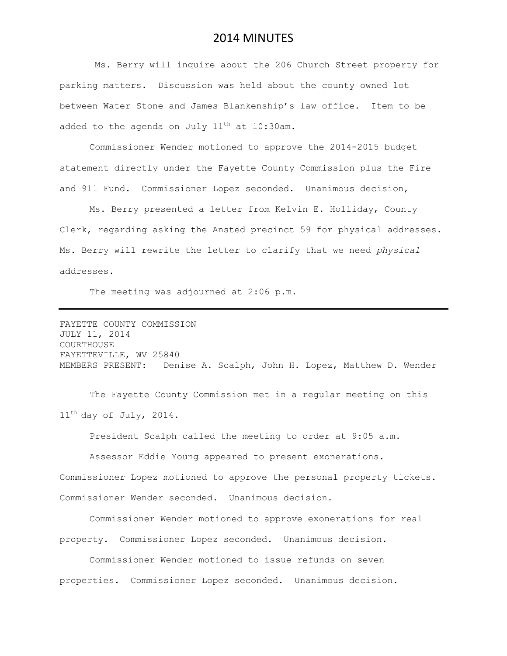Ms. Berry will inquire about the 206 Church Street property for parking matters. Discussion was held about the county owned lot between Water Stone and James Blankenship's law office. Item to be added to the agenda on July  $11^{th}$  at  $10:30$ am.

Commissioner Wender motioned to approve the 2014-2015 budget statement directly under the Fayette County Commission plus the Fire and 911 Fund. Commissioner Lopez seconded. Unanimous decision,

Ms. Berry presented a letter from Kelvin E. Holliday, County Clerk, regarding asking the Ansted precinct 59 for physical addresses. Ms. Berry will rewrite the letter to clarify that we need *physical* addresses.

The meeting was adjourned at 2:06 p.m.

#### FAYETTE COUNTY COMMISSION JULY 11, 2014 COURTHOUSE FAYETTEVILLE, WV 25840 MEMBERS PRESENT: Denise A. Scalph, John H. Lopez, Matthew D. Wender

The Fayette County Commission met in a regular meeting on this 11<sup>th</sup> day of July, 2014.

President Scalph called the meeting to order at 9:05 a.m.

Assessor Eddie Young appeared to present exonerations.

Commissioner Lopez motioned to approve the personal property tickets. Commissioner Wender seconded. Unanimous decision.

Commissioner Wender motioned to approve exonerations for real property. Commissioner Lopez seconded. Unanimous decision.

Commissioner Wender motioned to issue refunds on seven properties. Commissioner Lopez seconded. Unanimous decision.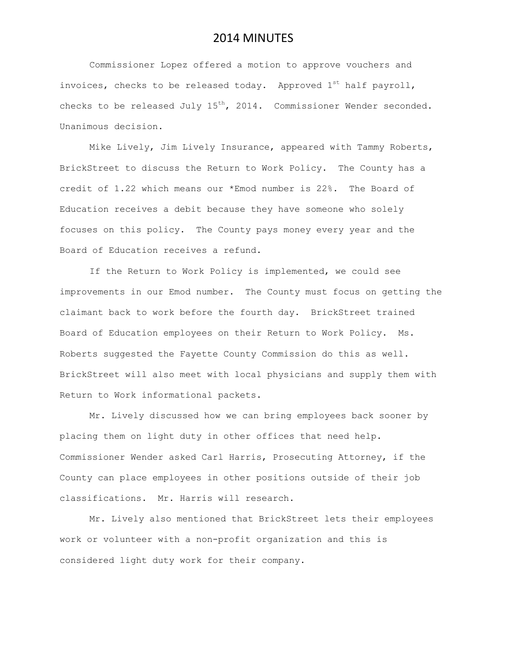Commissioner Lopez offered a motion to approve vouchers and invoices, checks to be released today. Approved  $1^{st}$  half payroll, checks to be released July  $15^{th}$ , 2014. Commissioner Wender seconded. Unanimous decision.

Mike Lively, Jim Lively Insurance, appeared with Tammy Roberts, BrickStreet to discuss the Return to Work Policy. The County has a credit of 1.22 which means our \*Emod number is 22%. The Board of Education receives a debit because they have someone who solely focuses on this policy. The County pays money every year and the Board of Education receives a refund.

If the Return to Work Policy is implemented, we could see improvements in our Emod number. The County must focus on getting the claimant back to work before the fourth day. BrickStreet trained Board of Education employees on their Return to Work Policy. Ms. Roberts suggested the Fayette County Commission do this as well. BrickStreet will also meet with local physicians and supply them with Return to Work informational packets.

Mr. Lively discussed how we can bring employees back sooner by placing them on light duty in other offices that need help. Commissioner Wender asked Carl Harris, Prosecuting Attorney, if the County can place employees in other positions outside of their job classifications. Mr. Harris will research.

Mr. Lively also mentioned that BrickStreet lets their employees work or volunteer with a non-profit organization and this is considered light duty work for their company.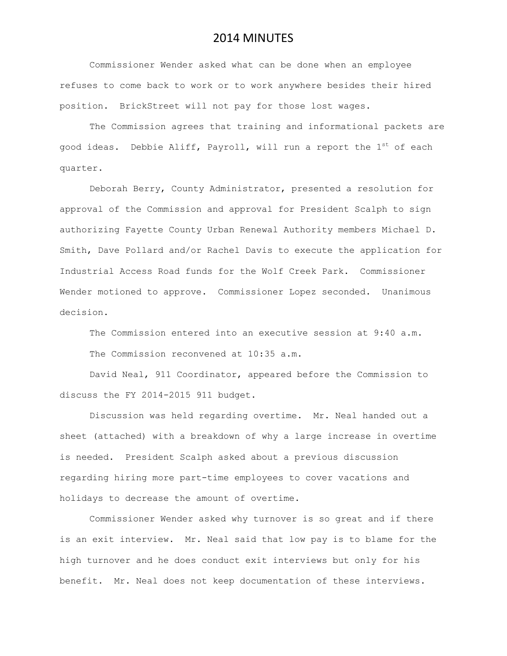Commissioner Wender asked what can be done when an employee refuses to come back to work or to work anywhere besides their hired position. BrickStreet will not pay for those lost wages.

The Commission agrees that training and informational packets are good ideas. Debbie Aliff, Payroll, will run a report the  $1^{st}$  of each quarter.

Deborah Berry, County Administrator, presented a resolution for approval of the Commission and approval for President Scalph to sign authorizing Fayette County Urban Renewal Authority members Michael D. Smith, Dave Pollard and/or Rachel Davis to execute the application for Industrial Access Road funds for the Wolf Creek Park. Commissioner Wender motioned to approve. Commissioner Lopez seconded. Unanimous decision.

The Commission entered into an executive session at 9:40 a.m. The Commission reconvened at 10:35 a.m.

David Neal, 911 Coordinator, appeared before the Commission to discuss the FY 2014-2015 911 budget.

Discussion was held regarding overtime. Mr. Neal handed out a sheet (attached) with a breakdown of why a large increase in overtime is needed. President Scalph asked about a previous discussion regarding hiring more part-time employees to cover vacations and holidays to decrease the amount of overtime.

Commissioner Wender asked why turnover is so great and if there is an exit interview. Mr. Neal said that low pay is to blame for the high turnover and he does conduct exit interviews but only for his benefit. Mr. Neal does not keep documentation of these interviews.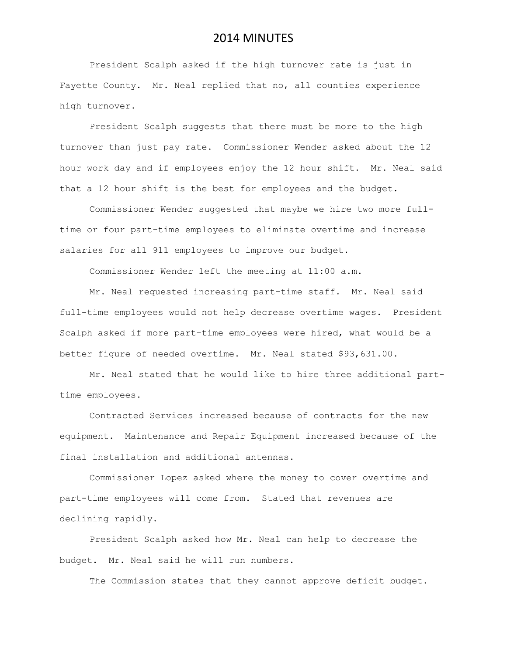President Scalph asked if the high turnover rate is just in Fayette County. Mr. Neal replied that no, all counties experience high turnover.

President Scalph suggests that there must be more to the high turnover than just pay rate. Commissioner Wender asked about the 12 hour work day and if employees enjoy the 12 hour shift. Mr. Neal said that a 12 hour shift is the best for employees and the budget.

Commissioner Wender suggested that maybe we hire two more fulltime or four part-time employees to eliminate overtime and increase salaries for all 911 employees to improve our budget.

Commissioner Wender left the meeting at 11:00 a.m.

Mr. Neal requested increasing part-time staff. Mr. Neal said full-time employees would not help decrease overtime wages. President Scalph asked if more part-time employees were hired, what would be a better figure of needed overtime. Mr. Neal stated \$93,631.00.

Mr. Neal stated that he would like to hire three additional parttime employees.

Contracted Services increased because of contracts for the new equipment. Maintenance and Repair Equipment increased because of the final installation and additional antennas.

Commissioner Lopez asked where the money to cover overtime and part-time employees will come from. Stated that revenues are declining rapidly.

President Scalph asked how Mr. Neal can help to decrease the budget. Mr. Neal said he will run numbers.

The Commission states that they cannot approve deficit budget.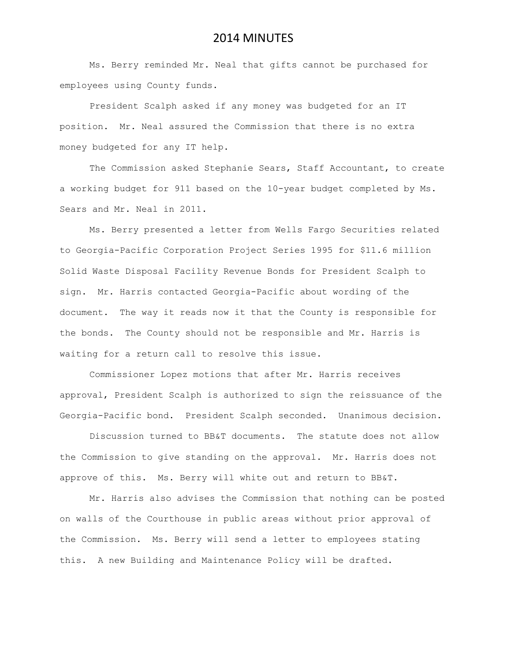Ms. Berry reminded Mr. Neal that gifts cannot be purchased for employees using County funds.

President Scalph asked if any money was budgeted for an IT position. Mr. Neal assured the Commission that there is no extra money budgeted for any IT help.

The Commission asked Stephanie Sears, Staff Accountant, to create a working budget for 911 based on the 10-year budget completed by Ms. Sears and Mr. Neal in 2011.

Ms. Berry presented a letter from Wells Fargo Securities related to Georgia-Pacific Corporation Project Series 1995 for \$11.6 million Solid Waste Disposal Facility Revenue Bonds for President Scalph to sign. Mr. Harris contacted Georgia-Pacific about wording of the document. The way it reads now it that the County is responsible for the bonds. The County should not be responsible and Mr. Harris is waiting for a return call to resolve this issue.

Commissioner Lopez motions that after Mr. Harris receives approval, President Scalph is authorized to sign the reissuance of the Georgia-Pacific bond. President Scalph seconded. Unanimous decision.

Discussion turned to BB&T documents. The statute does not allow the Commission to give standing on the approval. Mr. Harris does not approve of this. Ms. Berry will white out and return to BB&T.

Mr. Harris also advises the Commission that nothing can be posted on walls of the Courthouse in public areas without prior approval of the Commission. Ms. Berry will send a letter to employees stating this. A new Building and Maintenance Policy will be drafted.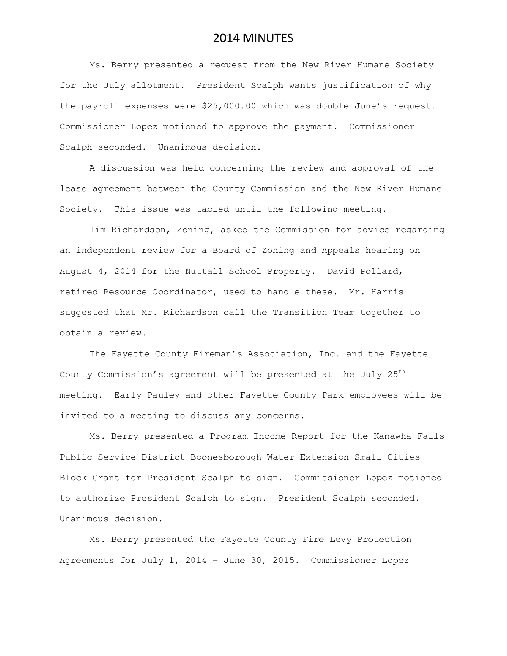Ms. Berry presented a request from the New River Humane Society for the July allotment. President Scalph wants justification of why the payroll expenses were \$25,000.00 which was double June's request. Commissioner Lopez motioned to approve the payment. Commissioner Scalph seconded. Unanimous decision.

A discussion was held concerning the review and approval of the lease agreement between the County Commission and the New River Humane Society. This issue was tabled until the following meeting.

Tim Richardson, Zoning, asked the Commission for advice regarding an independent review for a Board of Zoning and Appeals hearing on August 4, 2014 for the Nuttall School Property. David Pollard, retired Resource Coordinator, used to handle these. Mr. Harris suggested that Mr. Richardson call the Transition Team together to obtain a review.

The Fayette County Fireman's Association, Inc. and the Fayette County Commission's agreement will be presented at the July 25<sup>th</sup> meeting. Early Pauley and other Fayette County Park employees will be invited to a meeting to discuss any concerns.

Ms. Berry presented a Program Income Report for the Kanawha Falls Public Service District Boonesborough Water Extension Small Cities Block Grant for President Scalph to sign. Commissioner Lopez motioned to authorize President Scalph to sign. President Scalph seconded. Unanimous decision.

Ms. Berry presented the Fayette County Fire Levy Protection Agreements for July 1, 2014 – June 30, 2015. Commissioner Lopez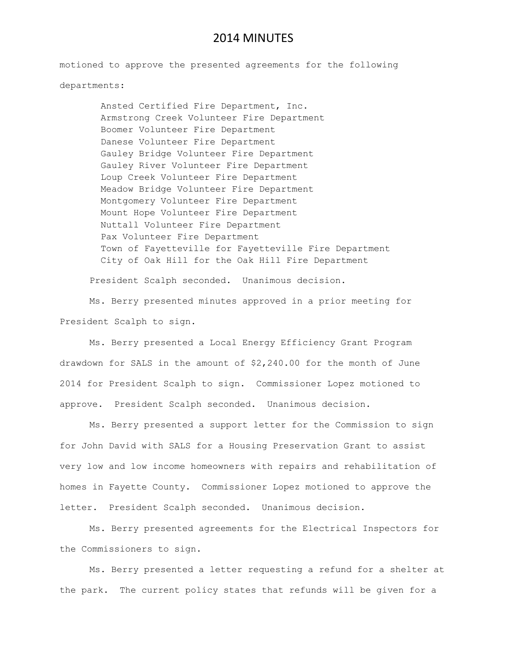motioned to approve the presented agreements for the following

departments:

Ansted Certified Fire Department, Inc. Armstrong Creek Volunteer Fire Department Boomer Volunteer Fire Department Danese Volunteer Fire Department Gauley Bridge Volunteer Fire Department Gauley River Volunteer Fire Department Loup Creek Volunteer Fire Department Meadow Bridge Volunteer Fire Department Montgomery Volunteer Fire Department Mount Hope Volunteer Fire Department Nuttall Volunteer Fire Department Pax Volunteer Fire Department Town of Fayetteville for Fayetteville Fire Department City of Oak Hill for the Oak Hill Fire Department

President Scalph seconded. Unanimous decision.

Ms. Berry presented minutes approved in a prior meeting for President Scalph to sign.

Ms. Berry presented a Local Energy Efficiency Grant Program drawdown for SALS in the amount of \$2,240.00 for the month of June 2014 for President Scalph to sign. Commissioner Lopez motioned to approve. President Scalph seconded. Unanimous decision.

Ms. Berry presented a support letter for the Commission to sign for John David with SALS for a Housing Preservation Grant to assist very low and low income homeowners with repairs and rehabilitation of homes in Fayette County. Commissioner Lopez motioned to approve the letter. President Scalph seconded. Unanimous decision.

Ms. Berry presented agreements for the Electrical Inspectors for the Commissioners to sign.

Ms. Berry presented a letter requesting a refund for a shelter at the park. The current policy states that refunds will be given for a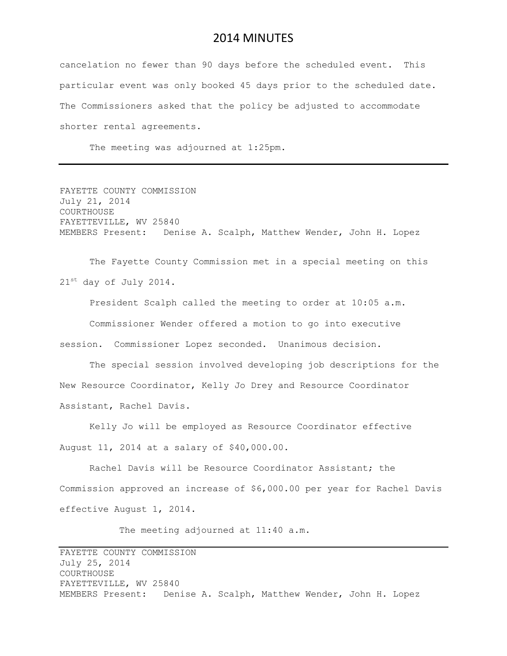cancelation no fewer than 90 days before the scheduled event. This particular event was only booked 45 days prior to the scheduled date. The Commissioners asked that the policy be adjusted to accommodate shorter rental agreements.

The meeting was adjourned at 1:25pm.

FAYETTE COUNTY COMMISSION July 21, 2014 COURTHOUSE FAYETTEVILLE, WV 25840 MEMBERS Present: Denise A. Scalph, Matthew Wender, John H. Lopez

The Fayette County Commission met in a special meeting on this  $21^{st}$  day of July 2014.

President Scalph called the meeting to order at 10:05 a.m. Commissioner Wender offered a motion to go into executive session. Commissioner Lopez seconded. Unanimous decision.

The special session involved developing job descriptions for the New Resource Coordinator, Kelly Jo Drey and Resource Coordinator Assistant, Rachel Davis.

Kelly Jo will be employed as Resource Coordinator effective August 11, 2014 at a salary of \$40,000.00.

Rachel Davis will be Resource Coordinator Assistant; the Commission approved an increase of \$6,000.00 per year for Rachel Davis effective August 1, 2014.

The meeting adjourned at 11:40 a.m.

FAYETTE COUNTY COMMISSION July 25, 2014 COURTHOUSE FAYETTEVILLE, WV 25840 MEMBERS Present: Denise A. Scalph, Matthew Wender, John H. Lopez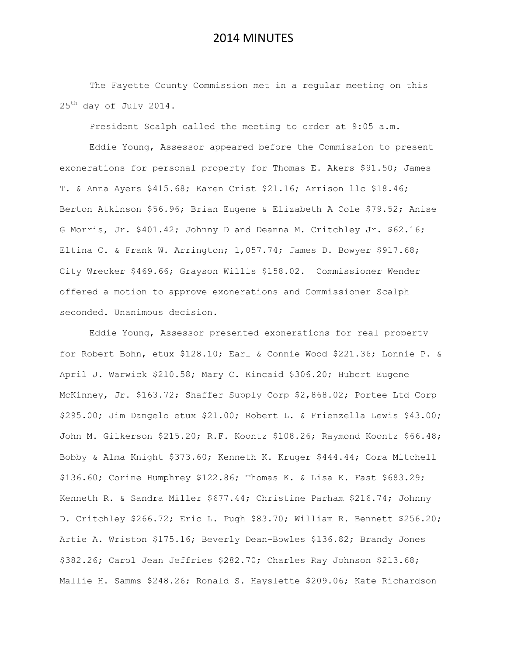The Fayette County Commission met in a regular meeting on this 25th day of July 2014.

President Scalph called the meeting to order at 9:05 a.m.

Eddie Young, Assessor appeared before the Commission to present exonerations for personal property for Thomas E. Akers \$91.50; James T. & Anna Ayers \$415.68; Karen Crist \$21.16; Arrison llc \$18.46; Berton Atkinson \$56.96; Brian Eugene & Elizabeth A Cole \$79.52; Anise G Morris, Jr. \$401.42; Johnny D and Deanna M. Critchley Jr. \$62.16; Eltina C. & Frank W. Arrington; 1,057.74; James D. Bowyer \$917.68; City Wrecker \$469.66; Grayson Willis \$158.02. Commissioner Wender offered a motion to approve exonerations and Commissioner Scalph seconded. Unanimous decision.

Eddie Young, Assessor presented exonerations for real property for Robert Bohn, etux \$128.10; Earl & Connie Wood \$221.36; Lonnie P. & April J. Warwick \$210.58; Mary C. Kincaid \$306.20; Hubert Eugene McKinney, Jr. \$163.72; Shaffer Supply Corp \$2,868.02; Portee Ltd Corp \$295.00; Jim Dangelo etux \$21.00; Robert L. & Frienzella Lewis \$43.00; John M. Gilkerson \$215.20; R.F. Koontz \$108.26; Raymond Koontz \$66.48; Bobby & Alma Knight \$373.60; Kenneth K. Kruger \$444.44; Cora Mitchell \$136.60; Corine Humphrey \$122.86; Thomas K. & Lisa K. Fast \$683.29; Kenneth R. & Sandra Miller \$677.44; Christine Parham \$216.74; Johnny D. Critchley \$266.72; Eric L. Pugh \$83.70; William R. Bennett \$256.20; Artie A. Wriston \$175.16; Beverly Dean-Bowles \$136.82; Brandy Jones \$382.26; Carol Jean Jeffries \$282.70; Charles Ray Johnson \$213.68; Mallie H. Samms \$248.26; Ronald S. Hayslette \$209.06; Kate Richardson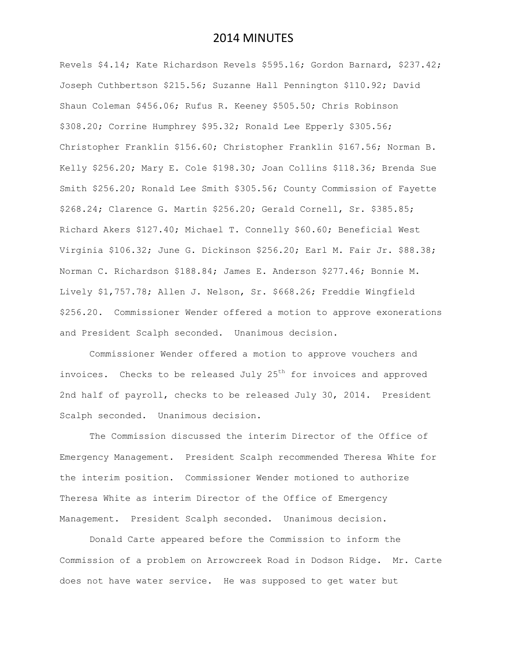Revels \$4.14; Kate Richardson Revels \$595.16; Gordon Barnard, \$237.42; Joseph Cuthbertson \$215.56; Suzanne Hall Pennington \$110.92; David Shaun Coleman \$456.06; Rufus R. Keeney \$505.50; Chris Robinson \$308.20; Corrine Humphrey \$95.32; Ronald Lee Epperly \$305.56; Christopher Franklin \$156.60; Christopher Franklin \$167.56; Norman B. Kelly \$256.20; Mary E. Cole \$198.30; Joan Collins \$118.36; Brenda Sue Smith \$256.20; Ronald Lee Smith \$305.56; County Commission of Fayette \$268.24; Clarence G. Martin \$256.20; Gerald Cornell, Sr. \$385.85; Richard Akers \$127.40; Michael T. Connelly \$60.60; Beneficial West Virginia \$106.32; June G. Dickinson \$256.20; Earl M. Fair Jr. \$88.38; Norman C. Richardson \$188.84; James E. Anderson \$277.46; Bonnie M. Lively \$1,757.78; Allen J. Nelson, Sr. \$668.26; Freddie Wingfield \$256.20. Commissioner Wender offered a motion to approve exonerations and President Scalph seconded. Unanimous decision.

Commissioner Wender offered a motion to approve vouchers and invoices. Checks to be released July  $25<sup>th</sup>$  for invoices and approved 2nd half of payroll, checks to be released July 30, 2014. President Scalph seconded. Unanimous decision.

The Commission discussed the interim Director of the Office of Emergency Management. President Scalph recommended Theresa White for the interim position. Commissioner Wender motioned to authorize Theresa White as interim Director of the Office of Emergency Management. President Scalph seconded. Unanimous decision.

Donald Carte appeared before the Commission to inform the Commission of a problem on Arrowcreek Road in Dodson Ridge. Mr. Carte does not have water service. He was supposed to get water but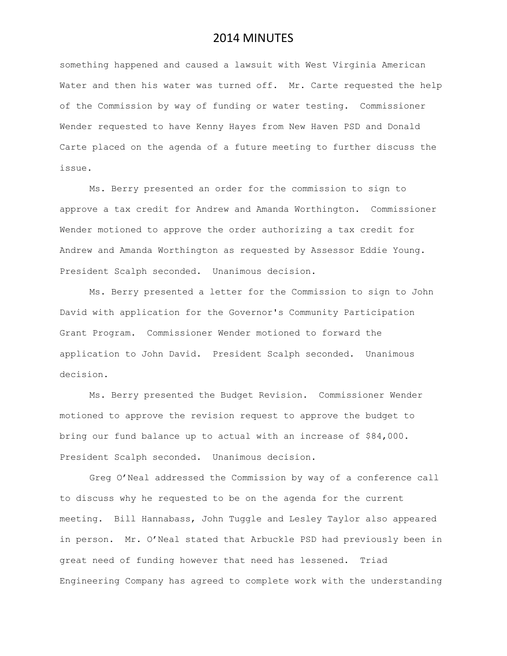something happened and caused a lawsuit with West Virginia American Water and then his water was turned off. Mr. Carte requested the help of the Commission by way of funding or water testing. Commissioner Wender requested to have Kenny Hayes from New Haven PSD and Donald Carte placed on the agenda of a future meeting to further discuss the issue.

Ms. Berry presented an order for the commission to sign to approve a tax credit for Andrew and Amanda Worthington. Commissioner Wender motioned to approve the order authorizing a tax credit for Andrew and Amanda Worthington as requested by Assessor Eddie Young. President Scalph seconded. Unanimous decision.

Ms. Berry presented a letter for the Commission to sign to John David with application for the Governor's Community Participation Grant Program. Commissioner Wender motioned to forward the application to John David. President Scalph seconded. Unanimous decision.

Ms. Berry presented the Budget Revision. Commissioner Wender motioned to approve the revision request to approve the budget to bring our fund balance up to actual with an increase of \$84,000. President Scalph seconded. Unanimous decision.

Greg O'Neal addressed the Commission by way of a conference call to discuss why he requested to be on the agenda for the current meeting. Bill Hannabass, John Tuggle and Lesley Taylor also appeared in person. Mr. O'Neal stated that Arbuckle PSD had previously been in great need of funding however that need has lessened. Triad Engineering Company has agreed to complete work with the understanding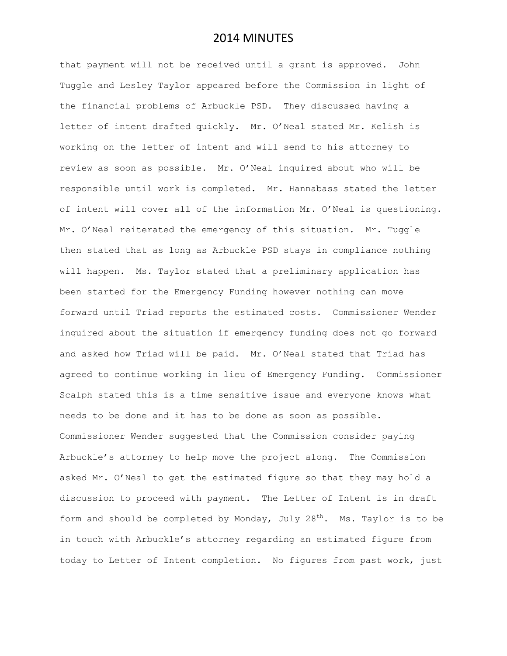that payment will not be received until a grant is approved. John Tuggle and Lesley Taylor appeared before the Commission in light of the financial problems of Arbuckle PSD. They discussed having a letter of intent drafted quickly. Mr. O'Neal stated Mr. Kelish is working on the letter of intent and will send to his attorney to review as soon as possible. Mr. O'Neal inquired about who will be responsible until work is completed. Mr. Hannabass stated the letter of intent will cover all of the information Mr. O'Neal is questioning. Mr. O'Neal reiterated the emergency of this situation. Mr. Tuggle then stated that as long as Arbuckle PSD stays in compliance nothing will happen. Ms. Taylor stated that a preliminary application has been started for the Emergency Funding however nothing can move forward until Triad reports the estimated costs. Commissioner Wender inquired about the situation if emergency funding does not go forward and asked how Triad will be paid. Mr. O'Neal stated that Triad has agreed to continue working in lieu of Emergency Funding. Commissioner Scalph stated this is a time sensitive issue and everyone knows what needs to be done and it has to be done as soon as possible. Commissioner Wender suggested that the Commission consider paying Arbuckle's attorney to help move the project along. The Commission asked Mr. O'Neal to get the estimated figure so that they may hold a discussion to proceed with payment. The Letter of Intent is in draft form and should be completed by Monday, July  $28<sup>th</sup>$ . Ms. Taylor is to be in touch with Arbuckle's attorney regarding an estimated figure from today to Letter of Intent completion. No figures from past work, just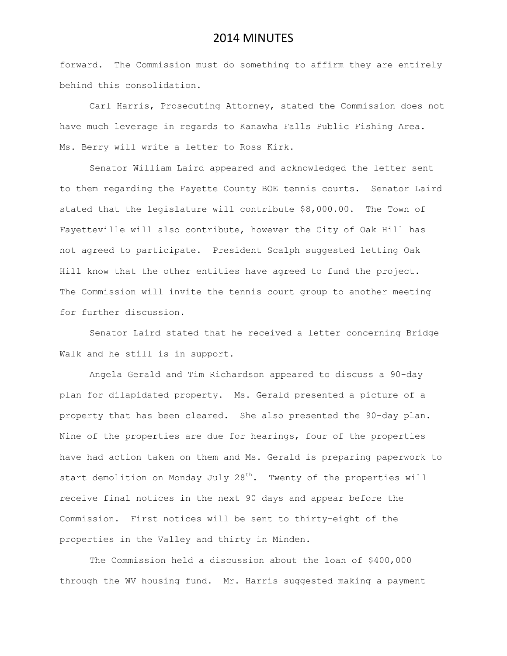forward. The Commission must do something to affirm they are entirely behind this consolidation.

Carl Harris, Prosecuting Attorney, stated the Commission does not have much leverage in regards to Kanawha Falls Public Fishing Area. Ms. Berry will write a letter to Ross Kirk.

Senator William Laird appeared and acknowledged the letter sent to them regarding the Fayette County BOE tennis courts. Senator Laird stated that the legislature will contribute \$8,000.00. The Town of Fayetteville will also contribute, however the City of Oak Hill has not agreed to participate. President Scalph suggested letting Oak Hill know that the other entities have agreed to fund the project. The Commission will invite the tennis court group to another meeting for further discussion.

Senator Laird stated that he received a letter concerning Bridge Walk and he still is in support.

Angela Gerald and Tim Richardson appeared to discuss a 90-day plan for dilapidated property. Ms. Gerald presented a picture of a property that has been cleared. She also presented the 90-day plan. Nine of the properties are due for hearings, four of the properties have had action taken on them and Ms. Gerald is preparing paperwork to start demolition on Monday July  $28<sup>th</sup>$ . Twenty of the properties will receive final notices in the next 90 days and appear before the Commission. First notices will be sent to thirty-eight of the properties in the Valley and thirty in Minden.

The Commission held a discussion about the loan of \$400,000 through the WV housing fund. Mr. Harris suggested making a payment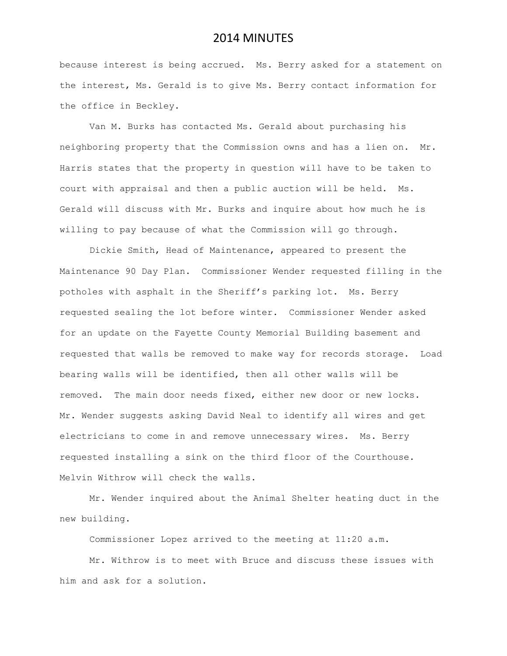because interest is being accrued. Ms. Berry asked for a statement on the interest, Ms. Gerald is to give Ms. Berry contact information for the office in Beckley.

Van M. Burks has contacted Ms. Gerald about purchasing his neighboring property that the Commission owns and has a lien on. Mr. Harris states that the property in question will have to be taken to court with appraisal and then a public auction will be held. Ms. Gerald will discuss with Mr. Burks and inquire about how much he is willing to pay because of what the Commission will go through.

Dickie Smith, Head of Maintenance, appeared to present the Maintenance 90 Day Plan. Commissioner Wender requested filling in the potholes with asphalt in the Sheriff's parking lot. Ms. Berry requested sealing the lot before winter. Commissioner Wender asked for an update on the Fayette County Memorial Building basement and requested that walls be removed to make way for records storage. Load bearing walls will be identified, then all other walls will be removed. The main door needs fixed, either new door or new locks. Mr. Wender suggests asking David Neal to identify all wires and get electricians to come in and remove unnecessary wires. Ms. Berry requested installing a sink on the third floor of the Courthouse. Melvin Withrow will check the walls.

Mr. Wender inquired about the Animal Shelter heating duct in the new building.

Commissioner Lopez arrived to the meeting at 11:20 a.m.

Mr. Withrow is to meet with Bruce and discuss these issues with him and ask for a solution.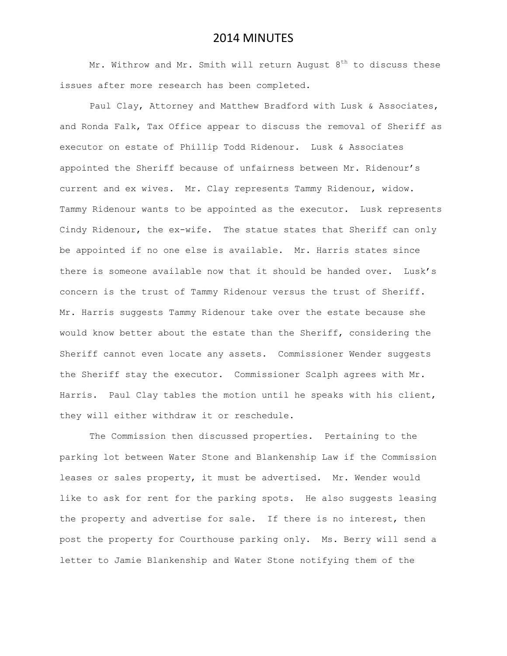Mr. Withrow and Mr. Smith will return August  $8^{th}$  to discuss these issues after more research has been completed.

Paul Clay, Attorney and Matthew Bradford with Lusk & Associates, and Ronda Falk, Tax Office appear to discuss the removal of Sheriff as executor on estate of Phillip Todd Ridenour. Lusk & Associates appointed the Sheriff because of unfairness between Mr. Ridenour's current and ex wives. Mr. Clay represents Tammy Ridenour, widow. Tammy Ridenour wants to be appointed as the executor. Lusk represents Cindy Ridenour, the ex-wife. The statue states that Sheriff can only be appointed if no one else is available. Mr. Harris states since there is someone available now that it should be handed over. Lusk's concern is the trust of Tammy Ridenour versus the trust of Sheriff. Mr. Harris suggests Tammy Ridenour take over the estate because she would know better about the estate than the Sheriff, considering the Sheriff cannot even locate any assets. Commissioner Wender suggests the Sheriff stay the executor. Commissioner Scalph agrees with Mr. Harris. Paul Clay tables the motion until he speaks with his client, they will either withdraw it or reschedule.

The Commission then discussed properties. Pertaining to the parking lot between Water Stone and Blankenship Law if the Commission leases or sales property, it must be advertised. Mr. Wender would like to ask for rent for the parking spots. He also suggests leasing the property and advertise for sale. If there is no interest, then post the property for Courthouse parking only. Ms. Berry will send a letter to Jamie Blankenship and Water Stone notifying them of the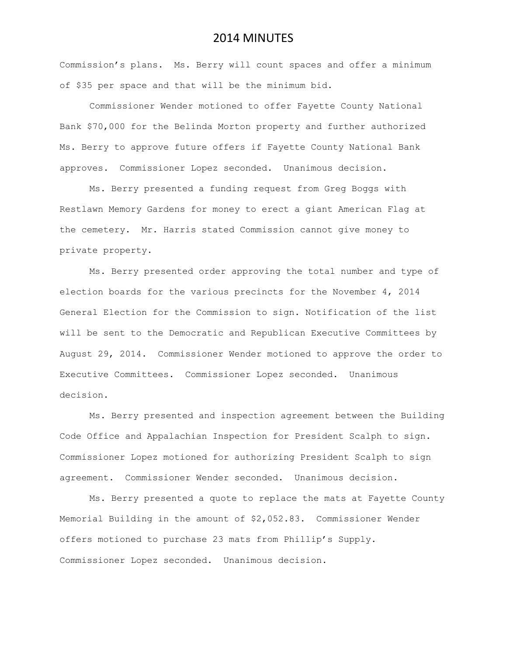Commission's plans. Ms. Berry will count spaces and offer a minimum of \$35 per space and that will be the minimum bid.

Commissioner Wender motioned to offer Fayette County National Bank \$70,000 for the Belinda Morton property and further authorized Ms. Berry to approve future offers if Fayette County National Bank approves. Commissioner Lopez seconded. Unanimous decision.

Ms. Berry presented a funding request from Greg Boggs with Restlawn Memory Gardens for money to erect a giant American Flag at the cemetery. Mr. Harris stated Commission cannot give money to private property.

Ms. Berry presented order approving the total number and type of election boards for the various precincts for the November 4, 2014 General Election for the Commission to sign. Notification of the list will be sent to the Democratic and Republican Executive Committees by August 29, 2014. Commissioner Wender motioned to approve the order to Executive Committees. Commissioner Lopez seconded. Unanimous decision.

Ms. Berry presented and inspection agreement between the Building Code Office and Appalachian Inspection for President Scalph to sign. Commissioner Lopez motioned for authorizing President Scalph to sign agreement. Commissioner Wender seconded. Unanimous decision.

Ms. Berry presented a quote to replace the mats at Fayette County Memorial Building in the amount of \$2,052.83. Commissioner Wender offers motioned to purchase 23 mats from Phillip's Supply. Commissioner Lopez seconded. Unanimous decision.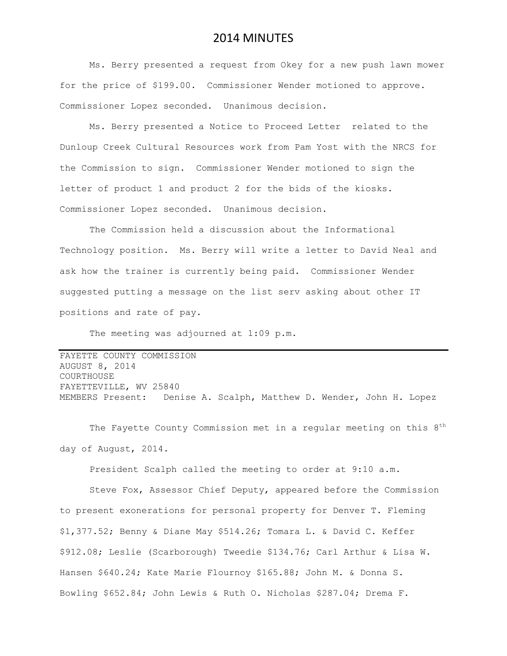Ms. Berry presented a request from Okey for a new push lawn mower for the price of \$199.00. Commissioner Wender motioned to approve. Commissioner Lopez seconded. Unanimous decision.

Ms. Berry presented a Notice to Proceed Letter related to the Dunloup Creek Cultural Resources work from Pam Yost with the NRCS for the Commission to sign. Commissioner Wender motioned to sign the letter of product 1 and product 2 for the bids of the kiosks. Commissioner Lopez seconded. Unanimous decision.

The Commission held a discussion about the Informational Technology position. Ms. Berry will write a letter to David Neal and ask how the trainer is currently being paid. Commissioner Wender suggested putting a message on the list serv asking about other IT positions and rate of pay.

The meeting was adjourned at 1:09 p.m.

FAYETTE COUNTY COMMISSION AUGUST 8, 2014 **COURTHOUSE** FAYETTEVILLE, WV 25840 MEMBERS Present: Denise A. Scalph, Matthew D. Wender, John H. Lopez

The Fayette County Commission met in a regular meeting on this 8<sup>th</sup> day of August, 2014.

President Scalph called the meeting to order at 9:10 a.m.

Steve Fox, Assessor Chief Deputy, appeared before the Commission to present exonerations for personal property for Denver T. Fleming \$1,377.52; Benny & Diane May \$514.26; Tomara L. & David C. Keffer \$912.08; Leslie (Scarborough) Tweedie \$134.76; Carl Arthur & Lisa W. Hansen \$640.24; Kate Marie Flournoy \$165.88; John M. & Donna S. Bowling \$652.84; John Lewis & Ruth O. Nicholas \$287.04; Drema F.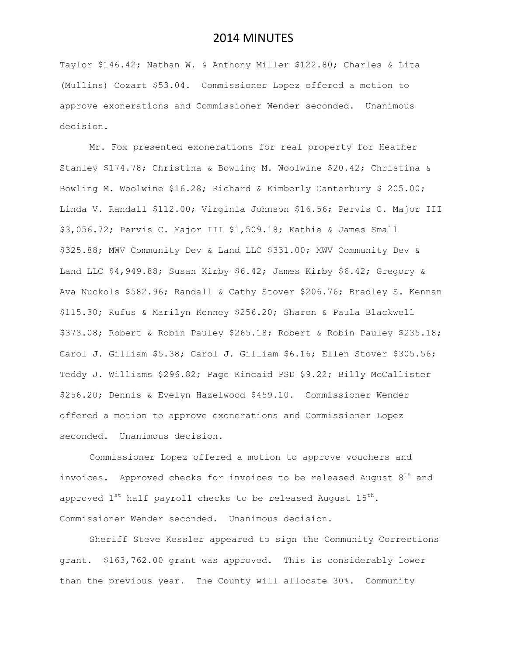Taylor \$146.42; Nathan W. & Anthony Miller \$122.80; Charles & Lita (Mullins) Cozart \$53.04. Commissioner Lopez offered a motion to approve exonerations and Commissioner Wender seconded. Unanimous decision.

Mr. Fox presented exonerations for real property for Heather Stanley \$174.78; Christina & Bowling M. Woolwine \$20.42; Christina & Bowling M. Woolwine \$16.28; Richard & Kimberly Canterbury \$ 205.00; Linda V. Randall \$112.00; Virginia Johnson \$16.56; Pervis C. Major III \$3,056.72; Pervis C. Major III \$1,509.18; Kathie & James Small \$325.88; MWV Community Dev & Land LLC \$331.00; MWV Community Dev & Land LLC \$4,949.88; Susan Kirby \$6.42; James Kirby \$6.42; Gregory & Ava Nuckols \$582.96; Randall & Cathy Stover \$206.76; Bradley S. Kennan \$115.30; Rufus & Marilyn Kenney \$256.20; Sharon & Paula Blackwell \$373.08; Robert & Robin Pauley \$265.18; Robert & Robin Pauley \$235.18; Carol J. Gilliam \$5.38; Carol J. Gilliam \$6.16; Ellen Stover \$305.56; Teddy J. Williams \$296.82; Page Kincaid PSD \$9.22; Billy McCallister \$256.20; Dennis & Evelyn Hazelwood \$459.10. Commissioner Wender offered a motion to approve exonerations and Commissioner Lopez seconded. Unanimous decision.

Commissioner Lopez offered a motion to approve vouchers and invoices. Approved checks for invoices to be released August  $8^{th}$  and approved  $1^{st}$  half payroll checks to be released August  $15^{th}$ . Commissioner Wender seconded. Unanimous decision.

Sheriff Steve Kessler appeared to sign the Community Corrections grant. \$163,762.00 grant was approved. This is considerably lower than the previous year. The County will allocate 30%. Community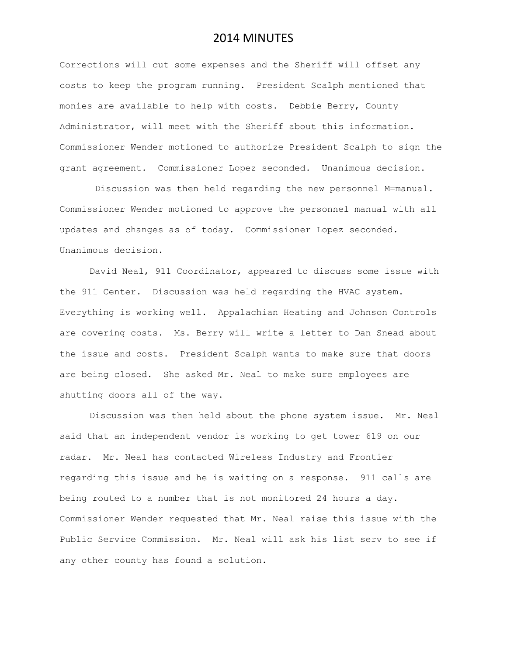Corrections will cut some expenses and the Sheriff will offset any costs to keep the program running. President Scalph mentioned that monies are available to help with costs. Debbie Berry, County Administrator, will meet with the Sheriff about this information. Commissioner Wender motioned to authorize President Scalph to sign the grant agreement. Commissioner Lopez seconded. Unanimous decision.

Discussion was then held regarding the new personnel M=manual. Commissioner Wender motioned to approve the personnel manual with all updates and changes as of today. Commissioner Lopez seconded. Unanimous decision.

David Neal, 911 Coordinator, appeared to discuss some issue with the 911 Center. Discussion was held regarding the HVAC system. Everything is working well. Appalachian Heating and Johnson Controls are covering costs. Ms. Berry will write a letter to Dan Snead about the issue and costs. President Scalph wants to make sure that doors are being closed. She asked Mr. Neal to make sure employees are shutting doors all of the way.

Discussion was then held about the phone system issue. Mr. Neal said that an independent vendor is working to get tower 619 on our radar. Mr. Neal has contacted Wireless Industry and Frontier regarding this issue and he is waiting on a response. 911 calls are being routed to a number that is not monitored 24 hours a day. Commissioner Wender requested that Mr. Neal raise this issue with the Public Service Commission. Mr. Neal will ask his list serv to see if any other county has found a solution.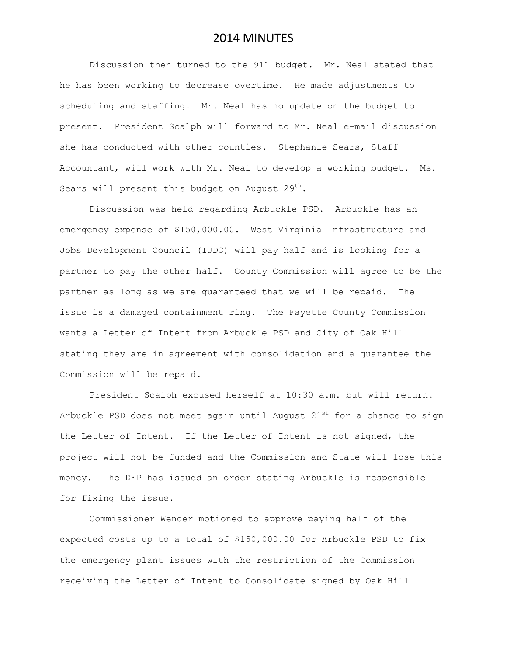Discussion then turned to the 911 budget. Mr. Neal stated that he has been working to decrease overtime. He made adjustments to scheduling and staffing. Mr. Neal has no update on the budget to present. President Scalph will forward to Mr. Neal e-mail discussion she has conducted with other counties. Stephanie Sears, Staff Accountant, will work with Mr. Neal to develop a working budget. Ms. Sears will present this budget on August  $29^{th}$ .

Discussion was held regarding Arbuckle PSD. Arbuckle has an emergency expense of \$150,000.00. West Virginia Infrastructure and Jobs Development Council (IJDC) will pay half and is looking for a partner to pay the other half. County Commission will agree to be the partner as long as we are guaranteed that we will be repaid. The issue is a damaged containment ring. The Fayette County Commission wants a Letter of Intent from Arbuckle PSD and City of Oak Hill stating they are in agreement with consolidation and a guarantee the Commission will be repaid.

President Scalph excused herself at 10:30 a.m. but will return. Arbuckle PSD does not meet again until August  $21^{st}$  for a chance to sign the Letter of Intent. If the Letter of Intent is not signed, the project will not be funded and the Commission and State will lose this money. The DEP has issued an order stating Arbuckle is responsible for fixing the issue.

Commissioner Wender motioned to approve paying half of the expected costs up to a total of \$150,000.00 for Arbuckle PSD to fix the emergency plant issues with the restriction of the Commission receiving the Letter of Intent to Consolidate signed by Oak Hill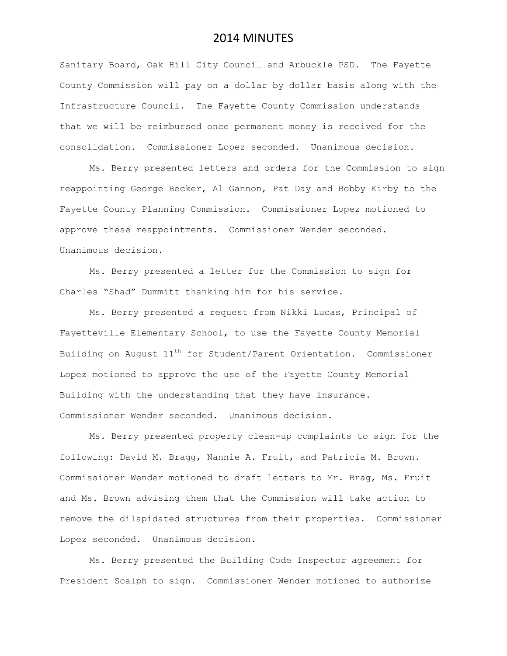Sanitary Board, Oak Hill City Council and Arbuckle PSD. The Fayette County Commission will pay on a dollar by dollar basis along with the Infrastructure Council. The Fayette County Commission understands that we will be reimbursed once permanent money is received for the consolidation. Commissioner Lopez seconded. Unanimous decision.

Ms. Berry presented letters and orders for the Commission to sign reappointing George Becker, Al Gannon, Pat Day and Bobby Kirby to the Fayette County Planning Commission. Commissioner Lopez motioned to approve these reappointments. Commissioner Wender seconded. Unanimous decision.

Ms. Berry presented a letter for the Commission to sign for Charles "Shad" Dummitt thanking him for his service.

Ms. Berry presented a request from Nikki Lucas, Principal of Fayetteville Elementary School, to use the Fayette County Memorial Building on August  $11^{th}$  for Student/Parent Orientation. Commissioner Lopez motioned to approve the use of the Fayette County Memorial Building with the understanding that they have insurance. Commissioner Wender seconded. Unanimous decision.

Ms. Berry presented property clean-up complaints to sign for the following: David M. Bragg, Nannie A. Fruit, and Patricia M. Brown. Commissioner Wender motioned to draft letters to Mr. Brag, Ms. Fruit and Ms. Brown advising them that the Commission will take action to remove the dilapidated structures from their properties. Commissioner Lopez seconded. Unanimous decision.

Ms. Berry presented the Building Code Inspector agreement for President Scalph to sign. Commissioner Wender motioned to authorize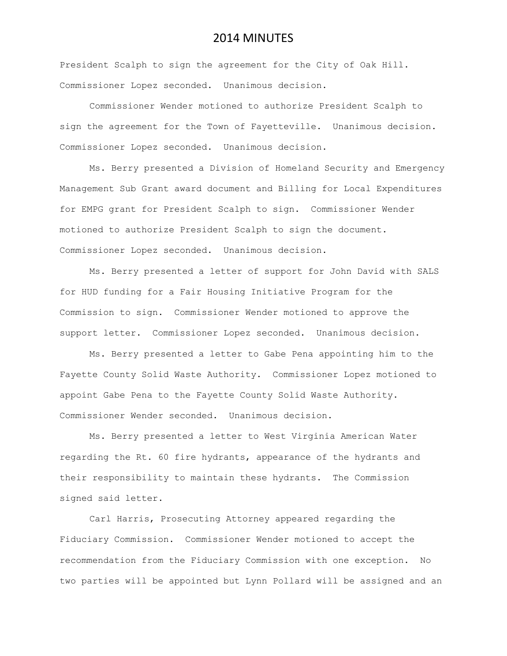President Scalph to sign the agreement for the City of Oak Hill. Commissioner Lopez seconded. Unanimous decision.

Commissioner Wender motioned to authorize President Scalph to sign the agreement for the Town of Fayetteville. Unanimous decision. Commissioner Lopez seconded. Unanimous decision.

Ms. Berry presented a Division of Homeland Security and Emergency Management Sub Grant award document and Billing for Local Expenditures for EMPG grant for President Scalph to sign. Commissioner Wender motioned to authorize President Scalph to sign the document. Commissioner Lopez seconded. Unanimous decision.

Ms. Berry presented a letter of support for John David with SALS for HUD funding for a Fair Housing Initiative Program for the Commission to sign. Commissioner Wender motioned to approve the support letter. Commissioner Lopez seconded. Unanimous decision.

Ms. Berry presented a letter to Gabe Pena appointing him to the Fayette County Solid Waste Authority. Commissioner Lopez motioned to appoint Gabe Pena to the Fayette County Solid Waste Authority. Commissioner Wender seconded. Unanimous decision.

Ms. Berry presented a letter to West Virginia American Water regarding the Rt. 60 fire hydrants, appearance of the hydrants and their responsibility to maintain these hydrants. The Commission signed said letter.

Carl Harris, Prosecuting Attorney appeared regarding the Fiduciary Commission. Commissioner Wender motioned to accept the recommendation from the Fiduciary Commission with one exception. No two parties will be appointed but Lynn Pollard will be assigned and an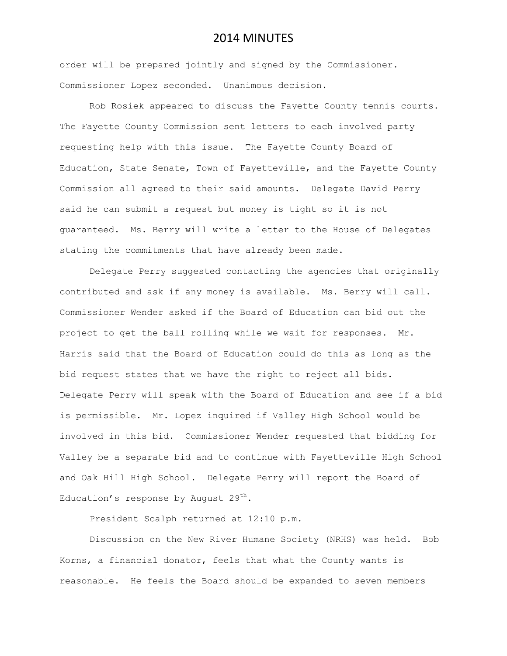order will be prepared jointly and signed by the Commissioner. Commissioner Lopez seconded. Unanimous decision.

Rob Rosiek appeared to discuss the Fayette County tennis courts. The Fayette County Commission sent letters to each involved party requesting help with this issue. The Fayette County Board of Education, State Senate, Town of Fayetteville, and the Fayette County Commission all agreed to their said amounts. Delegate David Perry said he can submit a request but money is tight so it is not guaranteed. Ms. Berry will write a letter to the House of Delegates stating the commitments that have already been made.

Delegate Perry suggested contacting the agencies that originally contributed and ask if any money is available. Ms. Berry will call. Commissioner Wender asked if the Board of Education can bid out the project to get the ball rolling while we wait for responses. Mr. Harris said that the Board of Education could do this as long as the bid request states that we have the right to reject all bids. Delegate Perry will speak with the Board of Education and see if a bid is permissible. Mr. Lopez inquired if Valley High School would be involved in this bid. Commissioner Wender requested that bidding for Valley be a separate bid and to continue with Fayetteville High School and Oak Hill High School. Delegate Perry will report the Board of Education's response by August  $29^{th}$ .

President Scalph returned at 12:10 p.m.

Discussion on the New River Humane Society (NRHS) was held. Bob Korns, a financial donator, feels that what the County wants is reasonable. He feels the Board should be expanded to seven members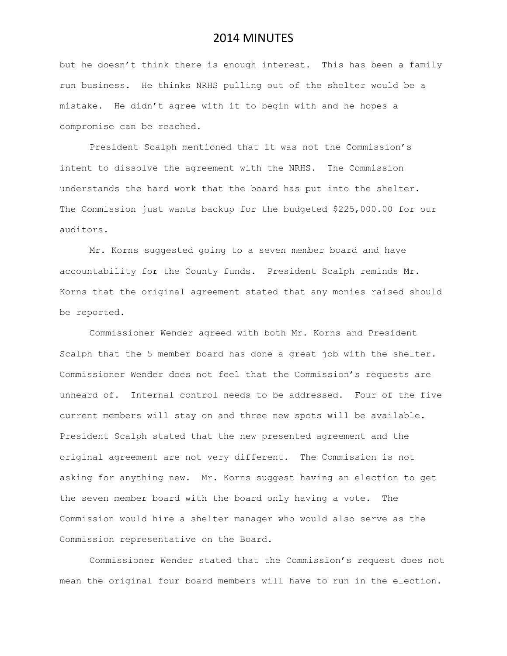but he doesn't think there is enough interest. This has been a family run business. He thinks NRHS pulling out of the shelter would be a mistake. He didn't agree with it to begin with and he hopes a compromise can be reached.

President Scalph mentioned that it was not the Commission's intent to dissolve the agreement with the NRHS. The Commission understands the hard work that the board has put into the shelter. The Commission just wants backup for the budgeted \$225,000.00 for our auditors.

Mr. Korns suggested going to a seven member board and have accountability for the County funds. President Scalph reminds Mr. Korns that the original agreement stated that any monies raised should be reported.

Commissioner Wender agreed with both Mr. Korns and President Scalph that the 5 member board has done a great job with the shelter. Commissioner Wender does not feel that the Commission's requests are unheard of. Internal control needs to be addressed. Four of the five current members will stay on and three new spots will be available. President Scalph stated that the new presented agreement and the original agreement are not very different. The Commission is not asking for anything new. Mr. Korns suggest having an election to get the seven member board with the board only having a vote. The Commission would hire a shelter manager who would also serve as the Commission representative on the Board.

Commissioner Wender stated that the Commission's request does not mean the original four board members will have to run in the election.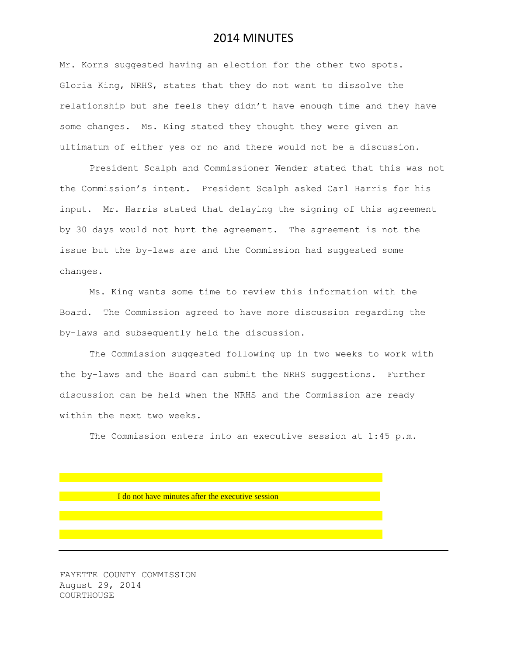Mr. Korns suggested having an election for the other two spots. Gloria King, NRHS, states that they do not want to dissolve the relationship but she feels they didn't have enough time and they have some changes. Ms. King stated they thought they were given an ultimatum of either yes or no and there would not be a discussion.

President Scalph and Commissioner Wender stated that this was not the Commission's intent. President Scalph asked Carl Harris for his input. Mr. Harris stated that delaying the signing of this agreement by 30 days would not hurt the agreement. The agreement is not the issue but the by-laws are and the Commission had suggested some changes.

Ms. King wants some time to review this information with the Board. The Commission agreed to have more discussion regarding the by-laws and subsequently held the discussion.

The Commission suggested following up in two weeks to work with the by-laws and the Board can submit the NRHS suggestions. Further discussion can be held when the NRHS and the Commission are ready within the next two weeks.

The Commission enters into an executive session at 1:45 p.m.

#### I do not have minutes after the executive session

FAYETTE COUNTY COMMISSION August 29, 2014 COURTHOUSE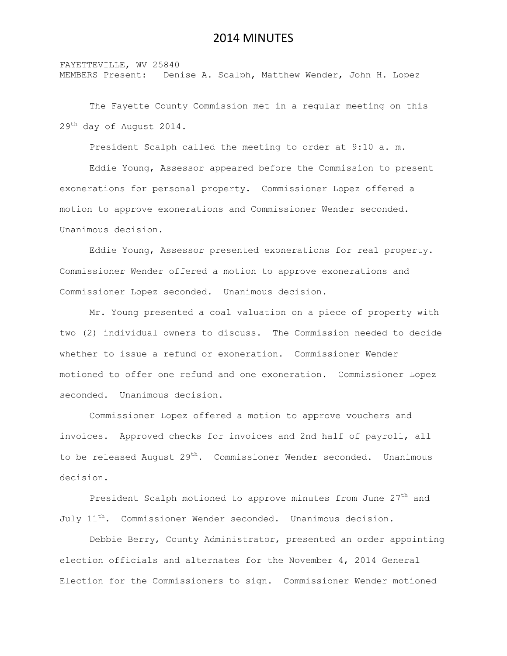FAYETTEVILLE, WV 25840 MEMBERS Present: Denise A. Scalph, Matthew Wender, John H. Lopez

The Fayette County Commission met in a regular meeting on this 29<sup>th</sup> day of August 2014.

President Scalph called the meeting to order at 9:10 a. m.

Eddie Young, Assessor appeared before the Commission to present exonerations for personal property. Commissioner Lopez offered a motion to approve exonerations and Commissioner Wender seconded. Unanimous decision.

Eddie Young, Assessor presented exonerations for real property. Commissioner Wender offered a motion to approve exonerations and Commissioner Lopez seconded. Unanimous decision.

Mr. Young presented a coal valuation on a piece of property with two (2) individual owners to discuss. The Commission needed to decide whether to issue a refund or exoneration. Commissioner Wender motioned to offer one refund and one exoneration. Commissioner Lopez seconded. Unanimous decision.

Commissioner Lopez offered a motion to approve vouchers and invoices. Approved checks for invoices and 2nd half of payroll, all to be released August  $29^{th}$ . Commissioner Wender seconded. Unanimous decision.

President Scalph motioned to approve minutes from June  $27<sup>th</sup>$  and July 11th. Commissioner Wender seconded. Unanimous decision.

Debbie Berry, County Administrator, presented an order appointing election officials and alternates for the November 4, 2014 General Election for the Commissioners to sign. Commissioner Wender motioned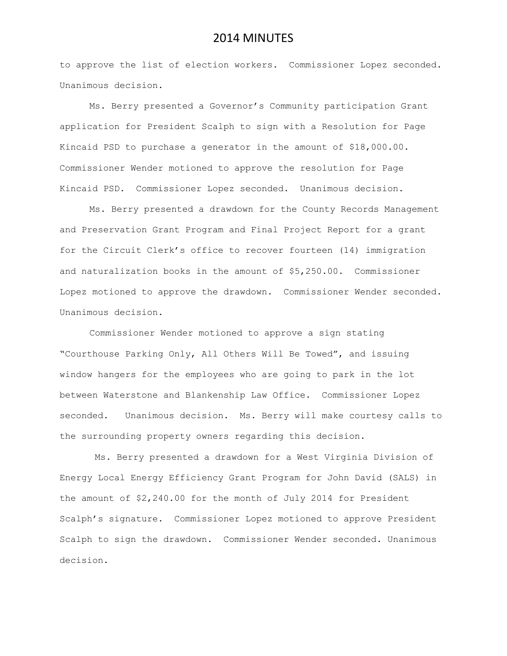to approve the list of election workers. Commissioner Lopez seconded. Unanimous decision.

Ms. Berry presented a Governor's Community participation Grant application for President Scalph to sign with a Resolution for Page Kincaid PSD to purchase a generator in the amount of \$18,000.00. Commissioner Wender motioned to approve the resolution for Page Kincaid PSD. Commissioner Lopez seconded. Unanimous decision.

Ms. Berry presented a drawdown for the County Records Management and Preservation Grant Program and Final Project Report for a grant for the Circuit Clerk's office to recover fourteen (14) immigration and naturalization books in the amount of \$5,250.00. Commissioner Lopez motioned to approve the drawdown. Commissioner Wender seconded. Unanimous decision.

Commissioner Wender motioned to approve a sign stating "Courthouse Parking Only, All Others Will Be Towed", and issuing window hangers for the employees who are going to park in the lot between Waterstone and Blankenship Law Office. Commissioner Lopez seconded. Unanimous decision. Ms. Berry will make courtesy calls to the surrounding property owners regarding this decision.

Ms. Berry presented a drawdown for a West Virginia Division of Energy Local Energy Efficiency Grant Program for John David (SALS) in the amount of \$2,240.00 for the month of July 2014 for President Scalph's signature. Commissioner Lopez motioned to approve President Scalph to sign the drawdown. Commissioner Wender seconded. Unanimous decision.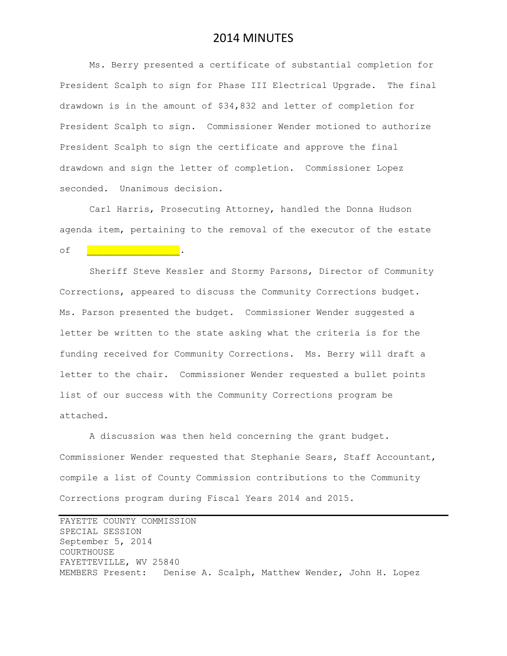Ms. Berry presented a certificate of substantial completion for President Scalph to sign for Phase III Electrical Upgrade. The final drawdown is in the amount of \$34,832 and letter of completion for President Scalph to sign. Commissioner Wender motioned to authorize President Scalph to sign the certificate and approve the final drawdown and sign the letter of completion. Commissioner Lopez seconded. Unanimous decision.

Carl Harris, Prosecuting Attorney, handled the Donna Hudson agenda item, pertaining to the removal of the executor of the estate

```
of \qquad \qquad \bullet
```
Sheriff Steve Kessler and Stormy Parsons, Director of Community Corrections, appeared to discuss the Community Corrections budget. Ms. Parson presented the budget. Commissioner Wender suggested a letter be written to the state asking what the criteria is for the funding received for Community Corrections. Ms. Berry will draft a letter to the chair. Commissioner Wender requested a bullet points list of our success with the Community Corrections program be attached.

A discussion was then held concerning the grant budget. Commissioner Wender requested that Stephanie Sears, Staff Accountant, compile a list of County Commission contributions to the Community Corrections program during Fiscal Years 2014 and 2015.

FAYETTE COUNTY COMMISSION SPECIAL SESSION September 5, 2014 COURTHOUSE FAYETTEVILLE, WV 25840 MEMBERS Present: Denise A. Scalph, Matthew Wender, John H. Lopez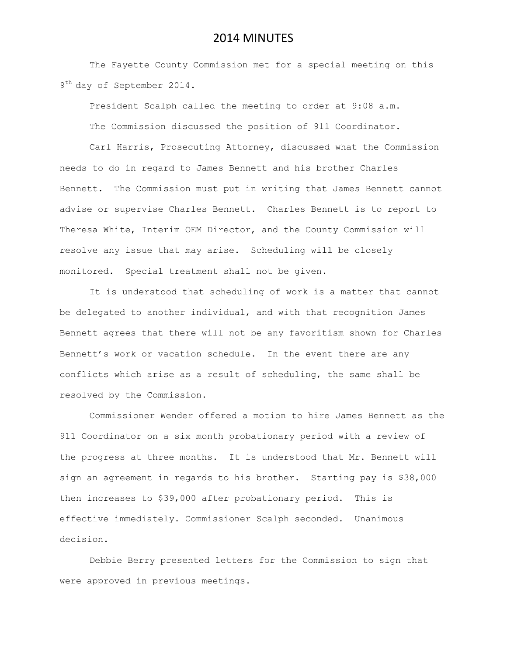The Fayette County Commission met for a special meeting on this 9<sup>th</sup> day of September 2014.

President Scalph called the meeting to order at 9:08 a.m. The Commission discussed the position of 911 Coordinator.

Carl Harris, Prosecuting Attorney, discussed what the Commission needs to do in regard to James Bennett and his brother Charles Bennett. The Commission must put in writing that James Bennett cannot advise or supervise Charles Bennett. Charles Bennett is to report to Theresa White, Interim OEM Director, and the County Commission will resolve any issue that may arise. Scheduling will be closely monitored. Special treatment shall not be given.

It is understood that scheduling of work is a matter that cannot be delegated to another individual, and with that recognition James Bennett agrees that there will not be any favoritism shown for Charles Bennett's work or vacation schedule. In the event there are any conflicts which arise as a result of scheduling, the same shall be resolved by the Commission.

Commissioner Wender offered a motion to hire James Bennett as the 911 Coordinator on a six month probationary period with a review of the progress at three months. It is understood that Mr. Bennett will sign an agreement in regards to his brother. Starting pay is \$38,000 then increases to \$39,000 after probationary period. This is effective immediately. Commissioner Scalph seconded. Unanimous decision.

Debbie Berry presented letters for the Commission to sign that were approved in previous meetings.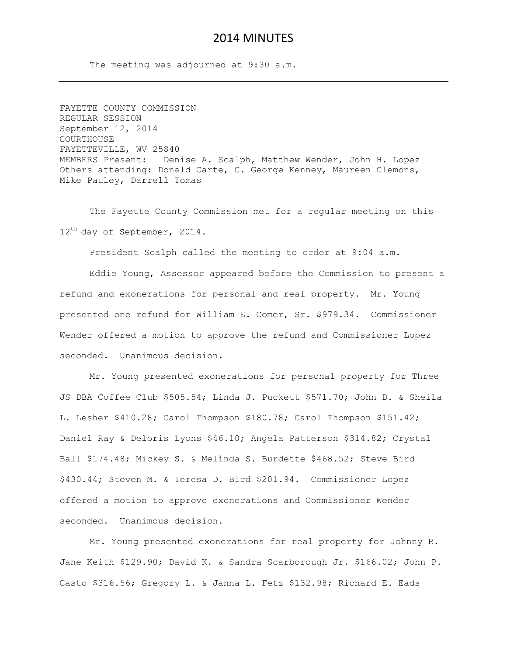The meeting was adjourned at 9:30 a.m.

FAYETTE COUNTY COMMISSION REGULAR SESSION September 12, 2014 COURTHOUSE FAYETTEVILLE, WV 25840 MEMBERS Present: Denise A. Scalph, Matthew Wender, John H. Lopez Others attending: Donald Carte, C. George Kenney, Maureen Clemons, Mike Pauley, Darrell Tomas

The Fayette County Commission met for a regular meeting on this 12<sup>th</sup> day of September, 2014.

President Scalph called the meeting to order at 9:04 a.m.

Eddie Young, Assessor appeared before the Commission to present a refund and exonerations for personal and real property. Mr. Young presented one refund for William E. Comer, Sr. \$979.34. Commissioner Wender offered a motion to approve the refund and Commissioner Lopez seconded. Unanimous decision.

Mr. Young presented exonerations for personal property for Three JS DBA Coffee Club \$505.54; Linda J. Puckett \$571.70; John D. & Sheila L. Lesher \$410.28; Carol Thompson \$180.78; Carol Thompson \$151.42; Daniel Ray & Deloris Lyons \$46.10; Angela Patterson \$314.82; Crystal Ball \$174.48; Mickey S. & Melinda S. Burdette \$468.52; Steve Bird \$430.44; Steven M. & Teresa D. Bird \$201.94. Commissioner Lopez offered a motion to approve exonerations and Commissioner Wender seconded. Unanimous decision.

Mr. Young presented exonerations for real property for Johnny R. Jane Keith \$129.90; David K. & Sandra Scarborough Jr. \$166.02; John P. Casto \$316.56; Gregory L. & Janna L. Fetz \$132.98; Richard E. Eads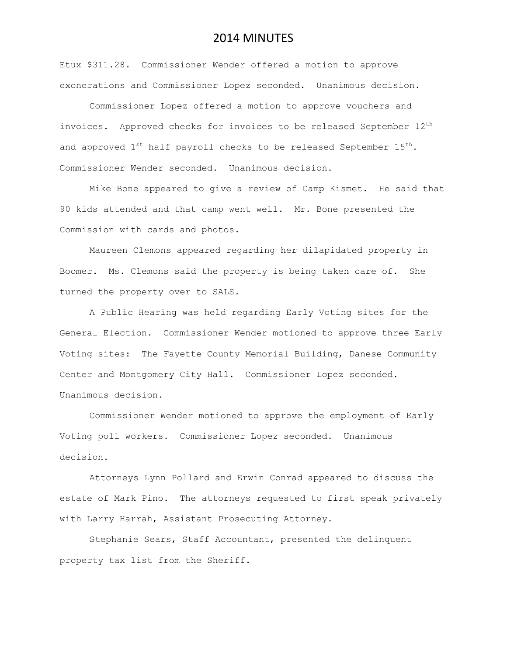Etux \$311.28. Commissioner Wender offered a motion to approve exonerations and Commissioner Lopez seconded. Unanimous decision.

Commissioner Lopez offered a motion to approve vouchers and invoices. Approved checks for invoices to be released September  $12<sup>th</sup>$ and approved  $1^{st}$  half payroll checks to be released September  $15^{th}$ . Commissioner Wender seconded. Unanimous decision.

Mike Bone appeared to give a review of Camp Kismet. He said that 90 kids attended and that camp went well. Mr. Bone presented the Commission with cards and photos.

Maureen Clemons appeared regarding her dilapidated property in Boomer. Ms. Clemons said the property is being taken care of. She turned the property over to SALS.

A Public Hearing was held regarding Early Voting sites for the General Election. Commissioner Wender motioned to approve three Early Voting sites: The Fayette County Memorial Building, Danese Community Center and Montgomery City Hall. Commissioner Lopez seconded. Unanimous decision.

Commissioner Wender motioned to approve the employment of Early Voting poll workers. Commissioner Lopez seconded. Unanimous decision.

Attorneys Lynn Pollard and Erwin Conrad appeared to discuss the estate of Mark Pino. The attorneys requested to first speak privately with Larry Harrah, Assistant Prosecuting Attorney.

Stephanie Sears, Staff Accountant, presented the delinquent property tax list from the Sheriff.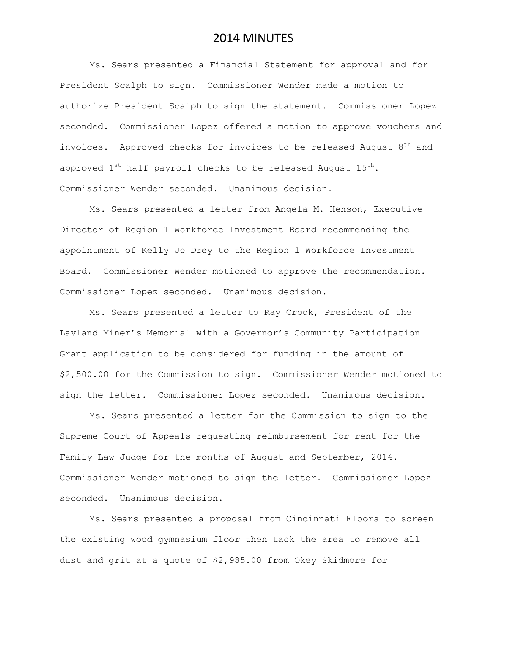Ms. Sears presented a Financial Statement for approval and for President Scalph to sign. Commissioner Wender made a motion to authorize President Scalph to sign the statement. Commissioner Lopez seconded. Commissioner Lopez offered a motion to approve vouchers and invoices. Approved checks for invoices to be released August  $8^{th}$  and approved  $1^{st}$  half payroll checks to be released August  $15^{th}$ . Commissioner Wender seconded. Unanimous decision.

Ms. Sears presented a letter from Angela M. Henson, Executive Director of [Region 1 Workforce Investment Board](https://www.google.com/url?sa=t&rct=j&q=&esrc=s&source=web&cd=1&cad=rja&uact=8&ved=0CB4QFjAA&url=http%3A%2F%2Fr1wib.org%2Fboard-members%2F&ei=UT1FVLCrJ6jksASd4oDgCA&usg=AFQjCNEKd6aizuRhYLkLal1pGqLM_QGJpg&sig2=vtavx-Ve1r5qlpnVHCetdw&bvm=bv.77648437,d.cWc) recommending the appointment of Kelly Jo Drey to the [Region 1 Workforce Investment](https://www.google.com/url?sa=t&rct=j&q=&esrc=s&source=web&cd=1&cad=rja&uact=8&ved=0CB4QFjAA&url=http%3A%2F%2Fr1wib.org%2Fboard-members%2F&ei=UT1FVLCrJ6jksASd4oDgCA&usg=AFQjCNEKd6aizuRhYLkLal1pGqLM_QGJpg&sig2=vtavx-Ve1r5qlpnVHCetdw&bvm=bv.77648437,d.cWc)  [Board.](https://www.google.com/url?sa=t&rct=j&q=&esrc=s&source=web&cd=1&cad=rja&uact=8&ved=0CB4QFjAA&url=http%3A%2F%2Fr1wib.org%2Fboard-members%2F&ei=UT1FVLCrJ6jksASd4oDgCA&usg=AFQjCNEKd6aizuRhYLkLal1pGqLM_QGJpg&sig2=vtavx-Ve1r5qlpnVHCetdw&bvm=bv.77648437,d.cWc) Commissioner Wender motioned to approve the recommendation. Commissioner Lopez seconded. Unanimous decision.

Ms. Sears presented a letter to Ray Crook, President of the Layland Miner's Memorial with a Governor's Community Participation Grant application to be considered for funding in the amount of \$2,500.00 for the Commission to sign. Commissioner Wender motioned to sign the letter. Commissioner Lopez seconded. Unanimous decision.

Ms. Sears presented a letter for the Commission to sign to the Supreme Court of Appeals requesting reimbursement for rent for the Family Law Judge for the months of August and September, 2014. Commissioner Wender motioned to sign the letter. Commissioner Lopez seconded. Unanimous decision.

Ms. Sears presented a proposal from Cincinnati Floors to screen the existing wood gymnasium floor then tack the area to remove all dust and grit at a quote of \$2,985.00 from Okey Skidmore for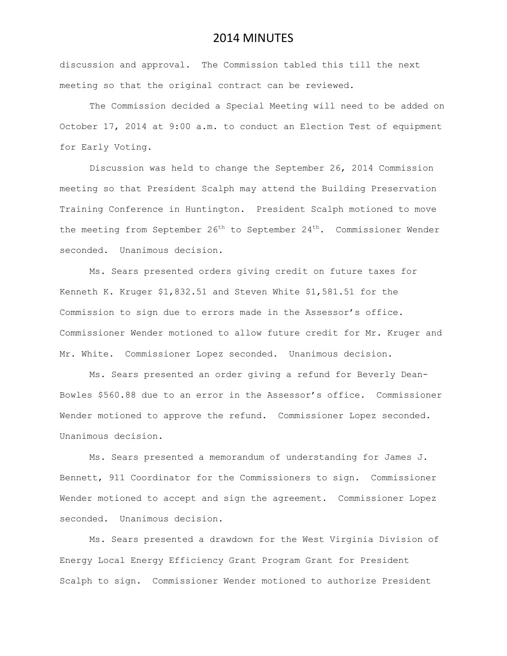discussion and approval. The Commission tabled this till the next meeting so that the original contract can be reviewed.

The Commission decided a Special Meeting will need to be added on October 17, 2014 at 9:00 a.m. to conduct an Election Test of equipment for Early Voting.

Discussion was held to change the September 26, 2014 Commission meeting so that President Scalph may attend the Building Preservation Training Conference in Huntington. President Scalph motioned to move the meeting from September  $26<sup>th</sup>$  to September  $24<sup>th</sup>$ . Commissioner Wender seconded. Unanimous decision.

Ms. Sears presented orders giving credit on future taxes for Kenneth K. Kruger \$1,832.51 and Steven White \$1,581.51 for the Commission to sign due to errors made in the Assessor's office. Commissioner Wender motioned to allow future credit for Mr. Kruger and Mr. White. Commissioner Lopez seconded. Unanimous decision.

Ms. Sears presented an order giving a refund for Beverly Dean-Bowles \$560.88 due to an error in the Assessor's office. Commissioner Wender motioned to approve the refund. Commissioner Lopez seconded. Unanimous decision.

Ms. Sears presented a memorandum of understanding for James J. Bennett, 911 Coordinator for the Commissioners to sign. Commissioner Wender motioned to accept and sign the agreement. Commissioner Lopez seconded. Unanimous decision.

Ms. Sears presented a drawdown for the West Virginia Division of Energy Local Energy Efficiency Grant Program Grant for President Scalph to sign. Commissioner Wender motioned to authorize President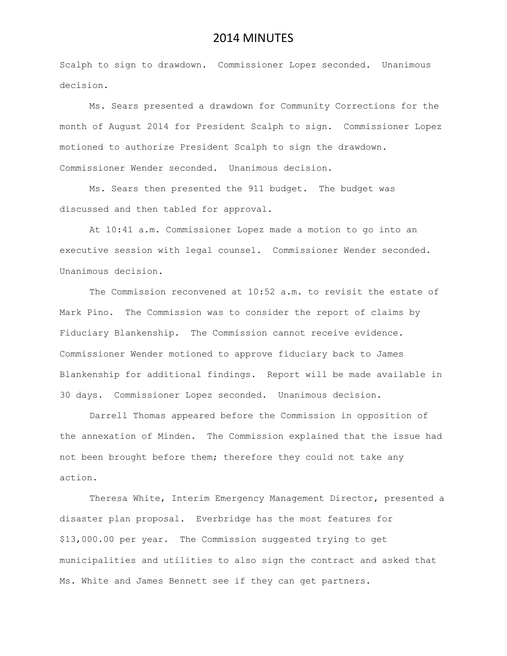Scalph to sign to drawdown. Commissioner Lopez seconded. Unanimous decision.

Ms. Sears presented a drawdown for Community Corrections for the month of August 2014 for President Scalph to sign. Commissioner Lopez motioned to authorize President Scalph to sign the drawdown. Commissioner Wender seconded. Unanimous decision.

Ms. Sears then presented the 911 budget. The budget was discussed and then tabled for approval.

At 10:41 a.m. Commissioner Lopez made a motion to go into an executive session with legal counsel. Commissioner Wender seconded. Unanimous decision.

The Commission reconvened at 10:52 a.m. to revisit the estate of Mark Pino. The Commission was to consider the report of claims by Fiduciary Blankenship. The Commission cannot receive evidence. Commissioner Wender motioned to approve fiduciary back to James Blankenship for additional findings. Report will be made available in 30 days. Commissioner Lopez seconded. Unanimous decision.

Darrell Thomas appeared before the Commission in opposition of the annexation of Minden. The Commission explained that the issue had not been brought before them; therefore they could not take any action.

Theresa White, Interim Emergency Management Director, presented a disaster plan proposal. Everbridge has the most features for \$13,000.00 per year. The Commission suggested trying to get municipalities and utilities to also sign the contract and asked that Ms. White and James Bennett see if they can get partners.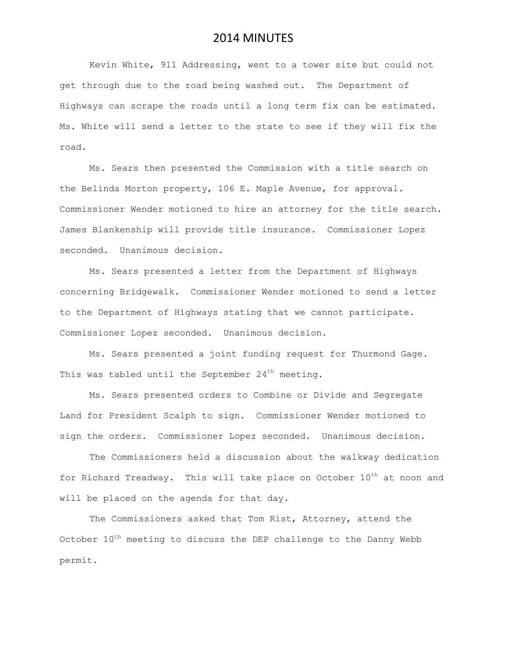Kevin White, 911 Addressing, went to a tower site but could not get through due to the road being washed out. The Department of Highways can scrape the roads until a long term fix can be estimated. Ms. White will send a letter to the state to see if they will fix the road.

Ms. Sears then presented the Commission with a title search on the Belinda Morton property, 106 E. Maple Avenue, for approval. Commissioner Wender motioned to hire an attorney for the title search. James Blankenship will provide title insurance. Commissioner Lopez seconded. Unanimous decision.

Ms. Sears presented a letter from the Department of Highways concerning Bridgewalk. Commissioner Wender motioned to send a letter to the Department of Highways stating that we cannot participate. Commissioner Lopez seconded. Unanimous decision.

Ms. Sears presented a joint funding request for Thurmond Gage. This was tabled until the September  $24<sup>th</sup>$  meeting.

Ms. Sears presented orders to Combine or Divide and Segregate Land for President Scalph to sign. Commissioner Wender motioned to sign the orders. Commissioner Lopez seconded. Unanimous decision.

The Commissioners held a discussion about the walkway dedication for Richard Treadway. This will take place on October 10<sup>th</sup> at noon and will be placed on the agenda for that day.

The Commissioners asked that Tom Rist, Attorney, attend the October  $10^{th}$  meeting to discuss the DEP challenge to the Danny Webb permit.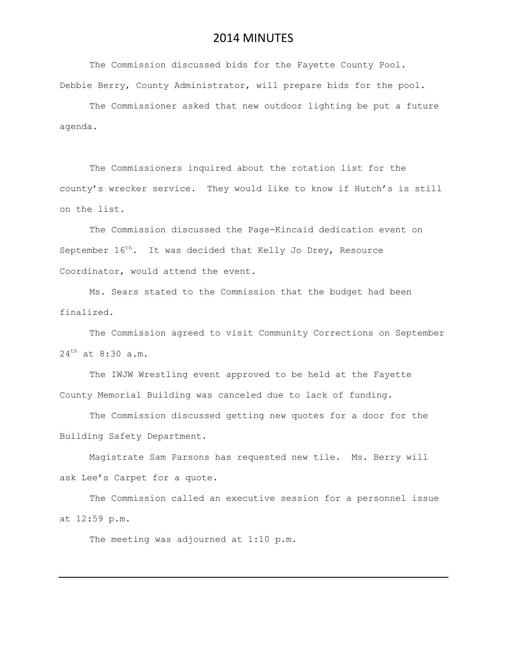The Commission discussed bids for the Fayette County Pool. Debbie Berry, County Administrator, will prepare bids for the pool.

The Commissioner asked that new outdoor lighting be put a future agenda.

The Commissioners inquired about the rotation list for the county's wrecker service. They would like to know if Hutch's is still on the list.

The Commission discussed the Page-Kincaid dedication event on September  $16<sup>th</sup>$ . It was decided that Kelly Jo Drey, Resource Coordinator, would attend the event.

Ms. Sears stated to the Commission that the budget had been finalized.

The Commission agreed to visit Community Corrections on September 24<sup>th</sup> at 8:30 a.m.

The IWJW Wrestling event approved to be held at the Fayette County Memorial Building was canceled due to lack of funding.

The Commission discussed getting new quotes for a door for the Building Safety Department.

Magistrate Sam Parsons has requested new tile. Ms. Berry will ask Lee's Carpet for a quote.

The Commission called an executive session for a personnel issue at 12:59 p.m.

The meeting was adjourned at 1:10 p.m.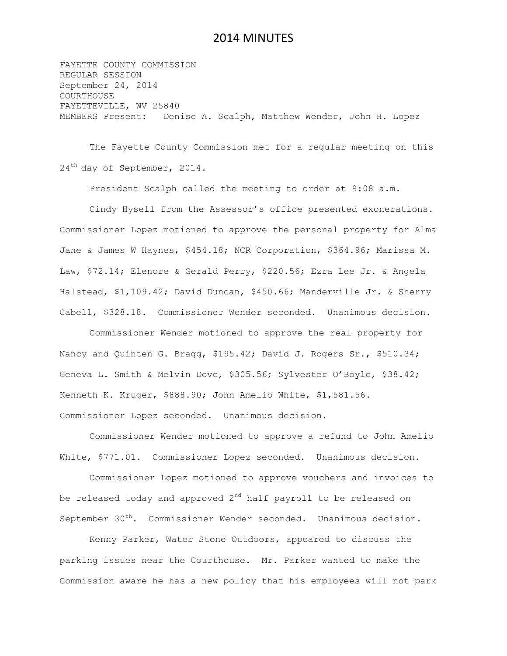FAYETTE COUNTY COMMISSION REGULAR SESSION September 24, 2014 COURTHOUSE FAYETTEVILLE, WV 25840 MEMBERS Present: Denise A. Scalph, Matthew Wender, John H. Lopez

The Fayette County Commission met for a regular meeting on this 24<sup>th</sup> day of September, 2014.

President Scalph called the meeting to order at 9:08 a.m.

Cindy Hysell from the Assessor's office presented exonerations. Commissioner Lopez motioned to approve the personal property for Alma Jane & James W Haynes, \$454.18; NCR Corporation, \$364.96; Marissa M. Law, \$72.14; Elenore & Gerald Perry, \$220.56; Ezra Lee Jr. & Angela Halstead, \$1,109.42; David Duncan, \$450.66; Manderville Jr. & Sherry Cabell, \$328.18. Commissioner Wender seconded. Unanimous decision.

Commissioner Wender motioned to approve the real property for Nancy and Quinten G. Bragg, \$195.42; David J. Rogers Sr., \$510.34; Geneva L. Smith & Melvin Dove, \$305.56; Sylvester O'Boyle, \$38.42; Kenneth K. Kruger, \$888.90; John Amelio White, \$1,581.56. Commissioner Lopez seconded. Unanimous decision.

Commissioner Wender motioned to approve a refund to John Amelio White, \$771.01. Commissioner Lopez seconded. Unanimous decision.

Commissioner Lopez motioned to approve vouchers and invoices to be released today and approved 2<sup>nd</sup> half payroll to be released on September 30<sup>th</sup>. Commissioner Wender seconded. Unanimous decision.

Kenny Parker, Water Stone Outdoors, appeared to discuss the parking issues near the Courthouse. Mr. Parker wanted to make the Commission aware he has a new policy that his employees will not park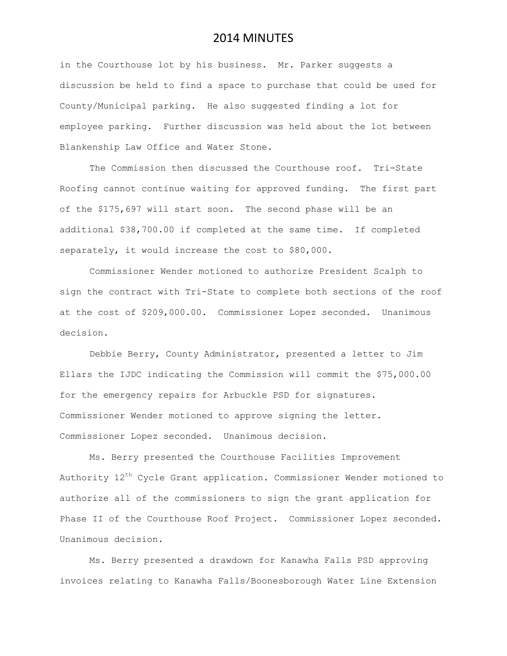in the Courthouse lot by his business. Mr. Parker suggests a discussion be held to find a space to purchase that could be used for County/Municipal parking. He also suggested finding a lot for employee parking. Further discussion was held about the lot between Blankenship Law Office and Water Stone.

The Commission then discussed the Courthouse roof. Tri-State Roofing cannot continue waiting for approved funding. The first part of the \$175,697 will start soon. The second phase will be an additional \$38,700.00 if completed at the same time. If completed separately, it would increase the cost to \$80,000.

Commissioner Wender motioned to authorize President Scalph to sign the contract with Tri-State to complete both sections of the roof at the cost of \$209,000.00. Commissioner Lopez seconded. Unanimous decision.

Debbie Berry, County Administrator, presented a letter to Jim Ellars the IJDC indicating the Commission will commit the \$75,000.00 for the emergency repairs for Arbuckle PSD for signatures. Commissioner Wender motioned to approve signing the letter. Commissioner Lopez seconded. Unanimous decision.

Ms. Berry presented the Courthouse Facilities Improvement Authority  $12<sup>th</sup>$  Cycle Grant application. Commissioner Wender motioned to authorize all of the commissioners to sign the grant application for Phase II of the Courthouse Roof Project. Commissioner Lopez seconded. Unanimous decision.

Ms. Berry presented a drawdown for Kanawha Falls PSD approving invoices relating to Kanawha Falls/Boonesborough Water Line Extension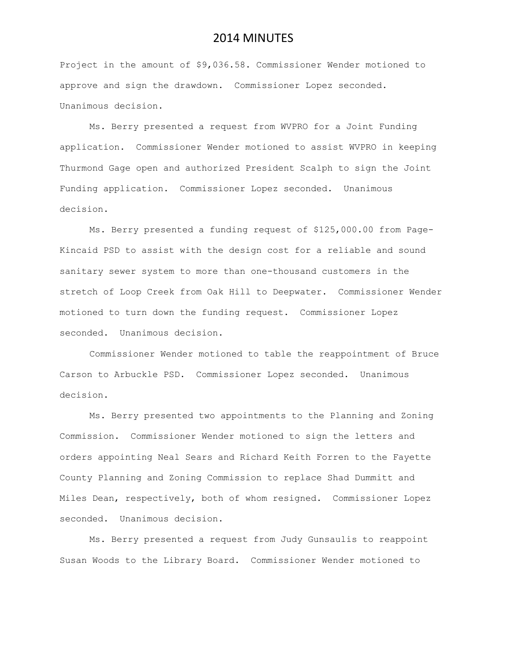Project in the amount of \$9,036.58. Commissioner Wender motioned to approve and sign the drawdown. Commissioner Lopez seconded. Unanimous decision.

Ms. Berry presented a request from WVPRO for a Joint Funding application. Commissioner Wender motioned to assist WVPRO in keeping Thurmond Gage open and authorized President Scalph to sign the Joint Funding application. Commissioner Lopez seconded. Unanimous decision.

Ms. Berry presented a funding request of \$125,000.00 from Page-Kincaid PSD to assist with the design cost for a reliable and sound sanitary sewer system to more than one-thousand customers in the stretch of Loop Creek from Oak Hill to Deepwater. Commissioner Wender motioned to turn down the funding request. Commissioner Lopez seconded. Unanimous decision.

Commissioner Wender motioned to table the reappointment of Bruce Carson to Arbuckle PSD. Commissioner Lopez seconded. Unanimous decision.

Ms. Berry presented two appointments to the Planning and Zoning Commission. Commissioner Wender motioned to sign the letters and orders appointing Neal Sears and Richard Keith Forren to the Fayette County Planning and Zoning Commission to replace Shad Dummitt and Miles Dean, respectively, both of whom resigned. Commissioner Lopez seconded. Unanimous decision.

Ms. Berry presented a request from Judy Gunsaulis to reappoint Susan Woods to the Library Board. Commissioner Wender motioned to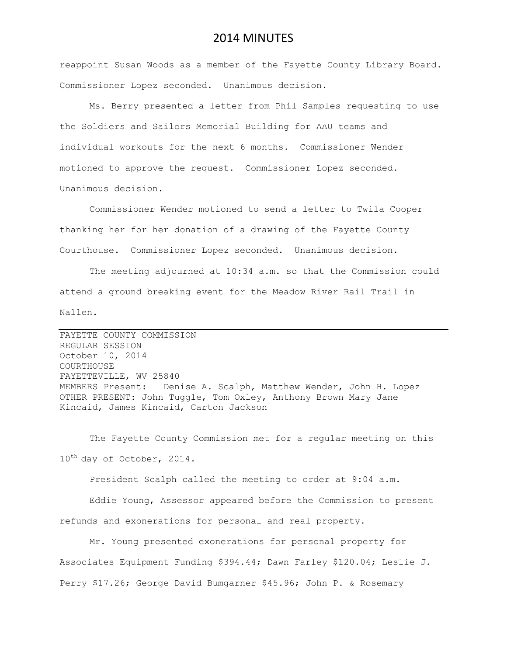reappoint Susan Woods as a member of the Fayette County Library Board. Commissioner Lopez seconded. Unanimous decision.

Ms. Berry presented a letter from Phil Samples requesting to use the Soldiers and Sailors Memorial Building for AAU teams and individual workouts for the next 6 months. Commissioner Wender motioned to approve the request. Commissioner Lopez seconded. Unanimous decision.

Commissioner Wender motioned to send a letter to Twila Cooper thanking her for her donation of a drawing of the Fayette County Courthouse. Commissioner Lopez seconded. Unanimous decision.

The meeting adjourned at 10:34 a.m. so that the Commission could attend a ground breaking event for the Meadow River Rail Trail in Nallen.

FAYETTE COUNTY COMMISSION REGULAR SESSION October 10, 2014 COURTHOUSE FAYETTEVILLE, WV 25840 MEMBERS Present: Denise A. Scalph, Matthew Wender, John H. Lopez OTHER PRESENT: John Tuggle, Tom Oxley, Anthony Brown Mary Jane Kincaid, James Kincaid, Carton Jackson

The Fayette County Commission met for a regular meeting on this 10<sup>th</sup> day of October, 2014.

President Scalph called the meeting to order at 9:04 a.m.

Eddie Young, Assessor appeared before the Commission to present refunds and exonerations for personal and real property.

Mr. Young presented exonerations for personal property for Associates Equipment Funding \$394.44; Dawn Farley \$120.04; Leslie J. Perry \$17.26; George David Bumgarner \$45.96; John P. & Rosemary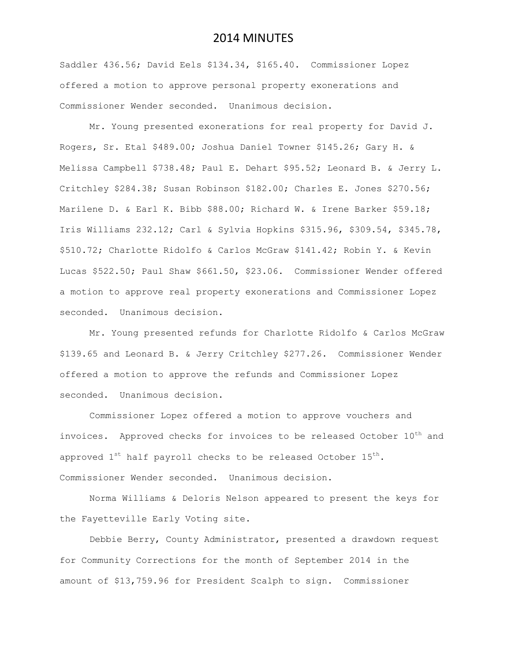Saddler 436.56; David Eels \$134.34, \$165.40. Commissioner Lopez offered a motion to approve personal property exonerations and Commissioner Wender seconded. Unanimous decision.

Mr. Young presented exonerations for real property for David J. Rogers, Sr. Etal \$489.00; Joshua Daniel Towner \$145.26; Gary H. & Melissa Campbell \$738.48; Paul E. Dehart \$95.52; Leonard B. & Jerry L. Critchley \$284.38; Susan Robinson \$182.00; Charles E. Jones \$270.56; Marilene D. & Earl K. Bibb \$88.00; Richard W. & Irene Barker \$59.18; Iris Williams 232.12; Carl & Sylvia Hopkins \$315.96, \$309.54, \$345.78, \$510.72; Charlotte Ridolfo & Carlos McGraw \$141.42; Robin Y. & Kevin Lucas \$522.50; Paul Shaw \$661.50, \$23.06. Commissioner Wender offered a motion to approve real property exonerations and Commissioner Lopez seconded. Unanimous decision.

Mr. Young presented refunds for Charlotte Ridolfo & Carlos McGraw \$139.65 and Leonard B. & Jerry Critchley \$277.26. Commissioner Wender offered a motion to approve the refunds and Commissioner Lopez seconded. Unanimous decision.

Commissioner Lopez offered a motion to approve vouchers and invoices. Approved checks for invoices to be released October 10<sup>th</sup> and approved  $1^{st}$  half payroll checks to be released October  $15^{th}$ . Commissioner Wender seconded. Unanimous decision.

Norma Williams & Deloris Nelson appeared to present the keys for the Fayetteville Early Voting site.

Debbie Berry, County Administrator, presented a drawdown request for Community Corrections for the month of September 2014 in the amount of \$13,759.96 for President Scalph to sign. Commissioner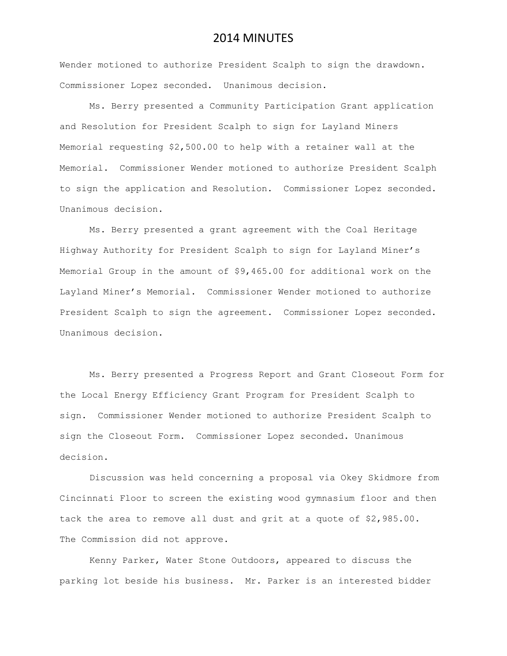Wender motioned to authorize President Scalph to sign the drawdown. Commissioner Lopez seconded. Unanimous decision.

Ms. Berry presented a Community Participation Grant application and Resolution for President Scalph to sign for Layland Miners Memorial requesting \$2,500.00 to help with a retainer wall at the Memorial. Commissioner Wender motioned to authorize President Scalph to sign the application and Resolution. Commissioner Lopez seconded. Unanimous decision.

Ms. Berry presented a grant agreement with the Coal Heritage Highway Authority for President Scalph to sign for Layland Miner's Memorial Group in the amount of \$9,465.00 for additional work on the Layland Miner's Memorial. Commissioner Wender motioned to authorize President Scalph to sign the agreement. Commissioner Lopez seconded. Unanimous decision.

Ms. Berry presented a Progress Report and Grant Closeout Form for the Local Energy Efficiency Grant Program for President Scalph to sign. Commissioner Wender motioned to authorize President Scalph to sign the Closeout Form. Commissioner Lopez seconded. Unanimous decision.

Discussion was held concerning a proposal via Okey Skidmore from Cincinnati Floor to screen the existing wood gymnasium floor and then tack the area to remove all dust and grit at a quote of \$2,985.00. The Commission did not approve.

Kenny Parker, Water Stone Outdoors, appeared to discuss the parking lot beside his business. Mr. Parker is an interested bidder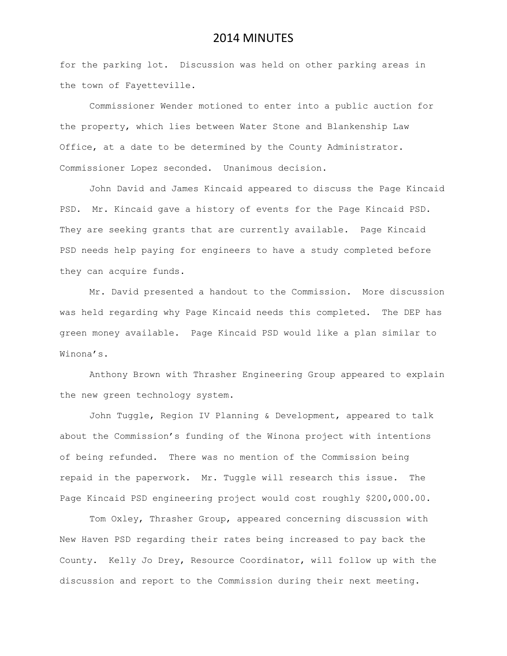for the parking lot. Discussion was held on other parking areas in the town of Fayetteville.

Commissioner Wender motioned to enter into a public auction for the property, which lies between Water Stone and Blankenship Law Office, at a date to be determined by the County Administrator. Commissioner Lopez seconded. Unanimous decision.

John David and James Kincaid appeared to discuss the Page Kincaid PSD. Mr. Kincaid gave a history of events for the Page Kincaid PSD. They are seeking grants that are currently available. Page Kincaid PSD needs help paying for engineers to have a study completed before they can acquire funds.

Mr. David presented a handout to the Commission. More discussion was held regarding why Page Kincaid needs this completed. The DEP has green money available. Page Kincaid PSD would like a plan similar to Winona's.

Anthony Brown with Thrasher Engineering Group appeared to explain the new green technology system.

John Tuggle, Region IV Planning & Development, appeared to talk about the Commission's funding of the Winona project with intentions of being refunded. There was no mention of the Commission being repaid in the paperwork. Mr. Tuggle will research this issue. The Page Kincaid PSD engineering project would cost roughly \$200,000.00.

Tom Oxley, Thrasher Group, appeared concerning discussion with New Haven PSD regarding their rates being increased to pay back the County. Kelly Jo Drey, Resource Coordinator, will follow up with the discussion and report to the Commission during their next meeting.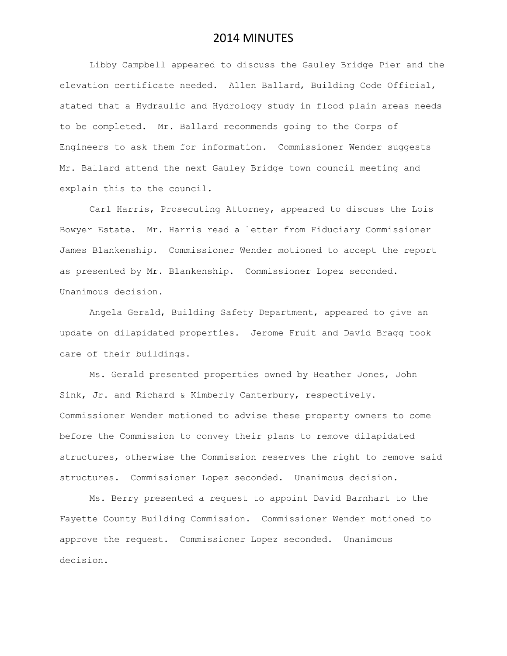Libby Campbell appeared to discuss the Gauley Bridge Pier and the elevation certificate needed. Allen Ballard, Building Code Official, stated that a Hydraulic and Hydrology study in flood plain areas needs to be completed. Mr. Ballard recommends going to the Corps of Engineers to ask them for information. Commissioner Wender suggests Mr. Ballard attend the next Gauley Bridge town council meeting and explain this to the council.

Carl Harris, Prosecuting Attorney, appeared to discuss the Lois Bowyer Estate. Mr. Harris read a letter from Fiduciary Commissioner James Blankenship. Commissioner Wender motioned to accept the report as presented by Mr. Blankenship. Commissioner Lopez seconded. Unanimous decision.

Angela Gerald, Building Safety Department, appeared to give an update on dilapidated properties. Jerome Fruit and David Bragg took care of their buildings.

Ms. Gerald presented properties owned by Heather Jones, John Sink, Jr. and Richard & Kimberly Canterbury, respectively. Commissioner Wender motioned to advise these property owners to come before the Commission to convey their plans to remove dilapidated structures, otherwise the Commission reserves the right to remove said structures. Commissioner Lopez seconded. Unanimous decision.

Ms. Berry presented a request to appoint David Barnhart to the Fayette County Building Commission. Commissioner Wender motioned to approve the request. Commissioner Lopez seconded. Unanimous decision.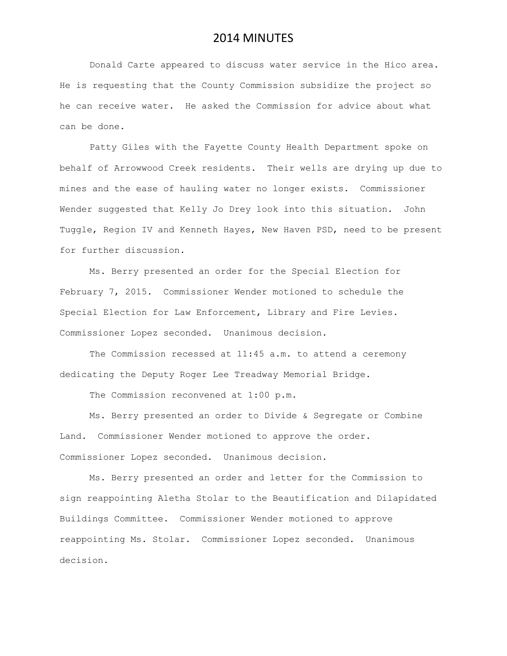Donald Carte appeared to discuss water service in the Hico area. He is requesting that the County Commission subsidize the project so he can receive water. He asked the Commission for advice about what can be done.

Patty Giles with the Fayette County Health Department spoke on behalf of Arrowwood Creek residents. Their wells are drying up due to mines and the ease of hauling water no longer exists. Commissioner Wender suggested that Kelly Jo Drey look into this situation. John Tuggle, Region IV and Kenneth Hayes, New Haven PSD, need to be present for further discussion.

Ms. Berry presented an order for the Special Election for February 7, 2015. Commissioner Wender motioned to schedule the Special Election for Law Enforcement, Library and Fire Levies. Commissioner Lopez seconded. Unanimous decision.

The Commission recessed at 11:45 a.m. to attend a ceremony dedicating the Deputy Roger Lee Treadway Memorial Bridge.

The Commission reconvened at 1:00 p.m.

Ms. Berry presented an order to Divide & Segregate or Combine Land. Commissioner Wender motioned to approve the order. Commissioner Lopez seconded. Unanimous decision.

Ms. Berry presented an order and letter for the Commission to sign reappointing Aletha Stolar to the Beautification and Dilapidated Buildings Committee. Commissioner Wender motioned to approve reappointing Ms. Stolar. Commissioner Lopez seconded. Unanimous decision.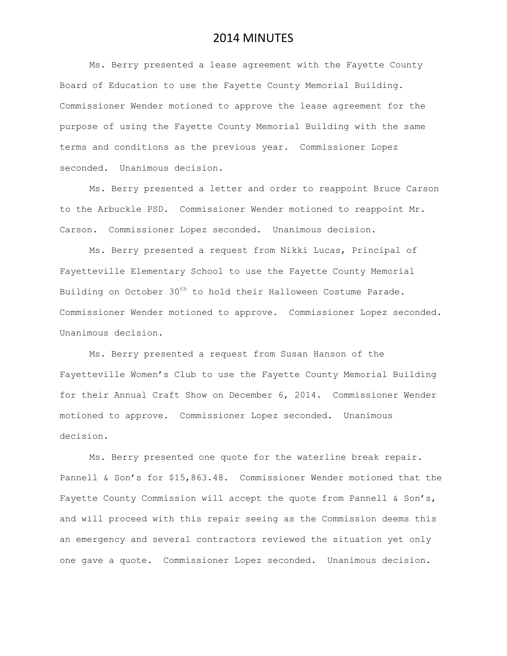Ms. Berry presented a lease agreement with the Fayette County Board of Education to use the Fayette County Memorial Building. Commissioner Wender motioned to approve the lease agreement for the purpose of using the Fayette County Memorial Building with the same terms and conditions as the previous year. Commissioner Lopez seconded. Unanimous decision.

Ms. Berry presented a letter and order to reappoint Bruce Carson to the Arbuckle PSD. Commissioner Wender motioned to reappoint Mr. Carson. Commissioner Lopez seconded. Unanimous decision.

Ms. Berry presented a request from Nikki Lucas, Principal of Fayetteville Elementary School to use the Fayette County Memorial Building on October 30<sup>th</sup> to hold their Halloween Costume Parade. Commissioner Wender motioned to approve. Commissioner Lopez seconded. Unanimous decision.

Ms. Berry presented a request from Susan Hanson of the Fayetteville Women's Club to use the Fayette County Memorial Building for their Annual Craft Show on December 6, 2014. Commissioner Wender motioned to approve. Commissioner Lopez seconded. Unanimous decision.

Ms. Berry presented one quote for the waterline break repair. Pannell & Son's for \$15,863.48. Commissioner Wender motioned that the Fayette County Commission will accept the quote from Pannell & Son's, and will proceed with this repair seeing as the Commission deems this an emergency and several contractors reviewed the situation yet only one gave a quote. Commissioner Lopez seconded. Unanimous decision.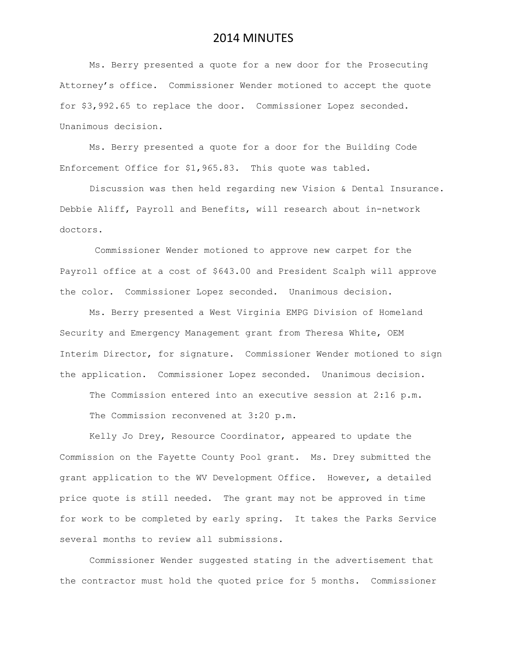Ms. Berry presented a quote for a new door for the Prosecuting Attorney's office. Commissioner Wender motioned to accept the quote for \$3,992.65 to replace the door. Commissioner Lopez seconded. Unanimous decision.

Ms. Berry presented a quote for a door for the Building Code Enforcement Office for \$1,965.83. This quote was tabled.

Discussion was then held regarding new Vision & Dental Insurance. Debbie Aliff, Payroll and Benefits, will research about in-network doctors.

Commissioner Wender motioned to approve new carpet for the Payroll office at a cost of \$643.00 and President Scalph will approve the color. Commissioner Lopez seconded. Unanimous decision.

Ms. Berry presented a West Virginia EMPG Division of Homeland Security and Emergency Management grant from Theresa White, OEM Interim Director, for signature. Commissioner Wender motioned to sign the application. Commissioner Lopez seconded. Unanimous decision.

The Commission entered into an executive session at 2:16 p.m. The Commission reconvened at 3:20 p.m.

Kelly Jo Drey, Resource Coordinator, appeared to update the Commission on the Fayette County Pool grant. Ms. Drey submitted the grant application to the WV Development Office. However, a detailed price quote is still needed. The grant may not be approved in time for work to be completed by early spring. It takes the Parks Service several months to review all submissions.

Commissioner Wender suggested stating in the advertisement that the contractor must hold the quoted price for 5 months. Commissioner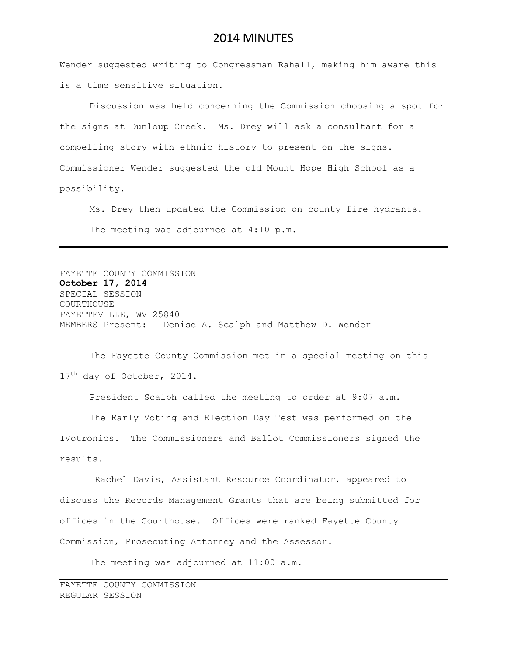Wender suggested writing to Congressman Rahall, making him aware this is a time sensitive situation.

Discussion was held concerning the Commission choosing a spot for the signs at Dunloup Creek. Ms. Drey will ask a consultant for a compelling story with ethnic history to present on the signs. Commissioner Wender suggested the old Mount Hope High School as a possibility.

Ms. Drey then updated the Commission on county fire hydrants. The meeting was adjourned at 4:10 p.m.

FAYETTE COUNTY COMMISSION **October 17, 2014** SPECIAL SESSION COURTHOUSE FAYETTEVILLE, WV 25840 MEMBERS Present: Denise A. Scalph and Matthew D. Wender

The Fayette County Commission met in a special meeting on this 17<sup>th</sup> day of October, 2014.

President Scalph called the meeting to order at 9:07 a.m.

The Early Voting and Election Day Test was performed on the IVotronics. The Commissioners and Ballot Commissioners signed the results.

Rachel Davis, Assistant Resource Coordinator, appeared to discuss the Records Management Grants that are being submitted for offices in the Courthouse. Offices were ranked Fayette County Commission, Prosecuting Attorney and the Assessor.

The meeting was adjourned at 11:00 a.m.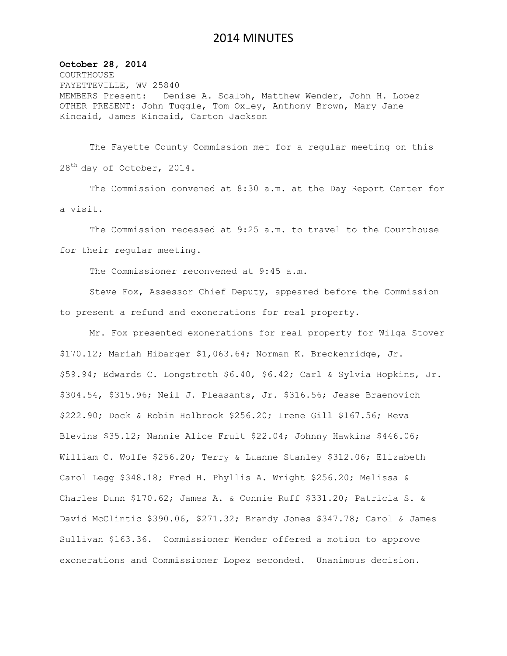#### **October 28, 2014**

**COURTHOUSE** FAYETTEVILLE, WV 25840 MEMBERS Present: Denise A. Scalph, Matthew Wender, John H. Lopez OTHER PRESENT: John Tuggle, Tom Oxley, Anthony Brown, Mary Jane Kincaid, James Kincaid, Carton Jackson

The Fayette County Commission met for a regular meeting on this 28<sup>th</sup> day of October, 2014.

The Commission convened at 8:30 a.m. at the Day Report Center for a visit.

The Commission recessed at 9:25 a.m. to travel to the Courthouse for their regular meeting.

The Commissioner reconvened at 9:45 a.m.

Steve Fox, Assessor Chief Deputy, appeared before the Commission to present a refund and exonerations for real property.

Mr. Fox presented exonerations for real property for Wilga Stover \$170.12; Mariah Hibarger \$1,063.64; Norman K. Breckenridge, Jr. \$59.94; Edwards C. Longstreth \$6.40, \$6.42; Carl & Sylvia Hopkins, Jr. \$304.54, \$315.96; Neil J. Pleasants, Jr. \$316.56; Jesse Braenovich \$222.90; Dock & Robin Holbrook \$256.20; Irene Gill \$167.56; Reva Blevins \$35.12; Nannie Alice Fruit \$22.04; Johnny Hawkins \$446.06; William C. Wolfe \$256.20; Terry & Luanne Stanley \$312.06; Elizabeth Carol Legg \$348.18; Fred H. Phyllis A. Wright \$256.20; Melissa & Charles Dunn \$170.62; James A. & Connie Ruff \$331.20; Patricia S. & David McClintic \$390.06, \$271.32; Brandy Jones \$347.78; Carol & James Sullivan \$163.36. Commissioner Wender offered a motion to approve exonerations and Commissioner Lopez seconded. Unanimous decision.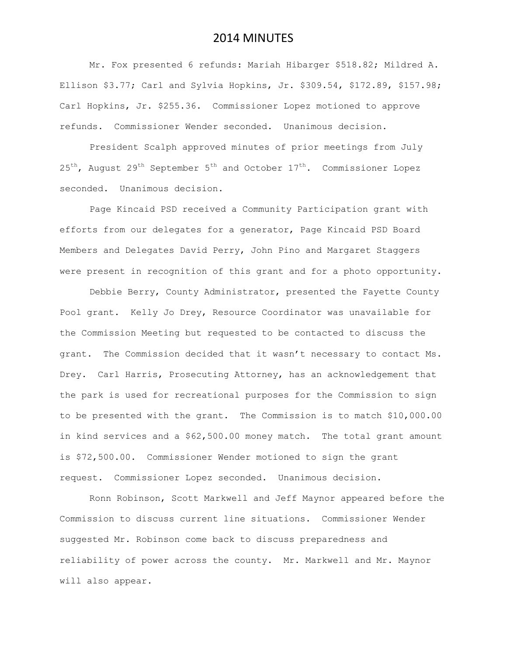Mr. Fox presented 6 refunds: Mariah Hibarger \$518.82; Mildred A. Ellison \$3.77; Carl and Sylvia Hopkins, Jr. \$309.54, \$172.89, \$157.98; Carl Hopkins, Jr. \$255.36. Commissioner Lopez motioned to approve refunds. Commissioner Wender seconded. Unanimous decision.

President Scalph approved minutes of prior meetings from July  $25<sup>th</sup>$ , August  $29<sup>th</sup>$  September  $5<sup>th</sup>$  and October  $17<sup>th</sup>$ . Commissioner Lopez seconded. Unanimous decision.

Page Kincaid PSD received a Community Participation grant with efforts from our delegates for a generator, Page Kincaid PSD Board Members and Delegates David Perry, John Pino and Margaret Staggers were present in recognition of this grant and for a photo opportunity.

Debbie Berry, County Administrator, presented the Fayette County Pool grant. Kelly Jo Drey, Resource Coordinator was unavailable for the Commission Meeting but requested to be contacted to discuss the grant. The Commission decided that it wasn't necessary to contact Ms. Drey. Carl Harris, Prosecuting Attorney, has an acknowledgement that the park is used for recreational purposes for the Commission to sign to be presented with the grant. The Commission is to match \$10,000.00 in kind services and a \$62,500.00 money match. The total grant amount is \$72,500.00. Commissioner Wender motioned to sign the grant request. Commissioner Lopez seconded. Unanimous decision.

Ronn Robinson, Scott Markwell and Jeff Maynor appeared before the Commission to discuss current line situations. Commissioner Wender suggested Mr. Robinson come back to discuss preparedness and reliability of power across the county. Mr. Markwell and Mr. Maynor will also appear.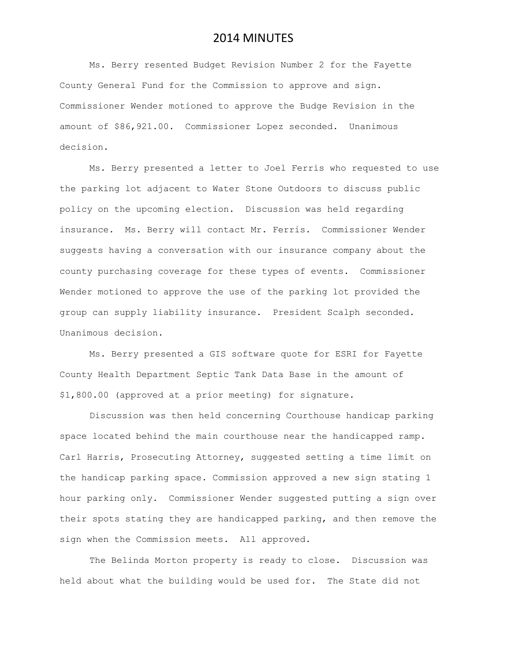Ms. Berry resented Budget Revision Number 2 for the Fayette County General Fund for the Commission to approve and sign. Commissioner Wender motioned to approve the Budge Revision in the amount of \$86,921.00. Commissioner Lopez seconded. Unanimous decision.

Ms. Berry presented a letter to Joel Ferris who requested to use the parking lot adjacent to Water Stone Outdoors to discuss public policy on the upcoming election. Discussion was held regarding insurance. Ms. Berry will contact Mr. Ferris. Commissioner Wender suggests having a conversation with our insurance company about the county purchasing coverage for these types of events. Commissioner Wender motioned to approve the use of the parking lot provided the group can supply liability insurance. President Scalph seconded. Unanimous decision.

Ms. Berry presented a GIS software quote for ESRI for Fayette County Health Department Septic Tank Data Base in the amount of \$1,800.00 (approved at a prior meeting) for signature.

Discussion was then held concerning Courthouse handicap parking space located behind the main courthouse near the handicapped ramp. Carl Harris, Prosecuting Attorney, suggested setting a time limit on the handicap parking space. Commission approved a new sign stating 1 hour parking only. Commissioner Wender suggested putting a sign over their spots stating they are handicapped parking, and then remove the sign when the Commission meets. All approved.

The Belinda Morton property is ready to close. Discussion was held about what the building would be used for. The State did not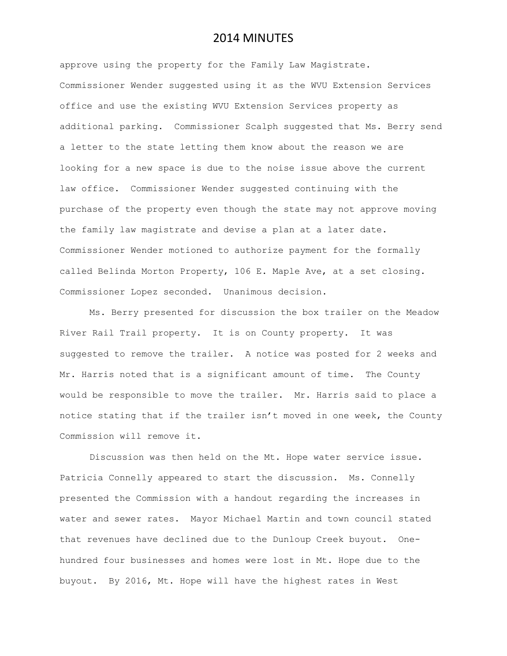approve using the property for the Family Law Magistrate. Commissioner Wender suggested using it as the WVU Extension Services office and use the existing WVU Extension Services property as additional parking. Commissioner Scalph suggested that Ms. Berry send a letter to the state letting them know about the reason we are looking for a new space is due to the noise issue above the current law office. Commissioner Wender suggested continuing with the purchase of the property even though the state may not approve moving the family law magistrate and devise a plan at a later date. Commissioner Wender motioned to authorize payment for the formally called Belinda Morton Property, 106 E. Maple Ave, at a set closing. Commissioner Lopez seconded. Unanimous decision.

Ms. Berry presented for discussion the box trailer on the Meadow River Rail Trail property. It is on County property. It was suggested to remove the trailer. A notice was posted for 2 weeks and Mr. Harris noted that is a significant amount of time. The County would be responsible to move the trailer. Mr. Harris said to place a notice stating that if the trailer isn't moved in one week, the County Commission will remove it.

Discussion was then held on the Mt. Hope water service issue. Patricia Connelly appeared to start the discussion. Ms. Connelly presented the Commission with a handout regarding the increases in water and sewer rates. Mayor Michael Martin and town council stated that revenues have declined due to the Dunloup Creek buyout. Onehundred four businesses and homes were lost in Mt. Hope due to the buyout. By 2016, Mt. Hope will have the highest rates in West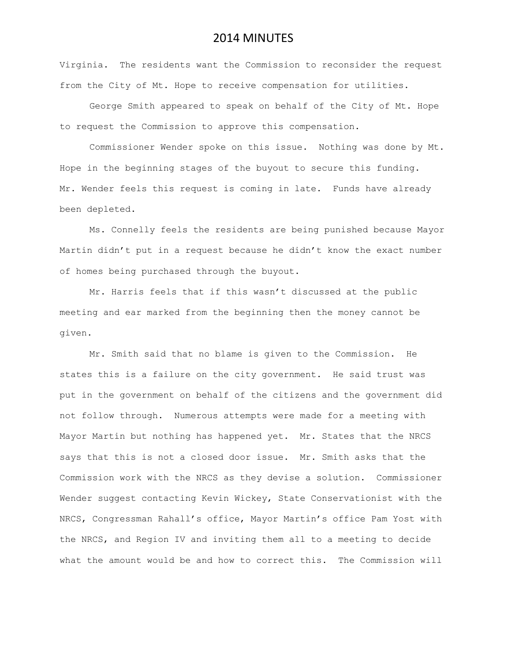Virginia. The residents want the Commission to reconsider the request from the City of Mt. Hope to receive compensation for utilities.

George Smith appeared to speak on behalf of the City of Mt. Hope to request the Commission to approve this compensation.

Commissioner Wender spoke on this issue. Nothing was done by Mt. Hope in the beginning stages of the buyout to secure this funding. Mr. Wender feels this request is coming in late. Funds have already been depleted.

Ms. Connelly feels the residents are being punished because Mayor Martin didn't put in a request because he didn't know the exact number of homes being purchased through the buyout.

Mr. Harris feels that if this wasn't discussed at the public meeting and ear marked from the beginning then the money cannot be given.

Mr. Smith said that no blame is given to the Commission. He states this is a failure on the city government. He said trust was put in the government on behalf of the citizens and the government did not follow through. Numerous attempts were made for a meeting with Mayor Martin but nothing has happened yet. Mr. States that the NRCS says that this is not a closed door issue. Mr. Smith asks that the Commission work with the NRCS as they devise a solution. Commissioner Wender suggest contacting Kevin Wickey, State Conservationist with the NRCS, Congressman Rahall's office, Mayor Martin's office Pam Yost with the NRCS, and Region IV and inviting them all to a meeting to decide what the amount would be and how to correct this. The Commission will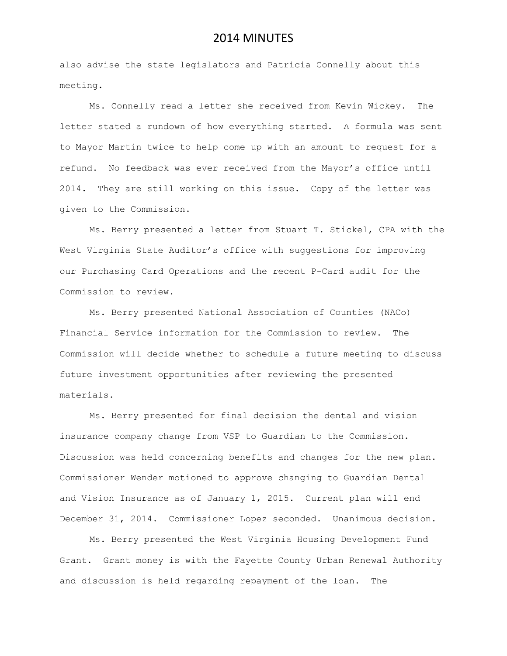also advise the state legislators and Patricia Connelly about this meeting.

Ms. Connelly read a letter she received from Kevin Wickey. The letter stated a rundown of how everything started. A formula was sent to Mayor Martin twice to help come up with an amount to request for a refund. No feedback was ever received from the Mayor's office until 2014. They are still working on this issue. Copy of the letter was given to the Commission.

Ms. Berry presented a letter from Stuart T. Stickel, CPA with the West Virginia State Auditor's office with suggestions for improving our Purchasing Card Operations and the recent P-Card audit for the Commission to review.

Ms. Berry presented National Association of Counties (NACo) Financial Service information for the Commission to review. The Commission will decide whether to schedule a future meeting to discuss future investment opportunities after reviewing the presented materials.

Ms. Berry presented for final decision the dental and vision insurance company change from VSP to Guardian to the Commission. Discussion was held concerning benefits and changes for the new plan. Commissioner Wender motioned to approve changing to Guardian Dental and Vision Insurance as of January 1, 2015. Current plan will end December 31, 2014. Commissioner Lopez seconded. Unanimous decision.

Ms. Berry presented the West Virginia Housing Development Fund Grant. Grant money is with the Fayette County Urban Renewal Authority and discussion is held regarding repayment of the loan. The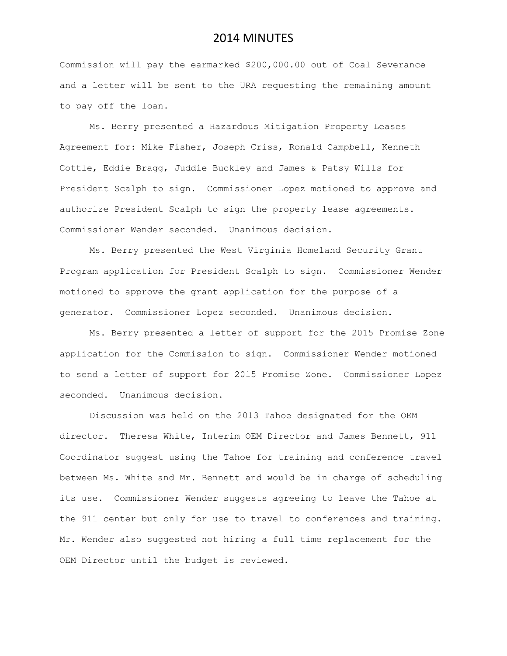Commission will pay the earmarked \$200,000.00 out of Coal Severance and a letter will be sent to the URA requesting the remaining amount to pay off the loan.

Ms. Berry presented a Hazardous Mitigation Property Leases Agreement for: Mike Fisher, Joseph Criss, Ronald Campbell, Kenneth Cottle, Eddie Bragg, Juddie Buckley and James & Patsy Wills for President Scalph to sign. Commissioner Lopez motioned to approve and authorize President Scalph to sign the property lease agreements. Commissioner Wender seconded. Unanimous decision.

Ms. Berry presented the West Virginia Homeland Security Grant Program application for President Scalph to sign. Commissioner Wender motioned to approve the grant application for the purpose of a generator. Commissioner Lopez seconded. Unanimous decision.

Ms. Berry presented a letter of support for the 2015 Promise Zone application for the Commission to sign. Commissioner Wender motioned to send a letter of support for 2015 Promise Zone. Commissioner Lopez seconded. Unanimous decision.

Discussion was held on the 2013 Tahoe designated for the OEM director. Theresa White, Interim OEM Director and James Bennett, 911 Coordinator suggest using the Tahoe for training and conference travel between Ms. White and Mr. Bennett and would be in charge of scheduling its use. Commissioner Wender suggests agreeing to leave the Tahoe at the 911 center but only for use to travel to conferences and training. Mr. Wender also suggested not hiring a full time replacement for the OEM Director until the budget is reviewed.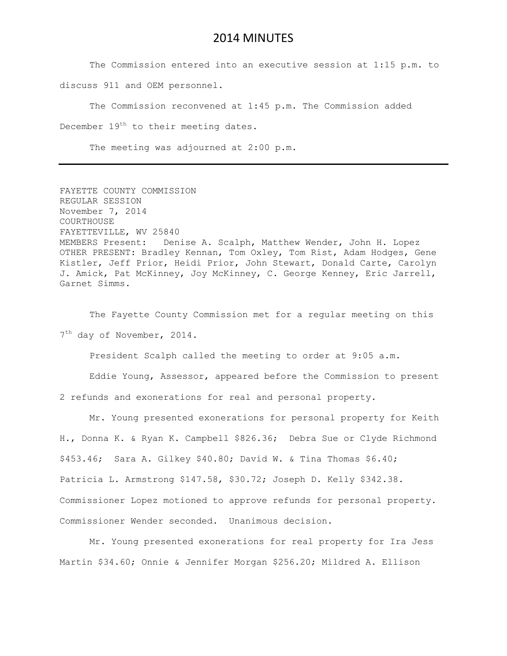The Commission entered into an executive session at 1:15 p.m. to

discuss 911 and OEM personnel.

The Commission reconvened at 1:45 p.m. The Commission added December 19<sup>th</sup> to their meeting dates.

The meeting was adjourned at 2:00 p.m.

FAYETTE COUNTY COMMISSION REGULAR SESSION November 7, 2014 COURTHOUSE FAYETTEVILLE, WV 25840 MEMBERS Present: Denise A. Scalph, Matthew Wender, John H. Lopez OTHER PRESENT: Bradley Kennan, Tom Oxley, Tom Rist, Adam Hodges, Gene Kistler, Jeff Prior, Heidi Prior, John Stewart, Donald Carte, Carolyn J. Amick, Pat McKinney, Joy McKinney, C. George Kenney, Eric Jarrell, Garnet Simms.

The Fayette County Commission met for a regular meeting on this 7<sup>th</sup> day of November, 2014.

President Scalph called the meeting to order at 9:05 a.m.

Eddie Young, Assessor, appeared before the Commission to present 2 refunds and exonerations for real and personal property.

Mr. Young presented exonerations for personal property for Keith H., Donna K. & Ryan K. Campbell \$826.36; Debra Sue or Clyde Richmond \$453.46; Sara A. Gilkey \$40.80; David W. & Tina Thomas \$6.40; Patricia L. Armstrong \$147.58, \$30.72; Joseph D. Kelly \$342.38. Commissioner Lopez motioned to approve refunds for personal property. Commissioner Wender seconded. Unanimous decision.

Mr. Young presented exonerations for real property for Ira Jess Martin \$34.60; Onnie & Jennifer Morgan \$256.20; Mildred A. Ellison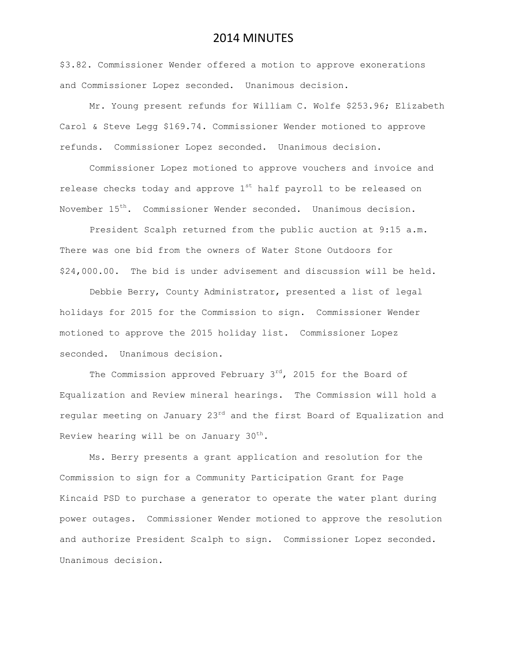\$3.82. Commissioner Wender offered a motion to approve exonerations and Commissioner Lopez seconded. Unanimous decision.

Mr. Young present refunds for William C. Wolfe \$253.96; Elizabeth Carol & Steve Legg \$169.74. Commissioner Wender motioned to approve refunds. Commissioner Lopez seconded. Unanimous decision.

Commissioner Lopez motioned to approve vouchers and invoice and release checks today and approve  $1^{st}$  half payroll to be released on November 15th. Commissioner Wender seconded. Unanimous decision.

President Scalph returned from the public auction at 9:15 a.m. There was one bid from the owners of Water Stone Outdoors for \$24,000.00. The bid is under advisement and discussion will be held.

Debbie Berry, County Administrator, presented a list of legal holidays for 2015 for the Commission to sign. Commissioner Wender motioned to approve the 2015 holiday list. Commissioner Lopez seconded. Unanimous decision.

The Commission approved February  $3^{rd}$ , 2015 for the Board of Equalization and Review mineral hearings. The Commission will hold a regular meeting on January 23rd and the first Board of Equalization and Review hearing will be on January  $30<sup>th</sup>$ .

Ms. Berry presents a grant application and resolution for the Commission to sign for a Community Participation Grant for Page Kincaid PSD to purchase a generator to operate the water plant during power outages. Commissioner Wender motioned to approve the resolution and authorize President Scalph to sign. Commissioner Lopez seconded. Unanimous decision.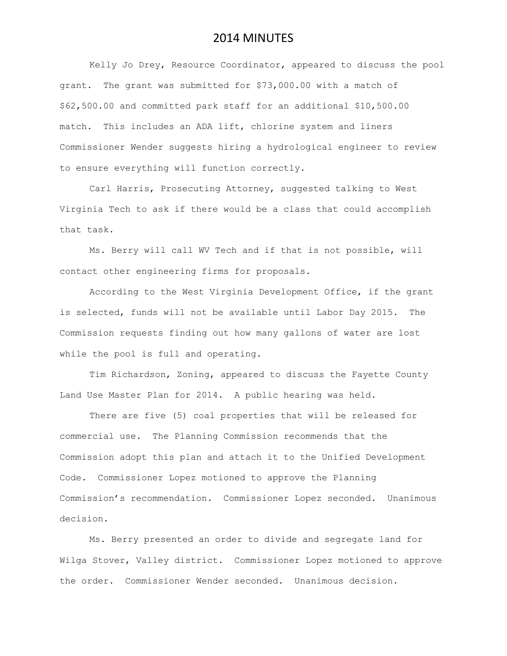Kelly Jo Drey, Resource Coordinator, appeared to discuss the pool grant. The grant was submitted for \$73,000.00 with a match of \$62,500.00 and committed park staff for an additional \$10,500.00 match. This includes an ADA lift, chlorine system and liners Commissioner Wender suggests hiring a hydrological engineer to review to ensure everything will function correctly.

Carl Harris, Prosecuting Attorney, suggested talking to West Virginia Tech to ask if there would be a class that could accomplish that task.

Ms. Berry will call WV Tech and if that is not possible, will contact other engineering firms for proposals.

According to the West Virginia Development Office, if the grant is selected, funds will not be available until Labor Day 2015. The Commission requests finding out how many gallons of water are lost while the pool is full and operating.

Tim Richardson, Zoning, appeared to discuss the Fayette County Land Use Master Plan for 2014. A public hearing was held.

There are five (5) coal properties that will be released for commercial use. The Planning Commission recommends that the Commission adopt this plan and attach it to the Unified Development Code. Commissioner Lopez motioned to approve the Planning Commission's recommendation. Commissioner Lopez seconded. Unanimous decision.

Ms. Berry presented an order to divide and segregate land for Wilga Stover, Valley district. Commissioner Lopez motioned to approve the order. Commissioner Wender seconded. Unanimous decision.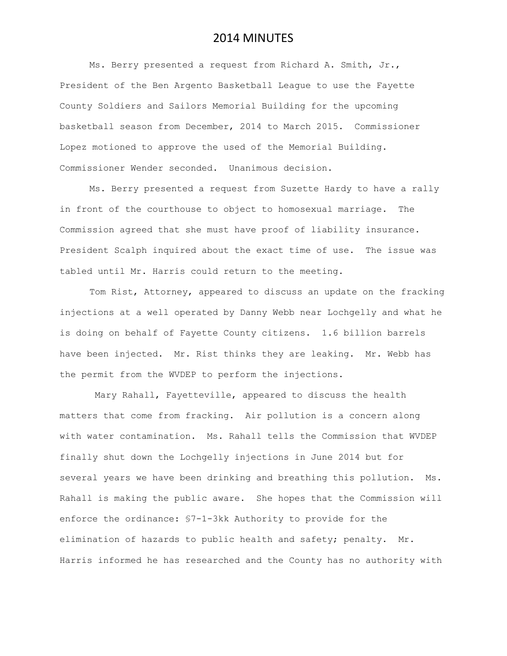Ms. Berry presented a request from Richard A. Smith, Jr., President of the Ben Argento Basketball League to use the Fayette County Soldiers and Sailors Memorial Building for the upcoming basketball season from December, 2014 to March 2015. Commissioner Lopez motioned to approve the used of the Memorial Building. Commissioner Wender seconded. Unanimous decision.

Ms. Berry presented a request from Suzette Hardy to have a rally in front of the courthouse to object to homosexual marriage. The Commission agreed that she must have proof of liability insurance. President Scalph inquired about the exact time of use. The issue was tabled until Mr. Harris could return to the meeting.

Tom Rist, Attorney, appeared to discuss an update on the fracking injections at a well operated by Danny Webb near Lochgelly and what he is doing on behalf of Fayette County citizens. 1.6 billion barrels have been injected. Mr. Rist thinks they are leaking. Mr. Webb has the permit from the WVDEP to perform the injections.

Mary Rahall, Fayetteville, appeared to discuss the health matters that come from fracking. Air pollution is a concern along with water contamination. Ms. Rahall tells the Commission that WVDEP finally shut down the Lochgelly injections in June 2014 but for several years we have been drinking and breathing this pollution. Ms. Rahall is making the public aware. She hopes that the Commission will enforce the ordinance: §7-1-3kk Authority to provide for the elimination of hazards to public health and safety; penalty. Mr. Harris informed he has researched and the County has no authority with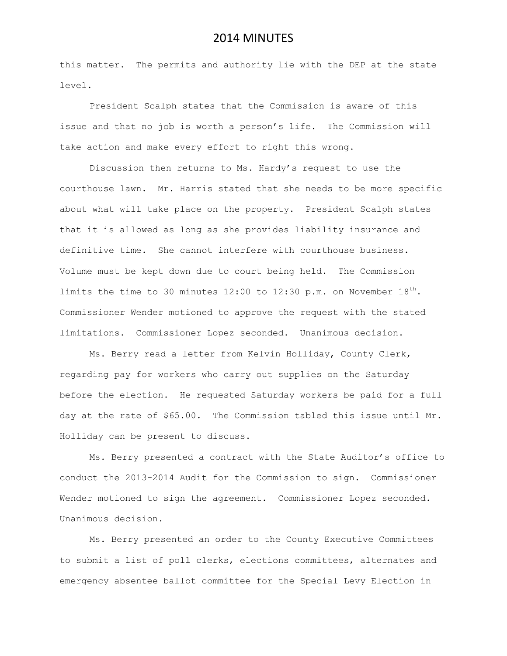this matter. The permits and authority lie with the DEP at the state level.

President Scalph states that the Commission is aware of this issue and that no job is worth a person's life. The Commission will take action and make every effort to right this wrong.

Discussion then returns to Ms. Hardy's request to use the courthouse lawn. Mr. Harris stated that she needs to be more specific about what will take place on the property. President Scalph states that it is allowed as long as she provides liability insurance and definitive time. She cannot interfere with courthouse business. Volume must be kept down due to court being held. The Commission limits the time to 30 minutes  $12:00$  to  $12:30$  p.m. on November  $18<sup>th</sup>$ . Commissioner Wender motioned to approve the request with the stated limitations. Commissioner Lopez seconded. Unanimous decision.

Ms. Berry read a letter from Kelvin Holliday, County Clerk, regarding pay for workers who carry out supplies on the Saturday before the election. He requested Saturday workers be paid for a full day at the rate of \$65.00. The Commission tabled this issue until Mr. Holliday can be present to discuss.

Ms. Berry presented a contract with the State Auditor's office to conduct the 2013-2014 Audit for the Commission to sign. Commissioner Wender motioned to sign the agreement. Commissioner Lopez seconded. Unanimous decision.

Ms. Berry presented an order to the County Executive Committees to submit a list of poll clerks, elections committees, alternates and emergency absentee ballot committee for the Special Levy Election in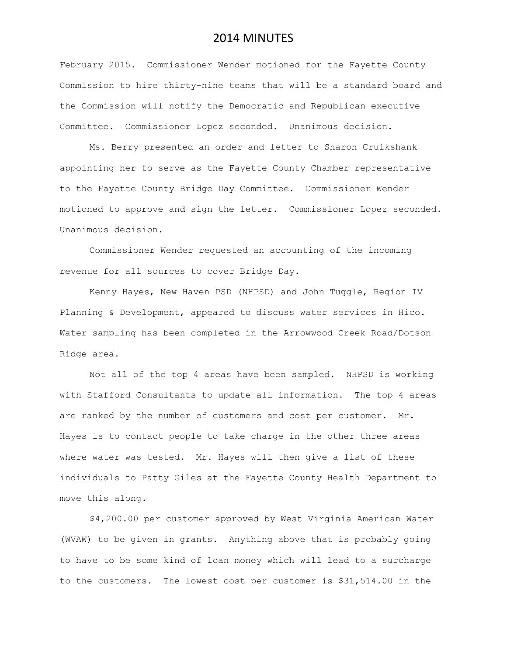February 2015. Commissioner Wender motioned for the Fayette County Commission to hire thirty-nine teams that will be a standard board and the Commission will notify the Democratic and Republican executive Committee. Commissioner Lopez seconded. Unanimous decision.

Ms. Berry presented an order and letter to Sharon Cruikshank appointing her to serve as the Fayette County Chamber representative to the Fayette County Bridge Day Committee. Commissioner Wender motioned to approve and sign the letter. Commissioner Lopez seconded. Unanimous decision.

Commissioner Wender requested an accounting of the incoming revenue for all sources to cover Bridge Day.

Kenny Hayes, New Haven PSD (NHPSD) and John Tuggle, Region IV Planning & Development, appeared to discuss water services in Hico. Water sampling has been completed in the Arrowwood Creek Road/Dotson Ridge area.

Not all of the top 4 areas have been sampled. NHPSD is working with Stafford Consultants to update all information. The top 4 areas are ranked by the number of customers and cost per customer. Mr. Hayes is to contact people to take charge in the other three areas where water was tested. Mr. Hayes will then give a list of these individuals to Patty Giles at the Fayette County Health Department to move this along.

\$4,200.00 per customer approved by West Virginia American Water (WVAW) to be given in grants. Anything above that is probably going to have to be some kind of loan money which will lead to a surcharge to the customers. The lowest cost per customer is \$31,514.00 in the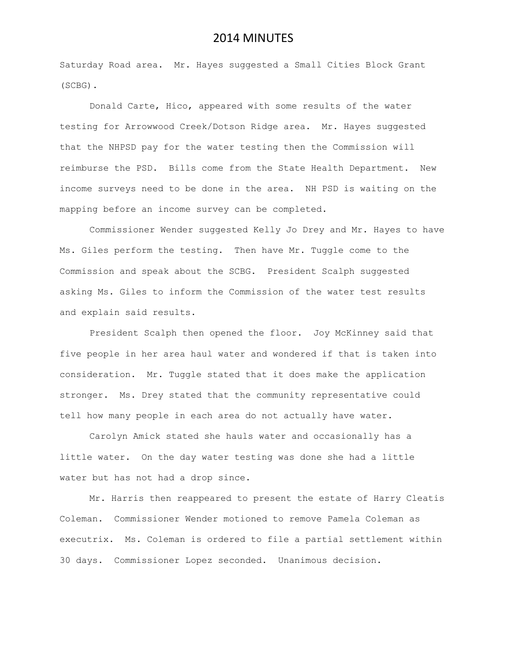Saturday Road area. Mr. Hayes suggested a Small Cities Block Grant (SCBG).

Donald Carte, Hico, appeared with some results of the water testing for Arrowwood Creek/Dotson Ridge area. Mr. Hayes suggested that the NHPSD pay for the water testing then the Commission will reimburse the PSD. Bills come from the State Health Department. New income surveys need to be done in the area. NH PSD is waiting on the mapping before an income survey can be completed.

Commissioner Wender suggested Kelly Jo Drey and Mr. Hayes to have Ms. Giles perform the testing. Then have Mr. Tuggle come to the Commission and speak about the SCBG. President Scalph suggested asking Ms. Giles to inform the Commission of the water test results and explain said results.

President Scalph then opened the floor. Joy McKinney said that five people in her area haul water and wondered if that is taken into consideration. Mr. Tuggle stated that it does make the application stronger. Ms. Drey stated that the community representative could tell how many people in each area do not actually have water.

Carolyn Amick stated she hauls water and occasionally has a little water. On the day water testing was done she had a little water but has not had a drop since.

Mr. Harris then reappeared to present the estate of Harry Cleatis Coleman. Commissioner Wender motioned to remove Pamela Coleman as executrix. Ms. Coleman is ordered to file a partial settlement within 30 days. Commissioner Lopez seconded. Unanimous decision.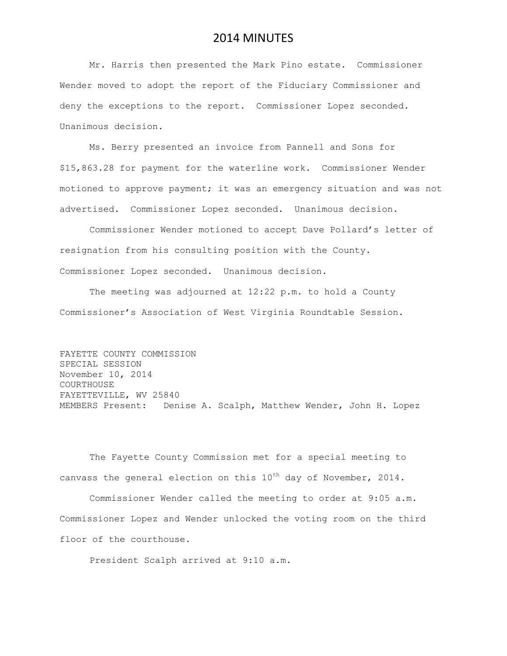Mr. Harris then presented the Mark Pino estate. Commissioner Wender moved to adopt the report of the Fiduciary Commissioner and deny the exceptions to the report. Commissioner Lopez seconded. Unanimous decision.

Ms. Berry presented an invoice from Pannell and Sons for \$15,863.28 for payment for the waterline work. Commissioner Wender motioned to approve payment; it was an emergency situation and was not advertised. Commissioner Lopez seconded. Unanimous decision.

Commissioner Wender motioned to accept Dave Pollard's letter of resignation from his consulting position with the County. Commissioner Lopez seconded. Unanimous decision.

The meeting was adjourned at 12:22 p.m. to hold a County Commissioner's Association of West Virginia Roundtable Session.

FAYETTE COUNTY COMMISSION SPECIAL SESSION November 10, 2014 COURTHOUSE FAYETTEVILLE, WV 25840 MEMBERS Present: Denise A. Scalph, Matthew Wender, John H. Lopez

The Fayette County Commission met for a special meeting to canvass the general election on this  $10^{th}$  day of November, 2014.

Commissioner Wender called the meeting to order at 9:05 a.m. Commissioner Lopez and Wender unlocked the voting room on the third floor of the courthouse.

President Scalph arrived at 9:10 a.m.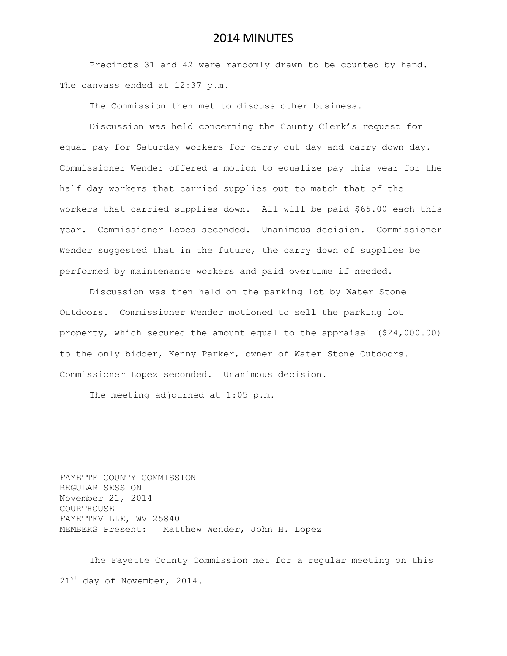Precincts 31 and 42 were randomly drawn to be counted by hand. The canvass ended at 12:37 p.m.

The Commission then met to discuss other business.

Discussion was held concerning the County Clerk's request for equal pay for Saturday workers for carry out day and carry down day. Commissioner Wender offered a motion to equalize pay this year for the half day workers that carried supplies out to match that of the workers that carried supplies down. All will be paid \$65.00 each this year. Commissioner Lopes seconded. Unanimous decision. Commissioner Wender suggested that in the future, the carry down of supplies be performed by maintenance workers and paid overtime if needed.

Discussion was then held on the parking lot by Water Stone Outdoors. Commissioner Wender motioned to sell the parking lot property, which secured the amount equal to the appraisal (\$24,000.00) to the only bidder, Kenny Parker, owner of Water Stone Outdoors. Commissioner Lopez seconded. Unanimous decision.

The meeting adjourned at 1:05 p.m.

FAYETTE COUNTY COMMISSION REGULAR SESSION November 21, 2014 COURTHOUSE FAYETTEVILLE, WV 25840 MEMBERS Present: Matthew Wender, John H. Lopez

The Fayette County Commission met for a regular meeting on this 21<sup>st</sup> day of November, 2014.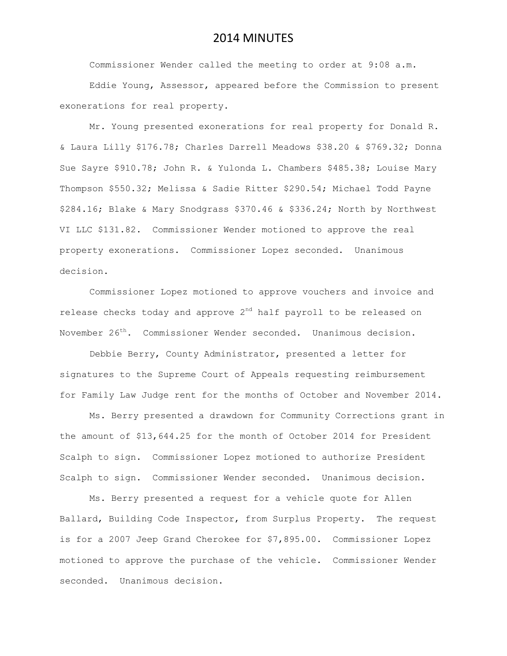Commissioner Wender called the meeting to order at 9:08 a.m. Eddie Young, Assessor, appeared before the Commission to present exonerations for real property.

Mr. Young presented exonerations for real property for Donald R. & Laura Lilly \$176.78; Charles Darrell Meadows \$38.20 & \$769.32; Donna Sue Sayre \$910.78; John R. & Yulonda L. Chambers \$485.38; Louise Mary Thompson \$550.32; Melissa & Sadie Ritter \$290.54; Michael Todd Payne \$284.16; Blake & Mary Snodgrass \$370.46 & \$336.24; North by Northwest VI LLC \$131.82. Commissioner Wender motioned to approve the real property exonerations. Commissioner Lopez seconded. Unanimous decision.

Commissioner Lopez motioned to approve vouchers and invoice and release checks today and approve  $2^{nd}$  half payroll to be released on November 26<sup>th</sup>. Commissioner Wender seconded. Unanimous decision.

Debbie Berry, County Administrator, presented a letter for signatures to the Supreme Court of Appeals requesting reimbursement for Family Law Judge rent for the months of October and November 2014.

Ms. Berry presented a drawdown for Community Corrections grant in the amount of \$13,644.25 for the month of October 2014 for President Scalph to sign. Commissioner Lopez motioned to authorize President Scalph to sign. Commissioner Wender seconded. Unanimous decision.

Ms. Berry presented a request for a vehicle quote for Allen Ballard, Building Code Inspector, from Surplus Property. The request is for a 2007 Jeep Grand Cherokee for \$7,895.00. Commissioner Lopez motioned to approve the purchase of the vehicle. Commissioner Wender seconded. Unanimous decision.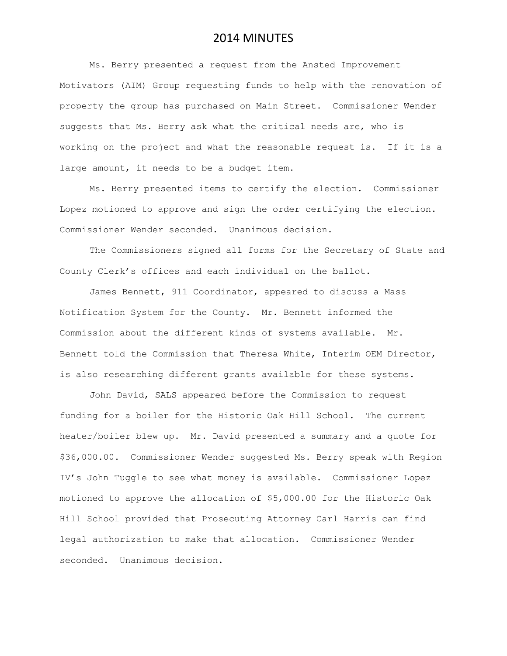Ms. Berry presented a request from the Ansted Improvement Motivators (AIM) Group requesting funds to help with the renovation of property the group has purchased on Main Street. Commissioner Wender suggests that Ms. Berry ask what the critical needs are, who is working on the project and what the reasonable request is. If it is a large amount, it needs to be a budget item.

Ms. Berry presented items to certify the election. Commissioner Lopez motioned to approve and sign the order certifying the election. Commissioner Wender seconded. Unanimous decision.

The Commissioners signed all forms for the Secretary of State and County Clerk's offices and each individual on the ballot.

James Bennett, 911 Coordinator, appeared to discuss a Mass Notification System for the County. Mr. Bennett informed the Commission about the different kinds of systems available. Mr. Bennett told the Commission that Theresa White, Interim OEM Director, is also researching different grants available for these systems.

John David, SALS appeared before the Commission to request funding for a boiler for the Historic Oak Hill School. The current heater/boiler blew up. Mr. David presented a summary and a quote for \$36,000.00. Commissioner Wender suggested Ms. Berry speak with Region IV's John Tuggle to see what money is available. Commissioner Lopez motioned to approve the allocation of \$5,000.00 for the Historic Oak Hill School provided that Prosecuting Attorney Carl Harris can find legal authorization to make that allocation. Commissioner Wender seconded. Unanimous decision.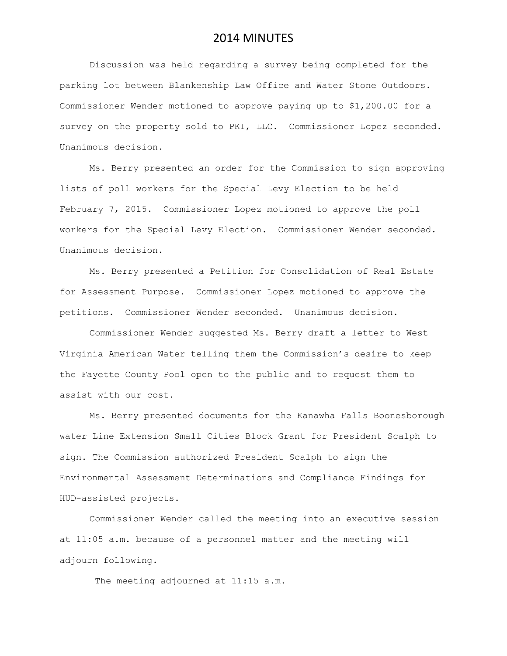Discussion was held regarding a survey being completed for the parking lot between Blankenship Law Office and Water Stone Outdoors. Commissioner Wender motioned to approve paying up to \$1,200.00 for a survey on the property sold to PKI, LLC. Commissioner Lopez seconded. Unanimous decision.

Ms. Berry presented an order for the Commission to sign approving lists of poll workers for the Special Levy Election to be held February 7, 2015. Commissioner Lopez motioned to approve the poll workers for the Special Levy Election. Commissioner Wender seconded. Unanimous decision.

Ms. Berry presented a Petition for Consolidation of Real Estate for Assessment Purpose. Commissioner Lopez motioned to approve the petitions. Commissioner Wender seconded. Unanimous decision.

Commissioner Wender suggested Ms. Berry draft a letter to West Virginia American Water telling them the Commission's desire to keep the Fayette County Pool open to the public and to request them to assist with our cost.

Ms. Berry presented documents for the Kanawha Falls Boonesborough water Line Extension Small Cities Block Grant for President Scalph to sign. The Commission authorized President Scalph to sign the Environmental Assessment Determinations and Compliance Findings for HUD-assisted projects.

Commissioner Wender called the meeting into an executive session at 11:05 a.m. because of a personnel matter and the meeting will adjourn following.

The meeting adjourned at 11:15 a.m.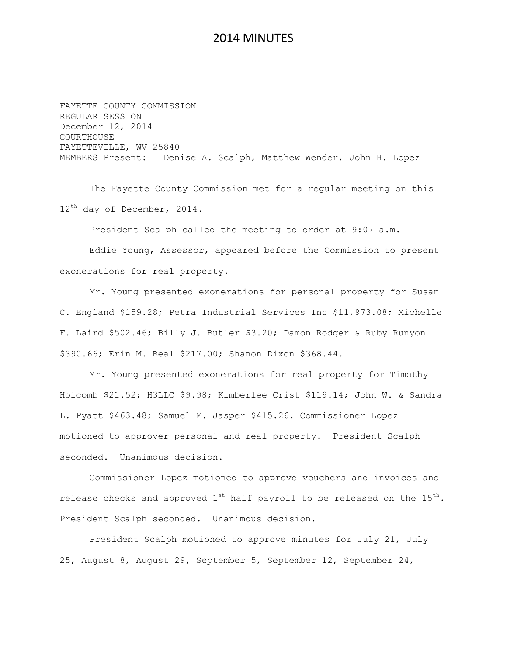FAYETTE COUNTY COMMISSION REGULAR SESSION December 12, 2014 COURTHOUSE FAYETTEVILLE, WV 25840 MEMBERS Present: Denise A. Scalph, Matthew Wender, John H. Lopez

The Fayette County Commission met for a regular meeting on this 12<sup>th</sup> day of December, 2014.

President Scalph called the meeting to order at 9:07 a.m.

Eddie Young, Assessor, appeared before the Commission to present exonerations for real property.

Mr. Young presented exonerations for personal property for Susan C. England \$159.28; Petra Industrial Services Inc \$11,973.08; Michelle F. Laird \$502.46; Billy J. Butler \$3.20; Damon Rodger & Ruby Runyon \$390.66; Erin M. Beal \$217.00; Shanon Dixon \$368.44.

Mr. Young presented exonerations for real property for Timothy Holcomb \$21.52; H3LLC \$9.98; Kimberlee Crist \$119.14; John W. & Sandra L. Pyatt \$463.48; Samuel M. Jasper \$415.26. Commissioner Lopez motioned to approver personal and real property. President Scalph seconded. Unanimous decision.

Commissioner Lopez motioned to approve vouchers and invoices and release checks and approved  $1^{st}$  half payroll to be released on the  $15^{th}$ . President Scalph seconded. Unanimous decision.

President Scalph motioned to approve minutes for July 21, July 25, August 8, August 29, September 5, September 12, September 24,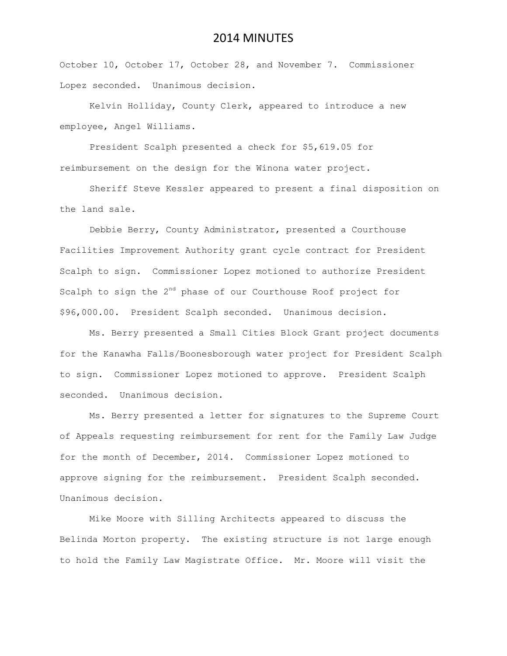October 10, October 17, October 28, and November 7. Commissioner Lopez seconded. Unanimous decision.

Kelvin Holliday, County Clerk, appeared to introduce a new employee, Angel Williams.

President Scalph presented a check for \$5,619.05 for reimbursement on the design for the Winona water project.

Sheriff Steve Kessler appeared to present a final disposition on the land sale.

Debbie Berry, County Administrator, presented a Courthouse Facilities Improvement Authority grant cycle contract for President Scalph to sign. Commissioner Lopez motioned to authorize President Scalph to sign the  $2<sup>nd</sup>$  phase of our Courthouse Roof project for \$96,000.00. President Scalph seconded. Unanimous decision.

Ms. Berry presented a Small Cities Block Grant project documents for the Kanawha Falls/Boonesborough water project for President Scalph to sign. Commissioner Lopez motioned to approve. President Scalph seconded. Unanimous decision.

Ms. Berry presented a letter for signatures to the Supreme Court of Appeals requesting reimbursement for rent for the Family Law Judge for the month of December, 2014. Commissioner Lopez motioned to approve signing for the reimbursement. President Scalph seconded. Unanimous decision.

Mike Moore with Silling Architects appeared to discuss the Belinda Morton property. The existing structure is not large enough to hold the Family Law Magistrate Office. Mr. Moore will visit the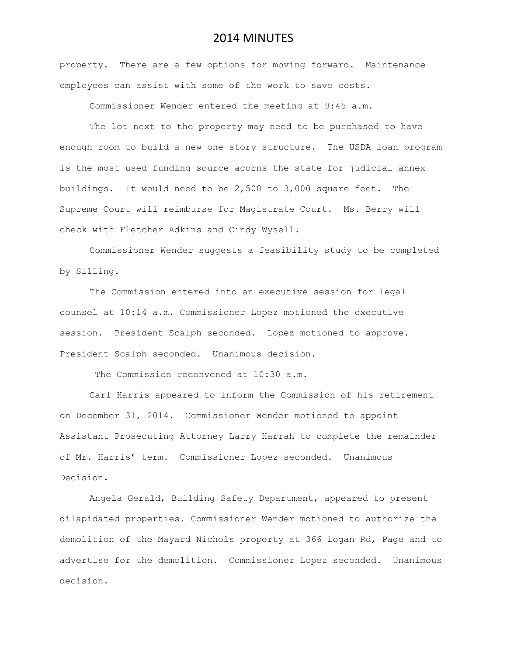property. There are a few options for moving forward. Maintenance employees can assist with some of the work to save costs.

Commissioner Wender entered the meeting at 9:45 a.m.

The lot next to the property may need to be purchased to have enough room to build a new one story structure. The USDA loan program is the most used funding source acorns the state for judicial annex buildings. It would need to be 2,500 to 3,000 square feet. The Supreme Court will reimburse for Magistrate Court. Ms. Berry will check with Fletcher Adkins and Cindy Wysell.

Commissioner Wender suggests a feasibility study to be completed by Silling.

The Commission entered into an executive session for legal counsel at 10:14 a.m. Commissioner Lopez motioned the executive session. President Scalph seconded. Lopez motioned to approve. President Scalph seconded. Unanimous decision.

The Commission reconvened at 10:30 a.m.

Carl Harris appeared to inform the Commission of his retirement on December 31, 2014. Commissioner Wender motioned to appoint Assistant Prosecuting Attorney Larry Harrah to complete the remainder of Mr. Harris' term. Commissioner Lopez seconded. Unanimous Decision.

Angela Gerald, Building Safety Department, appeared to present dilapidated properties. Commissioner Wender motioned to authorize the demolition of the Mayard Nichols property at 366 Logan Rd, Page and to advertise for the demolition. Commissioner Lopez seconded. Unanimous decision.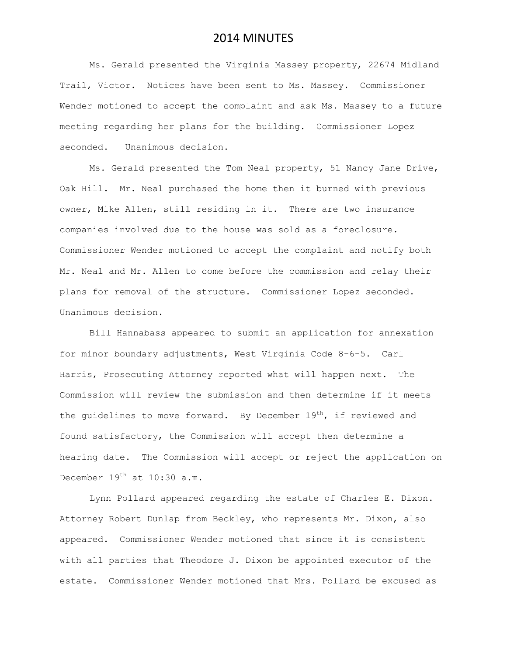Ms. Gerald presented the Virginia Massey property, 22674 Midland Trail, Victor. Notices have been sent to Ms. Massey. Commissioner Wender motioned to accept the complaint and ask Ms. Massey to a future meeting regarding her plans for the building. Commissioner Lopez seconded. Unanimous decision.

Ms. Gerald presented the Tom Neal property, 51 Nancy Jane Drive, Oak Hill. Mr. Neal purchased the home then it burned with previous owner, Mike Allen, still residing in it. There are two insurance companies involved due to the house was sold as a foreclosure. Commissioner Wender motioned to accept the complaint and notify both Mr. Neal and Mr. Allen to come before the commission and relay their plans for removal of the structure. Commissioner Lopez seconded. Unanimous decision.

Bill Hannabass appeared to submit an application for annexation for minor boundary adjustments, West Virginia Code 8-6-5. Carl Harris, Prosecuting Attorney reported what will happen next. The Commission will review the submission and then determine if it meets the guidelines to move forward. By December 19<sup>th</sup>, if reviewed and found satisfactory, the Commission will accept then determine a hearing date. The Commission will accept or reject the application on December 19<sup>th</sup> at 10:30 a.m.

Lynn Pollard appeared regarding the estate of Charles E. Dixon. Attorney Robert Dunlap from Beckley, who represents Mr. Dixon, also appeared. Commissioner Wender motioned that since it is consistent with all parties that Theodore J. Dixon be appointed executor of the estate. Commissioner Wender motioned that Mrs. Pollard be excused as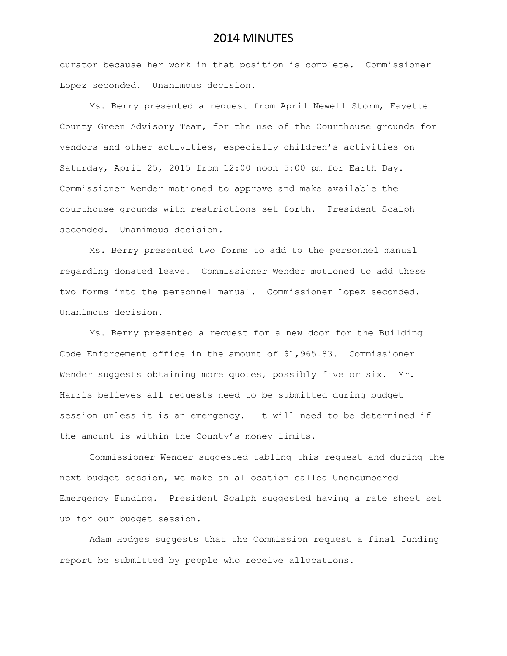curator because her work in that position is complete. Commissioner Lopez seconded. Unanimous decision.

Ms. Berry presented a request from April Newell Storm, Fayette County Green Advisory Team, for the use of the Courthouse grounds for vendors and other activities, especially children's activities on Saturday, April 25, 2015 from 12:00 noon 5:00 pm for Earth Day. Commissioner Wender motioned to approve and make available the courthouse grounds with restrictions set forth. President Scalph seconded. Unanimous decision.

Ms. Berry presented two forms to add to the personnel manual regarding donated leave. Commissioner Wender motioned to add these two forms into the personnel manual. Commissioner Lopez seconded. Unanimous decision.

Ms. Berry presented a request for a new door for the Building Code Enforcement office in the amount of \$1,965.83. Commissioner Wender suggests obtaining more quotes, possibly five or six. Mr. Harris believes all requests need to be submitted during budget session unless it is an emergency. It will need to be determined if the amount is within the County's money limits.

Commissioner Wender suggested tabling this request and during the next budget session, we make an allocation called Unencumbered Emergency Funding. President Scalph suggested having a rate sheet set up for our budget session.

Adam Hodges suggests that the Commission request a final funding report be submitted by people who receive allocations.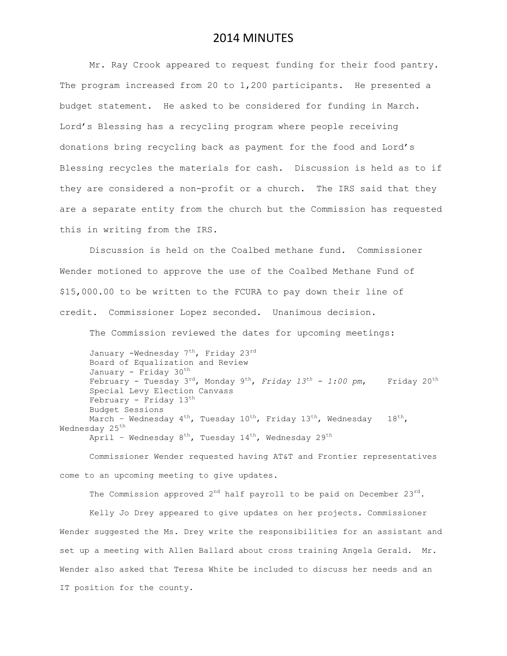Mr. Ray Crook appeared to request funding for their food pantry. The program increased from 20 to 1,200 participants. He presented a budget statement. He asked to be considered for funding in March. Lord's Blessing has a recycling program where people receiving donations bring recycling back as payment for the food and Lord's Blessing recycles the materials for cash. Discussion is held as to if they are considered a non-profit or a church. The IRS said that they are a separate entity from the church but the Commission has requested this in writing from the IRS.

Discussion is held on the Coalbed methane fund. Commissioner Wender motioned to approve the use of the Coalbed Methane Fund of \$15,000.00 to be written to the FCURA to pay down their line of credit. Commissioner Lopez seconded. Unanimous decision.

The Commission reviewed the dates for upcoming meetings:

January -Wednesday 7<sup>th</sup>, Friday 23<sup>rd</sup> Board of Equalization and Review January - Friday 30th February - Tuesday 3rd, Monday 9th, *Friday 13th - 1:00 pm*, Friday 20th Special Levy Election Canvass February - Friday  $13^{th}$ Budget Sessions March - Wednesday 4<sup>th</sup>, Tuesday 10<sup>th</sup>, Friday 13<sup>th</sup>, Wednesday 18<sup>th</sup>, Wednesday 25<sup>th</sup> April - Wednesday  $8^{th}$ , Tuesday  $14^{th}$ , Wednesday  $29^{th}$ 

Commissioner Wender requested having AT&T and Frontier representatives come to an upcoming meeting to give updates.

The Commission approved  $2^{nd}$  half payroll to be paid on December  $23^{rd}$ .

Kelly Jo Drey appeared to give updates on her projects. Commissioner Wender suggested the Ms. Drey write the responsibilities for an assistant and set up a meeting with Allen Ballard about cross training Angela Gerald. Mr. Wender also asked that Teresa White be included to discuss her needs and an IT position for the county.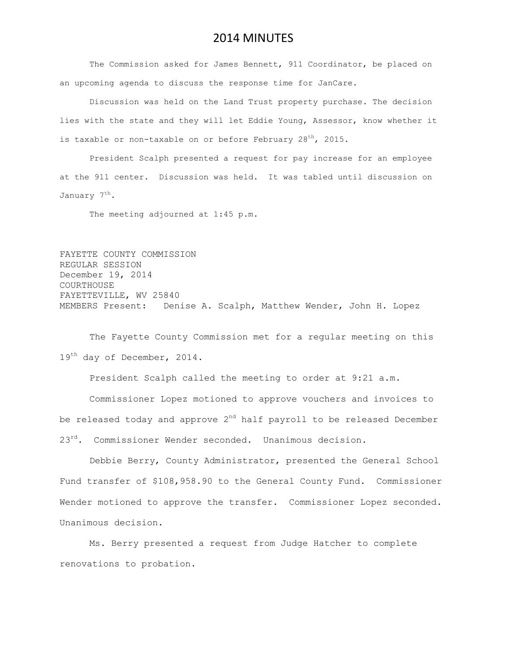The Commission asked for James Bennett, 911 Coordinator, be placed on an upcoming agenda to discuss the response time for JanCare.

Discussion was held on the Land Trust property purchase. The decision lies with the state and they will let Eddie Young, Assessor, know whether it is taxable or non-taxable on or before February 28<sup>th</sup>, 2015.

President Scalph presented a request for pay increase for an employee at the 911 center. Discussion was held. It was tabled until discussion on January 7<sup>th</sup>.

The meeting adjourned at 1:45 p.m.

FAYETTE COUNTY COMMISSION REGULAR SESSION December 19, 2014 COURTHOUSE FAYETTEVILLE, WV 25840 MEMBERS Present: Denise A. Scalph, Matthew Wender, John H. Lopez

The Fayette County Commission met for a regular meeting on this 19<sup>th</sup> day of December, 2014.

President Scalph called the meeting to order at 9:21 a.m.

Commissioner Lopez motioned to approve vouchers and invoices to be released today and approve  $2<sup>nd</sup>$  half payroll to be released December 23<sup>rd</sup>. Commissioner Wender seconded. Unanimous decision.

Debbie Berry, County Administrator, presented the General School Fund transfer of \$108,958.90 to the General County Fund. Commissioner Wender motioned to approve the transfer. Commissioner Lopez seconded. Unanimous decision.

Ms. Berry presented a request from Judge Hatcher to complete renovations to probation.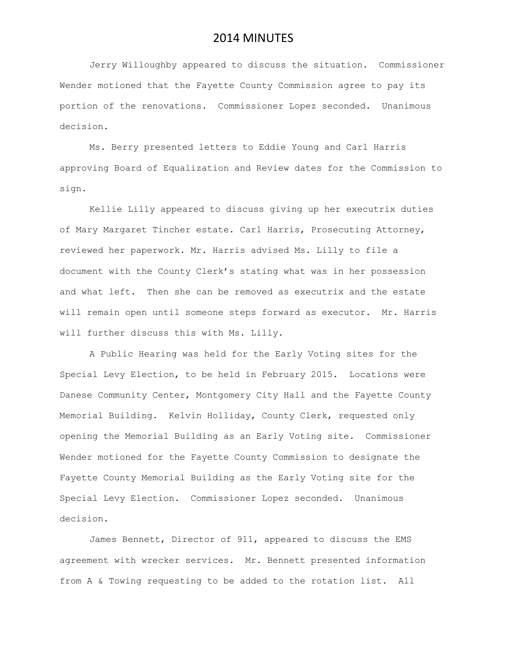Jerry Willoughby appeared to discuss the situation. Commissioner Wender motioned that the Fayette County Commission agree to pay its portion of the renovations. Commissioner Lopez seconded. Unanimous decision.

Ms. Berry presented letters to Eddie Young and Carl Harris approving Board of Equalization and Review dates for the Commission to sign.

Kellie Lilly appeared to discuss giving up her executrix duties of Mary Margaret Tincher estate. Carl Harris, Prosecuting Attorney, reviewed her paperwork. Mr. Harris advised Ms. Lilly to file a document with the County Clerk's stating what was in her possession and what left. Then she can be removed as executrix and the estate will remain open until someone steps forward as executor. Mr. Harris will further discuss this with Ms. Lilly.

A Public Hearing was held for the Early Voting sites for the Special Levy Election, to be held in February 2015. Locations were Danese Community Center, Montgomery City Hall and the Fayette County Memorial Building. Kelvin Holliday, County Clerk, requested only opening the Memorial Building as an Early Voting site. Commissioner Wender motioned for the Fayette County Commission to designate the Fayette County Memorial Building as the Early Voting site for the Special Levy Election. Commissioner Lopez seconded. Unanimous decision.

James Bennett, Director of 911, appeared to discuss the EMS agreement with wrecker services. Mr. Bennett presented information from A & Towing requesting to be added to the rotation list. All